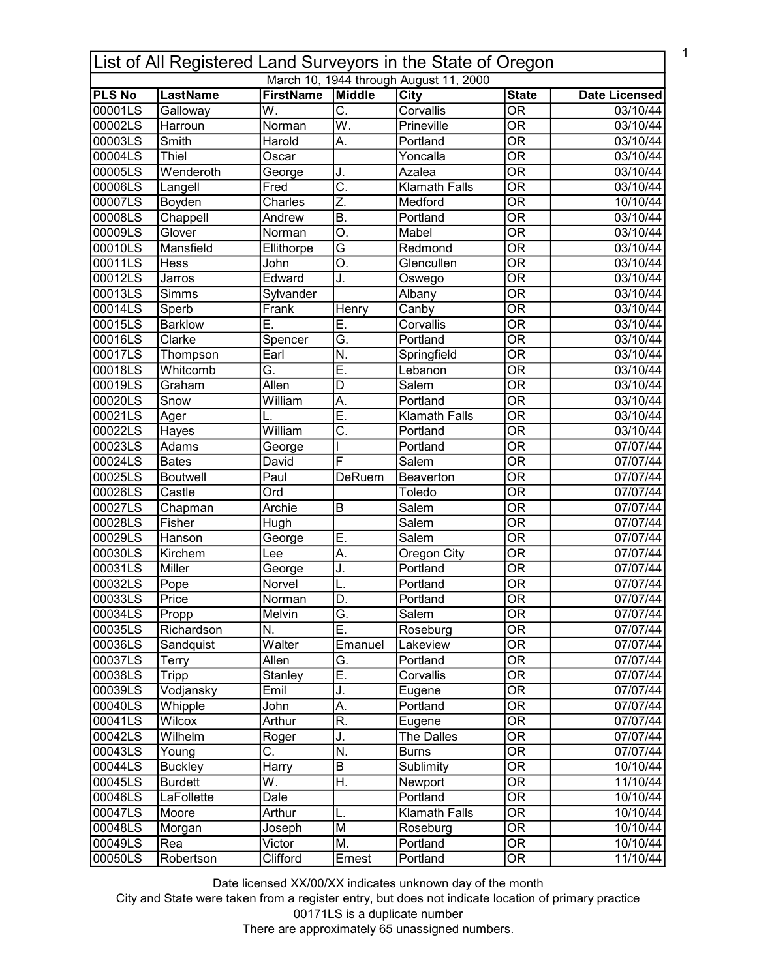| List of All Registered Land Surveyors in the State of Oregon |                 |                   |                           |                                        |                                   |                      |  |
|--------------------------------------------------------------|-----------------|-------------------|---------------------------|----------------------------------------|-----------------------------------|----------------------|--|
|                                                              |                 |                   |                           | March 10, 1944 through August 11, 2000 |                                   |                      |  |
| <b>PLS No</b>                                                | LastName        | <b>FirstName</b>  | Middle                    | <b>City</b>                            | <b>State</b>                      | <b>Date Licensed</b> |  |
| 00001LS                                                      | Galloway        | W.                | $\overline{\mathsf{C}}$ . | Corvallis                              | $\overline{OR}$                   | 03/10/44             |  |
| 00002LS                                                      | Harroun         | Norman            | $\overline{\mathsf{W}}$ . | Prineville                             | $\overline{OR}$                   | 03/10/44             |  |
| 00003LS                                                      | Smith           | Harold            | Α.                        | Portland                               | $\overline{\mathsf{OR}}$          | 03/10/44             |  |
| 00004LS                                                      | Thiel           | Oscar             |                           | Yoncalla                               | $\overline{\text{OR}}$            | 03/10/44             |  |
| 00005LS                                                      | Wenderoth       | George            | J.                        | Azalea                                 | $\overline{OR}$                   | 03/10/44             |  |
| 00006LS                                                      | Langell         | Fred              | $\overline{\mathsf{C}}$ . | <b>Klamath Falls</b>                   | $\overline{\text{OR}}$            | 03/10/44             |  |
| 00007LS                                                      | Boyden          | Charles           | Z.                        | Medford                                | $\overline{\overline{\rm OR}}$    | 10/10/44             |  |
| 00008LS                                                      | Chappell        | Andrew            | $\overline{B}$ .          | Portland                               | $\overline{\overline{\rm OR}}$    | 03/10/44             |  |
| 00009LS                                                      | Glover          | Norman            | $\overline{O}$ .          | Mabel                                  | $\overline{OR}$                   | 03/10/44             |  |
| 00010LS                                                      | Mansfield       | Ellithorpe        | G                         | Redmond                                | $\overline{OR}$                   | 03/10/44             |  |
| 00011LS                                                      | Hess            | John              | O.                        | Glencullen                             | $\overline{OR}$                   | 03/10/44             |  |
| 00012LS                                                      | Jarros          | Edward            | J.                        | Oswego                                 | $\overline{OR}$                   | 03/10/44             |  |
| 00013LS                                                      | Simms           | Sylvander         |                           | Albany                                 | $\overline{\overline{\rm OR}}$    | 03/10/44             |  |
| 00014LS                                                      | Sperb           | Frank             | Henry                     | Canby                                  | $\overline{\overline{\rm OR}}$    | 03/10/44             |  |
| 00015LS                                                      | <b>Barklow</b>  | Ē.                | Ē.                        | Corvallis                              | $\overline{\mathsf{OR}}$          | 03/10/44             |  |
| 00016LS                                                      | Clarke          | Spencer           | $\overline{\mathsf{G}}$ . | Portland                               | $\overline{\overline{\rm OR}}$    | 03/10/44             |  |
| 00017LS                                                      | Thompson        | Earl              | $\overline{\mathsf{N}}$ . | Springfield                            | $\overline{\mathsf{OR}}$          | 03/10/44             |  |
| 00018LS                                                      | Whitcomb        | G.                | Ē.                        | Lebanon                                | $\overline{\text{OR}}$            | 03/10/44             |  |
| 00019LS                                                      | Graham          | <b>Allen</b>      | $\overline{D}$            | Salem                                  | $\overline{\overline{\rm OR}}$    | 03/10/44             |  |
| 00020LS                                                      | Snow            | William           | A.                        | Portland                               | $\overline{OR}$                   | 03/10/44             |  |
| 00021LS                                                      | Ager            |                   | Ē.                        | <b>Klamath Falls</b>                   | $\overline{\mathsf{OR}}$          | 03/10/44             |  |
| 00022LS                                                      | Hayes           | William           | $\overline{\text{C}}$     | Portland                               | $\overline{\text{OR}}$            | 03/10/44             |  |
| 00023LS                                                      | <b>Adams</b>    | George            |                           | Portland                               | $\overline{\text{OR}}$            | 07/07/44             |  |
| 00024LS                                                      | <b>Bates</b>    | David             | F                         | Salem                                  | $\overline{\text{OR}}$            | 07/07/44             |  |
| 00025LS                                                      | <b>Boutwell</b> | $\overline{Paul}$ | <b>DeRuem</b>             | Beaverton                              | $\overline{\text{OR}}$            | 07/07/44             |  |
| 00026LS                                                      | Castle          | Ord               |                           | Toledo                                 | $\overline{OR}$                   | 07/07/44             |  |
| 00027LS                                                      | Chapman         | Archie            | B                         | Salem                                  | $\overline{OR}$                   | 07/07/44             |  |
| 00028LS                                                      | Fisher          | Hugh              |                           | Salem                                  | $\overline{OR}$                   | 07/07/44             |  |
| 00029LS                                                      | Hanson          | George            | Ē.                        | Salem                                  | $\overline{OR}$                   | 07/07/44             |  |
| 00030LS                                                      | Kirchem         | Lee               | A.                        | Oregon City                            | $\overline{OR}$                   | 07/07/44             |  |
| 00031LS                                                      | Miller          | George            | J.                        | Portland                               | $\overline{OR}$                   | 07/07/44             |  |
| 00032LS                                                      | Pope            | Norvel            | L.                        | Portland                               | $\overline{OR}$                   | 07/07/44             |  |
| 00033LS                                                      | Price           | Norman            | D.                        | Portland                               | $\overline{OR}$                   | 07/07/44             |  |
| 00034LS                                                      | Propp           | Melvin            | G.                        | Salem                                  | <b>OR</b>                         | 07/07/44             |  |
| 00035LS                                                      | Richardson      | N.                | Ē.                        | Roseburg                               | $\overline{\text{OR}}$            | 07/07/44             |  |
| 00036LS                                                      | Sandquist       | Walter            | Emanuel                   | Lakeview                               | $\overline{\text{OR}}$            | 07/07/44             |  |
| 00037LS                                                      | Terry           | Allen             | G.                        | Portland                               | $\overline{OR}$                   | 07/07/44             |  |
| 00038LS                                                      | <b>Tripp</b>    | Stanley           | Ē.                        | Corvallis                              | $\overline{\overline{\text{OR}}}$ | 07/07/44             |  |
| 00039LS                                                      | Vodjansky       | Emil              | J.                        | Eugene                                 | $\overline{\overline{\text{OR}}}$ | 07/07/44             |  |
| 00040LS                                                      | Whipple         | John              | A.                        | Portland                               | $\overline{\overline{\text{OR}}}$ | 07/07/44             |  |
| 00041LS                                                      | Wilcox          | Arthur            | R.                        | Eugene                                 | $\overline{\overline{\text{OR}}}$ | 07/07/44             |  |
| 00042LS                                                      | Wilhelm         | Roger             | J.                        | The Dalles                             | $\overline{\text{OR}}$            | 07/07/44             |  |
| 00043LS                                                      | Young           | C.                | N.                        | <b>Burns</b>                           | $\overline{OR}$                   | 07/07/44             |  |
| 00044LS                                                      | <b>Buckley</b>  | <b>Harry</b>      | B                         | Sublimity                              | $\overline{OR}$                   | 10/10/44             |  |
| 00045LS                                                      | <b>Burdett</b>  | W.                | H.                        | Newport                                | $\overline{\overline{\text{OR}}}$ | 11/10/44             |  |
| 00046LS                                                      | LaFollette      | Dale              |                           | Portland                               | $\overline{OR}$                   | 10/10/44             |  |
| 00047LS                                                      | Moore           | Arthur            | L.                        | <b>Klamath Falls</b>                   | $\overline{OR}$                   | 10/10/44             |  |
| 00048LS                                                      | Morgan          | Joseph            | $\overline{\mathsf{M}}$   | Roseburg                               | $\overline{OR}$                   | 10/10/44             |  |
| 00049LS                                                      | Rea             | Victor            | M.                        | Portland                               | $\overline{OR}$                   | 10/10/44             |  |
| 00050LS                                                      | Robertson       | Clifford          | Ernest                    | Portland                               | $\overline{OR}$                   | 11/10/44             |  |
|                                                              |                 |                   |                           |                                        |                                   |                      |  |

1

Date licensed XX/00/XX indicates unknown day of the month

City and State were taken from a register entry, but does not indicate location of primary practice 00171LS is a duplicate number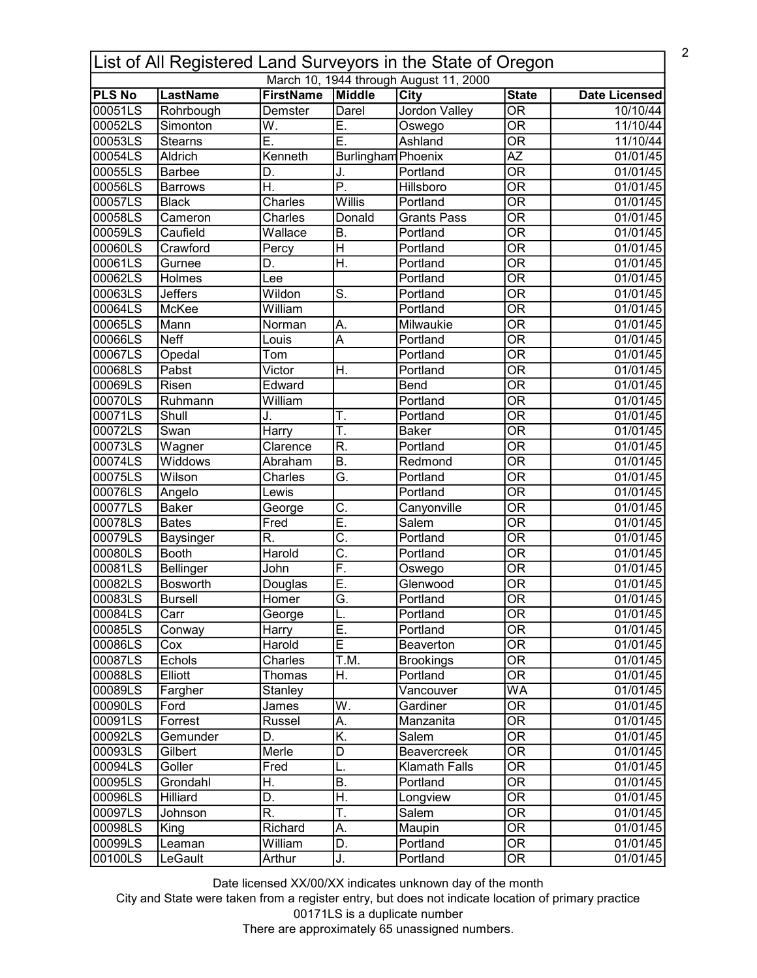| List of All Registered Land Surveyors in the State of Oregon |                                  |                               |                                 |                                        |                                        |                                  |  |
|--------------------------------------------------------------|----------------------------------|-------------------------------|---------------------------------|----------------------------------------|----------------------------------------|----------------------------------|--|
|                                                              |                                  |                               |                                 | March 10, 1944 through August 11, 2000 |                                        |                                  |  |
| <b>PLS No</b><br>00051LS                                     | LastName                         | <b>FirstName</b><br>Demster   | Middle<br>Darel                 | <b>City</b><br><b>Jordon Valley</b>    | <b>State</b><br>$\overline{\text{OR}}$ | <b>Date Licensed</b><br>10/10/44 |  |
| 00052LS                                                      | Rohrbough<br>Simonton            | W.                            | E.                              |                                        | $\overline{\text{OR}}$                 | 11/10/44                         |  |
| 00053LS                                                      | <b>Stearns</b>                   | Ē.                            | E.                              | Oswego<br>Ashland                      | $\overline{\overline{\rm OR}}$         | 11/10/44                         |  |
| 00054LS                                                      | Aldrich                          | Kenneth                       | Burlingham Phoenix              |                                        | $\overline{AZ}$                        | 01/01/45                         |  |
| 00055LS                                                      | <b>Barbee</b>                    | D.                            |                                 | Portland                               | $\overline{\mathsf{OR}}$               | 01/01/45                         |  |
| 00056LS                                                      | <b>Barrows</b>                   | H.                            | J.<br>$\overline{\mathsf{P}}$ . | Hillsboro                              | $\overline{\mathsf{OR}}$               | 01/01/45                         |  |
| 00057LS                                                      | <b>Black</b>                     | Charles                       | Willis                          | Portland                               | $\overline{\overline{\rm OR}}$         | 01/01/45                         |  |
| 00058LS                                                      | Cameron                          | Charles                       | Donald                          | <b>Grants Pass</b>                     | $\overline{OR}$                        | 01/01/45                         |  |
| 00059LS                                                      | Caufield                         | Wallace                       | B.                              | Portland                               | $\overline{OR}$                        | 01/01/45                         |  |
| 00060LS                                                      | Crawford                         | Percy                         | Η                               | Portland                               | $\overline{OR}$                        | 01/01/45                         |  |
| 00061LS                                                      | Gurnee                           | D.                            | $\overline{\mathsf{H}}$ .       | Portland                               | $\overline{OR}$                        | 01/01/45                         |  |
| 00062LS                                                      | Holmes                           | Lee                           |                                 | Portland                               | $\overline{OR}$                        | 01/01/45                         |  |
| 00063LS                                                      | <b>Jeffers</b>                   | Wildon                        | $\overline{\mathsf{S}}$ .       | Portland                               | $\overline{\text{OR}}$                 | 01/01/45                         |  |
| 00064LS                                                      | McKee                            | William                       |                                 | Portland                               | $\overline{\overline{\rm OR}}$         | 01/01/45                         |  |
| 00065LS                                                      | Mann                             | Norman                        | Α.                              | Milwaukie                              | $\overline{\mathsf{OR}}$               | 01/01/45                         |  |
| 00066LS                                                      | <b>Neff</b>                      | Louis                         | A                               | Portland                               | $\overline{\text{OR}}$                 | 01/01/45                         |  |
| 00067LS                                                      | Opedal                           | Tom                           |                                 | Portland                               | $\overline{\mathsf{OR}}$               | 01/01/45                         |  |
| 00068LS                                                      | Pabst                            | $\overline{\mathsf{V}}$ ictor | Η.                              | Portland                               | $\overline{\mathsf{OR}}$               | 01/01/45                         |  |
| 00069LS                                                      | Risen                            | Edward                        |                                 | Bend                                   | $\overline{\overline{\rm OR}}$         | 01/01/45                         |  |
| 00070LS                                                      | Ruhmann                          | William                       |                                 | Portland                               | $\overline{\mathsf{OR}}$               | 01/01/45                         |  |
| 00071LS                                                      | Shull                            |                               | Τ.                              | Portland                               | $\overline{\mathsf{OR}}$               | 01/01/45                         |  |
| 00072LS                                                      | Swan                             | Harry                         | T.                              | <b>Baker</b>                           | $\overline{\mathsf{OR}}$               | 01/01/45                         |  |
| 00073LS                                                      | Wagner                           | Clarence                      | $\overline{\mathsf{R}}$ .       | Portland                               | $\overline{\text{OR}}$                 | 01/01/45                         |  |
| 00074LS                                                      | <b>Widdows</b>                   | Abraham                       | $\overline{\mathsf{B}}$ .       | Redmond                                | $\overline{\text{OR}}$                 | 01/01/45                         |  |
| 00075LS                                                      | Wilson                           | Charles                       | Ğ.                              | Portland                               | $\overline{\text{OR}}$                 | 01/01/45                         |  |
| 00076LS                                                      |                                  | Lewis                         |                                 | Portland                               | $\overline{OR}$                        | 01/01/45                         |  |
| 00077LS                                                      | Angelo<br><b>Baker</b>           |                               | $\overline{\mathtt{C}}$ .       | Canyonville                            | $\overline{OR}$                        | 01/01/45                         |  |
| 00078LS                                                      | <b>Bates</b>                     | George<br>Fred                | Ē.                              | Salem                                  | $\overline{OR}$                        | 01/01/45                         |  |
| 00079LS                                                      |                                  | R.                            | $\overline{\mathsf{C}}$ .       | Portland                               | $\overline{OR}$                        | 01/01/45                         |  |
| 00080LS                                                      | <b>Baysinger</b><br><b>Booth</b> | Harold                        | $\overline{\text{C}}$           | Portland                               | $\overline{OR}$                        | 01/01/45                         |  |
| 00081LS                                                      | Bellinger                        | John                          | F.                              |                                        | $\overline{OR}$                        | 01/01/45                         |  |
| 00082LS                                                      | <b>Bosworth</b>                  | Douglas                       | Ē.                              | Oswego<br>Glenwood                     | $\overline{OR}$                        | 01/01/45                         |  |
| 00083LS                                                      | <b>Bursell</b>                   | Homer                         | G.                              | Portland                               | $\overline{OR}$                        | 01/01/45                         |  |
| 00084LS                                                      | Carr                             |                               | L.                              | Portland                               | <b>OR</b>                              | 01/01/45                         |  |
| 00085LS                                                      | Conway                           | George<br>Harry               | E.                              | Portland                               | $\overline{\text{OR}}$                 | 01/01/45                         |  |
| 00086LS                                                      | Cox                              | Harold                        | $\overline{E}$                  | Beaverton                              | $\overline{\text{OR}}$                 | 01/01/45                         |  |
| 00087LS                                                      | Echols                           | Charles                       | T.M.                            | <b>Brookings</b>                       | $\overline{\overline{\text{OR}}}$      | 01/01/45                         |  |
| 00088LS                                                      | Elliott                          | Thomas                        | Η.                              | Portland                               | $\overline{\overline{\text{OR}}}$      | 01/01/45                         |  |
| 00089LS                                                      |                                  | Stanley                       |                                 | Vancouver                              | <b>WA</b>                              | 01/01/45                         |  |
| 00090LS                                                      | Fargher<br>Ford                  | James                         | W.                              | Gardiner                               | $\overline{\overline{\text{OR}}}$      | 01/01/45                         |  |
|                                                              | Forrest                          |                               |                                 | Manzanita                              | $\overline{OR}$                        |                                  |  |
| 00091LS<br>00092LS                                           |                                  | Russel<br>D.                  | Α.<br>K.                        | Salem                                  | $\overline{\text{OR}}$                 | 01/01/45<br>01/01/45             |  |
|                                                              | Gemunder<br>Gilbert              | Merle                         |                                 |                                        | OR                                     |                                  |  |
| 00093LS<br>00094LS                                           | Goller                           | Fred                          | D                               | Beavercreek                            | $\overline{\text{OR}}$                 | 01/01/45                         |  |
|                                                              |                                  |                               | L.                              | <b>Klamath Falls</b>                   |                                        | 01/01/45                         |  |
| 00095LS                                                      | Grondahl                         | Η.<br>D.                      | B.                              | Portland                               | OR<br>$\overline{OR}$                  | 01/01/45                         |  |
| 00096LS<br>00097LS                                           | Hilliard                         | R.                            | H.<br>T.                        | Longview                               | $\overline{OR}$                        | 01/01/45                         |  |
|                                                              | Johnson                          | Richard                       | A.                              | Salem                                  | $\overline{OR}$                        | 01/01/45                         |  |
| 00098LS                                                      | King                             | William                       | D.                              | Maupin                                 | $\overline{OR}$                        | 01/01/45                         |  |
| 00099LS                                                      | Leaman                           |                               |                                 | Portland                               |                                        | 01/01/45                         |  |
| 00100LS                                                      | LeGault                          | Arthur                        | J.                              | Portland                               | $\overline{OR}$                        | 01/01/45                         |  |

City and State were taken from a register entry, but does not indicate location of primary practice 00171LS is a duplicate number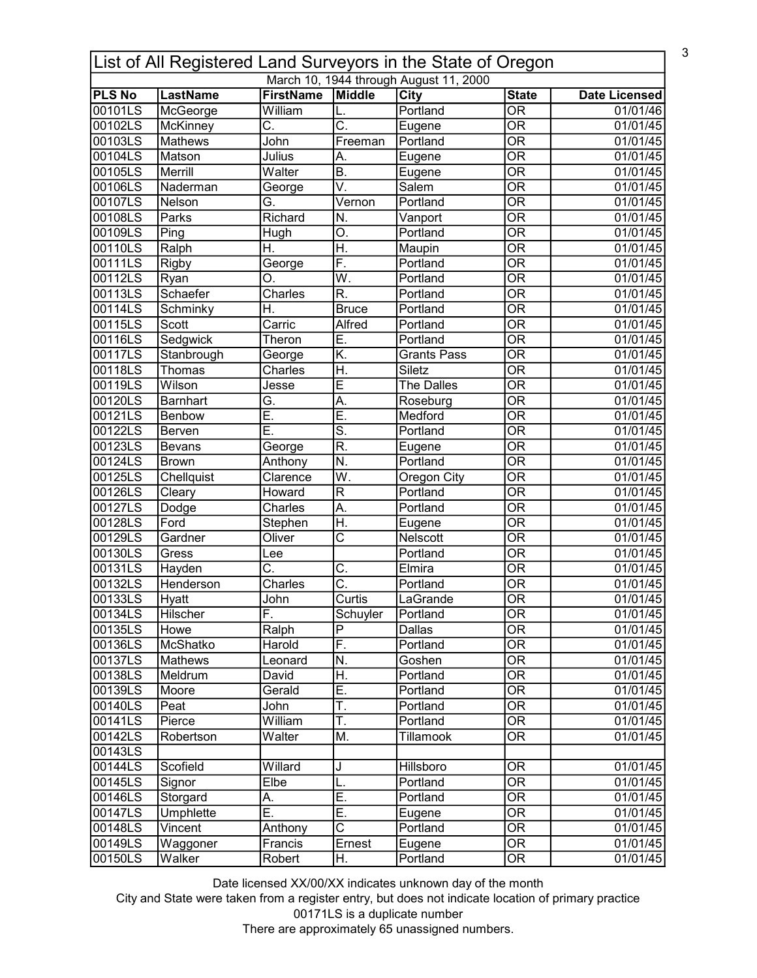|               |                                        |                           |                           | List of All Registered Land Surveyors in the State of Oregon |                                |                      |  |  |  |
|---------------|----------------------------------------|---------------------------|---------------------------|--------------------------------------------------------------|--------------------------------|----------------------|--|--|--|
|               | March 10, 1944 through August 11, 2000 |                           |                           |                                                              |                                |                      |  |  |  |
| <b>PLS No</b> | LastName                               | <b>FirstName</b>          | Middle                    | <b>City</b>                                                  | <b>State</b>                   | <b>Date Licensed</b> |  |  |  |
| 00101LS       | McGeorge                               | William                   | L.                        | Portland                                                     | $\overline{\mathsf{OR}}$       | 01/01/46             |  |  |  |
| 00102LS       | McKinney                               | $\overline{\text{C}}$ .   | $\overline{\mathsf{C}}$ . | Eugene                                                       | $\overline{\mathsf{OR}}$       | 01/01/45             |  |  |  |
| 00103LS       | <b>Mathews</b>                         | John                      | Freeman                   | Portland                                                     | $\overline{\mathsf{OR}}$       | 01/01/45             |  |  |  |
| 00104LS       | Matson                                 | Julius                    | А.                        | Eugene                                                       | $\overline{\mathsf{OR}}$       | 01/01/45             |  |  |  |
| 00105LS       | Merrill                                | Walter                    | B.                        | Eugene                                                       | $\overline{\mathsf{OR}}$       | 01/01/45             |  |  |  |
| 00106LS       | Naderman                               | George                    | V.                        | Salem                                                        | $\overline{\mathsf{OR}}$       | 01/01/45             |  |  |  |
| 00107LS       | Nelson                                 | G.                        | Vernon                    | Portland                                                     | $\overline{\mathsf{OR}}$       | 01/01/45             |  |  |  |
| 00108LS       | Parks                                  | Richard                   | N.                        | Vanport                                                      | $\overline{\mathsf{OR}}$       | 01/01/45             |  |  |  |
| 00109LS       | Ping                                   | Hugh                      | O.                        | Portland                                                     | $\overline{\mathsf{OR}}$       | 01/01/45             |  |  |  |
| 00110LS       | Ralph                                  | Η.                        | H.                        | Maupin                                                       | $\overline{\mathsf{OR}}$       | 01/01/45             |  |  |  |
| 00111LS       | Rigby                                  | George                    | F.                        | Portland                                                     | $\overline{\mathsf{OR}}$       | 01/01/45             |  |  |  |
| 00112LS       | Ryan                                   | O.                        | W.                        | Portland                                                     | $\overline{\mathsf{OR}}$       | 01/01/45             |  |  |  |
| 00113LS       | Schaefer                               | Charles                   | $\overline{\mathsf{R}}$ . | Portland                                                     | $\overline{\mathsf{OR}}$       | 01/01/45             |  |  |  |
| 00114LS       | Schminky                               | H.                        | <b>Bruce</b>              | Portland                                                     | $\overline{\mathsf{OR}}$       | 01/01/45             |  |  |  |
| 00115LS       | Scott                                  | Carric                    | Alfred                    | Portland                                                     | $\overline{\mathsf{OR}}$       | 01/01/45             |  |  |  |
| 00116LS       | Sedgwick                               | Theron                    | Ē.                        | Portland                                                     | $\overline{\mathsf{OR}}$       | 01/01/45             |  |  |  |
| 00117LS       | Stanbrough                             | George                    | $\overline{\mathsf{K}}$   | <b>Grants Pass</b>                                           | $\overline{\mathsf{OR}}$       | 01/01/45             |  |  |  |
| 00118LS       | Thomas                                 | Charles                   | Η.                        | Siletz                                                       | $\overline{\mathsf{OR}}$       | 01/01/45             |  |  |  |
| 00119LS       | Wilson                                 | Jesse                     | Ē                         | The Dalles                                                   | $\overline{\mathsf{OR}}$       | 01/01/45             |  |  |  |
| 00120LS       | <b>Barnhart</b>                        | G.                        | A.                        | Roseburg                                                     | $\overline{\mathsf{OR}}$       | 01/01/45             |  |  |  |
| 00121LS       | <b>Benbow</b>                          | Ē.                        | Ē.                        | Medford                                                      | $\overline{\mathsf{OR}}$       | 01/01/45             |  |  |  |
| 00122LS       | Berven                                 | Ē.                        | $\overline{\mathsf{s}}$ . | Portland                                                     | $\overline{\mathsf{OR}}$       | 01/01/45             |  |  |  |
| 00123LS       | <b>Bevans</b>                          | George                    | $\overline{\mathsf{R}}$ . | Eugene                                                       | $\overline{\mathsf{OR}}$       | 01/01/45             |  |  |  |
| 00124LS       | <b>Brown</b>                           | Anthony                   | N.                        | Portland                                                     | $\overline{\mathsf{OR}}$       | 01/01/45             |  |  |  |
| 00125LS       | Chellquist                             | Clarence                  | $\overline{\mathsf{W}}$ . | Oregon City                                                  | $\overline{\mathsf{OR}}$       | 01/01/45             |  |  |  |
| 00126LS       | Cleary                                 | Howard                    | $\overline{\mathsf{R}}$   | Portland                                                     | $\overline{\mathsf{OR}}$       | 01/01/45             |  |  |  |
| 00127LS       | Dodge                                  | Charles                   | A.                        | Portland                                                     | $\overline{\mathsf{OR}}$       | 01/01/45             |  |  |  |
| 00128LS       | Ford                                   | Stephen                   | H.                        | Eugene                                                       | $\overline{\mathsf{OR}}$       | 01/01/45             |  |  |  |
| 00129LS       | Gardner                                | Oliver                    | $\overline{\text{c}}$     | Nelscott                                                     | $\overline{\mathsf{OR}}$       | 01/01/45             |  |  |  |
| 00130LS       | Gress                                  | Lee                       |                           | Portland                                                     | $\overline{\mathsf{OR}}$       | 01/01/45             |  |  |  |
| 00131LS       | Hayden                                 | $\overline{\mathsf{C}}$ . | C.                        | Elmira                                                       | $\overline{\mathsf{OR}}$       | 01/01/45             |  |  |  |
| 00132LS       | Henderson                              | Charles                   | $\overline{\text{C}}$     | Portland                                                     | OR                             | 01/01/45             |  |  |  |
| 00133LS       | <b>Hyatt</b>                           | John                      | Curtis                    | LaGrande                                                     | $\overline{\overline{\rm OR}}$ | 01/01/45             |  |  |  |
| 00134LS       | Hilscher                               | F.                        | Schuyler                  | Portland                                                     | OR                             | 01/01/45             |  |  |  |
| 00135LS       | Howe                                   | Ralph                     | $\overline{\mathsf{P}}$   | Dallas                                                       | $\overline{\mathsf{OR}}$       | 01/01/45             |  |  |  |
| 00136LS       | McShatko                               | Harold                    | F.                        | Portland                                                     | $\overline{\mathsf{OR}}$       | 01/01/45             |  |  |  |
| 00137LS       | Mathews                                | Leonard                   | N.                        | Goshen                                                       | $\overline{\overline{\rm OR}}$ | 01/01/45             |  |  |  |
| 00138LS       | Meldrum                                | David                     | Η.                        | Portland                                                     | $\overline{\overline{\rm OR}}$ | 01/01/45             |  |  |  |
| 00139LS       | Moore                                  | Gerald                    | Ē.                        | Portland                                                     | $\overline{\overline{\rm OR}}$ | 01/01/45             |  |  |  |
| 00140LS       | Peat                                   | John                      | Ŧ.                        | Portland                                                     | $\overline{\text{OR}}$         | 01/01/45             |  |  |  |
| 00141LS       | Pierce                                 | William                   | T.                        | Portland                                                     | $\overline{\overline{\rm OR}}$ | 01/01/45             |  |  |  |
| 00142LS       | Robertson                              | Walter                    | M.                        | Tillamook                                                    | $\overline{\text{OR}}$         | 01/01/45             |  |  |  |
| 00143LS       |                                        |                           |                           |                                                              |                                |                      |  |  |  |
| 00144LS       | Scofield                               | Willard                   | J                         | Hillsboro                                                    | $\overline{\mathsf{OR}}$       | 01/01/45             |  |  |  |
| 00145LS       | Signor                                 | Elbe                      | L.                        | Portland                                                     | $\overline{\text{OR}}$         | 01/01/45             |  |  |  |
| 00146LS       | Storgard                               | Α.                        | Ē.                        | Portland                                                     | $\overline{\text{OR}}$         | 01/01/45             |  |  |  |
| 00147LS       | Umphlette                              | Ē.                        | Ē.                        | Eugene                                                       | $\overline{\text{OR}}$         | 01/01/45             |  |  |  |
| 00148LS       | Vincent                                | Anthony                   | $\overline{\text{c}}$     | Portland                                                     | $\overline{\text{OR}}$         | 01/01/45             |  |  |  |
| 00149LS       | Waggoner                               | Francis                   | Ernest                    | Eugene                                                       | $\overline{\text{OR}}$         | 01/01/45             |  |  |  |
| 00150LS       | Walker                                 | Robert                    | H.                        | Portland                                                     | $\overline{\text{OR}}$         | 01/01/45             |  |  |  |

City and State were taken from a register entry, but does not indicate location of primary practice 00171LS is a duplicate number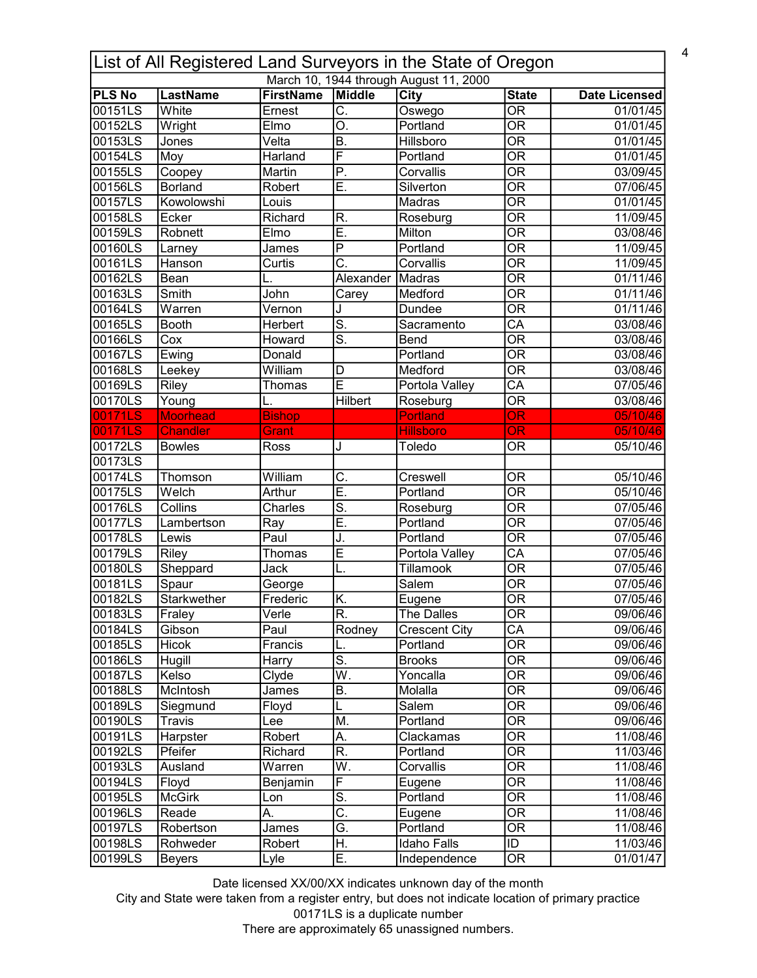|               | List of All Registered Land Surveyors in the State of Oregon<br>March 10, 1944 through August 11, 2000 |                  |                           |                      |                                   |                      |  |  |  |
|---------------|--------------------------------------------------------------------------------------------------------|------------------|---------------------------|----------------------|-----------------------------------|----------------------|--|--|--|
| <b>PLS No</b> | <b>LastName</b>                                                                                        | <b>FirstName</b> | Middle                    | City                 | <b>State</b>                      | <b>Date Licensed</b> |  |  |  |
| 00151LS       | White                                                                                                  | Ernest           | $\overline{\mathsf{C}}$ . | Oswego               | $\overline{\text{OR}}$            | 01/01/45             |  |  |  |
| 00152LS       | Wright                                                                                                 | Elmo             | $\overline{\mathsf{O}}$ . | Portland             | $\overline{\text{OR}}$            | 01/01/45             |  |  |  |
| 00153LS       | Jones                                                                                                  | Velta            | $\overline{B}$ .          | Hillsboro            | $\overline{\text{OR}}$            | 01/01/45             |  |  |  |
| 00154LS       | Moy                                                                                                    | Harland          | $\overline{\mathsf{F}}$   | Portland             | $\overline{\mathsf{OR}}$          | 01/01/45             |  |  |  |
| 00155LS       | Coopey                                                                                                 | Martin           | $\overline{P}$            | Corvallis            | $\overline{\mathsf{OR}}$          | 03/09/45             |  |  |  |
| 00156LS       | Borland                                                                                                | Robert           | Ē.                        | Silverton            | $\overline{\overline{\rm OR}}$    | 07/06/45             |  |  |  |
| 00157LS       | Kowolowshi                                                                                             | Louis            |                           | Madras               | $\overline{\text{OR}}$            | 01/01/45             |  |  |  |
| 00158LS       | Ecker                                                                                                  | Richard          | R.                        | Roseburg             | $\overline{\mathsf{OR}}$          | 11/09/45             |  |  |  |
| 00159LS       | Robnett                                                                                                | Elmo             | Ē.                        | Milton               | $\overline{OR}$                   | 03/08/46             |  |  |  |
| 00160LS       | Larney                                                                                                 | James            | $\overline{P}$            | Portland             | $\overline{OR}$                   | 11/09/45             |  |  |  |
| 00161LS       | Hanson                                                                                                 | Curtis           | $\overline{\text{C}}$ .   | Corvallis            | $\overline{OR}$                   | 11/09/45             |  |  |  |
| 00162LS       | Bean                                                                                                   |                  | Alexander                 | Madras               | $\overline{\overline{\rm OR}}$    | 01/11/46             |  |  |  |
| 00163LS       | Smith                                                                                                  | John             | Carey                     | Medford              | $\overline{\overline{\rm OR}}$    | 01/11/46             |  |  |  |
| 00164LS       | $\overline{\text{War}}$ ren                                                                            | Vernon           |                           | Dundee               | $\overline{\mathsf{OR}}$          | 01/11/46             |  |  |  |
| 00165LS       | <b>Booth</b>                                                                                           | Herbert          | $\overline{\mathsf{s}}$ . | Sacramento           | $\overline{CA}$                   | 03/08/46             |  |  |  |
| 00166LS       | Cox                                                                                                    | Howard           | $\overline{\mathsf{s}}$ . | Bend                 | $\overline{\mathsf{OR}}$          | 03/08/46             |  |  |  |
| 00167LS       | Ewing                                                                                                  | Donald           |                           | Portland             | $\overline{\overline{\rm OR}}$    | 03/08/46             |  |  |  |
| 00168LS       | Leekey                                                                                                 | William          | D                         | Medford              | $\overline{\mathsf{OR}}$          | 03/08/46             |  |  |  |
| 00169LS       | Riley                                                                                                  | Thomas           | $\overline{\mathsf{E}}$   | Portola Valley       | $\overline{\mathsf{CA}}$          | 07/05/46             |  |  |  |
| 00170LS       | Young                                                                                                  |                  | Hilbert                   | Roseburg             | $\overline{\mathsf{OR}}$          | 03/08/46             |  |  |  |
| 00171LS       | <b>Moorhead</b>                                                                                        | <b>Bishop</b>    |                           | <b>Portland</b>      | $\overline{\text{OR}}$            | 05/10/46             |  |  |  |
| 00171LS       | <b>Chandler</b>                                                                                        | Grant            |                           | <b>Hillsboro</b>     | <b>OR</b>                         | 05/10/46             |  |  |  |
| 00172LS       | <b>Bowles</b>                                                                                          | Ross             | J                         | Toledo               | <b>OR</b>                         | 05/10/46             |  |  |  |
| 00173LS       |                                                                                                        |                  |                           |                      |                                   |                      |  |  |  |
| 00174LS       | Thomson                                                                                                | William          | $\overline{\mathsf{C}}$ . | Creswell             | $\overline{OR}$                   | 05/10/46             |  |  |  |
| 00175LS       | Welch                                                                                                  | Arthur           | Ē.                        | Portland             | $\overline{\text{OR}}$            | 05/10/46             |  |  |  |
| 00176LS       | Collins                                                                                                | <b>Charles</b>   | $\overline{\mathsf{S}}$ . | Roseburg             | $\overline{\text{OR}}$            | 07/05/46             |  |  |  |
| 00177LS       | Lambertson                                                                                             | Ray              | Ē.                        | Portland             | $\overline{OR}$                   | 07/05/46             |  |  |  |
| 00178LS       | Lewis                                                                                                  | Paul             | J.                        | Portland             | $\overline{OR}$                   | 07/05/46             |  |  |  |
| 00179LS       | Riley                                                                                                  | Thomas           | E                         | Portola Valley       | $\overline{CA}$                   | 07/05/46             |  |  |  |
| 00180LS       | Sheppard                                                                                               | Jack             | Ĺ.                        | Tillamook            | $\overline{OR}$                   | 07/05/46             |  |  |  |
| 00181LS       | Spaur                                                                                                  | George           |                           | Salem                | $\overline{\overline{\rm OR}}$    | 07/05/46             |  |  |  |
| 00182LS       | Starkwether                                                                                            | Frederic         | K.                        | Eugene               | $\overline{OR}$                   | 07/05/46             |  |  |  |
| 00183LS       | Fraley                                                                                                 | Verle            | R.                        | The Dalles           | <b>OR</b>                         | 09/06/46             |  |  |  |
| 00184LS       | Gibson                                                                                                 | Paul             | Rodney                    | <b>Crescent City</b> | $\overline{\mathsf{CA}}$          | 09/06/46             |  |  |  |
| 00185LS       | Hicok                                                                                                  | Francis          | L.                        | Portland             | $\overline{\mathsf{OR}}$          | 09/06/46             |  |  |  |
| 00186LS       | Hugill                                                                                                 | Harry            | $\overline{\mathsf{S}}$ . | <b>Brooks</b>        | $\overline{\text{OR}}$            | 09/06/46             |  |  |  |
| 00187LS       | Kelso                                                                                                  | Clyde            | $\overline{\mathsf{W}}$ . | Yoncalla             | $\overline{OR}$                   | 09/06/46             |  |  |  |
| 00188LS       | McIntosh                                                                                               | James            | Β.                        | Molalla              | $\overline{\text{OR}}$            | 09/06/46             |  |  |  |
| 00189LS       | Siegmund                                                                                               | Floyd            | L                         | Salem                | <b>OR</b>                         | 09/06/46             |  |  |  |
| 00190LS       | <b>Travis</b>                                                                                          | Lee              | M.                        | Portland             | $\overline{\text{OR}}$            | 09/06/46             |  |  |  |
| 00191LS       | Harpster                                                                                               | Robert           | A.                        | Clackamas            | $\overline{\overline{\text{OR}}}$ | 11/08/46             |  |  |  |
| 00192LS       | Pfeifer                                                                                                | Richard          | $\overline{\mathsf{R}}$ . | Portland             | $\overline{\text{OR}}$            | 11/03/46             |  |  |  |
| 00193LS       | Ausland                                                                                                | Warren           | W.                        | Corvallis            | $\overline{\overline{\text{OR}}}$ | 11/08/46             |  |  |  |
| 00194LS       | Floyd                                                                                                  | Benjamin         | F                         | Eugene               | $\overline{\overline{\rm OR}}$    | 11/08/46             |  |  |  |
| 00195LS       | <b>McGirk</b>                                                                                          | Lon              | $\overline{\mathsf{s}}$ . | Portland             | $\overline{\overline{\text{OR}}}$ | 11/08/46             |  |  |  |
| 00196LS       | Reade                                                                                                  | A.               | $\overline{\mathsf{C}}$ . | Eugene               | $\overline{\text{OR}}$            | 11/08/46             |  |  |  |
| 00197LS       | Robertson                                                                                              | James            | G.                        | Portland             | $\overline{OR}$                   | 11/08/46             |  |  |  |
| 00198LS       | Rohweder                                                                                               | Robert           | H.                        | <b>Idaho Falls</b>   | $\overline{1}$                    | 11/03/46             |  |  |  |
| 00199LS       | <b>Beyers</b>                                                                                          | Lyle             | Ē.                        | Independence         | $\overline{\text{OR}}$            | 01/01/47             |  |  |  |
|               |                                                                                                        |                  |                           |                      |                                   |                      |  |  |  |

City and State were taken from a register entry, but does not indicate location of primary practice 00171LS is a duplicate number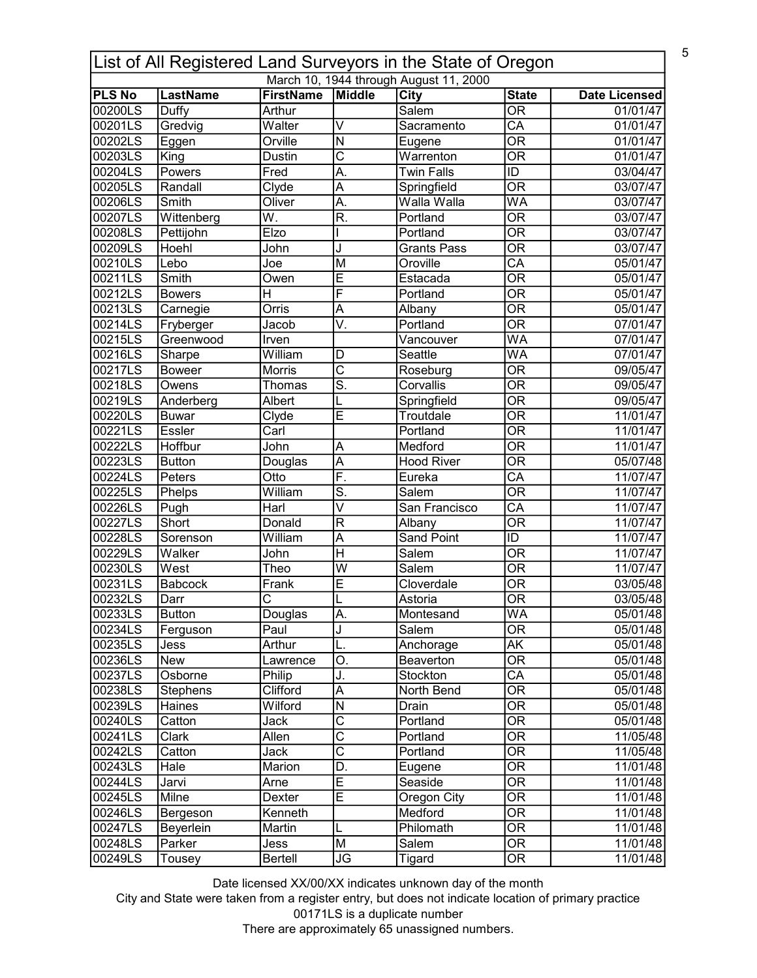| List of All Registered Land Surveyors in the State of Oregon |                         |                       |                                            |                                        |                                                      |                      |  |  |
|--------------------------------------------------------------|-------------------------|-----------------------|--------------------------------------------|----------------------------------------|------------------------------------------------------|----------------------|--|--|
|                                                              |                         |                       |                                            | March 10, 1944 through August 11, 2000 |                                                      |                      |  |  |
| <b>PLS No</b>                                                | <b>LastName</b>         | <b>FirstName</b>      | Middle                                     | <b>City</b>                            | <b>State</b>                                         | <b>Date Licensed</b> |  |  |
| 00200LS                                                      | Duffy                   | Arthur                |                                            | Salem                                  | $\overline{\text{OR}}$                               | 01/01/47             |  |  |
| 00201LS                                                      | Gredvig                 | Walter                | $\overline{\mathsf{v}}$                    | Sacramento                             | $\overline{CA}$                                      | 01/01/47             |  |  |
| 00202LS                                                      | Eggen                   | Orville               | $\overline{\mathsf{N}}$                    | Eugene                                 | $\overline{\mathsf{OR}}$                             | 01/01/47             |  |  |
| 00203LS                                                      | King                    | <b>Dustin</b>         | $\overline{\text{c}}$                      | Warrenton                              | $\overline{\text{OR}}$                               | 01/01/47             |  |  |
| 00204LS                                                      | Powers                  | Fred                  | A.                                         | <b>Twin Falls</b>                      | ID                                                   | 03/04/47             |  |  |
| 00205LS                                                      | Randall                 | Clyde                 | $\overline{\mathsf{A}}$                    | Springfield                            | <b>OR</b><br><b>WA</b>                               | 03/07/47             |  |  |
| 00206LS                                                      | Smith                   | Oliver<br>W.          | A.<br>$\overline{\mathsf{R}}$              | Walla Walla<br>Portland                | $\overline{\overline{\rm OR}}$                       | 03/07/47             |  |  |
| 00207LS<br>00208LS                                           | Wittenberg<br>Pettijohn | Elzo                  |                                            | Portland                               | $\overline{OR}$                                      | 03/07/47             |  |  |
|                                                              | Hoehl                   |                       |                                            |                                        | $\overline{OR}$                                      | 03/07/47             |  |  |
| 00209LS                                                      | Lebo                    | John                  | J                                          | <b>Grants Pass</b><br>Oroville         | $\overline{CA}$                                      | 03/07/47             |  |  |
| 00210LS                                                      | Smith                   | Joe                   | M                                          |                                        | $\overline{OR}$                                      | 05/01/47             |  |  |
| 00211LS                                                      |                         | Owen<br>H             | $\overline{E}$<br>F                        | Estacada                               |                                                      | 05/01/47             |  |  |
| 00212LS                                                      | <b>Bowers</b>           |                       |                                            | Portland                               | $\overline{\overline{\rm OR}}$                       | 05/01/47             |  |  |
| 00213LS                                                      | Carnegie                | Orris                 | $\overline{A}$<br>$\overline{\mathsf{V}}.$ | Albany                                 | $\overline{OR}$<br>$\overline{\mathsf{OR}}$          | 05/01/47             |  |  |
| 00214LS                                                      | Fryberger               | Jacob                 |                                            | Portland                               | <b>WA</b>                                            | 07/01/47             |  |  |
| 00215LS                                                      | Greenwood               | Irven                 |                                            | Vancouver                              |                                                      | 07/01/47             |  |  |
| 00216LS                                                      | Sharpe                  | William               | D                                          | Seattle                                | <b>WA</b>                                            | 07/01/47             |  |  |
| 00217LS                                                      | <b>Boweer</b>           | Morris                | $\overline{\text{c}}$                      | Roseburg                               | $\overline{\text{OR}}$                               | 09/05/47             |  |  |
| 00218LS                                                      | Owens                   | Thomas                | $\overline{\mathsf{s}}$                    | Corvallis                              | $\overline{\mathsf{OR}}$                             | 09/05/47             |  |  |
| 00219LS                                                      | Anderberg               | Albert                | L                                          | Springfield                            | $\overline{\mathsf{OR}}$                             | 09/05/47             |  |  |
| 00220LS                                                      | <b>Buwar</b>            | Clyde                 | $\overline{\mathsf{E}}$                    | Troutdale                              | $\overline{\mathsf{OR}}$<br>$\overline{\mathsf{OR}}$ | 11/01/47             |  |  |
| 00221LS                                                      | <b>Essler</b>           | Carl                  |                                            | Portland                               |                                                      | 11/01/47             |  |  |
| 00222LS                                                      | Hoffbur                 | John                  | A                                          | Medford                                | $\overline{\text{OR}}$                               | 11/01/47             |  |  |
| 00223LS<br>00224LS                                           | <b>Button</b><br>Peters | Douglas<br>Otto       | $\overline{\mathsf{A}}$<br>F.              | <b>Hood River</b>                      | $\overline{OR}$<br>$\overline{CA}$                   | 05/07/48<br>11/07/47 |  |  |
|                                                              |                         | William               | $\overline{\mathsf{s}}$                    | Eureka<br>Salem                        | $\overline{\mathsf{OR}}$                             |                      |  |  |
| 00225LS                                                      | Phelps                  | Harl                  | $\overline{\mathsf{v}}$                    | San Francisco                          | $\overline{CA}$                                      | 11/07/47<br>11/07/47 |  |  |
| 00226LS<br>00227LS                                           | Pugh<br>Short           | Donald                | $\overline{\mathsf{R}}$                    |                                        | $\overline{\text{OR}}$                               | 11/07/47             |  |  |
| 00228LS                                                      | Sorenson                | William               |                                            | Albany<br><b>Sand Point</b>            | $\overline{ID}$                                      | 11/07/47             |  |  |
| 00229LS                                                      | Walker                  | John                  | A<br>$\overline{\mathsf{H}}$               | Salem                                  | $\overline{OR}$                                      | 11/07/47             |  |  |
| 00230LS                                                      | West                    | Theo                  | $\overline{\mathsf{w}}$                    | Salem                                  | $\overline{OR}$                                      | 11/07/47             |  |  |
| 00231LS                                                      | Babcock                 | Frank                 | $\overline{\mathsf{E}}$                    | Cloverdale                             | $\overline{\overline{\rm OR}}$                       | 03/05/48             |  |  |
| 00232LS                                                      | Darr                    | $\overline{\text{c}}$ | L                                          | Astoria                                | $\overline{OR}$                                      | 03/05/48             |  |  |
| 00233LS                                                      | <b>Button</b>           | Douglas               | A.                                         | Montesand                              | <b>WA</b>                                            | 05/01/48             |  |  |
| 00234LS                                                      | Ferguson                | Paul                  | J                                          | Salem                                  | $\overline{OR}$                                      | 05/01/48             |  |  |
| 00235LS                                                      | Jess                    | Arthur                | L.                                         | Anchorage                              | AK                                                   | 05/01/48             |  |  |
| 00236LS                                                      | New                     | Lawrence              | O.                                         | Beaverton                              | $\overline{\overline{\rm OR}}$                       | 05/01/48             |  |  |
| 00237LS                                                      | Osborne                 | Philip                | J.                                         | Stockton                               | CA                                                   | 05/01/48             |  |  |
| 00238LS                                                      | Stephens                | Clifford              | A                                          | North Bend                             | $\overline{\overline{\text{OR}}}$                    | 05/01/48             |  |  |
| 00239LS                                                      | Haines                  | Wilford               | N                                          | Drain                                  | $\overline{\overline{\rm OR}}$                       | 05/01/48             |  |  |
| 00240LS                                                      | Catton                  | Jack                  | $\overline{\text{c}}$                      | Portland                               | $\overline{\overline{\text{OR}}}$                    | 05/01/48             |  |  |
| 00241LS                                                      | Clark                   | Allen                 | $\overline{\text{c}}$                      | Portland                               | $\overline{OR}$                                      | 11/05/48             |  |  |
| 00242LS                                                      | Catton                  | Jack                  | $\overline{\text{c}}$                      | Portland                               | $\overline{OR}$                                      | 11/05/48             |  |  |
| 00243LS                                                      | Hale                    | Marion                | D.                                         | Eugene                                 | $\overline{\text{OR}}$                               | 11/01/48             |  |  |
| 00244LS                                                      |                         |                       | E                                          | Seaside                                | $\overline{OR}$                                      | 11/01/48             |  |  |
| 00245LS                                                      | Jarvi<br>Milne          | Arne<br>Dexter        | $\overline{\mathsf{E}}$                    | Oregon City                            | $\overline{\text{OR}}$                               | 11/01/48             |  |  |
| 00246LS                                                      | Bergeson                | Kenneth               |                                            | Medford                                | $\overline{\text{OR}}$                               | 11/01/48             |  |  |
| 00247LS                                                      | Beyerlein               | Martin                | L                                          | Philomath                              | $\overline{\text{OR}}$                               | 11/01/48             |  |  |
| 00248LS                                                      | Parker                  | Jess                  | $\overline{\mathsf{M}}$                    | Salem                                  | $\overline{OR}$                                      | 11/01/48             |  |  |
| 00249LS                                                      |                         | <b>Bertell</b>        | $\overline{\mathsf{J}\mathsf{G}}$          | <b>Tigard</b>                          | $\overline{OR}$                                      | 11/01/48             |  |  |
|                                                              | Tousey                  |                       |                                            |                                        |                                                      |                      |  |  |

City and State were taken from a register entry, but does not indicate location of primary practice 00171LS is a duplicate number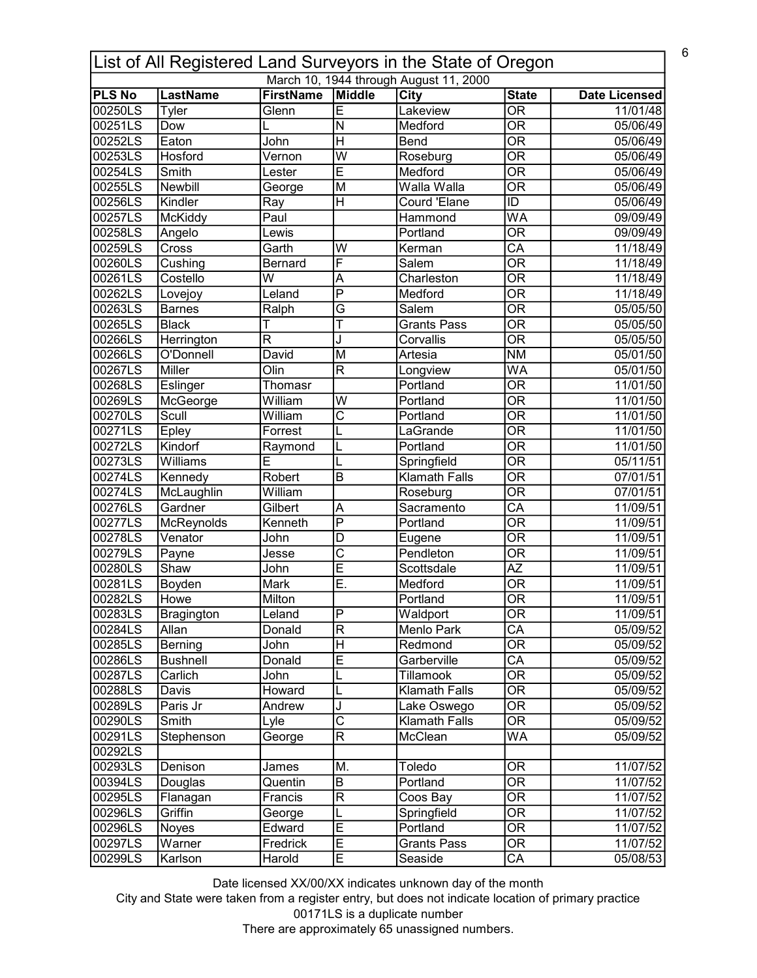|               |                 |                         |                           | List of All Registered Land Surveyors in the State of Oregon |                                |                      |
|---------------|-----------------|-------------------------|---------------------------|--------------------------------------------------------------|--------------------------------|----------------------|
|               |                 |                         |                           | March 10, 1944 through August 11, 2000                       |                                |                      |
| <b>PLS No</b> | LastName        | <b>FirstName</b>        | Middle                    | $\overline{C}$ ity                                           | <b>State</b>                   | <b>Date Licensed</b> |
| 00250LS       | Tyler           | Glenn                   | Ē                         | Lakeview                                                     | $\overline{\mathsf{OR}}$       | 11/01/48             |
| 00251LS       | Dow             |                         | $\overline{\mathsf{N}}$   | Medford                                                      | $\overline{\mathsf{OR}}$       | 05/06/49             |
| 00252LS       | Eaton           | John                    | $\overline{H}$            | Bend                                                         | $\overline{\mathsf{OR}}$       | 05/06/49             |
| 00253LS       | Hosford         | Vernon                  | $\overline{\mathsf{w}}$   | Roseburg                                                     | $\overline{\mathsf{OR}}$       | 05/06/49             |
| 00254LS       | Smith           | Lester                  | Ē                         | Medford                                                      | $\overline{\mathsf{OR}}$       | 05/06/49             |
| 00255LS       | Newbill         | George                  | M                         | Walla Walla                                                  | $\overline{\mathsf{OR}}$       | 05/06/49             |
| 00256LS       | Kindler         | Ray                     | $\overline{\overline{H}}$ | <b>Courd 'Elane</b>                                          | ID                             | 05/06/49             |
| 00257LS       | McKiddy         | Paul                    |                           | Hammond                                                      | WA                             | 09/09/49             |
| 00258LS       | Angelo          | Lewis                   |                           | Portland                                                     | $\overline{\mathsf{OR}}$       | 09/09/49             |
| 00259LS       | Cross           | Garth                   | W                         | Kerman                                                       | $\overline{\mathsf{CA}}$       | 11/18/49             |
| 00260LS       | Cushing         | <b>Bernard</b>          | F                         | Salem                                                        | $\overline{\mathsf{OR}}$       | 11/18/49             |
| 00261LS       | Costello        | W                       | A                         | Charleston                                                   | $\overline{\mathsf{OR}}$       | 11/18/49             |
| 00262LS       | Lovejoy         | Leland                  | $\overline{\mathsf{P}}$   | Medford                                                      | $\overline{\mathsf{OR}}$       | 11/18/49             |
| 00263LS       | <b>Barnes</b>   | Ralph                   | $\overline{\mathsf{G}}$   | Salem                                                        | $\overline{\mathsf{OR}}$       | 05/05/50             |
| 00265LS       | <b>Black</b>    | T                       | T                         | <b>Grants Pass</b>                                           | $\overline{\mathsf{OR}}$       | 05/05/50             |
| 00266LS       | Herrington      | $\overline{\mathsf{R}}$ | J                         | Corvallis                                                    | $\overline{\mathsf{OR}}$       | 05/05/50             |
| 00266LS       | O'Donnell       | David                   | M                         | Artesia                                                      | $\overline{\text{NM}}$         | 05/01/50             |
| 00267LS       | <b>Miller</b>   | Olin                    | $\overline{\mathsf{R}}$   | Longview                                                     | WA                             | 05/01/50             |
| 00268LS       | Eslinger        | Thomasr                 |                           | Portland                                                     | $\overline{\mathsf{OR}}$       | 11/01/50             |
| 00269LS       | McGeorge        | William                 | W                         | Portland                                                     | $\overline{\mathsf{OR}}$       | 11/01/50             |
| 00270LS       | Scull           | William                 | $\overline{\text{c}}$     | Portland                                                     | $\overline{\mathsf{OR}}$       | 11/01/50             |
| 00271LS       | Epley           | Forrest                 | L                         | LaGrande                                                     | $\overline{\mathsf{OR}}$       | 11/01/50             |
| 00272LS       | Kindorf         | Raymond                 | L                         | Portland                                                     | $\overline{\mathsf{OR}}$       | 11/01/50             |
| 00273LS       | Williams        | Е                       | L                         | Springfield                                                  | $\overline{\mathsf{OR}}$       | 05/11/51             |
| 00274LS       | Kennedy         | Robert                  | $\overline{B}$            | <b>Klamath Falls</b>                                         | $\overline{\mathsf{OR}}$       | 07/01/51             |
| 00274LS       | McLaughlin      | William                 |                           | Roseburg                                                     | $\overline{\mathsf{OR}}$       | 07/01/51             |
| 00276LS       | Gardner         | Gilbert                 | A                         | Sacramento                                                   | $\overline{\text{CA}}$         | 11/09/51             |
| 00277LS       | McReynolds      | Kenneth                 | $\overline{\mathsf{P}}$   | Portland                                                     | $\overline{\mathsf{OR}}$       | 11/09/51             |
| 00278LS       | Venator         | John                    | $\overline{D}$            | Eugene                                                       | $\overline{\mathsf{OR}}$       | 11/09/51             |
| 00279LS       | Payne           | Jesse                   | $\overline{\text{c}}$     | Pendleton                                                    | $\overline{\mathsf{OR}}$       | 11/09/51             |
| 00280LS       | Shaw            | John                    | $\overline{\mathsf{E}}$   | Scottsdale                                                   | $\overline{AZ}$                | 11/09/51             |
| 00281LS       | Boyden          | Mark                    | $\overline{\sf{E}}$       | Medford                                                      | $\overline{\mathsf{OR}}$       | 11/09/51             |
| 00282LS       | Howe            | Milton                  |                           | Portland                                                     | $\overline{\overline{\rm OR}}$ | 11/09/51             |
| 00283LS       | Bragington      | Leland                  | $\sf P$                   | Waldport                                                     | ΟR                             | 11/09/51             |
| 00284LS       | Allan           | Donald                  | $\overline{\mathsf{R}}$   | Menlo Park                                                   | $\overline{\text{CA}}$         | 05/09/52             |
| 00285LS       | Berning         | John                    | $\overline{H}$            | Redmond                                                      | $\overline{\text{OR}}$         | 05/09/52             |
| 00286LS       | <b>Bushnell</b> | Donald                  | E                         | Garberville                                                  | $\overline{\mathsf{CA}}$       | 05/09/52             |
| 00287LS       | Carlich         | John                    | L                         | Tillamook                                                    | $\overline{\mathsf{OR}}$       | 05/09/52             |
| 00288LS       | Davis           | Howard                  | L                         | Klamath Falls                                                | $\overline{\mathsf{OR}}$       | 05/09/52             |
| 00289LS       | Paris Jr        | Andrew                  | J                         | Lake Oswego                                                  | $\overline{\mathsf{OR}}$       | 05/09/52             |
| 00290LS       | Smith           | Lyle                    | $\overline{\text{c}}$     | Klamath Falls                                                | $\overline{\mathsf{OR}}$       | 05/09/52             |
| 00291LS       | Stephenson      | George                  | $\overline{\mathsf{R}}$   | McClean                                                      | WA                             | 05/09/52             |
| 00292LS       |                 |                         |                           |                                                              |                                |                      |
| 00293LS       | Denison         | James                   | M.                        | Toledo                                                       | 0R                             | 11/07/52             |
| 00394LS       | Douglas         | Quentin                 | $\sf B$                   | Portland                                                     | $\overline{\mathsf{OR}}$       | 11/07/52             |
| 00295LS       | Flanagan        | Francis                 | $ \mathsf{R} $            | Coos Bay                                                     | $\overline{\mathsf{OR}}$       | 11/07/52             |
| 00296LS       | Griffin         | George                  | L                         | Springfield                                                  | $\overline{\mathsf{OR}}$       | 11/07/52             |
| 00296LS       | Noyes           | Edward                  | Ē                         | Portland                                                     | $\overline{\mathsf{OR}}$       | 11/07/52             |
| 00297LS       | Warner          | Fredrick                | Ē                         | <b>Grants Pass</b>                                           | $\overline{\text{OR}}$         | 11/07/52             |
| 00299LS       | Karlson         | Harold                  | $\overline{E}$            | Seaside                                                      | $\overline{\mathsf{CA}}$       | 05/08/53             |

City and State were taken from a register entry, but does not indicate location of primary practice 00171LS is a duplicate number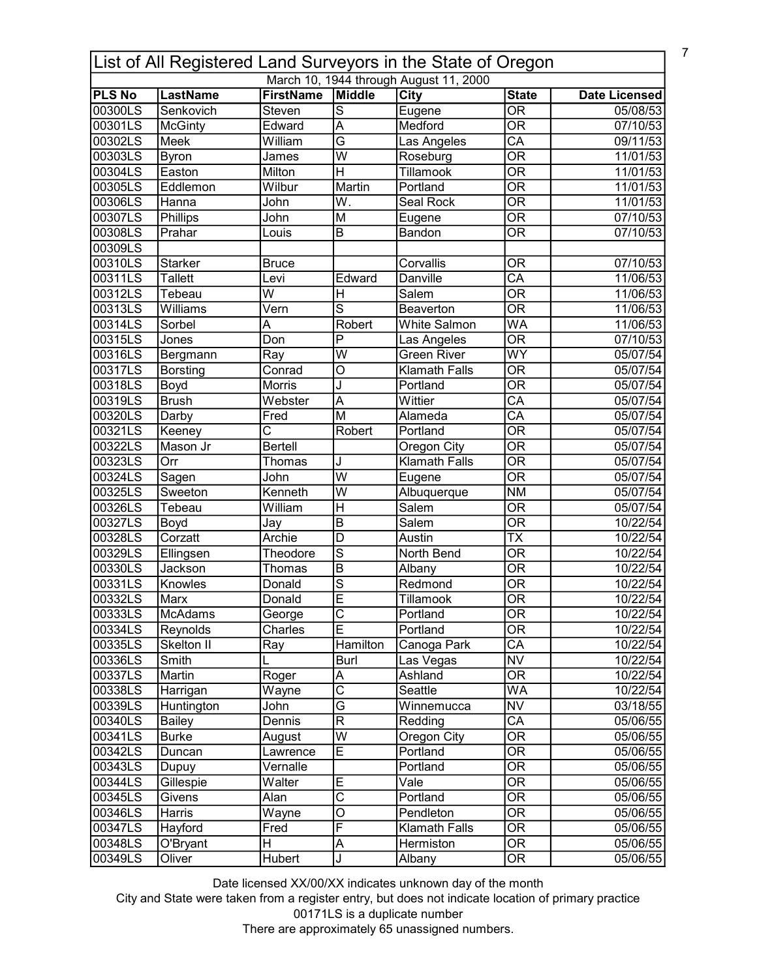| March 10, 1944 through August 11, 2000<br>Middle<br><b>PLS No</b><br>LastName<br><b>FirstName</b><br><b>City</b><br><b>State</b><br>Date Licensed<br>$\overline{\mathsf{s}}$<br>$\overline{OR}$<br>00300LS<br>Senkovich<br>Steven<br>Eugene<br>05/08/53<br>$\overline{\mathsf{OR}}$<br>Edward<br>Medford<br>07/10/53<br>00301LS<br><b>McGinty</b><br>A<br>$\overline{CA}$<br>G<br>00302LS<br>William<br><b>Meek</b><br>09/11/53<br>Las Angeles<br>$\overline{\mathsf{OR}}$<br>$\overline{\mathsf{W}}$<br>00303LS<br><b>Byron</b><br>Roseburg<br>11/01/53<br>James<br>$\overline{\text{OR}}$<br>$\overline{\mathsf{H}}$<br>00304LS<br>Easton<br>Tillamook<br>Milton<br>11/01/53<br>$\overline{\mathsf{OR}}$<br>00305LS<br>Wilbur<br>Martin<br>Portland<br>Eddlemon<br>11/01/53<br>$\overline{OR}$<br>00306LS<br>$\overline{\mathsf{W}}$ .<br>Seal Rock<br>11/01/53<br>Hanna<br>John<br>$\overline{\overline{\rm OR}}$<br>00307LS<br>Phillips<br>$\overline{M}$<br>John<br>07/10/53<br>Eugene<br>$\overline{OR}$<br>00308LS<br>B<br>07/10/53<br>Prahar<br>Bandon<br>Louis<br>00309LS<br>00310LS<br>Corvallis<br><b>OR</b><br>07/10/53<br><b>Starker</b><br><b>Bruce</b><br>$\overline{CA}$<br>00311LS<br><b>Tallett</b><br>Edward<br>Danville<br>11/06/53<br>Levi<br>$\overline{\mathsf{OR}}$<br>$\overline{\mathsf{w}}$<br>$\overline{\overline{H}}$<br>Salem<br>00312LS<br>Tebeau<br>11/06/53<br>ड<br>$\overline{\mathsf{OR}}$<br>00313LS<br>Williams<br>Vern<br>Beaverton<br>11/06/53<br><b>WA</b><br>Robert<br>00314LS<br>Sorbel<br>A<br><b>White Salmon</b><br>11/06/53<br>$\overline{\mathsf{OR}}$<br>$\overline{\mathsf{P}}$<br>Don<br>00315LS<br>07/10/53<br>Jones<br>Las Angeles<br>$\overline{W}$<br>WY<br>00316LS<br><b>Green River</b><br>05/07/54<br>Bergmann<br>Ray<br>$\overline{\overline{\rm OR}}$<br>Conrad<br>O<br><b>Klamath Falls</b><br>00317LS<br><b>Borsting</b><br>05/07/54<br>$\overline{\overline{\rm OR}}$<br>00318LS<br>Morris<br>J<br>Portland<br>05/07/54<br>Boyd<br>$\overline{CA}$<br>$\overline{\mathsf{A}}$<br>00319LS<br><b>Brush</b><br>Webster<br>Wittier<br>05/07/54<br>$\overline{\text{CA}}$<br>00320LS<br>M<br>Alameda<br>Darby<br>Fred<br>05/07/54<br>$\overline{\text{OR}}$<br>00321LS<br>$\overline{\text{c}}$<br>Robert<br>Portland<br>05/07/54<br>Keeney<br>$\overline{\text{OR}}$<br>Mason Jr<br><b>Bertell</b><br>00322LS<br>05/07/54<br>Oregon City<br>$\overline{\text{OR}}$<br>00323LS<br>$\overline{Orr}$<br>Thomas<br><b>Klamath Falls</b><br>05/07/54<br>IJ<br>$\overline{\text{OR}}$<br>$\overline{W}$<br>00324LS<br>John<br>Sagen<br>Eugene<br>05/07/54<br>$\overline{\text{NM}}$<br>$\overline{\mathsf{W}}$<br>00325LS<br>Kenneth<br>Albuquerque<br>05/07/54<br>Sweeton<br>$\overline{H}$<br>$\overline{OR}$<br>00326LS<br>William<br>Salem<br>05/07/54<br>Tebeau<br>$\overline{OR}$<br>00327LS<br>$\overline{B}$<br>Salem<br>10/22/54<br>Boyd<br>Jay<br>Corzatt<br>$\overline{\mathsf{TX}}$<br>00328LS<br>Archie<br>D<br>10/22/54<br>Austin<br>$\overline{s}$<br>$\overline{\text{OR}}$<br>00329LS<br>Ellingsen<br>North Bend<br>10/22/54<br>Theodore<br>$\overline{\mathsf{OR}}$<br>$\overline{B}$<br>00330LS<br>Jackson<br>10/22/54<br>Thomas<br>Albany<br>$\overline{\mathsf{s}}$<br>$\overline{OR}$<br>Knowles<br>Redmond<br>00331LS<br>10/22/54<br>Donald<br>Ē<br>$\overline{\text{OR}}$<br>00332LS<br>Marx<br>Tillamook<br>10/22/54<br>Donald<br>00333LS<br>George<br>C<br>Portland<br><b>OR</b><br>McAdams<br>10/22/54<br>$\overline{\mathsf{E}}$<br>$\overline{\text{OR}}$<br>Charles<br>00334LS<br>Reynolds<br>Portland<br>10/22/54<br>CA<br>Skelton II<br>Hamilton<br>00335LS<br>Canoga Park<br>10/22/54<br>Ray<br>$\overline{\text{NV}}$<br>00336LS<br>Smith<br>Las Vegas<br>10/22/54<br>Burl<br>$\overline{\overline{\text{OR}}}$<br>00337LS<br>Martin<br>Roger<br>Ashland<br>A<br>10/22/54<br>$\overline{\text{c}}$<br><b>WA</b><br>00338LS<br>Seattle<br>Harrigan<br>Wayne<br>10/22/54<br>$\overline{\mathsf{G}}$<br>$\overline{\text{NV}}$<br>00339LS<br>Winnemucca<br>Huntington<br>03/18/55<br>John<br>$\overline{\mathsf{CA}}$<br>$\overline{\mathsf{R}}$<br>00340LS<br>Dennis<br>05/06/55<br>Redding<br><b>Bailey</b><br>$\overline{W}$<br>$\overline{OR}$<br>Oregon City<br>00341LS<br><b>Burke</b><br>August<br>05/06/55<br>$\overline{E}$<br>$\overline{\text{OR}}$<br>Portland<br>00342LS<br>05/06/55<br>Duncan<br>Lawrence<br>$\overline{OR}$<br>00343LS<br>Vernalle<br>Portland<br>05/06/55<br>Dupuy<br>$\overline{OR}$<br>Gillespie<br>E<br>$\overline{\mathsf{V}}$ ale<br>00344LS<br>Walter<br>05/06/55<br>$\overline{\text{c}}$<br>OR<br>Portland<br>00345LS<br>Alan<br>05/06/55<br>Givens<br>$\overline{\text{OR}}$<br>$\overline{\circ}$<br>00346LS<br>Wayne<br>05/06/55<br>Harris<br>Pendleton<br>F<br>$\overline{\text{OR}}$<br>Hayford<br>00347LS<br>Fred<br><b>Klamath Falls</b><br>05/06/55<br>$\overline{\text{OR}}$<br>$\overline{\mathsf{H}}$<br>$\overline{\mathsf{A}}$<br>Hermiston<br>05/06/55<br>00348LS<br>O'Bryant<br>$\overline{OR}$<br>00349LS<br><b>Hubert</b><br>J<br>Oliver<br>Albany<br>05/06/55 | List of All Registered Land Surveyors in the State of Oregon |  |  |  |  |  |  |  |
|-------------------------------------------------------------------------------------------------------------------------------------------------------------------------------------------------------------------------------------------------------------------------------------------------------------------------------------------------------------------------------------------------------------------------------------------------------------------------------------------------------------------------------------------------------------------------------------------------------------------------------------------------------------------------------------------------------------------------------------------------------------------------------------------------------------------------------------------------------------------------------------------------------------------------------------------------------------------------------------------------------------------------------------------------------------------------------------------------------------------------------------------------------------------------------------------------------------------------------------------------------------------------------------------------------------------------------------------------------------------------------------------------------------------------------------------------------------------------------------------------------------------------------------------------------------------------------------------------------------------------------------------------------------------------------------------------------------------------------------------------------------------------------------------------------------------------------------------------------------------------------------------------------------------------------------------------------------------------------------------------------------------------------------------------------------------------------------------------------------------------------------------------------------------------------------------------------------------------------------------------------------------------------------------------------------------------------------------------------------------------------------------------------------------------------------------------------------------------------------------------------------------------------------------------------------------------------------------------------------------------------------------------------------------------------------------------------------------------------------------------------------------------------------------------------------------------------------------------------------------------------------------------------------------------------------------------------------------------------------------------------------------------------------------------------------------------------------------------------------------------------------------------------------------------------------------------------------------------------------------------------------------------------------------------------------------------------------------------------------------------------------------------------------------------------------------------------------------------------------------------------------------------------------------------------------------------------------------------------------------------------------------------------------------------------------------------------------------------------------------------------------------------------------------------------------------------------------------------------------------------------------------------------------------------------------------------------------------------------------------------------------------------------------------------------------------------------------------------------------------------------------------------------------------------------------------------------------------------------------------------------------------------------------------------------------------------------------------------------------------------------------------------------------------------------------------------------------------------------------------------------------------------------------------------------------------------------------------------------------------------------------------------------------------------------------------------------------------------------------------------------------------------------------------------------------------------------------------------------------------------------------------------------------------------------------------------------------------------------------------------------------------------------------------------------------------------------------------------------------|--------------------------------------------------------------|--|--|--|--|--|--|--|
|                                                                                                                                                                                                                                                                                                                                                                                                                                                                                                                                                                                                                                                                                                                                                                                                                                                                                                                                                                                                                                                                                                                                                                                                                                                                                                                                                                                                                                                                                                                                                                                                                                                                                                                                                                                                                                                                                                                                                                                                                                                                                                                                                                                                                                                                                                                                                                                                                                                                                                                                                                                                                                                                                                                                                                                                                                                                                                                                                                                                                                                                                                                                                                                                                                                                                                                                                                                                                                                                                                                                                                                                                                                                                                                                                                                                                                                                                                                                                                                                                                                                                                                                                                                                                                                                                                                                                                                                                                                                                                                                                                                                                                                                                                                                                                                                                                                                                                                                                                                                                                                                                                             |                                                              |  |  |  |  |  |  |  |
|                                                                                                                                                                                                                                                                                                                                                                                                                                                                                                                                                                                                                                                                                                                                                                                                                                                                                                                                                                                                                                                                                                                                                                                                                                                                                                                                                                                                                                                                                                                                                                                                                                                                                                                                                                                                                                                                                                                                                                                                                                                                                                                                                                                                                                                                                                                                                                                                                                                                                                                                                                                                                                                                                                                                                                                                                                                                                                                                                                                                                                                                                                                                                                                                                                                                                                                                                                                                                                                                                                                                                                                                                                                                                                                                                                                                                                                                                                                                                                                                                                                                                                                                                                                                                                                                                                                                                                                                                                                                                                                                                                                                                                                                                                                                                                                                                                                                                                                                                                                                                                                                                                             |                                                              |  |  |  |  |  |  |  |
|                                                                                                                                                                                                                                                                                                                                                                                                                                                                                                                                                                                                                                                                                                                                                                                                                                                                                                                                                                                                                                                                                                                                                                                                                                                                                                                                                                                                                                                                                                                                                                                                                                                                                                                                                                                                                                                                                                                                                                                                                                                                                                                                                                                                                                                                                                                                                                                                                                                                                                                                                                                                                                                                                                                                                                                                                                                                                                                                                                                                                                                                                                                                                                                                                                                                                                                                                                                                                                                                                                                                                                                                                                                                                                                                                                                                                                                                                                                                                                                                                                                                                                                                                                                                                                                                                                                                                                                                                                                                                                                                                                                                                                                                                                                                                                                                                                                                                                                                                                                                                                                                                                             |                                                              |  |  |  |  |  |  |  |
|                                                                                                                                                                                                                                                                                                                                                                                                                                                                                                                                                                                                                                                                                                                                                                                                                                                                                                                                                                                                                                                                                                                                                                                                                                                                                                                                                                                                                                                                                                                                                                                                                                                                                                                                                                                                                                                                                                                                                                                                                                                                                                                                                                                                                                                                                                                                                                                                                                                                                                                                                                                                                                                                                                                                                                                                                                                                                                                                                                                                                                                                                                                                                                                                                                                                                                                                                                                                                                                                                                                                                                                                                                                                                                                                                                                                                                                                                                                                                                                                                                                                                                                                                                                                                                                                                                                                                                                                                                                                                                                                                                                                                                                                                                                                                                                                                                                                                                                                                                                                                                                                                                             |                                                              |  |  |  |  |  |  |  |
|                                                                                                                                                                                                                                                                                                                                                                                                                                                                                                                                                                                                                                                                                                                                                                                                                                                                                                                                                                                                                                                                                                                                                                                                                                                                                                                                                                                                                                                                                                                                                                                                                                                                                                                                                                                                                                                                                                                                                                                                                                                                                                                                                                                                                                                                                                                                                                                                                                                                                                                                                                                                                                                                                                                                                                                                                                                                                                                                                                                                                                                                                                                                                                                                                                                                                                                                                                                                                                                                                                                                                                                                                                                                                                                                                                                                                                                                                                                                                                                                                                                                                                                                                                                                                                                                                                                                                                                                                                                                                                                                                                                                                                                                                                                                                                                                                                                                                                                                                                                                                                                                                                             |                                                              |  |  |  |  |  |  |  |
|                                                                                                                                                                                                                                                                                                                                                                                                                                                                                                                                                                                                                                                                                                                                                                                                                                                                                                                                                                                                                                                                                                                                                                                                                                                                                                                                                                                                                                                                                                                                                                                                                                                                                                                                                                                                                                                                                                                                                                                                                                                                                                                                                                                                                                                                                                                                                                                                                                                                                                                                                                                                                                                                                                                                                                                                                                                                                                                                                                                                                                                                                                                                                                                                                                                                                                                                                                                                                                                                                                                                                                                                                                                                                                                                                                                                                                                                                                                                                                                                                                                                                                                                                                                                                                                                                                                                                                                                                                                                                                                                                                                                                                                                                                                                                                                                                                                                                                                                                                                                                                                                                                             |                                                              |  |  |  |  |  |  |  |
|                                                                                                                                                                                                                                                                                                                                                                                                                                                                                                                                                                                                                                                                                                                                                                                                                                                                                                                                                                                                                                                                                                                                                                                                                                                                                                                                                                                                                                                                                                                                                                                                                                                                                                                                                                                                                                                                                                                                                                                                                                                                                                                                                                                                                                                                                                                                                                                                                                                                                                                                                                                                                                                                                                                                                                                                                                                                                                                                                                                                                                                                                                                                                                                                                                                                                                                                                                                                                                                                                                                                                                                                                                                                                                                                                                                                                                                                                                                                                                                                                                                                                                                                                                                                                                                                                                                                                                                                                                                                                                                                                                                                                                                                                                                                                                                                                                                                                                                                                                                                                                                                                                             |                                                              |  |  |  |  |  |  |  |
|                                                                                                                                                                                                                                                                                                                                                                                                                                                                                                                                                                                                                                                                                                                                                                                                                                                                                                                                                                                                                                                                                                                                                                                                                                                                                                                                                                                                                                                                                                                                                                                                                                                                                                                                                                                                                                                                                                                                                                                                                                                                                                                                                                                                                                                                                                                                                                                                                                                                                                                                                                                                                                                                                                                                                                                                                                                                                                                                                                                                                                                                                                                                                                                                                                                                                                                                                                                                                                                                                                                                                                                                                                                                                                                                                                                                                                                                                                                                                                                                                                                                                                                                                                                                                                                                                                                                                                                                                                                                                                                                                                                                                                                                                                                                                                                                                                                                                                                                                                                                                                                                                                             |                                                              |  |  |  |  |  |  |  |
|                                                                                                                                                                                                                                                                                                                                                                                                                                                                                                                                                                                                                                                                                                                                                                                                                                                                                                                                                                                                                                                                                                                                                                                                                                                                                                                                                                                                                                                                                                                                                                                                                                                                                                                                                                                                                                                                                                                                                                                                                                                                                                                                                                                                                                                                                                                                                                                                                                                                                                                                                                                                                                                                                                                                                                                                                                                                                                                                                                                                                                                                                                                                                                                                                                                                                                                                                                                                                                                                                                                                                                                                                                                                                                                                                                                                                                                                                                                                                                                                                                                                                                                                                                                                                                                                                                                                                                                                                                                                                                                                                                                                                                                                                                                                                                                                                                                                                                                                                                                                                                                                                                             |                                                              |  |  |  |  |  |  |  |
|                                                                                                                                                                                                                                                                                                                                                                                                                                                                                                                                                                                                                                                                                                                                                                                                                                                                                                                                                                                                                                                                                                                                                                                                                                                                                                                                                                                                                                                                                                                                                                                                                                                                                                                                                                                                                                                                                                                                                                                                                                                                                                                                                                                                                                                                                                                                                                                                                                                                                                                                                                                                                                                                                                                                                                                                                                                                                                                                                                                                                                                                                                                                                                                                                                                                                                                                                                                                                                                                                                                                                                                                                                                                                                                                                                                                                                                                                                                                                                                                                                                                                                                                                                                                                                                                                                                                                                                                                                                                                                                                                                                                                                                                                                                                                                                                                                                                                                                                                                                                                                                                                                             |                                                              |  |  |  |  |  |  |  |
|                                                                                                                                                                                                                                                                                                                                                                                                                                                                                                                                                                                                                                                                                                                                                                                                                                                                                                                                                                                                                                                                                                                                                                                                                                                                                                                                                                                                                                                                                                                                                                                                                                                                                                                                                                                                                                                                                                                                                                                                                                                                                                                                                                                                                                                                                                                                                                                                                                                                                                                                                                                                                                                                                                                                                                                                                                                                                                                                                                                                                                                                                                                                                                                                                                                                                                                                                                                                                                                                                                                                                                                                                                                                                                                                                                                                                                                                                                                                                                                                                                                                                                                                                                                                                                                                                                                                                                                                                                                                                                                                                                                                                                                                                                                                                                                                                                                                                                                                                                                                                                                                                                             |                                                              |  |  |  |  |  |  |  |
|                                                                                                                                                                                                                                                                                                                                                                                                                                                                                                                                                                                                                                                                                                                                                                                                                                                                                                                                                                                                                                                                                                                                                                                                                                                                                                                                                                                                                                                                                                                                                                                                                                                                                                                                                                                                                                                                                                                                                                                                                                                                                                                                                                                                                                                                                                                                                                                                                                                                                                                                                                                                                                                                                                                                                                                                                                                                                                                                                                                                                                                                                                                                                                                                                                                                                                                                                                                                                                                                                                                                                                                                                                                                                                                                                                                                                                                                                                                                                                                                                                                                                                                                                                                                                                                                                                                                                                                                                                                                                                                                                                                                                                                                                                                                                                                                                                                                                                                                                                                                                                                                                                             |                                                              |  |  |  |  |  |  |  |
|                                                                                                                                                                                                                                                                                                                                                                                                                                                                                                                                                                                                                                                                                                                                                                                                                                                                                                                                                                                                                                                                                                                                                                                                                                                                                                                                                                                                                                                                                                                                                                                                                                                                                                                                                                                                                                                                                                                                                                                                                                                                                                                                                                                                                                                                                                                                                                                                                                                                                                                                                                                                                                                                                                                                                                                                                                                                                                                                                                                                                                                                                                                                                                                                                                                                                                                                                                                                                                                                                                                                                                                                                                                                                                                                                                                                                                                                                                                                                                                                                                                                                                                                                                                                                                                                                                                                                                                                                                                                                                                                                                                                                                                                                                                                                                                                                                                                                                                                                                                                                                                                                                             |                                                              |  |  |  |  |  |  |  |
|                                                                                                                                                                                                                                                                                                                                                                                                                                                                                                                                                                                                                                                                                                                                                                                                                                                                                                                                                                                                                                                                                                                                                                                                                                                                                                                                                                                                                                                                                                                                                                                                                                                                                                                                                                                                                                                                                                                                                                                                                                                                                                                                                                                                                                                                                                                                                                                                                                                                                                                                                                                                                                                                                                                                                                                                                                                                                                                                                                                                                                                                                                                                                                                                                                                                                                                                                                                                                                                                                                                                                                                                                                                                                                                                                                                                                                                                                                                                                                                                                                                                                                                                                                                                                                                                                                                                                                                                                                                                                                                                                                                                                                                                                                                                                                                                                                                                                                                                                                                                                                                                                                             |                                                              |  |  |  |  |  |  |  |
|                                                                                                                                                                                                                                                                                                                                                                                                                                                                                                                                                                                                                                                                                                                                                                                                                                                                                                                                                                                                                                                                                                                                                                                                                                                                                                                                                                                                                                                                                                                                                                                                                                                                                                                                                                                                                                                                                                                                                                                                                                                                                                                                                                                                                                                                                                                                                                                                                                                                                                                                                                                                                                                                                                                                                                                                                                                                                                                                                                                                                                                                                                                                                                                                                                                                                                                                                                                                                                                                                                                                                                                                                                                                                                                                                                                                                                                                                                                                                                                                                                                                                                                                                                                                                                                                                                                                                                                                                                                                                                                                                                                                                                                                                                                                                                                                                                                                                                                                                                                                                                                                                                             |                                                              |  |  |  |  |  |  |  |
|                                                                                                                                                                                                                                                                                                                                                                                                                                                                                                                                                                                                                                                                                                                                                                                                                                                                                                                                                                                                                                                                                                                                                                                                                                                                                                                                                                                                                                                                                                                                                                                                                                                                                                                                                                                                                                                                                                                                                                                                                                                                                                                                                                                                                                                                                                                                                                                                                                                                                                                                                                                                                                                                                                                                                                                                                                                                                                                                                                                                                                                                                                                                                                                                                                                                                                                                                                                                                                                                                                                                                                                                                                                                                                                                                                                                                                                                                                                                                                                                                                                                                                                                                                                                                                                                                                                                                                                                                                                                                                                                                                                                                                                                                                                                                                                                                                                                                                                                                                                                                                                                                                             |                                                              |  |  |  |  |  |  |  |
|                                                                                                                                                                                                                                                                                                                                                                                                                                                                                                                                                                                                                                                                                                                                                                                                                                                                                                                                                                                                                                                                                                                                                                                                                                                                                                                                                                                                                                                                                                                                                                                                                                                                                                                                                                                                                                                                                                                                                                                                                                                                                                                                                                                                                                                                                                                                                                                                                                                                                                                                                                                                                                                                                                                                                                                                                                                                                                                                                                                                                                                                                                                                                                                                                                                                                                                                                                                                                                                                                                                                                                                                                                                                                                                                                                                                                                                                                                                                                                                                                                                                                                                                                                                                                                                                                                                                                                                                                                                                                                                                                                                                                                                                                                                                                                                                                                                                                                                                                                                                                                                                                                             |                                                              |  |  |  |  |  |  |  |
|                                                                                                                                                                                                                                                                                                                                                                                                                                                                                                                                                                                                                                                                                                                                                                                                                                                                                                                                                                                                                                                                                                                                                                                                                                                                                                                                                                                                                                                                                                                                                                                                                                                                                                                                                                                                                                                                                                                                                                                                                                                                                                                                                                                                                                                                                                                                                                                                                                                                                                                                                                                                                                                                                                                                                                                                                                                                                                                                                                                                                                                                                                                                                                                                                                                                                                                                                                                                                                                                                                                                                                                                                                                                                                                                                                                                                                                                                                                                                                                                                                                                                                                                                                                                                                                                                                                                                                                                                                                                                                                                                                                                                                                                                                                                                                                                                                                                                                                                                                                                                                                                                                             |                                                              |  |  |  |  |  |  |  |
|                                                                                                                                                                                                                                                                                                                                                                                                                                                                                                                                                                                                                                                                                                                                                                                                                                                                                                                                                                                                                                                                                                                                                                                                                                                                                                                                                                                                                                                                                                                                                                                                                                                                                                                                                                                                                                                                                                                                                                                                                                                                                                                                                                                                                                                                                                                                                                                                                                                                                                                                                                                                                                                                                                                                                                                                                                                                                                                                                                                                                                                                                                                                                                                                                                                                                                                                                                                                                                                                                                                                                                                                                                                                                                                                                                                                                                                                                                                                                                                                                                                                                                                                                                                                                                                                                                                                                                                                                                                                                                                                                                                                                                                                                                                                                                                                                                                                                                                                                                                                                                                                                                             |                                                              |  |  |  |  |  |  |  |
|                                                                                                                                                                                                                                                                                                                                                                                                                                                                                                                                                                                                                                                                                                                                                                                                                                                                                                                                                                                                                                                                                                                                                                                                                                                                                                                                                                                                                                                                                                                                                                                                                                                                                                                                                                                                                                                                                                                                                                                                                                                                                                                                                                                                                                                                                                                                                                                                                                                                                                                                                                                                                                                                                                                                                                                                                                                                                                                                                                                                                                                                                                                                                                                                                                                                                                                                                                                                                                                                                                                                                                                                                                                                                                                                                                                                                                                                                                                                                                                                                                                                                                                                                                                                                                                                                                                                                                                                                                                                                                                                                                                                                                                                                                                                                                                                                                                                                                                                                                                                                                                                                                             |                                                              |  |  |  |  |  |  |  |
|                                                                                                                                                                                                                                                                                                                                                                                                                                                                                                                                                                                                                                                                                                                                                                                                                                                                                                                                                                                                                                                                                                                                                                                                                                                                                                                                                                                                                                                                                                                                                                                                                                                                                                                                                                                                                                                                                                                                                                                                                                                                                                                                                                                                                                                                                                                                                                                                                                                                                                                                                                                                                                                                                                                                                                                                                                                                                                                                                                                                                                                                                                                                                                                                                                                                                                                                                                                                                                                                                                                                                                                                                                                                                                                                                                                                                                                                                                                                                                                                                                                                                                                                                                                                                                                                                                                                                                                                                                                                                                                                                                                                                                                                                                                                                                                                                                                                                                                                                                                                                                                                                                             |                                                              |  |  |  |  |  |  |  |
|                                                                                                                                                                                                                                                                                                                                                                                                                                                                                                                                                                                                                                                                                                                                                                                                                                                                                                                                                                                                                                                                                                                                                                                                                                                                                                                                                                                                                                                                                                                                                                                                                                                                                                                                                                                                                                                                                                                                                                                                                                                                                                                                                                                                                                                                                                                                                                                                                                                                                                                                                                                                                                                                                                                                                                                                                                                                                                                                                                                                                                                                                                                                                                                                                                                                                                                                                                                                                                                                                                                                                                                                                                                                                                                                                                                                                                                                                                                                                                                                                                                                                                                                                                                                                                                                                                                                                                                                                                                                                                                                                                                                                                                                                                                                                                                                                                                                                                                                                                                                                                                                                                             |                                                              |  |  |  |  |  |  |  |
|                                                                                                                                                                                                                                                                                                                                                                                                                                                                                                                                                                                                                                                                                                                                                                                                                                                                                                                                                                                                                                                                                                                                                                                                                                                                                                                                                                                                                                                                                                                                                                                                                                                                                                                                                                                                                                                                                                                                                                                                                                                                                                                                                                                                                                                                                                                                                                                                                                                                                                                                                                                                                                                                                                                                                                                                                                                                                                                                                                                                                                                                                                                                                                                                                                                                                                                                                                                                                                                                                                                                                                                                                                                                                                                                                                                                                                                                                                                                                                                                                                                                                                                                                                                                                                                                                                                                                                                                                                                                                                                                                                                                                                                                                                                                                                                                                                                                                                                                                                                                                                                                                                             |                                                              |  |  |  |  |  |  |  |
|                                                                                                                                                                                                                                                                                                                                                                                                                                                                                                                                                                                                                                                                                                                                                                                                                                                                                                                                                                                                                                                                                                                                                                                                                                                                                                                                                                                                                                                                                                                                                                                                                                                                                                                                                                                                                                                                                                                                                                                                                                                                                                                                                                                                                                                                                                                                                                                                                                                                                                                                                                                                                                                                                                                                                                                                                                                                                                                                                                                                                                                                                                                                                                                                                                                                                                                                                                                                                                                                                                                                                                                                                                                                                                                                                                                                                                                                                                                                                                                                                                                                                                                                                                                                                                                                                                                                                                                                                                                                                                                                                                                                                                                                                                                                                                                                                                                                                                                                                                                                                                                                                                             |                                                              |  |  |  |  |  |  |  |
|                                                                                                                                                                                                                                                                                                                                                                                                                                                                                                                                                                                                                                                                                                                                                                                                                                                                                                                                                                                                                                                                                                                                                                                                                                                                                                                                                                                                                                                                                                                                                                                                                                                                                                                                                                                                                                                                                                                                                                                                                                                                                                                                                                                                                                                                                                                                                                                                                                                                                                                                                                                                                                                                                                                                                                                                                                                                                                                                                                                                                                                                                                                                                                                                                                                                                                                                                                                                                                                                                                                                                                                                                                                                                                                                                                                                                                                                                                                                                                                                                                                                                                                                                                                                                                                                                                                                                                                                                                                                                                                                                                                                                                                                                                                                                                                                                                                                                                                                                                                                                                                                                                             |                                                              |  |  |  |  |  |  |  |
|                                                                                                                                                                                                                                                                                                                                                                                                                                                                                                                                                                                                                                                                                                                                                                                                                                                                                                                                                                                                                                                                                                                                                                                                                                                                                                                                                                                                                                                                                                                                                                                                                                                                                                                                                                                                                                                                                                                                                                                                                                                                                                                                                                                                                                                                                                                                                                                                                                                                                                                                                                                                                                                                                                                                                                                                                                                                                                                                                                                                                                                                                                                                                                                                                                                                                                                                                                                                                                                                                                                                                                                                                                                                                                                                                                                                                                                                                                                                                                                                                                                                                                                                                                                                                                                                                                                                                                                                                                                                                                                                                                                                                                                                                                                                                                                                                                                                                                                                                                                                                                                                                                             |                                                              |  |  |  |  |  |  |  |
|                                                                                                                                                                                                                                                                                                                                                                                                                                                                                                                                                                                                                                                                                                                                                                                                                                                                                                                                                                                                                                                                                                                                                                                                                                                                                                                                                                                                                                                                                                                                                                                                                                                                                                                                                                                                                                                                                                                                                                                                                                                                                                                                                                                                                                                                                                                                                                                                                                                                                                                                                                                                                                                                                                                                                                                                                                                                                                                                                                                                                                                                                                                                                                                                                                                                                                                                                                                                                                                                                                                                                                                                                                                                                                                                                                                                                                                                                                                                                                                                                                                                                                                                                                                                                                                                                                                                                                                                                                                                                                                                                                                                                                                                                                                                                                                                                                                                                                                                                                                                                                                                                                             |                                                              |  |  |  |  |  |  |  |
|                                                                                                                                                                                                                                                                                                                                                                                                                                                                                                                                                                                                                                                                                                                                                                                                                                                                                                                                                                                                                                                                                                                                                                                                                                                                                                                                                                                                                                                                                                                                                                                                                                                                                                                                                                                                                                                                                                                                                                                                                                                                                                                                                                                                                                                                                                                                                                                                                                                                                                                                                                                                                                                                                                                                                                                                                                                                                                                                                                                                                                                                                                                                                                                                                                                                                                                                                                                                                                                                                                                                                                                                                                                                                                                                                                                                                                                                                                                                                                                                                                                                                                                                                                                                                                                                                                                                                                                                                                                                                                                                                                                                                                                                                                                                                                                                                                                                                                                                                                                                                                                                                                             |                                                              |  |  |  |  |  |  |  |
|                                                                                                                                                                                                                                                                                                                                                                                                                                                                                                                                                                                                                                                                                                                                                                                                                                                                                                                                                                                                                                                                                                                                                                                                                                                                                                                                                                                                                                                                                                                                                                                                                                                                                                                                                                                                                                                                                                                                                                                                                                                                                                                                                                                                                                                                                                                                                                                                                                                                                                                                                                                                                                                                                                                                                                                                                                                                                                                                                                                                                                                                                                                                                                                                                                                                                                                                                                                                                                                                                                                                                                                                                                                                                                                                                                                                                                                                                                                                                                                                                                                                                                                                                                                                                                                                                                                                                                                                                                                                                                                                                                                                                                                                                                                                                                                                                                                                                                                                                                                                                                                                                                             |                                                              |  |  |  |  |  |  |  |
|                                                                                                                                                                                                                                                                                                                                                                                                                                                                                                                                                                                                                                                                                                                                                                                                                                                                                                                                                                                                                                                                                                                                                                                                                                                                                                                                                                                                                                                                                                                                                                                                                                                                                                                                                                                                                                                                                                                                                                                                                                                                                                                                                                                                                                                                                                                                                                                                                                                                                                                                                                                                                                                                                                                                                                                                                                                                                                                                                                                                                                                                                                                                                                                                                                                                                                                                                                                                                                                                                                                                                                                                                                                                                                                                                                                                                                                                                                                                                                                                                                                                                                                                                                                                                                                                                                                                                                                                                                                                                                                                                                                                                                                                                                                                                                                                                                                                                                                                                                                                                                                                                                             |                                                              |  |  |  |  |  |  |  |
|                                                                                                                                                                                                                                                                                                                                                                                                                                                                                                                                                                                                                                                                                                                                                                                                                                                                                                                                                                                                                                                                                                                                                                                                                                                                                                                                                                                                                                                                                                                                                                                                                                                                                                                                                                                                                                                                                                                                                                                                                                                                                                                                                                                                                                                                                                                                                                                                                                                                                                                                                                                                                                                                                                                                                                                                                                                                                                                                                                                                                                                                                                                                                                                                                                                                                                                                                                                                                                                                                                                                                                                                                                                                                                                                                                                                                                                                                                                                                                                                                                                                                                                                                                                                                                                                                                                                                                                                                                                                                                                                                                                                                                                                                                                                                                                                                                                                                                                                                                                                                                                                                                             |                                                              |  |  |  |  |  |  |  |
|                                                                                                                                                                                                                                                                                                                                                                                                                                                                                                                                                                                                                                                                                                                                                                                                                                                                                                                                                                                                                                                                                                                                                                                                                                                                                                                                                                                                                                                                                                                                                                                                                                                                                                                                                                                                                                                                                                                                                                                                                                                                                                                                                                                                                                                                                                                                                                                                                                                                                                                                                                                                                                                                                                                                                                                                                                                                                                                                                                                                                                                                                                                                                                                                                                                                                                                                                                                                                                                                                                                                                                                                                                                                                                                                                                                                                                                                                                                                                                                                                                                                                                                                                                                                                                                                                                                                                                                                                                                                                                                                                                                                                                                                                                                                                                                                                                                                                                                                                                                                                                                                                                             |                                                              |  |  |  |  |  |  |  |
|                                                                                                                                                                                                                                                                                                                                                                                                                                                                                                                                                                                                                                                                                                                                                                                                                                                                                                                                                                                                                                                                                                                                                                                                                                                                                                                                                                                                                                                                                                                                                                                                                                                                                                                                                                                                                                                                                                                                                                                                                                                                                                                                                                                                                                                                                                                                                                                                                                                                                                                                                                                                                                                                                                                                                                                                                                                                                                                                                                                                                                                                                                                                                                                                                                                                                                                                                                                                                                                                                                                                                                                                                                                                                                                                                                                                                                                                                                                                                                                                                                                                                                                                                                                                                                                                                                                                                                                                                                                                                                                                                                                                                                                                                                                                                                                                                                                                                                                                                                                                                                                                                                             |                                                              |  |  |  |  |  |  |  |
|                                                                                                                                                                                                                                                                                                                                                                                                                                                                                                                                                                                                                                                                                                                                                                                                                                                                                                                                                                                                                                                                                                                                                                                                                                                                                                                                                                                                                                                                                                                                                                                                                                                                                                                                                                                                                                                                                                                                                                                                                                                                                                                                                                                                                                                                                                                                                                                                                                                                                                                                                                                                                                                                                                                                                                                                                                                                                                                                                                                                                                                                                                                                                                                                                                                                                                                                                                                                                                                                                                                                                                                                                                                                                                                                                                                                                                                                                                                                                                                                                                                                                                                                                                                                                                                                                                                                                                                                                                                                                                                                                                                                                                                                                                                                                                                                                                                                                                                                                                                                                                                                                                             |                                                              |  |  |  |  |  |  |  |
|                                                                                                                                                                                                                                                                                                                                                                                                                                                                                                                                                                                                                                                                                                                                                                                                                                                                                                                                                                                                                                                                                                                                                                                                                                                                                                                                                                                                                                                                                                                                                                                                                                                                                                                                                                                                                                                                                                                                                                                                                                                                                                                                                                                                                                                                                                                                                                                                                                                                                                                                                                                                                                                                                                                                                                                                                                                                                                                                                                                                                                                                                                                                                                                                                                                                                                                                                                                                                                                                                                                                                                                                                                                                                                                                                                                                                                                                                                                                                                                                                                                                                                                                                                                                                                                                                                                                                                                                                                                                                                                                                                                                                                                                                                                                                                                                                                                                                                                                                                                                                                                                                                             |                                                              |  |  |  |  |  |  |  |
|                                                                                                                                                                                                                                                                                                                                                                                                                                                                                                                                                                                                                                                                                                                                                                                                                                                                                                                                                                                                                                                                                                                                                                                                                                                                                                                                                                                                                                                                                                                                                                                                                                                                                                                                                                                                                                                                                                                                                                                                                                                                                                                                                                                                                                                                                                                                                                                                                                                                                                                                                                                                                                                                                                                                                                                                                                                                                                                                                                                                                                                                                                                                                                                                                                                                                                                                                                                                                                                                                                                                                                                                                                                                                                                                                                                                                                                                                                                                                                                                                                                                                                                                                                                                                                                                                                                                                                                                                                                                                                                                                                                                                                                                                                                                                                                                                                                                                                                                                                                                                                                                                                             |                                                              |  |  |  |  |  |  |  |
|                                                                                                                                                                                                                                                                                                                                                                                                                                                                                                                                                                                                                                                                                                                                                                                                                                                                                                                                                                                                                                                                                                                                                                                                                                                                                                                                                                                                                                                                                                                                                                                                                                                                                                                                                                                                                                                                                                                                                                                                                                                                                                                                                                                                                                                                                                                                                                                                                                                                                                                                                                                                                                                                                                                                                                                                                                                                                                                                                                                                                                                                                                                                                                                                                                                                                                                                                                                                                                                                                                                                                                                                                                                                                                                                                                                                                                                                                                                                                                                                                                                                                                                                                                                                                                                                                                                                                                                                                                                                                                                                                                                                                                                                                                                                                                                                                                                                                                                                                                                                                                                                                                             |                                                              |  |  |  |  |  |  |  |
|                                                                                                                                                                                                                                                                                                                                                                                                                                                                                                                                                                                                                                                                                                                                                                                                                                                                                                                                                                                                                                                                                                                                                                                                                                                                                                                                                                                                                                                                                                                                                                                                                                                                                                                                                                                                                                                                                                                                                                                                                                                                                                                                                                                                                                                                                                                                                                                                                                                                                                                                                                                                                                                                                                                                                                                                                                                                                                                                                                                                                                                                                                                                                                                                                                                                                                                                                                                                                                                                                                                                                                                                                                                                                                                                                                                                                                                                                                                                                                                                                                                                                                                                                                                                                                                                                                                                                                                                                                                                                                                                                                                                                                                                                                                                                                                                                                                                                                                                                                                                                                                                                                             |                                                              |  |  |  |  |  |  |  |
|                                                                                                                                                                                                                                                                                                                                                                                                                                                                                                                                                                                                                                                                                                                                                                                                                                                                                                                                                                                                                                                                                                                                                                                                                                                                                                                                                                                                                                                                                                                                                                                                                                                                                                                                                                                                                                                                                                                                                                                                                                                                                                                                                                                                                                                                                                                                                                                                                                                                                                                                                                                                                                                                                                                                                                                                                                                                                                                                                                                                                                                                                                                                                                                                                                                                                                                                                                                                                                                                                                                                                                                                                                                                                                                                                                                                                                                                                                                                                                                                                                                                                                                                                                                                                                                                                                                                                                                                                                                                                                                                                                                                                                                                                                                                                                                                                                                                                                                                                                                                                                                                                                             |                                                              |  |  |  |  |  |  |  |
|                                                                                                                                                                                                                                                                                                                                                                                                                                                                                                                                                                                                                                                                                                                                                                                                                                                                                                                                                                                                                                                                                                                                                                                                                                                                                                                                                                                                                                                                                                                                                                                                                                                                                                                                                                                                                                                                                                                                                                                                                                                                                                                                                                                                                                                                                                                                                                                                                                                                                                                                                                                                                                                                                                                                                                                                                                                                                                                                                                                                                                                                                                                                                                                                                                                                                                                                                                                                                                                                                                                                                                                                                                                                                                                                                                                                                                                                                                                                                                                                                                                                                                                                                                                                                                                                                                                                                                                                                                                                                                                                                                                                                                                                                                                                                                                                                                                                                                                                                                                                                                                                                                             |                                                              |  |  |  |  |  |  |  |
|                                                                                                                                                                                                                                                                                                                                                                                                                                                                                                                                                                                                                                                                                                                                                                                                                                                                                                                                                                                                                                                                                                                                                                                                                                                                                                                                                                                                                                                                                                                                                                                                                                                                                                                                                                                                                                                                                                                                                                                                                                                                                                                                                                                                                                                                                                                                                                                                                                                                                                                                                                                                                                                                                                                                                                                                                                                                                                                                                                                                                                                                                                                                                                                                                                                                                                                                                                                                                                                                                                                                                                                                                                                                                                                                                                                                                                                                                                                                                                                                                                                                                                                                                                                                                                                                                                                                                                                                                                                                                                                                                                                                                                                                                                                                                                                                                                                                                                                                                                                                                                                                                                             |                                                              |  |  |  |  |  |  |  |
|                                                                                                                                                                                                                                                                                                                                                                                                                                                                                                                                                                                                                                                                                                                                                                                                                                                                                                                                                                                                                                                                                                                                                                                                                                                                                                                                                                                                                                                                                                                                                                                                                                                                                                                                                                                                                                                                                                                                                                                                                                                                                                                                                                                                                                                                                                                                                                                                                                                                                                                                                                                                                                                                                                                                                                                                                                                                                                                                                                                                                                                                                                                                                                                                                                                                                                                                                                                                                                                                                                                                                                                                                                                                                                                                                                                                                                                                                                                                                                                                                                                                                                                                                                                                                                                                                                                                                                                                                                                                                                                                                                                                                                                                                                                                                                                                                                                                                                                                                                                                                                                                                                             |                                                              |  |  |  |  |  |  |  |
|                                                                                                                                                                                                                                                                                                                                                                                                                                                                                                                                                                                                                                                                                                                                                                                                                                                                                                                                                                                                                                                                                                                                                                                                                                                                                                                                                                                                                                                                                                                                                                                                                                                                                                                                                                                                                                                                                                                                                                                                                                                                                                                                                                                                                                                                                                                                                                                                                                                                                                                                                                                                                                                                                                                                                                                                                                                                                                                                                                                                                                                                                                                                                                                                                                                                                                                                                                                                                                                                                                                                                                                                                                                                                                                                                                                                                                                                                                                                                                                                                                                                                                                                                                                                                                                                                                                                                                                                                                                                                                                                                                                                                                                                                                                                                                                                                                                                                                                                                                                                                                                                                                             |                                                              |  |  |  |  |  |  |  |
|                                                                                                                                                                                                                                                                                                                                                                                                                                                                                                                                                                                                                                                                                                                                                                                                                                                                                                                                                                                                                                                                                                                                                                                                                                                                                                                                                                                                                                                                                                                                                                                                                                                                                                                                                                                                                                                                                                                                                                                                                                                                                                                                                                                                                                                                                                                                                                                                                                                                                                                                                                                                                                                                                                                                                                                                                                                                                                                                                                                                                                                                                                                                                                                                                                                                                                                                                                                                                                                                                                                                                                                                                                                                                                                                                                                                                                                                                                                                                                                                                                                                                                                                                                                                                                                                                                                                                                                                                                                                                                                                                                                                                                                                                                                                                                                                                                                                                                                                                                                                                                                                                                             |                                                              |  |  |  |  |  |  |  |
|                                                                                                                                                                                                                                                                                                                                                                                                                                                                                                                                                                                                                                                                                                                                                                                                                                                                                                                                                                                                                                                                                                                                                                                                                                                                                                                                                                                                                                                                                                                                                                                                                                                                                                                                                                                                                                                                                                                                                                                                                                                                                                                                                                                                                                                                                                                                                                                                                                                                                                                                                                                                                                                                                                                                                                                                                                                                                                                                                                                                                                                                                                                                                                                                                                                                                                                                                                                                                                                                                                                                                                                                                                                                                                                                                                                                                                                                                                                                                                                                                                                                                                                                                                                                                                                                                                                                                                                                                                                                                                                                                                                                                                                                                                                                                                                                                                                                                                                                                                                                                                                                                                             |                                                              |  |  |  |  |  |  |  |
|                                                                                                                                                                                                                                                                                                                                                                                                                                                                                                                                                                                                                                                                                                                                                                                                                                                                                                                                                                                                                                                                                                                                                                                                                                                                                                                                                                                                                                                                                                                                                                                                                                                                                                                                                                                                                                                                                                                                                                                                                                                                                                                                                                                                                                                                                                                                                                                                                                                                                                                                                                                                                                                                                                                                                                                                                                                                                                                                                                                                                                                                                                                                                                                                                                                                                                                                                                                                                                                                                                                                                                                                                                                                                                                                                                                                                                                                                                                                                                                                                                                                                                                                                                                                                                                                                                                                                                                                                                                                                                                                                                                                                                                                                                                                                                                                                                                                                                                                                                                                                                                                                                             |                                                              |  |  |  |  |  |  |  |
|                                                                                                                                                                                                                                                                                                                                                                                                                                                                                                                                                                                                                                                                                                                                                                                                                                                                                                                                                                                                                                                                                                                                                                                                                                                                                                                                                                                                                                                                                                                                                                                                                                                                                                                                                                                                                                                                                                                                                                                                                                                                                                                                                                                                                                                                                                                                                                                                                                                                                                                                                                                                                                                                                                                                                                                                                                                                                                                                                                                                                                                                                                                                                                                                                                                                                                                                                                                                                                                                                                                                                                                                                                                                                                                                                                                                                                                                                                                                                                                                                                                                                                                                                                                                                                                                                                                                                                                                                                                                                                                                                                                                                                                                                                                                                                                                                                                                                                                                                                                                                                                                                                             |                                                              |  |  |  |  |  |  |  |
|                                                                                                                                                                                                                                                                                                                                                                                                                                                                                                                                                                                                                                                                                                                                                                                                                                                                                                                                                                                                                                                                                                                                                                                                                                                                                                                                                                                                                                                                                                                                                                                                                                                                                                                                                                                                                                                                                                                                                                                                                                                                                                                                                                                                                                                                                                                                                                                                                                                                                                                                                                                                                                                                                                                                                                                                                                                                                                                                                                                                                                                                                                                                                                                                                                                                                                                                                                                                                                                                                                                                                                                                                                                                                                                                                                                                                                                                                                                                                                                                                                                                                                                                                                                                                                                                                                                                                                                                                                                                                                                                                                                                                                                                                                                                                                                                                                                                                                                                                                                                                                                                                                             |                                                              |  |  |  |  |  |  |  |
|                                                                                                                                                                                                                                                                                                                                                                                                                                                                                                                                                                                                                                                                                                                                                                                                                                                                                                                                                                                                                                                                                                                                                                                                                                                                                                                                                                                                                                                                                                                                                                                                                                                                                                                                                                                                                                                                                                                                                                                                                                                                                                                                                                                                                                                                                                                                                                                                                                                                                                                                                                                                                                                                                                                                                                                                                                                                                                                                                                                                                                                                                                                                                                                                                                                                                                                                                                                                                                                                                                                                                                                                                                                                                                                                                                                                                                                                                                                                                                                                                                                                                                                                                                                                                                                                                                                                                                                                                                                                                                                                                                                                                                                                                                                                                                                                                                                                                                                                                                                                                                                                                                             |                                                              |  |  |  |  |  |  |  |
|                                                                                                                                                                                                                                                                                                                                                                                                                                                                                                                                                                                                                                                                                                                                                                                                                                                                                                                                                                                                                                                                                                                                                                                                                                                                                                                                                                                                                                                                                                                                                                                                                                                                                                                                                                                                                                                                                                                                                                                                                                                                                                                                                                                                                                                                                                                                                                                                                                                                                                                                                                                                                                                                                                                                                                                                                                                                                                                                                                                                                                                                                                                                                                                                                                                                                                                                                                                                                                                                                                                                                                                                                                                                                                                                                                                                                                                                                                                                                                                                                                                                                                                                                                                                                                                                                                                                                                                                                                                                                                                                                                                                                                                                                                                                                                                                                                                                                                                                                                                                                                                                                                             |                                                              |  |  |  |  |  |  |  |
|                                                                                                                                                                                                                                                                                                                                                                                                                                                                                                                                                                                                                                                                                                                                                                                                                                                                                                                                                                                                                                                                                                                                                                                                                                                                                                                                                                                                                                                                                                                                                                                                                                                                                                                                                                                                                                                                                                                                                                                                                                                                                                                                                                                                                                                                                                                                                                                                                                                                                                                                                                                                                                                                                                                                                                                                                                                                                                                                                                                                                                                                                                                                                                                                                                                                                                                                                                                                                                                                                                                                                                                                                                                                                                                                                                                                                                                                                                                                                                                                                                                                                                                                                                                                                                                                                                                                                                                                                                                                                                                                                                                                                                                                                                                                                                                                                                                                                                                                                                                                                                                                                                             |                                                              |  |  |  |  |  |  |  |

City and State were taken from a register entry, but does not indicate location of primary practice 00171LS is a duplicate number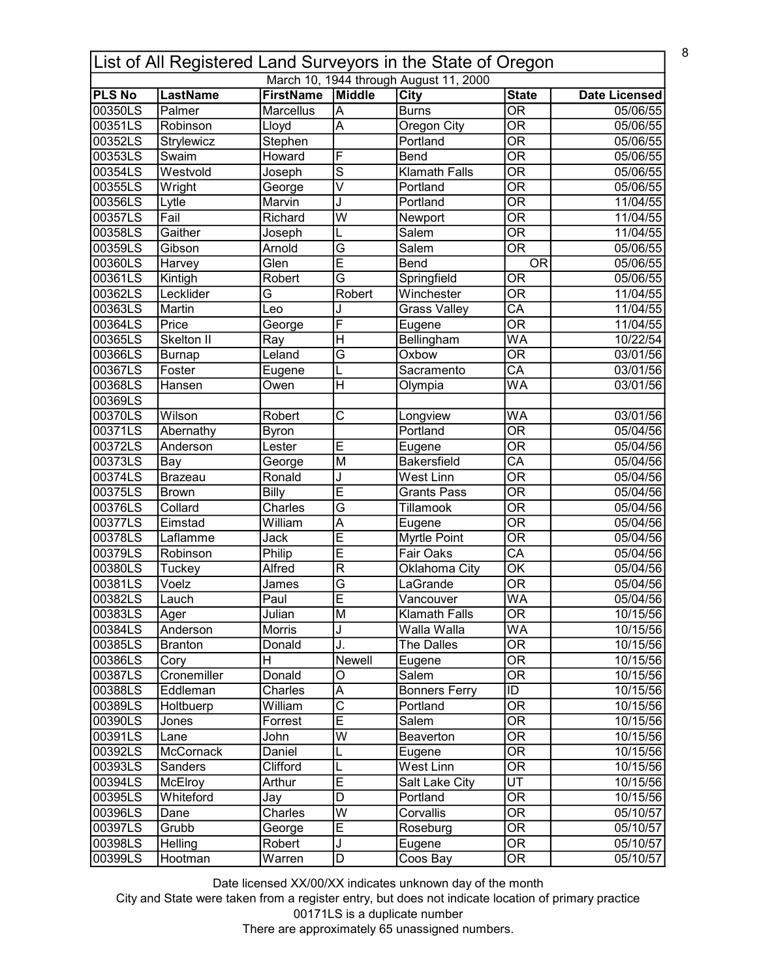|                    | List of All Registered Land Surveyors in the State of Oregon |                         |                                           |                                         |                                                    |                      |  |  |
|--------------------|--------------------------------------------------------------|-------------------------|-------------------------------------------|-----------------------------------------|----------------------------------------------------|----------------------|--|--|
|                    |                                                              |                         |                                           | March 10, 1944 through August 11, 2000  |                                                    |                      |  |  |
| <b>PLS No</b>      | <b>LastName</b>                                              | <b>FirstName</b>        | Middle                                    | <b>City</b>                             | <b>State</b>                                       | Date Licensed        |  |  |
| 00350LS            | Palmer                                                       | <b>Marcellus</b>        | A                                         | <b>Burns</b>                            | $\overline{OR}$<br>$\overline{\mathsf{OR}}$        | 05/06/55             |  |  |
| 00351LS<br>00352LS | Robinson                                                     | Lloyd                   | A                                         | Oregon City<br>Portland                 | $\overline{\text{OR}}$                             | 05/06/55             |  |  |
|                    | Strylewicz                                                   | Stephen                 |                                           |                                         |                                                    | 05/06/55             |  |  |
| 00353LS            | Swaim                                                        | Howard                  | F                                         | Bend                                    | $\overline{\text{OR}}$                             | 05/06/55             |  |  |
| 00354LS            | Westvold                                                     | Joseph                  | $\overline{s}$<br>$\overline{\mathsf{v}}$ | <b>Klamath Falls</b>                    | $\overline{\text{OR}}$<br>$\overline{\mathsf{OR}}$ | 05/06/55             |  |  |
| 00355LS<br>00356LS | Wright                                                       | George                  |                                           | Portland                                | $\overline{OR}$                                    | 05/06/55             |  |  |
| 00357LS            | Lytle<br>Fail                                                | Marvin<br>Richard       | J<br>$\overline{\mathsf{W}}$              | Portland                                | $\overline{OR}$                                    | 11/04/55             |  |  |
| 00358LS            | Gaither                                                      |                         |                                           | Newport<br>Salem                        | $\overline{OR}$                                    | 11/04/55<br>11/04/55 |  |  |
| 00359LS            | Gibson                                                       | Joseph<br>Arnold        | L<br>G                                    | Salem                                   | $\overline{OR}$                                    | 05/06/55             |  |  |
| 00360LS            |                                                              | Glen                    | E                                         | Bend                                    | <b>OR</b>                                          | 05/06/55             |  |  |
| 00361LS            | Harvey                                                       | Robert                  | $\overline{\mathsf{G}}$                   |                                         | $\overline{OR}$                                    | 05/06/55             |  |  |
| 00362LS            | Kintigh                                                      | $\overline{\mathsf{G}}$ | Robert                                    | Springfield<br>Winchester               | $\overline{\mathsf{OR}}$                           | 11/04/55             |  |  |
| 00363LS            | Lecklider<br>Martin                                          | Leo                     |                                           |                                         | $\overline{CA}$                                    | 11/04/55             |  |  |
| 00364LS            | Price                                                        |                         | J<br>F                                    | <b>Grass Valley</b>                     | $\overline{\mathsf{OR}}$                           | 11/04/55             |  |  |
| 00365LS            | Skelton II                                                   | George<br>Ray           | $\overline{\mathsf{H}}$                   | Eugene<br>Bellingham                    | <b>WA</b>                                          | 10/22/54             |  |  |
| 00366LS            |                                                              | Leland                  | $\overline{\mathsf{G}}$                   | Oxbow                                   | $\overline{\overline{\rm OR}}$                     | 03/01/56             |  |  |
| 00367LS            | <b>Burnap</b><br>Foster                                      |                         | L                                         | Sacramento                              | $\overline{CA}$                                    | 03/01/56             |  |  |
| 00368LS            | Hansen                                                       | Eugene<br>Owen          | H                                         |                                         | $\overline{\mathsf{WA}}$                           | 03/01/56             |  |  |
| 00369LS            |                                                              |                         |                                           | Olympia                                 |                                                    |                      |  |  |
| 00370LS            | Wilson                                                       | Robert                  | C                                         |                                         | <b>WA</b>                                          | 03/01/56             |  |  |
| 00371LS            | Abernathy                                                    | <b>Byron</b>            |                                           | Longview<br>Portland                    | $\overline{\text{OR}}$                             | 05/04/56             |  |  |
| 00372LS            | Anderson                                                     | Lester                  | E                                         |                                         | $\overline{\text{OR}}$                             | 05/04/56             |  |  |
| 00373LS            |                                                              |                         | M                                         | Eugene<br><b>Bakersfield</b>            | $\overline{CA}$                                    | 05/04/56             |  |  |
| 00374LS            | Bay<br><b>Brazeau</b>                                        | George<br>Ronald        | J                                         | <b>West Linn</b>                        | $\overline{\text{OR}}$                             | 05/04/56             |  |  |
| 00375LS            | <b>Brown</b>                                                 | Billy                   | Ē                                         | <b>Grants Pass</b>                      | $\overline{OR}$                                    | 05/04/56             |  |  |
| 00376LS            | Collard                                                      | Charles                 | G                                         | Tillamook                               | $\overline{OR}$                                    | 05/04/56             |  |  |
| 00377LS            | Eimstad                                                      | William                 | A                                         |                                         | $\overline{OR}$                                    | 05/04/56             |  |  |
| 00378LS            | Laflamme                                                     | Jack                    | Ē                                         | Eugene                                  | $\overline{\mathsf{OR}}$                           | 05/04/56             |  |  |
| 00379LS            | Robinson                                                     | Philip                  | Ē                                         | <b>Myrtle Point</b><br><b>Fair Oaks</b> | $\overline{CA}$                                    | 05/04/56             |  |  |
| 00380LS            |                                                              | <b>Alfred</b>           | $\overline{R}$                            |                                         | $\overline{\mathsf{OK}}$                           | 05/04/56             |  |  |
|                    | Tuckey<br>Voelz                                              |                         | $\overline{G}$                            | Oklahoma City<br>LaGrande               | $\overline{OR}$                                    | 05/04/56             |  |  |
| 00381LS<br>00382LS | Lauch                                                        | James<br>Paul           | Ē                                         |                                         | <b>WA</b>                                          | 05/04/56             |  |  |
|                    |                                                              |                         |                                           | Vancouver                               |                                                    |                      |  |  |
| 00383LS<br>00384LS | Ager<br>Anderson                                             | Julian<br>Morris        | M                                         | <b>Klamath Falls</b><br>Walla Walla     | <b>OR</b><br><b>WA</b>                             | 10/15/56<br>10/15/56 |  |  |
| 00385LS            | <b>Branton</b>                                               | Donald                  | J<br>J.                                   | The Dalles                              | OR                                                 | 10/15/56             |  |  |
| 00386LS            | Cory                                                         | H                       | Newell                                    | Eugene                                  | $\overline{\overline{\rm OR}}$                     | 10/15/56             |  |  |
| 00387LS            | Cronemiller                                                  | Donald                  | O                                         | Salem                                   | $\overline{\overline{\text{OR}}}$                  | 10/15/56             |  |  |
| 00388LS            | Eddleman                                                     | Charles                 | A                                         | <b>Bonners Ferry</b>                    | $\overline{ID}$                                    | 10/15/56             |  |  |
| 00389LS            | Holtbuerp                                                    | William                 | $\overline{\text{c}}$                     | Portland                                | $\overline{\overline{\text{OR}}}$                  | 10/15/56             |  |  |
| 00390LS            | Jones                                                        | Forrest                 | Ē                                         | Salem                                   | $\overline{\text{OR}}$                             | 10/15/56             |  |  |
| 00391LS            | Lane                                                         | John                    | W                                         | Beaverton                               | $\overline{\text{OR}}$                             | 10/15/56             |  |  |
| 00392LS            | McCornack                                                    | Daniel                  |                                           |                                         | $\overline{OR}$                                    | 10/15/56             |  |  |
|                    |                                                              | Clifford                | L<br>L                                    | Eugene<br>West Linn                     | $\overline{OR}$                                    |                      |  |  |
| 00393LS            | Sanders                                                      |                         | $\overline{\mathsf{E}}$                   | Salt Lake City                          | $\overline{UT}$                                    | 10/15/56<br>10/15/56 |  |  |
| 00394LS<br>00395LS | McElroy<br>Whiteford                                         | Arthur                  | D                                         | Portland                                | OR                                                 | 10/15/56             |  |  |
| 00396LS            | Dane                                                         | Jay<br>Charles          | $\overline{\mathsf{w}}$                   | Corvallis                               | $\overline{\text{OR}}$                             | 05/10/57             |  |  |
| 00397LS            | Grubb                                                        |                         | Ē                                         | Roseburg                                | $\overline{OR}$                                    | 05/10/57             |  |  |
| 00398LS            | Helling                                                      | George<br>Robert        | J                                         |                                         | $\overline{OR}$                                    | 05/10/57             |  |  |
| 00399LS            |                                                              | Warren                  |                                           | Eugene                                  | $\overline{OR}$                                    |                      |  |  |
|                    | Hootman                                                      |                         | $\overline{\mathsf{D}}$                   | Coos Bay                                |                                                    | 05/10/57             |  |  |

City and State were taken from a register entry, but does not indicate location of primary practice 00171LS is a duplicate number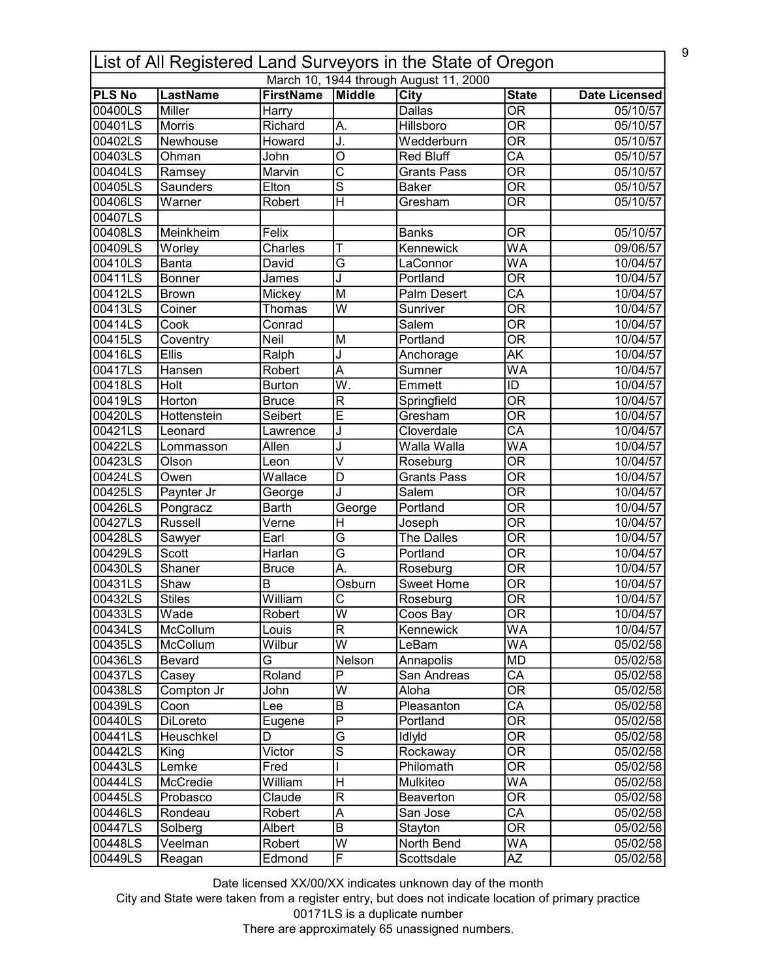| List of All Registered Land Surveyors in the State of Oregon |                          |                               |                                  |                                        |                                                      |                      |  |  |
|--------------------------------------------------------------|--------------------------|-------------------------------|----------------------------------|----------------------------------------|------------------------------------------------------|----------------------|--|--|
|                                                              |                          |                               |                                  | March 10, 1944 through August 11, 2000 |                                                      |                      |  |  |
| <b>PLS No</b>                                                | LastName                 | <b>FirstName</b>              | Middle                           | City                                   | <b>State</b><br>$\overline{\mathsf{OR}}$             | <b>Date Licensed</b> |  |  |
| 00400LS<br>00401LS                                           | <b>Miller</b>            | <b>Harry</b>                  |                                  | <b>Dallas</b>                          |                                                      | 05/10/57             |  |  |
|                                                              | <b>Morris</b>            | Richard                       | А.                               | Hillsboro                              | $\overline{\mathsf{OR}}$                             | 05/10/57             |  |  |
| 00402LS                                                      | Newhouse                 | Howard                        | J.                               | Wedderburn                             | $\overline{\mathsf{OR}}$                             | 05/10/57             |  |  |
| 00403LS                                                      | Ohman                    | John                          | $\overline{\mathsf{o}}$          | <b>Red Bluff</b>                       | $\overline{\mathsf{CA}}$                             | 05/10/57             |  |  |
| 00404LS                                                      | Ramsey                   | Marvin                        | $\overline{C}$<br>$\overline{s}$ | <b>Grants Pass</b>                     | $\overline{\mathsf{OR}}$                             | 05/10/57             |  |  |
| 00405LS                                                      | Saunders                 | Elton                         |                                  | <b>Baker</b>                           | $\overline{\mathsf{OR}}$                             | 05/10/57             |  |  |
| 00406LS<br>00407LS                                           | Warner                   | Robert                        | $\overline{\mathsf{H}}$          | Gresham                                | <b>OR</b>                                            | 05/10/57             |  |  |
| 00408LS                                                      | Meinkheim                | Felix                         |                                  | <b>Banks</b>                           | <b>OR</b>                                            | 05/10/57             |  |  |
| 00409LS                                                      | Worley                   | Charles                       | т                                | Kennewick                              | $\overline{\mathsf{WA}}$                             | 09/06/57             |  |  |
| 00410LS                                                      | Banta                    | David                         | $\overline{\mathsf{G}}$          | LaConnor                               | WA                                                   | 10/04/57             |  |  |
| 00411LS                                                      | Bonner                   | James                         | J                                | Portland                               | $\overline{\mathsf{OR}}$                             | 10/04/57             |  |  |
| 00412LS                                                      | <b>Brown</b>             | Mickey                        | M                                | <b>Palm Desert</b>                     | $\overline{\mathsf{CA}}$                             | 10/04/57             |  |  |
| 00413LS                                                      | Coiner                   | Thomas                        | $\overline{\mathsf{w}}$          | Sunriver                               | $\overline{\mathsf{OR}}$                             | 10/04/57             |  |  |
| 00414LS                                                      | Cook                     | Conrad                        |                                  | Salem                                  | $\overline{\mathsf{OR}}$                             | 10/04/57             |  |  |
| 00415LS                                                      |                          | Neil                          | M                                | Portland                               | $\overline{\mathsf{OR}}$                             | 10/04/57             |  |  |
| 00416LS                                                      | Coventry<br><b>Ellis</b> | Ralph                         | J                                |                                        | $\overline{\mathsf{AK}}$                             | 10/04/57             |  |  |
| 00417LS                                                      | Hansen                   | Robert                        | $\overline{\mathsf{A}}$          | Anchorage<br>Sumner                    | $\overline{\mathsf{WA}}$                             | 10/04/57             |  |  |
| 00418LS                                                      | Holt                     | <b>Burton</b>                 | $\overline{\mathsf{W}}.$         | Emmett                                 | $\overline{ID}$                                      | 10/04/57             |  |  |
| 00419LS                                                      | Horton                   |                               | R                                |                                        | $\overline{\mathsf{OR}}$                             | 10/04/57             |  |  |
|                                                              |                          | <b>Bruce</b><br>Seibert       | $\overline{\mathsf{E}}$          | Springfield<br>Gresham                 | $\overline{\mathsf{OR}}$                             |                      |  |  |
| 00420LS                                                      | Hottenstein              |                               |                                  | Cloverdale                             | $\overline{\mathsf{CA}}$                             | 10/04/57             |  |  |
| 00421LS                                                      | Leonard                  | Lawrence                      | J                                |                                        | $\overline{\mathsf{WA}}$                             | 10/04/57             |  |  |
| 00422LS                                                      | Lommasson                | Allen                         | J<br>$\overline{\vee}$           | Walla Walla                            |                                                      | 10/04/57             |  |  |
| 00423LS                                                      | Olson                    | Leon                          |                                  | Roseburg                               | $\overline{\mathsf{OR}}$                             | 10/04/57             |  |  |
| 00424LS                                                      | Owen                     | $\overline{\mathsf{Wallace}}$ | $\overline{\mathsf{D}}$          | <b>Grants Pass</b><br>Salem            | $\overline{\mathsf{OR}}$<br>$\overline{\mathsf{OR}}$ | 10/04/57             |  |  |
| 00425LS                                                      | Paynter Jr               | George                        | J.                               |                                        | $\overline{\mathsf{OR}}$                             | 10/04/57             |  |  |
| 00426LS                                                      | Pongracz                 | <b>Barth</b>                  | George                           | Portland                               | $\overline{\mathsf{OR}}$                             | 10/04/57             |  |  |
| 00427LS                                                      | <b>Russell</b>           | Verne                         | Η                                | Joseph                                 |                                                      | 10/04/57             |  |  |
| 00428LS                                                      | Sawyer                   | Earl                          | G                                | The Dalles                             | $\overline{\mathsf{OR}}$                             | 10/04/57             |  |  |
| 00429LS                                                      | Scott                    | Harlan                        | $\overline{\mathsf{G}}$          | Portland                               | $\overline{\mathsf{OR}}$                             | 10/04/57             |  |  |
| 00430LS                                                      | Shaner                   | <b>Bruce</b>                  | Ā.                               | Roseburg                               | $\overline{\mathsf{OR}}$                             | 10/04/57             |  |  |
| 00431LS                                                      | Shaw                     | $\overline{\mathsf{B}}$       | Osburn                           | <b>Sweet Home</b>                      | $\overline{\mathsf{OR}}$                             | 10/04/57             |  |  |
| 00432LS                                                      | <b>Stiles</b>            | William                       | $\overline{\text{c}}$            | Roseburg                               | $\overline{\overline{\rm OR}}$                       | 10/04/57             |  |  |
| 00433LS                                                      | Wade                     | Robert                        | W                                | Coos Bay                               | 0R<br>$\overline{\mathsf{WA}}$                       | 10/04/57             |  |  |
| 00434LS                                                      | McCollum                 | Louis                         | $\overline{\mathsf{R}}$          | Kennewick                              |                                                      | 10/04/57             |  |  |
| 00435LS                                                      | McCollum                 | Wilbur                        | $\overline{\mathsf{W}}$          | LeBam                                  | WA                                                   | 05/02/58             |  |  |
| 00436LS                                                      | Bevard                   | G                             | Nelson                           | Annapolis                              | MD                                                   | 05/02/58             |  |  |
| 00437LS                                                      | Casey                    | Roland                        | P                                | San Andreas                            | $\overline{\mathsf{CA}}$                             | 05/02/58             |  |  |
| 00438LS                                                      | Compton Jr               | John                          | $\overline{\mathsf{W}}$          | Aloha                                  | $\overline{\mathsf{OR}}$                             | 05/02/58             |  |  |
| 00439LS                                                      | Coon                     | Lee                           | $\sf B$                          | Pleasanton                             | $\overline{\mathsf{CA}}$                             | 05/02/58             |  |  |
| 00440LS                                                      | DiLoreto                 | Eugene                        | $\overline{\mathsf{P}}$          | Portland                               | $\overline{\mathsf{OR}}$                             | 05/02/58             |  |  |
| 00441LS                                                      | <b>Heuschkel</b>         | D                             | G                                | IdlyId                                 | 0R                                                   | 05/02/58             |  |  |
| 00442LS                                                      | King                     | Victor                        | $\overline{s}$                   | Rockaway                               | $\overline{\mathsf{OR}}$                             | 05/02/58             |  |  |
| 00443LS                                                      | Lemke                    | Fred                          |                                  | Philomath                              | $\overline{\mathsf{OR}}$                             | 05/02/58             |  |  |
| 00444LS                                                      | McCredie                 | William                       | $\mathsf{H}$                     | Mulkiteo                               | WA                                                   | 05/02/58             |  |  |
| 00445LS                                                      | Probasco                 | Claude                        | $\mathsf R$                      | Beaverton                              | <b>OR</b>                                            | 05/02/58             |  |  |
| 00446LS                                                      | Rondeau                  | Robert                        | $\overline{\mathsf{A}}$          | San Jose                               | $\overline{\mathsf{CA}}$                             | 05/02/58             |  |  |
| 00447LS                                                      | Solberg                  | Albert                        | $\overline{B}$                   | Stayton                                | $\overline{\mathsf{OR}}$                             | 05/02/58             |  |  |
| 00448LS                                                      | Veelman                  | Robert                        | $\overline{\mathsf{w}}$          | North Bend                             | WA                                                   | 05/02/58             |  |  |
| 00449LS                                                      | Reagan                   | Edmond                        | F                                | Scottsdale                             | $\overline{AZ}$                                      | 05/02/58             |  |  |

City and State were taken from a register entry, but does not indicate location of primary practice 00171LS is a duplicate number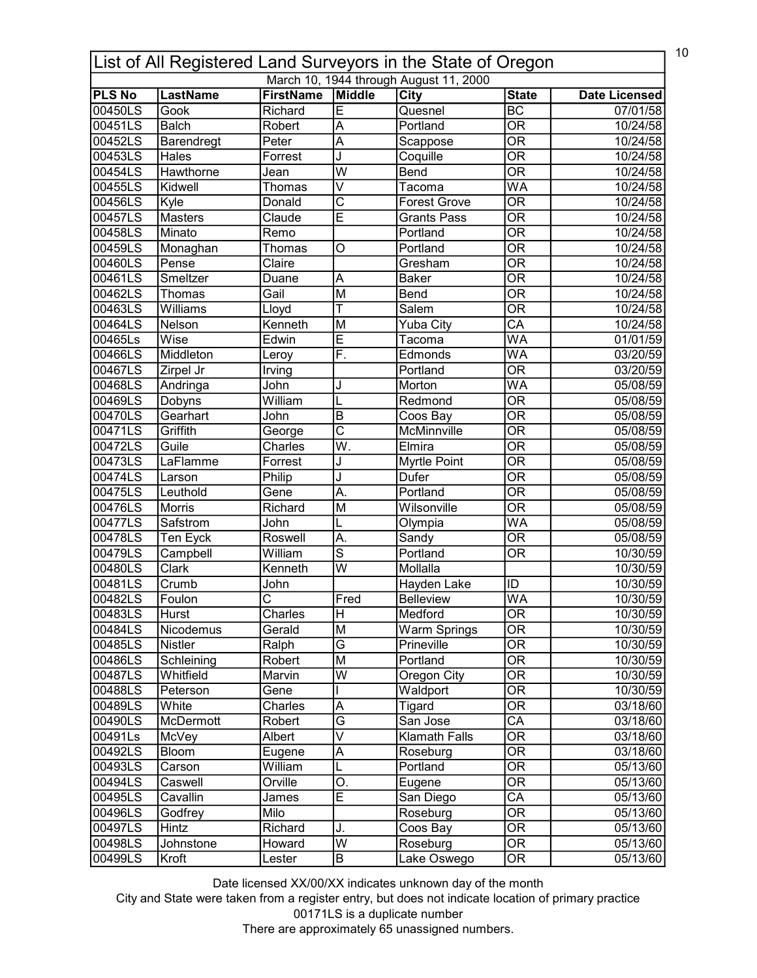| 10<br>List of All Registered Land Surveyors in the State of Oregon |                 |                       |                           |                      |                                |                      |  |  |  |
|--------------------------------------------------------------------|-----------------|-----------------------|---------------------------|----------------------|--------------------------------|----------------------|--|--|--|
| March 10, 1944 through August 11, 2000                             |                 |                       |                           |                      |                                |                      |  |  |  |
| <b>PLS No</b>                                                      | <b>LastName</b> | <b>FirstName</b>      | Middle                    | <b>City</b>          | <b>State</b>                   | <b>Date Licensed</b> |  |  |  |
| 00450LS                                                            | Gook            | Richard               | Ē                         | Quesnel              | $\overline{BC}$                | 07/01/58             |  |  |  |
| 00451LS                                                            | <b>Balch</b>    | Robert                | A                         | Portland             | $\overline{\text{OR}}$         | 10/24/58             |  |  |  |
| 00452LS                                                            | Barendregt      | Peter                 | $\overline{\mathsf{A}}$   | Scappose             | $\overline{\overline{\rm OR}}$ | 10/24/58             |  |  |  |
| 00453LS                                                            | Hales           | Forrest               | J                         | Coquille             | $\overline{\mathsf{OR}}$       | 10/24/58             |  |  |  |
| 00454LS                                                            | Hawthorne       | Jean                  | $\overline{\mathsf{w}}$   | <b>Bend</b>          | $\overline{\mathsf{OR}}$       | 10/24/58             |  |  |  |
| 00455LS                                                            | Kidwell         | Thomas                | $\overline{\mathsf{v}}$   | Tacoma               | $\overline{\mathsf{WA}}$       | 10/24/58             |  |  |  |
| 00456LS                                                            | Kyle            | Donald                | $\overline{\text{c}}$     | <b>Forest Grove</b>  | $\overline{\mathsf{OR}}$       | 10/24/58             |  |  |  |
| 00457LS                                                            | <b>Masters</b>  | Claude                | Ē                         | <b>Grants Pass</b>   | $\overline{\mathsf{OR}}$       | 10/24/58             |  |  |  |
| 00458LS                                                            | Minato          | Remo                  |                           | Portland             | $\overline{\mathsf{OR}}$       | 10/24/58             |  |  |  |
| 00459LS                                                            | Monaghan        | Thomas                | O                         | Portland             | $\overline{\mathsf{OR}}$       | 10/24/58             |  |  |  |
| 00460LS                                                            | Pense           | Claire                |                           | Gresham              | $\overline{\mathsf{OR}}$       | 10/24/58             |  |  |  |
| 00461LS                                                            | Smeltzer        | Duane                 | A                         | <b>Baker</b>         | $\overline{\mathsf{OR}}$       | 10/24/58             |  |  |  |
| 00462LS                                                            | Thomas          | Gail                  | M                         | <b>Bend</b>          | $\overline{\overline{\rm OR}}$ | 10/24/58             |  |  |  |
| 00463LS                                                            | Williams        | Lloyd                 | Т                         | Salem                | $\overline{\mathsf{OR}}$       | 10/24/58             |  |  |  |
| 00464LS                                                            | Nelson          | Kenneth               | M                         | Yuba City            | $\overline{\mathsf{CA}}$       | 10/24/58             |  |  |  |
| 00465Ls                                                            | Wise            | Edwin                 | Ē                         | Tacoma               | $\overline{\mathsf{WA}}$       | 01/01/59             |  |  |  |
| 00466LS                                                            | Middleton       | Leroy                 | F.                        | Edmonds              | WA                             | 03/20/59             |  |  |  |
| 00467LS                                                            | Zirpel Jr       | Irving                |                           | Portland             | $\overline{\mathsf{OR}}$       | 03/20/59             |  |  |  |
| 00468LS                                                            | Andringa        | John                  | J                         | Morton               | <b>WA</b>                      | 05/08/59             |  |  |  |
| 00469LS                                                            | Dobyns          | William               |                           | Redmond              | $\overline{\mathsf{OR}}$       | 05/08/59             |  |  |  |
| 00470LS                                                            | Gearhart        | John                  | $\overline{B}$            | Coos Bay             | $\overline{\mathsf{OR}}$       | 05/08/59             |  |  |  |
| 00471LS                                                            | Griffith        | George                | $\overline{\text{c}}$     | <b>McMinnville</b>   | $\overline{\mathsf{OR}}$       | 05/08/59             |  |  |  |
| 00472LS                                                            | Guile           | Charles               | $\overline{\mathsf{W}}$ . | Elmira               | $\overline{\mathsf{OR}}$       | 05/08/59             |  |  |  |
| 00473LS                                                            | LaFlamme        | Forrest               | J                         | Myrtle Point         | $\overline{\mathsf{OR}}$       | 05/08/59             |  |  |  |
| 00474LS                                                            | Larson          | Philip                | J                         | <b>Dufer</b>         | $\overline{\mathsf{OR}}$       | 05/08/59             |  |  |  |
| 00475LS                                                            | Leuthold        | Gene                  | $\overline{A}$ .          | Portland             | $\overline{\mathsf{OR}}$       | 05/08/59             |  |  |  |
| 00476LS                                                            | Morris          | Richard               | M                         | Wilsonville          | $\overline{\mathsf{OR}}$       | 05/08/59             |  |  |  |
| 00477LS                                                            | Safstrom        | John                  |                           | Olympia              | WA                             | 05/08/59             |  |  |  |
| 00478LS                                                            | Ten Eyck        | Roswell               | A.                        | Sandy                | $\overline{\mathsf{OR}}$       | 05/08/59             |  |  |  |
| 00479LS                                                            | Campbell        | William               | $\overline{s}$            | Portland             | $\overline{\mathsf{OR}}$       | 10/30/59             |  |  |  |
| 00480LS                                                            | Clark           | Kenneth               | $\overline{\mathsf{w}}$   | Mollalla             |                                | 10/30/59             |  |  |  |
| 00481LS                                                            | Crumb           | John                  |                           | Hayden Lake          | ID                             | 10/30/59             |  |  |  |
| 00482LS                                                            | Foulon          | $\overline{\text{c}}$ | Fred                      | <b>Belleview</b>     | <b>WA</b>                      | 10/30/59             |  |  |  |
| 00483LS                                                            | Hurst           | Charles               | H                         | Medford              | 0R                             | 10/30/59             |  |  |  |
| 00484LS                                                            | Nicodemus       | Gerald                | M                         | Warm Springs         | $\overline{\mathsf{OR}}$       | 10/30/59             |  |  |  |
| 00485LS                                                            | <b>Nistler</b>  | Ralph                 | $\overline{\mathsf{G}}$   | Prineville           | 0R                             | 10/30/59             |  |  |  |
| 00486LS                                                            | Schleining      | Robert                | M                         | Portland             | $\overline{\overline{\rm OR}}$ | 10/30/59             |  |  |  |
| 00487LS                                                            | Whitfield       | Marvin                | W                         | Oregon City          | $\overline{\overline{\rm OR}}$ | 10/30/59             |  |  |  |
| 00488LS                                                            | Peterson        | Gene                  |                           | Waldport             | $\overline{\mathsf{OR}}$       | 10/30/59             |  |  |  |
| 00489LS                                                            | White           | Charles               | A                         |                      | $\overline{\mathsf{OR}}$       |                      |  |  |  |
| 00490LS                                                            | McDermott       |                       | $\overline{\mathsf{G}}$   | Tigard<br>San Jose   | $\overline{\mathsf{CA}}$       | 03/18/60             |  |  |  |
|                                                                    |                 | Robert                | $\overline{\mathsf{v}}$   |                      |                                | 03/18/60             |  |  |  |
| 00491Ls                                                            | McVey           | Albert                |                           | <b>Klamath Falls</b> | OR                             | 03/18/60             |  |  |  |
| 00492LS                                                            | Bloom           | Eugene                | $\overline{A}$            | Roseburg             | $\overline{\mathsf{OR}}$       | 03/18/60             |  |  |  |
| 00493LS                                                            | Carson          | William               |                           | Portland             | OR                             | 05/13/60             |  |  |  |
| 00494LS                                                            | Caswell         | Orville               | О.                        | Eugene               | $\overline{\mathsf{OR}}$       | 05/13/60             |  |  |  |
| 00495LS                                                            | Cavallin        | James                 | $\overline{\mathsf{E}}$   | San Diego            | СA                             | 05/13/60             |  |  |  |
| 00496LS                                                            | Godfrey         | Milo                  |                           | Roseburg             | $\overline{\text{OR}}$         | 05/13/60             |  |  |  |
| 00497LS                                                            | Hintz           | Richard               | J.                        | Coos Bay             | $\overline{\mathsf{OR}}$       | 05/13/60             |  |  |  |
| 00498LS                                                            | Johnstone       | Howard                | $\overline{\mathsf{w}}$   | Roseburg             | $\overline{\text{OR}}$         | 05/13/60             |  |  |  |
| 00499LS                                                            | Kroft           | Lester                | B                         | Lake Oswego          | $\overline{\mathsf{OR}}$       | 05/13/60             |  |  |  |

City and State were taken from a register entry, but does not indicate location of primary practice 00171LS is a duplicate number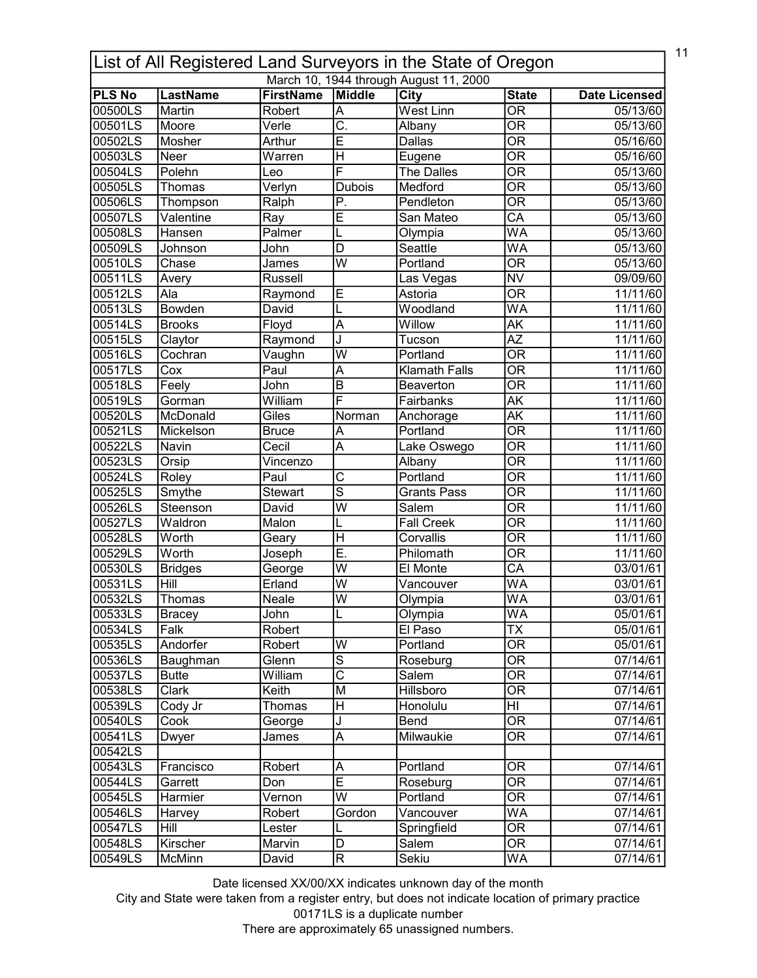| 11<br>List of All Registered Land Surveyors in the State of Oregon |                                  |                            |                                                      |                      |                                          |                      |  |  |  |
|--------------------------------------------------------------------|----------------------------------|----------------------------|------------------------------------------------------|----------------------|------------------------------------------|----------------------|--|--|--|
| March 10, 1944 through August 11, 2000                             |                                  |                            |                                                      |                      |                                          |                      |  |  |  |
| <b>PLS No</b><br>00500LS                                           | <b>LastName</b><br><b>Martin</b> | <b>FirstName</b><br>Robert | Middle                                               | City<br>West Linn    | <b>State</b><br>$\overline{\mathsf{OR}}$ | <b>Date Licensed</b> |  |  |  |
| 00501LS                                                            |                                  | Verle                      | $\overline{\mathsf{A}}$<br>$\overline{\mathsf{C}}$ . |                      | $\overline{\mathsf{OR}}$                 | 05/13/60             |  |  |  |
|                                                                    | Moore                            |                            |                                                      | Albany               |                                          | 05/13/60             |  |  |  |
| 00502LS                                                            | Mosher                           | Arthur                     | E                                                    | <b>Dallas</b>        | $\overline{\mathsf{OR}}$                 | 05/16/60             |  |  |  |
| 00503LS                                                            | Neer                             | Warren                     | H                                                    | Eugene               | $\overline{\mathsf{OR}}$                 | 05/16/60             |  |  |  |
| 00504LS                                                            | Polehn                           | Leo                        | F                                                    | The Dalles           | $\overline{\mathsf{OR}}$                 | 05/13/60             |  |  |  |
| 00505LS                                                            | Thomas                           | Verlyn                     | <b>Dubois</b>                                        | Medford              | $\overline{\mathsf{OR}}$                 | 05/13/60             |  |  |  |
| 00506LS                                                            | Thompson                         | Ralph                      | $\overline{P}$                                       | Pendleton            | $\overline{\mathsf{OR}}$                 | 05/13/60             |  |  |  |
| 00507LS                                                            | Valentine                        | Ray                        | Ē                                                    | San Mateo            | $\overline{\mathsf{CA}}$                 | 05/13/60             |  |  |  |
| 00508LS                                                            | Hansen                           | Palmer                     | L                                                    | Olympia              | $\overline{\mathsf{WA}}$                 | 05/13/60             |  |  |  |
| 00509LS                                                            | Johnson                          | John                       | $\overline{\mathsf{D}}$                              | Seattle              | WA                                       | 05/13/60             |  |  |  |
| 00510LS                                                            | Chase                            | James                      | $\overline{\mathsf{W}}$                              | Portland             | $\overline{\mathsf{OR}}$                 | 05/13/60             |  |  |  |
| 00511LS                                                            | Avery                            | Russell                    |                                                      | Las Vegas            | <b>NV</b>                                | 09/09/60             |  |  |  |
| 00512LS                                                            | Ala                              | Raymond                    | $\overline{\mathsf{E}}$                              | Astoria              | $\overline{\overline{\rm OR}}$           | 11/11/60             |  |  |  |
| 00513LS                                                            | <b>Bowden</b>                    | David                      |                                                      | Woodland             | WA                                       | 11/11/60             |  |  |  |
| 00514LS                                                            | <b>Brooks</b>                    | Floyd                      | $\overline{\mathsf{A}}$                              | Willow               | $\overline{\mathsf{AK}}$                 | 11/11/60             |  |  |  |
| 00515LS                                                            | Claytor                          | Raymond                    | J                                                    | Tucson               | $\overline{AZ}$                          | 11/11/60             |  |  |  |
| 00516LS                                                            | Cochran                          | Vaughn                     | W                                                    | Portland             | $\overline{\overline{\rm OR}}$           | 11/11/60             |  |  |  |
| 00517LS                                                            | Cox                              | Paul                       | A                                                    | <b>Klamath Falls</b> | $\overline{\mathsf{OR}}$                 | 11/11/60             |  |  |  |
| 00518LS                                                            | Feely                            | John                       | B                                                    | Beaverton            | <b>OR</b>                                | 11/11/60             |  |  |  |
| 00519LS                                                            | Gorman                           | William                    | F                                                    | Fairbanks            | $\overline{\mathsf{AK}}$                 | 11/11/60             |  |  |  |
| 00520LS                                                            | McDonald                         | Giles                      | Norman                                               | Anchorage            | AK                                       | 11/11/60             |  |  |  |
| 00521LS                                                            | Mickelson                        | <b>Bruce</b>               | A                                                    | Portland             | $\overline{\mathsf{OR}}$                 | 11/11/60             |  |  |  |
| 00522LS                                                            | Navin                            | Cecil                      | $\overline{\mathsf{A}}$                              | Lake Oswego          | $\overline{\mathsf{OR}}$                 | 11/11/60             |  |  |  |
| 00523LS                                                            | Orsip                            | Vincenzo                   |                                                      | Albany               | $\overline{\mathsf{OR}}$                 | 11/11/60             |  |  |  |
| 00524LS                                                            | Roley                            | Paul                       | $\overline{\text{c}}$                                | Portland             | $\overline{\mathsf{OR}}$                 | 11/11/60             |  |  |  |
| 00525LS                                                            |                                  | <b>Stewart</b>             | $\overline{s}$                                       | <b>Grants Pass</b>   | $\overline{\mathsf{OR}}$                 |                      |  |  |  |
|                                                                    | Smythe                           |                            | $\overline{\mathsf{w}}$                              |                      |                                          | 11/11/60             |  |  |  |
| 00526LS                                                            | Steenson                         | David                      |                                                      | Salem                | $\overline{\mathsf{OR}}$                 | 11/11/60             |  |  |  |
| 00527LS                                                            | Waldron                          | Malon                      | L                                                    | <b>Fall Creek</b>    | $\overline{\mathsf{OR}}$                 | 11/11/60             |  |  |  |
| 00528LS                                                            | Worth                            | Geary                      | H                                                    | Corvallis            | $\overline{\mathsf{OR}}$                 | 11/11/60             |  |  |  |
| 00529LS                                                            | Worth                            | Joseph                     | Ē.                                                   | Philomath            | $\overline{\mathsf{OR}}$                 | 11/11/60             |  |  |  |
| 00530LS                                                            | <b>Bridges</b>                   | George                     | $\overline{\mathsf{w}}$                              | El Monte             | $\overline{\mathsf{CA}}$                 | 03/01/61             |  |  |  |
| 00531LS                                                            | Hill                             | Erland                     | W                                                    | Vancouver            | WA                                       | 03/01/61             |  |  |  |
| 00532LS                                                            | Thomas                           | Neale                      | lw                                                   | Olympia              | WA                                       | 03/01/61             |  |  |  |
| 00533LS                                                            | <b>Bracey</b>                    | John                       | L                                                    | Olympia              | WA                                       | 05/01/61             |  |  |  |
| 00534LS                                                            | Falk                             | Robert                     |                                                      | El Paso              | $\overline{\mathsf{TX}}$                 | 05/01/61             |  |  |  |
| 00535LS                                                            | Andorfer                         | Robert                     | W                                                    | Portland             | <b>OR</b>                                | 05/01/61             |  |  |  |
| 00536LS                                                            | Baughman                         | Glenn                      | S                                                    | Roseburg             | $\overline{\overline{\rm OR}}$           | 07/14/61             |  |  |  |
| 00537LS                                                            | <b>Butte</b>                     | William                    | $\overline{\text{c}}$                                | Salem                | $\overline{\overline{\rm OR}}$           | 07/14/61             |  |  |  |
| 00538LS                                                            | Clark                            | Keith                      | M                                                    | Hillsboro            | $\overline{\mathsf{OR}}$                 | 07/14/61             |  |  |  |
| 00539LS                                                            | Cody Jr                          | Thomas                     | $\overline{\mathsf{H}}$                              | Honolulu             | HI                                       | 07/14/61             |  |  |  |
| 00540LS                                                            | Cook                             | George                     | J                                                    | Bend                 | $\overline{\mathsf{OR}}$                 | 07/14/61             |  |  |  |
| 00541LS                                                            | Dwyer                            | James                      | $\overline{\mathsf{A}}$                              | Milwaukie            | OR                                       | 07/14/61             |  |  |  |
| 00542LS                                                            |                                  |                            |                                                      |                      |                                          |                      |  |  |  |
| 00543LS                                                            | Francisco                        | Robert                     | Α                                                    | Portland             | OR                                       | 07/14/61             |  |  |  |
| 00544LS                                                            | Garrett                          | Don                        | $\overline{\mathsf{E}}$                              | Roseburg             | $\overline{\mathsf{OR}}$                 | 07/14/61             |  |  |  |
| 00545LS                                                            | Harmier                          |                            | $\overline{W}$                                       | Portland             | <b>OR</b>                                | 07/14/61             |  |  |  |
|                                                                    |                                  | Vernon                     |                                                      |                      |                                          |                      |  |  |  |
| 00546LS                                                            | Harvey                           | Robert                     | Gordon                                               | Vancouver            | WA                                       | 07/14/61             |  |  |  |
| 00547LS                                                            | Hill                             | Lester                     |                                                      | Springfield          | $\overline{\mathsf{OR}}$                 | 07/14/61             |  |  |  |
| 00548LS                                                            | Kirscher                         | Marvin                     | D                                                    | Salem                | $\overline{\text{OR}}$                   | 07/14/61             |  |  |  |
| 00549LS                                                            | McMinn                           | David                      | $\overline{\mathsf{R}}$                              | Sekiu                | WA                                       | 07/14/61             |  |  |  |

City and State were taken from a register entry, but does not indicate location of primary practice 00171LS is a duplicate number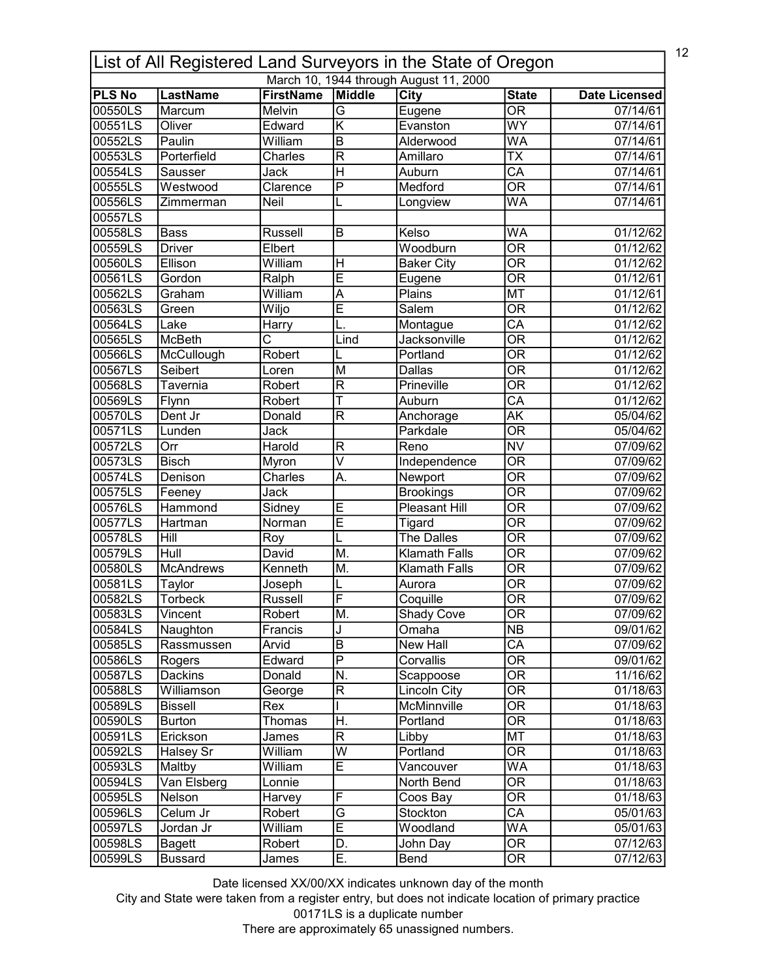| 12<br>List of All Registered Land Surveyors in the State of Oregon |                  |                       |                              |                                        |                                |                       |  |  |
|--------------------------------------------------------------------|------------------|-----------------------|------------------------------|----------------------------------------|--------------------------------|-----------------------|--|--|
|                                                                    |                  |                       |                              | March 10, 1944 through August 11, 2000 |                                |                       |  |  |
| <b>PLS No</b>                                                      | <b>LastName</b>  | <b>FirstName</b>      | Middle                       | <b>City</b>                            | <b>State</b>                   | <b>Date Licensed</b>  |  |  |
| 00550LS                                                            | Marcum           | Melvin                | $\overline{\mathsf{G}}$      | Eugene                                 | $\overline{\mathsf{OR}}$       | 07/14/61              |  |  |
| 00551LS                                                            | Oliver           | Edward                | $\overline{\mathsf{K}}$      | Evanston                               | $\overline{WY}$                | 07/14/61              |  |  |
| 00552LS                                                            | Paulin           | William               | $\overline{B}$               | Alderwood                              | WA                             | 07/14/61              |  |  |
| 00553LS                                                            | Porterfield      | Charles               | $\overline{\mathsf{R}}$      | Amillaro                               | $\overline{\mathsf{TX}}$       | 07/14/61              |  |  |
| 00554LS                                                            | <b>Sausser</b>   | Jack                  | $\overline{\mathsf{H}}$      | Auburn                                 | $\overline{\mathsf{CA}}$       | 07/14/61              |  |  |
| 00555LS                                                            | Westwood         | Clarence              | $\overline{\mathsf{P}}$      | Medford                                | $\overline{\mathsf{OR}}$       | 07/14/61              |  |  |
| 00556LS                                                            | Zimmerman        | Neil                  |                              | Longview                               | WA                             | 07/14/61              |  |  |
| 00557LS                                                            |                  |                       |                              |                                        |                                |                       |  |  |
| 00558LS                                                            | <b>Bass</b>      | Russell               | B                            | Kelso                                  | WA                             | 01/12/62              |  |  |
| 00559LS                                                            | <b>Driver</b>    | Elbert                |                              | Woodburn                               | $\overline{\mathsf{OR}}$       | 01/12/62              |  |  |
| 00560LS                                                            | Ellison          | William               | $\mathsf{H}$                 | <b>Baker City</b>                      | $\overline{\mathsf{OR}}$       | $\overline{01/12/62}$ |  |  |
| 00561LS                                                            | Gordon           | Ralph                 | Ē                            | Eugene                                 | $\overline{\mathsf{OR}}$       | 01/12/61              |  |  |
| 00562LS                                                            | Graham           | William               | A                            | Plains                                 | <b>MT</b>                      | 01/12/61              |  |  |
| 00563LS                                                            | Green            | Wiljo                 | Ē                            | $\overline{\mathsf{Salem}}$            | $\overline{\overline{\rm OR}}$ | 01/12/62              |  |  |
| 00564LS                                                            | Lake             | Harry                 |                              | Montague                               | $\overline{\mathsf{CA}}$       | 01/12/62              |  |  |
| 00565LS                                                            | <b>McBeth</b>    | $\overline{\text{c}}$ | Lind                         | Jacksonville                           | $\overline{\overline{\rm OR}}$ | 01/12/62              |  |  |
| 00566LS                                                            | McCullough       | Robert                |                              | Portland                               | <b>OR</b>                      | 01/12/62              |  |  |
| 00567LS                                                            | Seibert          | Loren                 | $\overline{\mathsf{M}}$      | Dallas                                 | $\overline{\mathsf{OR}}$       | 01/12/62              |  |  |
| 00568LS                                                            | Tavernia         | Robert                | $\mathsf{R}$                 | Prineville                             | $\overline{\mathsf{OR}}$       | $\overline{01/1}2/62$ |  |  |
| 00569LS                                                            | Flynn            | Robert                | Ť                            | Auburn                                 | $\overline{\mathsf{CA}}$       | 01/12/62              |  |  |
| 00570LS                                                            | Dent Jr          | Donald                | $\overline{\mathsf{R}}$      | Anchorage                              | $\overline{\mathsf{AK}}$       | 05/04/62              |  |  |
| 00571LS                                                            | Lunden           | Jack                  |                              | Parkdale                               | $\overline{\mathsf{OR}}$       | 05/04/62              |  |  |
| 00572LS                                                            | Orr              | Harold                | $\overline{\mathsf{R}}$      | Reno                                   | $\overline{\text{NV}}$         | 07/09/62              |  |  |
| 00573LS                                                            | <b>Bisch</b>     | Myron                 | $\overline{\mathsf{v}}$      | Independence                           | $\overline{\mathsf{OR}}$       | 07/09/62              |  |  |
| 00574LS                                                            | Denison          | Charles               | A.                           | Newport                                | $\overline{\mathsf{OR}}$       | 07/09/62              |  |  |
| 00575LS                                                            | Feeney           | Jack                  |                              | <b>Brookings</b>                       | $\overline{\mathsf{OR}}$       | 07/09/62              |  |  |
| 00576LS                                                            | <b>Hammond</b>   | Sidney                | E                            | <b>Pleasant Hill</b>                   | $\overline{\mathsf{OR}}$       | 07/09/62              |  |  |
| 00577LS                                                            | Hartman          | Norman                | Ē                            | Tigard                                 | $\overline{\mathsf{OR}}$       | 07/09/62              |  |  |
| 00578LS                                                            | Hill             | Roy                   |                              | <b>The Dalles</b>                      | $\overline{\mathsf{OR}}$       | 07/09/62              |  |  |
| 00579LS                                                            | Hull             | David                 | M.                           | <b>Klamath Falls</b>                   | $\overline{\mathsf{OR}}$       | 07/09/62              |  |  |
| 00580LS                                                            | <b>McAndrews</b> | Kenneth               | M.                           | <b>Klamath Falls</b>                   | $\overline{\text{OR}}$         | 07/09/62              |  |  |
| 00581LS                                                            | Taylor           | Joseph                |                              | Aurora                                 | <b>OR</b>                      | 07/09/62              |  |  |
| 00582LS                                                            | <b>Torbeck</b>   | Russell               | F                            | Coquille                               | $\overline{OR}$                | 07/09/62              |  |  |
| 00583LS                                                            | Vincent          | Robert                | M.                           | Shady Cove                             | 0R                             | 07/09/62              |  |  |
| 00584LS                                                            | Naughton         | Francis               | J                            | Omaha                                  | $\overline{\text{NB}}$         | 09/01/62              |  |  |
| 00585LS                                                            | Rassmussen       | Arvid                 | B                            | New Hall                               | CA                             | 07/09/62              |  |  |
| 00586LS                                                            | Rogers           | Edward                | P                            | Corvallis                              | <b>OR</b>                      | 09/01/62              |  |  |
| 00587LS                                                            | Dackins          | Donald                | N.                           | Scappoose                              | <b>OR</b>                      | 11/16/62              |  |  |
| 00588LS                                                            | Williamson       | George                | $\mathsf R$                  | <b>Lincoln City</b>                    | $\overline{\mathsf{OR}}$       | 01/18/63              |  |  |
| 00589LS                                                            | <b>Bissell</b>   | Rex                   |                              | McMinnville                            | OR                             | 01/18/63              |  |  |
| 00590LS                                                            | <b>Burton</b>    | Thomas                | H.                           | Portland                               | 0R                             | 01/18/63              |  |  |
| 00591LS                                                            | Erickson         | James                 | $\mathsf{R}$                 | Libby                                  | MT                             | 01/18/63              |  |  |
| 00592LS                                                            | Halsey Sr        | William               | $\overline{\mathsf{W}}$      | Portland                               | <b>OR</b>                      |                       |  |  |
| 00593LS                                                            | Maltby           | William               | $\overline{\mathsf{E}}$      |                                        | <b>WA</b>                      | 01/18/63              |  |  |
|                                                                    |                  | Lonnie                |                              | Vancouver                              | <b>OR</b>                      | 01/18/63              |  |  |
| 00594LS                                                            | Van Elsberg      |                       | F                            | North Bend                             |                                | 01/18/63              |  |  |
| 00595LS                                                            | Nelson           | Harvey                |                              | Coos Bay                               | 0R                             | 01/18/63              |  |  |
| 00596LS                                                            | Celum Jr         | Robert                | $\overline{\mathsf{G}}$<br>Ē | Stockton                               | $\overline{\mathsf{CA}}$       | 05/01/63              |  |  |
| 00597LS                                                            | Jordan Jr        | William               |                              | Woodland                               | WA                             | 05/01/63              |  |  |
| 00598LS                                                            | Bagett           | Robert                | D.                           | John Day                               | $\overline{\text{OR}}$         | 07/12/63              |  |  |
| 00599LS                                                            | <b>Bussard</b>   | James                 | Ε.                           | Bend                                   | $\overline{\text{OR}}$         | 07/12/63              |  |  |

City and State were taken from a register entry, but does not indicate location of primary practice 00171LS is a duplicate number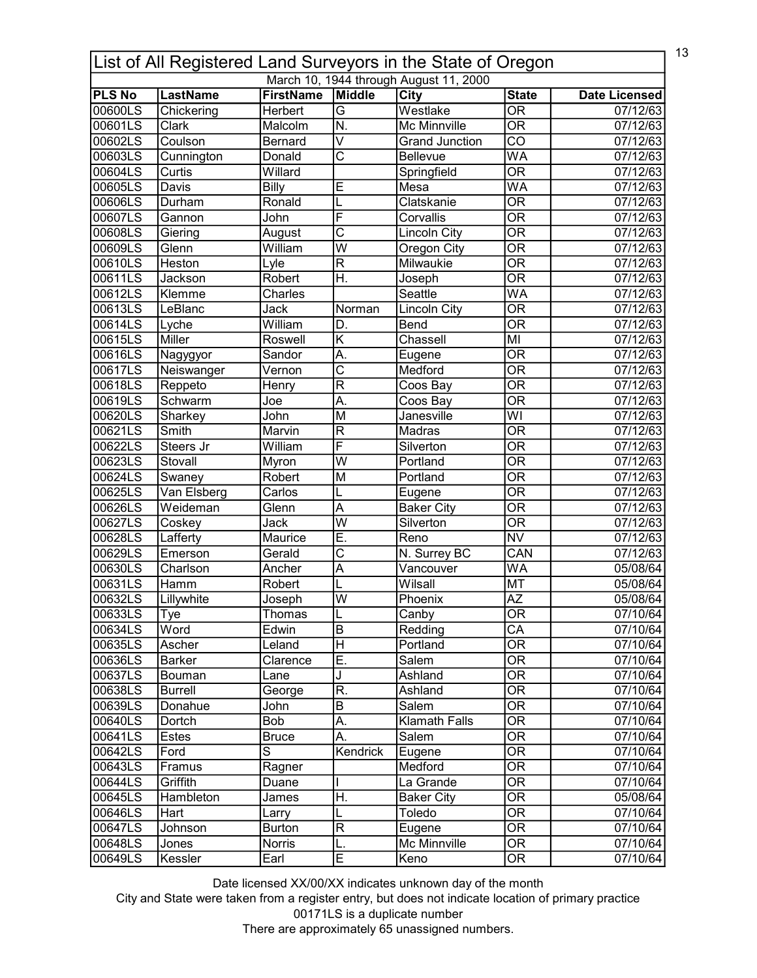| 13<br>List of All Registered Land Surveyors in the State of Oregon |                 |                  |                           |                                        |                                |                       |  |
|--------------------------------------------------------------------|-----------------|------------------|---------------------------|----------------------------------------|--------------------------------|-----------------------|--|
|                                                                    |                 |                  |                           | March 10, 1944 through August 11, 2000 |                                |                       |  |
| <b>PLS No</b>                                                      | <b>LastName</b> | <b>FirstName</b> | Middle                    | City                                   | <b>State</b>                   | <b>Date Licensed</b>  |  |
| 00600LS                                                            | Chickering      | Herbert          | $\overline{\mathsf{G}}$   | Westlake                               | $\overline{\mathsf{OR}}$       | 07/12/63              |  |
| 00601LS                                                            | <b>Clark</b>    | Malcolm          | $\overline{\mathsf{N}}$ . | Mc Minnville                           | $\overline{\mathsf{OR}}$       | 07/12/63              |  |
| 00602LS                                                            | Coulson         | <b>Bernard</b>   | $\overline{\mathsf{v}}$   | <b>Grand Junction</b>                  | $\overline{CO}$                | $\overline{07/12/63}$ |  |
| 00603LS                                                            | Cunnington      | Donald           | $\overline{\rm c}$        | Bellevue                               | WA                             | 07/12/63              |  |
| 00604LS                                                            | Curtis          | Willard          |                           | Springfield                            | $\overline{\mathsf{OR}}$       | 07/12/63              |  |
| 00605LS                                                            | Davis           | Billy            | E                         | Mesa                                   | WA                             | 07/12/63              |  |
| 00606LS                                                            | Durham          | Ronald           |                           | Clatskanie                             | $\overline{\mathsf{OR}}$       | 07/12/63              |  |
| 00607LS                                                            | Gannon          | John             | F                         | Corvallis                              | $\overline{\mathsf{OR}}$       | 07/12/63              |  |
| 00608LS                                                            | Giering         | August           | $\overline{\text{c}}$     | <b>Lincoln City</b>                    | $\overline{\mathsf{OR}}$       | 07/12/63              |  |
| 00609LS                                                            | Glenn           | William          | $\overline{W}$            | Oregon City                            | $\overline{\mathsf{OR}}$       | 07/12/63              |  |
| 00610LS                                                            | Heston          | Lyle             | $\overline{\mathsf{R}}$   | Milwaukie                              | $\overline{\mathsf{OR}}$       | 07/12/63              |  |
| 00611LS                                                            | Jackson         | Robert           | H.                        | Joseph                                 | $\overline{\mathsf{OR}}$       | 07/12/63              |  |
| 00612LS                                                            | Klemme          | Charles          |                           | Seattle                                | $\overline{\mathsf{WA}}$       | 07/12/63              |  |
| 00613LS                                                            | LeBlanc         | Jack             | Norman                    | <b>Lincoln City</b>                    | $\overline{\mathsf{OR}}$       | 07/12/63              |  |
| 00614LS                                                            | Lyche           | William          | D.                        | <b>Bend</b>                            | $\overline{\overline{\rm OR}}$ | 07/12/63              |  |
| 00615LS                                                            | Miller          | Roswell          | Κ                         | Chassell                               | MІ                             | 07/12/63              |  |
| 00616LS                                                            | Nagygyor        | Sandor           | А.                        | Eugene                                 | <b>OR</b>                      | 07/12/63              |  |
| 00617LS                                                            | Neiswanger      | Vernon           | $\overline{\text{c}}$     | Medford                                | $\overline{\mathsf{OR}}$       | 07/12/63              |  |
| 00618LS                                                            | Reppeto         | Henry            | R                         | Coos Bay                               | <b>OR</b>                      | 07/12/63              |  |
| 00619LS                                                            | Schwarm         | Joe              | A.                        | Coos Bay                               | $\overline{\mathsf{OR}}$       | 07/12/63              |  |
| 00620LS                                                            | Sharkey         | John             | M                         | Janesville                             | $\overline{\mathsf{W}}$ l      | 07/12/63              |  |
| 00621LS                                                            | Smith           | Marvin           | $\overline{\mathsf{R}}$   | Madras                                 | $\overline{\mathsf{OR}}$       | 07/12/63              |  |
| 00622LS                                                            | Steers Jr       | William          | F                         | Silverton                              | $\overline{\mathsf{OR}}$       | 07/12/63              |  |
| 00623LS                                                            | Stovall         | Myron            | $\overline{\mathsf{w}}$   | Portland                               | $\overline{\mathsf{OR}}$       | 07/12/63              |  |
| 00624LS                                                            | Swaney          | Robert           | M                         | Portland                               | $\overline{\mathsf{OR}}$       | 07/12/63              |  |
| 00625LS                                                            | Van Elsberg     | Carlos           | L                         | Eugene                                 | $\overline{\mathsf{OR}}$       | 07/12/63              |  |
| 00626LS                                                            | Weideman        | Glenn            | $\overline{\mathsf{A}}$   | <b>Baker City</b>                      | $\overline{\mathsf{OR}}$       | 07/12/63              |  |
| 00627LS                                                            | Coskey          | Jack             | $\overline{\mathsf{w}}$   | Silverton                              | $\overline{\mathsf{OR}}$       | $\overline{07/12/63}$ |  |
| 00628LS                                                            | Lafferty        | Maurice          | Ē.                        | Reno                                   | <b>NV</b>                      | 07/12/63              |  |
| 00629LS                                                            | Emerson         | Gerald           | Ċ                         | N. Surrey BC                           | CAN                            | 07/12/63              |  |
| 00630LS                                                            | Charlson        | Ancher           | Ā                         | Vancouver                              | <b>WA</b>                      | 05/08/64              |  |
| 00631LS                                                            | Hamm            | Robert           |                           | Wilsall                                | <b>MT</b>                      | 05/08/64              |  |
| 00632LS                                                            | Lillywhite      |                  | lw                        | Phoenix                                | $\overline{AZ}$                | 05/08/64              |  |
|                                                                    |                 | Joseph           |                           |                                        | OR                             |                       |  |
| 00633LS<br>00634LS                                                 | Tye             | Thomas           | IL<br>$\overline{B}$      | Canby<br>Redding                       | $\overline{\mathsf{CA}}$       | 07/10/64              |  |
|                                                                    | Word            | Edwin            |                           |                                        |                                | 07/10/64              |  |
| 00635LS                                                            | Ascher          | Leland           | $\mathsf{H}$              | Portland                               | <b>OR</b>                      | 07/10/64              |  |
| 00636LS                                                            | <b>Barker</b>   | Clarence         | Ε.                        | Salem                                  | $\overline{\overline{\rm OR}}$ | 07/10/64              |  |
| 00637LS                                                            | Bouman          | Lane             | J                         | Ashland                                | $\overline{\overline{\rm OR}}$ | 07/10/64              |  |
| 00638LS                                                            | <b>Burrell</b>  | George           | R.                        | Ashland                                | $\overline{\mathsf{OR}}$       | 07/10/64              |  |
| 00639LS                                                            | Donahue         | John             | B                         | Salem                                  | $\overline{\mathsf{OR}}$       | 07/10/64              |  |
| 00640LS                                                            | Dortch          | Bob              | Α.                        | <b>Klamath Falls</b>                   | $\overline{\mathsf{OR}}$       | 07/10/64              |  |
| 00641LS                                                            | Estes           | <b>Bruce</b>     | Α.                        | Salem                                  | OR                             | 07/10/64              |  |
| 00642LS                                                            | Ford            | $\overline{s}$   | Kendrick                  | Eugene                                 | $\overline{\mathsf{OR}}$       | 07/10/64              |  |
| 00643LS                                                            | Framus          | Ragner           |                           | Medford                                | OR                             | 07/10/64              |  |
| 00644LS                                                            | Griffith        | Duane            |                           | La Grande                              | $\overline{\mathsf{OR}}$       | 07/10/64              |  |
| 00645LS                                                            | Hambleton       | James            | H.                        | <b>Baker City</b>                      | OR                             | 05/08/64              |  |
| 00646LS                                                            | Hart            | Larry            | L                         | Toledo                                 | $\overline{\text{OR}}$         | 07/10/64              |  |
| 00647LS                                                            | Johnson         | <b>Burton</b>    | $\overline{\mathsf{R}}$   | Eugene                                 | $\overline{\mathsf{OR}}$       | 07/10/64              |  |
| 00648LS                                                            | Jones           | Norris           | L.                        | Mc Minnville                           | $\overline{\text{OR}}$         | 07/10/64              |  |
| 00649LS                                                            | Kessler         | Earl             | E                         | Keno                                   | $\overline{\text{OR}}$         | 07/10/64              |  |

City and State were taken from a register entry, but does not indicate location of primary practice 00171LS is a duplicate number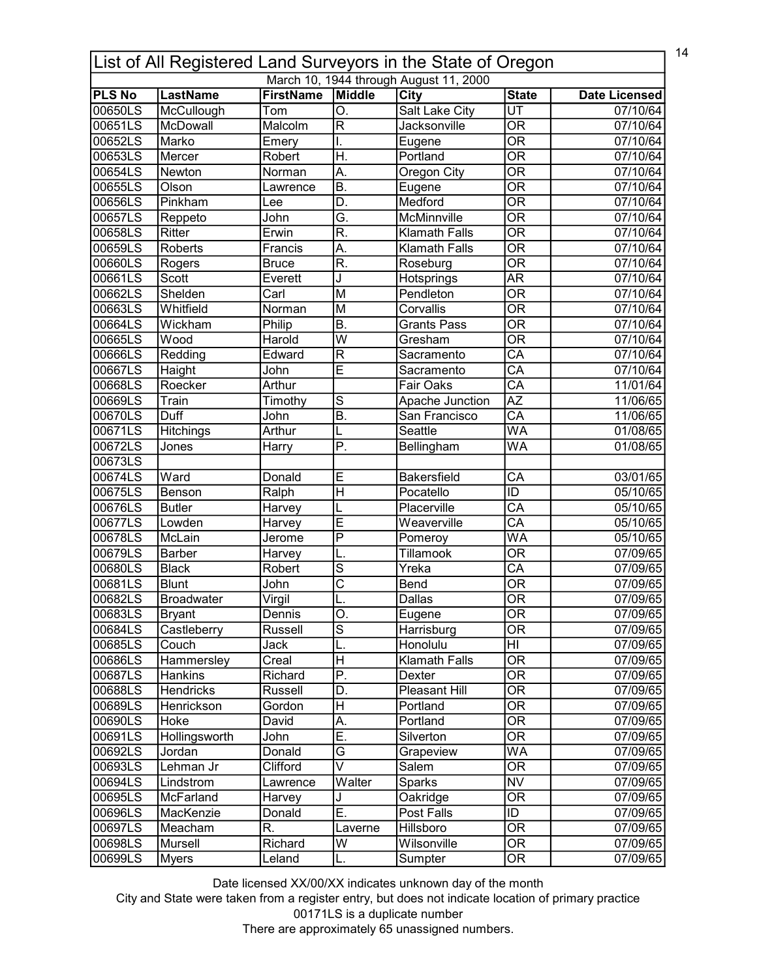|                          | 14<br>List of All Registered Land Surveyors in the State of Oregon |                         |                               |                                        |                                          |                      |  |  |
|--------------------------|--------------------------------------------------------------------|-------------------------|-------------------------------|----------------------------------------|------------------------------------------|----------------------|--|--|
|                          |                                                                    |                         |                               | March 10, 1944 through August 11, 2000 |                                          |                      |  |  |
| <b>PLS No</b><br>00650LS | <b>LastName</b>                                                    | <b>FirstName</b><br>Tom | Middle                        | City                                   | <b>State</b><br>$\overline{\mathtt{UT}}$ | <b>Date Licensed</b> |  |  |
| 00651LS                  | McCullough<br><b>McDowall</b>                                      |                         | O.<br>$\overline{\mathsf{R}}$ | <b>Salt Lake City</b><br>Jacksonville  | $\overline{\mathsf{OR}}$                 | 07/10/64             |  |  |
|                          | Marko                                                              | Malcolm                 |                               |                                        |                                          | 07/10/64             |  |  |
| 00652LS                  |                                                                    | Emery                   | I.                            | Eugene                                 | $\overline{\overline{\rm OR}}$           | 07/10/64             |  |  |
| 00653LS                  | Mercer                                                             | Robert                  | H.                            | Portland                               | $\overline{\mathsf{OR}}$                 | 07/10/64             |  |  |
| 00654LS                  | Newton                                                             | Norman                  | A.                            | Oregon City                            | $\overline{\overline{\rm OR}}$           | 07/10/64             |  |  |
| 00655LS                  | Olson                                                              | Lawrence                | $\overline{B}$ .              | Eugene                                 | $\overline{\mathsf{OR}}$                 | 07/10/64             |  |  |
| 00656LS                  | Pinkham                                                            | Lee                     | D.                            | Medford                                | $\overline{\mathsf{OR}}$                 | 07/10/64             |  |  |
| 00657LS                  | Reppeto                                                            | John                    | Ğ.                            | McMinnville                            | $\overline{\mathsf{OR}}$                 | 07/10/64             |  |  |
| 00658LS                  | Ritter                                                             | Erwin                   | $\overline{\mathsf{R}}$       | <b>Klamath Falls</b>                   | $\overline{\mathsf{OR}}$                 | 07/10/64             |  |  |
| 00659LS                  | Roberts                                                            | Francis                 | А.                            | <b>Klamath Falls</b>                   | $\overline{\mathsf{OR}}$                 | 07/10/64             |  |  |
| 00660LS                  | Rogers                                                             | <b>Bruce</b>            | $\overline{\mathsf{R}}$ .     | Roseburg                               | $\overline{\overline{\rm OR}}$           | 07/10/64             |  |  |
| 00661LS                  | Scott                                                              | Everett                 | J                             | Hotsprings                             | $\overline{\overline{AR}}$               | 07/10/64             |  |  |
| 00662LS                  | Shelden                                                            | Carl                    | M                             | Pendleton                              | $\overline{\overline{\rm OR}}$           | 07/10/64             |  |  |
| 00663LS                  | Whitfield                                                          | Norman                  | M                             | Corvallis                              | $\overline{\overline{\rm OR}}$           | 07/10/64             |  |  |
| 00664LS                  | Wickham                                                            | Philip                  | $\overline{B}$ .              | <b>Grants Pass</b>                     | $\overline{\overline{\rm OR}}$           | 07/10/64             |  |  |
| 00665LS                  | Wood                                                               | Harold                  | W                             | Gresham                                | $\overline{\overline{\rm OR}}$           | 07/10/64             |  |  |
| 00666LS                  | Redding                                                            | Edward                  | R                             | Sacramento                             | CA                                       | 07/10/64             |  |  |
| 00667LS                  | Haight                                                             | John                    | Ē                             | Sacramento                             | $\overline{\mathsf{CA}}$                 | 07/10/64             |  |  |
| 00668LS                  | Roecker                                                            | Arthur                  |                               | <b>Fair Oaks</b>                       | $\overline{CA}$                          | 11/01/64             |  |  |
| 00669LS                  | Train                                                              | Timothy                 | S                             | Apache Junction                        | $\overline{AZ}$                          | 11/06/65             |  |  |
| 00670LS                  | Duff                                                               | John                    | $\overline{B}$ .              | San Francisco                          | $\overline{\mathsf{CA}}$                 | 11/06/65             |  |  |
| 00671LS                  | <b>Hitchings</b>                                                   | <b>Arthur</b>           |                               | Seattle                                | $\overline{\mathsf{WA}}$                 | 01/08/65             |  |  |
| 00672LS                  | Jones                                                              | Harry                   | $\overline{P}$ .              | Bellingham                             | $\overline{\mathsf{WA}}$                 | 01/08/65             |  |  |
| 00673LS                  |                                                                    |                         |                               |                                        |                                          |                      |  |  |
| 00674LS                  | Ward                                                               | Donald                  | Ē                             | <b>Bakersfield</b>                     | $\overline{CA}$                          | 03/01/65             |  |  |
| 00675LS                  | Benson                                                             | Ralph                   | $\overline{\sf H}$            | Pocatello                              | $\overline{\mathbb{D}}$                  | 05/10/65             |  |  |
| 00676LS                  | <b>Butler</b>                                                      | Harvey                  | L                             | Placerville                            | $\overline{\mathsf{CA}}$                 | 05/10/65             |  |  |
| 00677LS                  | Lowden                                                             | Harvey                  | E                             | Weaverville                            | $\overline{\mathsf{CA}}$                 | 05/10/65             |  |  |
| 00678LS                  | McLain                                                             | Jerome                  | $\overline{\mathsf{P}}$       | Pomeroy                                | WA                                       | 05/10/65             |  |  |
| 00679LS                  | Barber                                                             | Harvey                  | L.                            | Tillamook                              | $\overline{\mathsf{OR}}$                 | 07/09/65             |  |  |
| 00680LS                  | <b>Black</b>                                                       | Robert                  | $\overline{s}$                | Yreka                                  | CA                                       | 07/09/65             |  |  |
| 00681LS                  | <b>Blunt</b>                                                       | John                    | $\overline{\text{c}}$         | Bend                                   | $\overline{\mathsf{OR}}$                 | 07/09/65             |  |  |
| l00682LS                 | <b>Broadwater</b>                                                  | Virgil                  |                               | Dallas                                 | $\overline{OR}$                          | 07/09/65             |  |  |
| 00683LS                  | <b>Bryant</b>                                                      | Dennis                  | О.                            | Eugene                                 | OR                                       | 07/09/65             |  |  |
| 00684LS                  | Castleberry                                                        | Russell                 | $\overline{s}$                | Harrisburg                             | $\overline{\mathsf{OR}}$                 | 07/09/65             |  |  |
| 00685LS                  | Couch                                                              | Jack                    | L.                            | Honolulu                               | HI                                       | 07/09/65             |  |  |
| 00686LS                  | Hammersley                                                         | Creal                   | H                             | <b>Klamath Falls</b>                   | $\overline{\overline{\rm OR}}$           | 07/09/65             |  |  |
| 00687LS                  | Hankins                                                            | Richard                 | $\overline{P}$ .              | Dexter                                 | $\overline{\overline{\rm OR}}$           | 07/09/65             |  |  |
| 00688LS                  |                                                                    | Russell                 | D.                            | Pleasant Hill                          | $\overline{\mathsf{OR}}$                 | 07/09/65             |  |  |
|                          | Hendricks                                                          |                         | $\overline{H}$                |                                        | $\overline{\mathsf{OR}}$                 |                      |  |  |
| 00689LS                  | Henrickson                                                         | Gordon                  |                               | Portland                               |                                          | 07/09/65             |  |  |
| 00690LS                  | Hoke                                                               | David                   | А.                            | Portland                               | $\overline{\mathsf{OR}}$                 | 07/09/65             |  |  |
| 00691LS                  | Hollingsworth                                                      | John                    | Ē.                            | Silverton                              | OR                                       | 07/09/65             |  |  |
| 00692LS                  | Jordan                                                             | Donald                  | $\overline{\mathsf{G}}$       | Grapeview                              | <b>WA</b>                                | 07/09/65             |  |  |
| 00693LS                  | Lehman Jr                                                          | Clifford                | V                             | Salem                                  | OR                                       | 07/09/65             |  |  |
| 00694LS                  | Lindstrom                                                          | Lawrence                | Walter                        | <b>Sparks</b>                          | <b>NV</b>                                | 07/09/65             |  |  |
| 00695LS                  | McFarland                                                          | Harvey                  | J                             | Oakridge                               | 0R                                       | 07/09/65             |  |  |
| 00696LS                  | MacKenzie                                                          | Donald                  | Ē.                            | <b>Post Falls</b>                      | ID                                       | 07/09/65             |  |  |
| 00697LS                  | Meacham                                                            | R.                      | Laverne                       | Hillsboro                              | $\overline{\text{OR}}$                   | 07/09/65             |  |  |
| 00698LS                  | <b>Mursell</b>                                                     | Richard                 | W                             | Wilsonville                            | $\overline{\text{OR}}$                   | 07/09/65             |  |  |
| 00699LS                  | <b>Myers</b>                                                       | Leland                  | L.                            | Sumpter                                | $\overline{\mathsf{OR}}$                 | 07/09/65             |  |  |

City and State were taken from a register entry, but does not indicate location of primary practice 00171LS is a duplicate number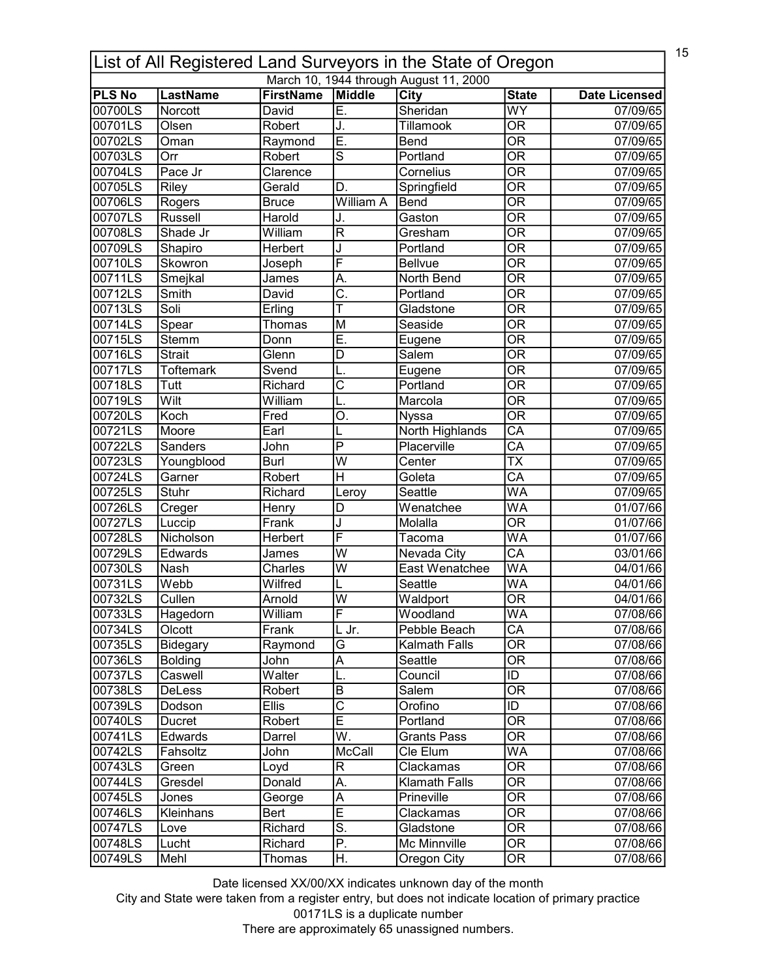|               | 15<br>List of All Registered Land Surveyors in the State of Oregon |                  |                              |                                        |                                |                      |  |  |
|---------------|--------------------------------------------------------------------|------------------|------------------------------|----------------------------------------|--------------------------------|----------------------|--|--|
|               |                                                                    |                  |                              | March 10, 1944 through August 11, 2000 |                                |                      |  |  |
| <b>PLS No</b> | <b>LastName</b>                                                    | <b>FirstName</b> | Middle                       | City                                   | <b>State</b>                   | <b>Date Licensed</b> |  |  |
| 00700LS       | Norcott                                                            | David            | Ē.                           | Sheridan                               | $\overline{\text{WY}}$         | 07/09/65             |  |  |
| 00701LS       | Olsen                                                              | Robert           | J.                           | <b>Tillamook</b>                       | $\overline{\mathsf{OR}}$       | 07/09/65             |  |  |
| 00702LS       | Oman                                                               | Raymond          | E.                           | Bend                                   | $\overline{\mathsf{OR}}$       | 07/09/65             |  |  |
| 00703LS       | Orr                                                                | Robert           | Ś                            | Portland                               | $\overline{\mathsf{OR}}$       | 07/09/65             |  |  |
| 00704LS       | Pace Jr                                                            | Clarence         |                              | Cornelius                              | $\overline{\overline{\rm OR}}$ | 07/09/65             |  |  |
| 00705LS       | Riley                                                              | Gerald           | D.                           | Springfield                            | $\overline{\mathsf{OR}}$       | 07/09/65             |  |  |
| 00706LS       | Rogers                                                             | <b>Bruce</b>     | <b>William A</b>             | Bend                                   | $\overline{\mathsf{OR}}$       | 07/09/65             |  |  |
| 00707LS       | Russell                                                            | Harold           | J.                           | Gaston                                 | $\overline{\mathsf{OR}}$       | 07/09/65             |  |  |
| 00708LS       | Shade Jr                                                           | William          | $\overline{\mathsf{R}}$      | Gresham                                | $\overline{\mathsf{OR}}$       | 07/09/65             |  |  |
| 00709LS       | Shapiro                                                            | Herbert          | J                            | Portland                               | $\overline{\mathsf{OR}}$       | 07/09/65             |  |  |
| 00710LS       | Skowron                                                            | Joseph           | F                            | <b>Bellvue</b>                         | $\overline{\mathsf{OR}}$       | 07/09/65             |  |  |
| 00711LS       | Smejkal                                                            | James            | A.                           | North Bend                             | $\overline{\mathsf{OR}}$       | 07/09/65             |  |  |
| 00712LS       | Smith                                                              | David            | $\overline{\mathsf{C}}$ .    | Portland                               | $\overline{\overline{\rm OR}}$ | 07/09/65             |  |  |
| 00713LS       | Soli                                                               | Erling           | T                            | Gladstone                              | $\overline{\mathsf{OR}}$       | 07/09/65             |  |  |
| 00714LS       | Spear                                                              | Thomas           | M                            | Seaside                                | $\overline{\overline{\rm OR}}$ | 07/09/65             |  |  |
| 00715LS       | Stemm                                                              | Donn             | Ē.                           | Eugene                                 | $\overline{\mathsf{OR}}$       | 07/09/65             |  |  |
| 00716LS       | <b>Strait</b>                                                      | Glenn            | D                            | Salem                                  | <b>OR</b>                      | 07/09/65             |  |  |
| 00717LS       | <b>Toftemark</b>                                                   | $S$ vend         |                              | Eugene                                 | $\overline{\mathsf{OR}}$       | 07/09/65             |  |  |
| 00718LS       | Tutt                                                               | Richard          | C                            | Portland                               | $\overline{\overline{\rm OR}}$ | 07/09/65             |  |  |
| 00719LS       | Wilt                                                               | William          | L.                           | Marcola                                | $\overline{\mathsf{OR}}$       | 07/09/65             |  |  |
| 00720LS       | Koch                                                               | Fred             | Ο.                           | <b>Nyssa</b>                           | $\overline{\mathsf{OR}}$       | 07/09/65             |  |  |
| 00721LS       | Moore                                                              | Earl             |                              | North Highlands                        | $\overline{\mathsf{CA}}$       | 07/09/65             |  |  |
| 00722LS       | Sanders                                                            | John             | $\overline{\mathsf{P}}$      | Placerville                            | $\overline{\mathsf{CA}}$       | 07/09/65             |  |  |
| 00723LS       | Youngblood                                                         | Burl             | $\overline{\mathsf{w}}$      | Center                                 | $\overline{\text{TX}}$         | 07/09/65             |  |  |
| 00724LS       | Garner                                                             | Robert           | $\overline{\mathsf{H}}$      | Goleta                                 | $\overline{\mathsf{CA}}$       | 07/09/65             |  |  |
| 00725LS       | <b>Stuhr</b>                                                       | Richard          | Leroy                        | Seattle                                | $\overline{\mathsf{WA}}$       | 07/09/65             |  |  |
| 00726LS       | Creger                                                             | Henry            | D                            | Wenatchee                              | WA                             | 01/07/66             |  |  |
| 00727LS       | Luccip                                                             | Frank            | J                            | Molalla                                | $\overline{\mathsf{OR}}$       | 01/07/66             |  |  |
| 00728LS       | Nicholson                                                          | Herbert          | F                            | Tacoma                                 | $\overline{\mathsf{WA}}$       | 01/07/66             |  |  |
| 00729LS       | Edwards                                                            | James            | $\overline{\mathsf{W}}$      | Nevada City                            | $\overline{\mathsf{CA}}$       | 03/01/66             |  |  |
| 00730LS       | Nash                                                               | Charles          | $\overline{\mathsf{w}}$      | East Wenatchee                         | WA                             | 04/01/66             |  |  |
| 00731LS       | Webb                                                               | Wilfred          |                              | Seattle                                | WA                             | 04/01/66             |  |  |
| l00732LS      | Cullen                                                             | Arnold           | lw                           | Waldport                               | $\overline{OR}$                | 04/01/66             |  |  |
| 00733LS       | Hagedorn                                                           | William          | F                            | Woodland                               | WA                             | 07/08/66             |  |  |
| 00734LS       | Olcott                                                             | Frank            | L Jr.                        | Pebble Beach                           | CA                             | 07/08/66             |  |  |
| 00735LS       | Bidegary                                                           | Raymond          | G                            | <b>Kalmath Falls</b>                   | <b>OR</b>                      | 07/08/66             |  |  |
| 00736LS       | <b>Bolding</b>                                                     | John             | A                            | Seattle                                | <b>OR</b>                      | 07/08/66             |  |  |
| 00737LS       | Caswell                                                            | Walter           | L.                           | Council                                | ID                             | 07/08/66             |  |  |
| 00738LS       | DeLess                                                             | Robert           | B                            | Salem                                  | $\overline{\text{OR}}$         | 07/08/66             |  |  |
| 00739LS       | Dodson                                                             | <b>Ellis</b>     | $\overline{\text{c}}$        | Orofino                                | ID                             | 07/08/66             |  |  |
| 00740LS       | Ducret                                                             | Robert           | Ē                            | Portland                               | $\overline{\mathsf{OR}}$       | 07/08/66             |  |  |
| 00741LS       | Edwards                                                            | Darrel           | W.                           | <b>Grants Pass</b>                     | 0R                             | 07/08/66             |  |  |
| 00742LS       | Fahsoltz                                                           | John             | McCall                       | Cle Elum                               | <b>WA</b>                      | 07/08/66             |  |  |
| 00743LS       |                                                                    |                  |                              |                                        | OR                             | 07/08/66             |  |  |
|               | Green<br>Gresdel                                                   | Loyd<br>Donald   | R<br>А.                      | Clackamas<br><b>Klamath Falls</b>      | 0R                             |                      |  |  |
| 00744LS       |                                                                    |                  |                              |                                        |                                | 07/08/66             |  |  |
| 00745LS       | Jones                                                              | George           | Α<br>$\overline{\mathsf{E}}$ | Prineville                             | <b>OR</b>                      | 07/08/66             |  |  |
| 00746LS       | <b>Kleinhans</b>                                                   | Bert             | $\overline{\mathsf{s}}$ .    | Clackamas                              | $\overline{\mathsf{OR}}$       | 07/08/66             |  |  |
| 00747LS       | Love                                                               | Richard          |                              | Gladstone                              | $\overline{\mathsf{OR}}$       | 07/08/66             |  |  |
| 00748LS       | Lucht                                                              | Richard          | $\overline{\mathsf{P}}$ .    | Mc Minnville                           | $\overline{\text{OR}}$         | 07/08/66             |  |  |
| 00749LS       | Mehl                                                               | Thomas           | H.                           | Oregon City                            | $\overline{\mathsf{OR}}$       | 07/08/66             |  |  |

City and State were taken from a register entry, but does not indicate location of primary practice 00171LS is a duplicate number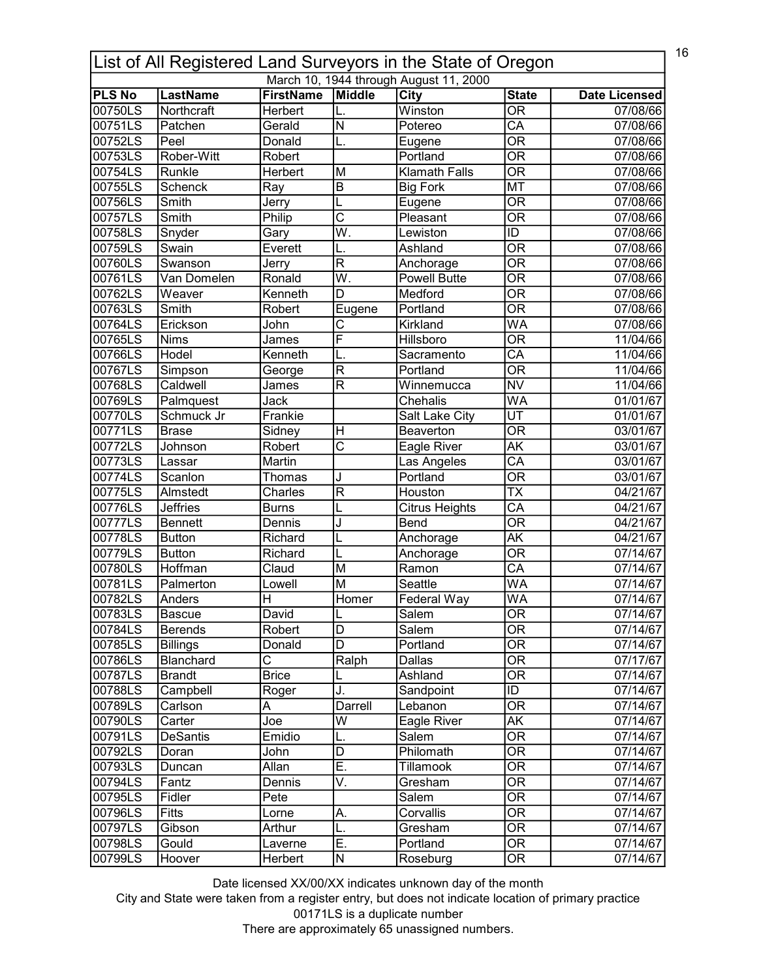|               | 16<br>List of All Registered Land Surveyors in the State of Oregon |                  |                          |                                        |                                |                       |  |  |
|---------------|--------------------------------------------------------------------|------------------|--------------------------|----------------------------------------|--------------------------------|-----------------------|--|--|
|               |                                                                    |                  |                          | March 10, 1944 through August 11, 2000 |                                |                       |  |  |
| <b>PLS No</b> | <b>LastName</b>                                                    | <b>FirstName</b> | Middle                   | City                                   | <b>State</b>                   | <b>Date Licensed</b>  |  |  |
| 00750LS       | Northcraft                                                         | Herbert          |                          | Winston                                | $\overline{\mathsf{OR}}$       | 07/08/66              |  |  |
| 00751LS       | Patchen                                                            | Gerald           | $\overline{\mathsf{N}}$  | Potereo                                | $\overline{\mathsf{CA}}$       | 07/08/66              |  |  |
| 00752LS       | Peel                                                               | Donald           | L.                       | Eugene                                 | $\overline{\mathsf{OR}}$       | 07/08/66              |  |  |
| 00753LS       | Rober-Witt                                                         | Robert           |                          | Portland                               | $\overline{\mathsf{OR}}$       | 07/08/66              |  |  |
| 00754LS       | Runkle                                                             | Herbert          | M                        | <b>Klamath Falls</b>                   | $\overline{\overline{\rm OR}}$ | 07/08/66              |  |  |
| 00755LS       | <b>Schenck</b>                                                     | Ray              | $\overline{B}$           | <b>Big Fork</b>                        | <b>MT</b>                      | 07/08/66              |  |  |
| 00756LS       | Smith                                                              | Jerry            |                          | Eugene                                 | $\overline{\mathsf{OR}}$       | 07/08/66              |  |  |
| 00757LS       | Smith                                                              | Philip           | $\overline{\text{c}}$    | Pleasant                               | $\overline{\mathsf{OR}}$       | 07/08/66              |  |  |
| 00758LS       | Snyder                                                             | Gary             | Ŵ.                       | Lewiston                               | $\overline{ID}$                | 07/08/66              |  |  |
| 00759LS       | Swain                                                              | Everett          |                          | Ashland                                | $\overline{\mathsf{OR}}$       | 07/08/66              |  |  |
| 00760LS       | Swanson                                                            | Jerry            | $\overline{\mathsf{R}}$  | Anchorage                              | $\overline{\mathsf{OR}}$       | 07/08/66              |  |  |
| 00761LS       | Van Domelen                                                        | Ronald           | $\overline{\mathsf{W}}.$ | <b>Powell Butte</b>                    | $\overline{\mathsf{OR}}$       | 07/08/66              |  |  |
| 00762LS       | Weaver                                                             | Kenneth          | D                        | Medford                                | $\overline{\overline{\rm OR}}$ | 07/08/66              |  |  |
| 00763LS       | Smith                                                              | Robert           | Eugene                   | Portland                               | $\overline{\mathsf{OR}}$       | 07/08/66              |  |  |
| 00764LS       | Erickson                                                           | John             | С                        | Kirkland                               | <b>WA</b>                      | 07/08/66              |  |  |
| 00765LS       | <b>Nims</b>                                                        | James            | F                        | Hillsboro                              | $\overline{\overline{\rm OR}}$ | 11/04/66              |  |  |
| 00766LS       | Hodel                                                              | Kenneth          |                          | Sacramento                             | CA                             | 11/04/66              |  |  |
| 00767LS       | Simpson                                                            | George           | $\overline{\mathsf{R}}$  | Portland                               | $\overline{\mathsf{OR}}$       | 11/04/66              |  |  |
| 00768LS       | Caldwell                                                           | James            | $\mathsf{R}$             | Winnemucca                             | <b>NV</b>                      | 11/04/66              |  |  |
| 00769LS       | Palmquest                                                          | Jack             |                          | Chehalis                               | <b>WA</b>                      | 01/01/67              |  |  |
| 00770LS       | Schmuck Jr                                                         | Frankie          |                          | Salt Lake City                         | $\overline{\mathsf{UT}}$       | 01/01/67              |  |  |
| 00771LS       | <b>Brase</b>                                                       | Sidney           | $\overline{\mathsf{H}}$  | Beaverton                              | $\overline{\mathsf{OR}}$       | 03/01/67              |  |  |
| 00772LS       | Johnson                                                            | Robert           | $\overline{\text{c}}$    | Eagle River                            | AΚ                             | 03/01/67              |  |  |
| 00773LS       | Lassar                                                             | Martin           |                          | Las Angeles                            | $\overline{\mathsf{CA}}$       | 03/01/67              |  |  |
| 00774LS       | Scanlon                                                            | Thomas           | J                        | Portland                               | $\overline{\mathsf{OR}}$       | 03/01/67              |  |  |
| 00775LS       | Almstedt                                                           | Charles          | $\overline{\mathsf{R}}$  | Houston                                | $\overline{\text{TX}}$         | 04/21/67              |  |  |
| 00776LS       | <b>Jeffries</b>                                                    | <b>Burns</b>     |                          | Citrus Heights                         | $\overline{\mathsf{CA}}$       | 04/21/67              |  |  |
| 00777LS       | Bennett                                                            | Dennis           | J                        | Bend                                   | $\overline{\mathsf{OR}}$       | 04/21/67              |  |  |
| 00778LS       | <b>Button</b>                                                      | Richard          |                          | Anchorage                              | AΚ                             | $\overline{04/2}1/67$ |  |  |
| 00779LS       | <b>Button</b>                                                      | Richard          | L                        | Anchorage                              | $\overline{\mathsf{OR}}$       | 07/14/67              |  |  |
| 00780LS       | Hoffman                                                            | Claud            | M                        | Ramon                                  | $\overline{\mathsf{CA}}$       | 07/14/67              |  |  |
| 00781LS       | Palmerton                                                          | Lowell           | M                        | Seattle                                | WA                             | 07/14/67              |  |  |
| 00782LS       | Anders                                                             | H                | Homer                    | Federal Way                            | WA                             | 07/14/67              |  |  |
| 00783LS       | <b>Bascue</b>                                                      | David            |                          | Salem                                  | 0R                             | 07/14/67              |  |  |
| 00784LS       | <b>Berends</b>                                                     | Robert           | L<br>D                   | Salem                                  | $\overline{\text{OR}}$         | 07/14/67              |  |  |
|               |                                                                    |                  | D                        | Portland                               |                                |                       |  |  |
| 00785LS       | <b>Billings</b>                                                    | Donald           |                          |                                        | <b>OR</b>                      | 07/14/67              |  |  |
| 00786LS       | Blanchard                                                          | С                | Ralph                    | Dallas                                 | $\overline{\overline{\rm OR}}$ | 07/17/67              |  |  |
| 00787LS       | <b>Brandt</b>                                                      | <b>Brice</b>     |                          | Ashland                                | $\overline{\overline{\rm OR}}$ | 07/14/67              |  |  |
| 00788LS       | Campbell                                                           | Roger            | J.                       | Sandpoint                              | ID                             | 07/14/67              |  |  |
| 00789LS       | Carlson                                                            | Α                | Darrell                  | Lebanon                                | $\overline{\mathsf{OR}}$       | 07/14/67              |  |  |
| 00790LS       | Carter                                                             | Joe              | W                        | Eagle River                            | AK                             | 07/14/67              |  |  |
| 00791LS       | <b>DeSantis</b>                                                    | Emidio           | L.                       | Salem                                  | OR                             | 07/14/67              |  |  |
| 00792LS       | Doran                                                              | John             | $\overline{\mathsf{D}}$  | Philomath                              | $\overline{\mathsf{OR}}$       | 07/14/67              |  |  |
| 00793LS       | Duncan                                                             | Allan            | Ē.                       | Tillamook                              | OR                             | 07/14/67              |  |  |
| 00794LS       | Fantz                                                              | Dennis           | V.                       | Gresham                                | $\overline{\mathsf{OR}}$       | 07/14/67              |  |  |
| 00795LS       | Fidler                                                             | Pete             |                          | Salem                                  | 0R                             | 07/14/67              |  |  |
| 00796LS       | <b>Fitts</b>                                                       | Lorne            | Α.                       | Corvallis                              | $\overline{\text{OR}}$         | 07/14/67              |  |  |
| 00797LS       | Gibson                                                             | Arthur           | L.                       | Gresham                                | $\overline{\mathsf{OR}}$       | 07/14/67              |  |  |
| 00798LS       | Gould                                                              | Laverne          | Ē.                       | Portland                               | $\overline{\text{OR}}$         | 07/14/67              |  |  |
| 00799LS       | Hoover                                                             | Herbert          | N                        | Roseburg                               | $\overline{\text{OR}}$         | 07/14/67              |  |  |

City and State were taken from a register entry, but does not indicate location of primary practice 00171LS is a duplicate number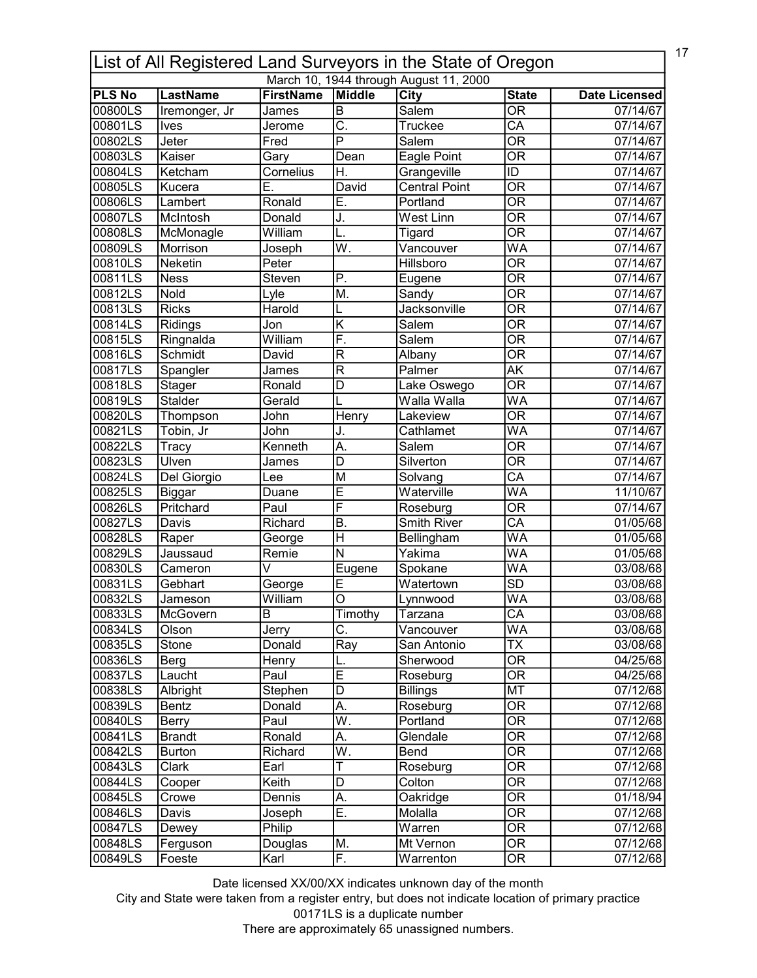| 17<br>List of All Registered Land Surveyors in the State of Oregon |                 |                  |                           |                                        |                                   |                        |  |
|--------------------------------------------------------------------|-----------------|------------------|---------------------------|----------------------------------------|-----------------------------------|------------------------|--|
|                                                                    |                 |                  |                           | March 10, 1944 through August 11, 2000 |                                   |                        |  |
| <b>PLS No</b>                                                      | <b>LastName</b> | <b>FirstName</b> | Middle                    | <b>City</b>                            | <b>State</b>                      | <b>Date Licensed</b>   |  |
| 00800LS                                                            | Iremonger, Jr   | James            | $\overline{\mathsf{B}}$   | Salem                                  | $\overline{\mathsf{OR}}$          | 07/14/67               |  |
| 00801LS                                                            | <b>Ives</b>     | Jerome           | $\overline{\mathsf{C}}$   | <b>Truckee</b>                         | $\overline{CA}$                   | 07/14/67               |  |
| 00802LS                                                            | Jeter           | Fred             | $\overline{\mathsf{P}}$   | Salem                                  | <b>OR</b>                         | 07/14/67               |  |
| 00803LS                                                            | Kaiser          | Gary             | Dean                      | Eagle Point                            | $\overline{\text{OR}}$            | 07/14/67               |  |
| 00804LS                                                            | Ketcham         | Cornelius        | Η.                        | Grangeville                            | $\overline{1}$                    | 07/14/67               |  |
| 00805LS                                                            | Kucera          | Ē.               | David                     | <b>Central Point</b>                   | $\overline{\mathsf{OR}}$          | 07/14/67               |  |
| 00806LS                                                            | Lambert         | Ronald           | Ē.                        | Portland                               | $\overline{\mathsf{OR}}$          | 07/14/67               |  |
| 00807LS                                                            | McIntosh        | Donald           | J.                        | <b>West Linn</b>                       | $\overline{\overline{\rm OR}}$    | 07/14/67               |  |
| 00808LS                                                            | McMonagle       | William          | L.                        | Tigard                                 | $\overline{\mathsf{OR}}$          | 07/14/67               |  |
| 00809LS                                                            | Morrison        | Joseph           | $\overline{\mathsf{W}}$ . | Vancouver                              | <b>WA</b>                         | $\overline{07/}$ 14/67 |  |
| 00810LS                                                            | Neketin         | Peter            |                           | Hillsboro                              | $\overline{\overline{\rm OR}}$    | 07/14/67               |  |
| 00811LS                                                            | <b>Ness</b>     | Steven           | Ρ.                        | Eugene                                 | $\overline{\overline{\rm OR}}$    | 07/14/67               |  |
| 00812LS                                                            | Nold            | Lyle             | M.                        | Sandy                                  | $\overline{\overline{\rm OR}}$    | 07/14/67               |  |
| 00813LS                                                            | <b>Ricks</b>    | Harold           | L                         | Jacksonville                           | $\overline{\text{OR}}$            | 07/14/67               |  |
| 00814LS                                                            | Ridings         | Jon              | $\overline{\mathsf{K}}$   | $\overline{\mathsf{S}}$ alem           | <b>OR</b>                         | 07/14/67               |  |
| 00815LS                                                            | Ringnalda       | William          | F.                        | Salem                                  | $\overline{\overline{\rm OR}}$    | 07/14/67               |  |
| 00816LS                                                            | Schmidt         | David            | $\mathsf{R}$              | Albany                                 | $\overline{\overline{\rm OR}}$    | 07/14/67               |  |
| 00817LS                                                            | Spangler        | James            | $\overline{\mathsf{R}}$   | Palmer                                 | <b>AK</b>                         | 07/14/67               |  |
| 00818LS                                                            | <b>Stager</b>   | Ronald           | D                         | Lake Oswego                            | $\overline{\overline{\text{OR}}}$ | $\overline{07/1}4/67$  |  |
| 00819LS                                                            | <b>Stalder</b>  | Gerald           |                           | Walla Walla                            | $\overline{\mathsf{WA}}$          | 07/14/67               |  |
| 00820LS                                                            | Thompson        | John             | Henry                     | Lakeview                               | $\overline{\mathsf{OR}}$          | 07/14/67               |  |
| 00821LS                                                            | Tobin, Jr       | John             | J.                        | Cathlamet                              | $\overline{\mathsf{WA}}$          | 07/14/67               |  |
| 00822LS                                                            | Tracy           | Kenneth          | $\overline{\mathsf{A}}$ . | Salem                                  | $\overline{\mathsf{OR}}$          | 07/14/67               |  |
| 00823LS                                                            | Ulven           | James            | $\overline{D}$            | Silverton                              | $\overline{\mathsf{OR}}$          | 07/14/67               |  |
| 00824LS                                                            | Del Giorgio     | Lee              | M                         | Solvang                                | $\overline{CA}$                   | 07/14/67               |  |
| 00825LS                                                            | <b>Biggar</b>   | Duane            | Ē                         | Waterville                             | $\overline{\mathsf{WA}}$          | 11/10/67               |  |
| 00826LS                                                            | Pritchard       | Paul             | F                         | Roseburg                               | $\overline{\overline{\text{OR}}}$ | 07/14/67               |  |
| 00827LS                                                            | Davis           | Richard          | B.                        | <b>Smith River</b>                     | $\overline{CA}$                   | 01/05/68               |  |
| 00828LS                                                            |                 |                  | $\overline{\mathsf{H}}$   |                                        | WA                                |                        |  |
|                                                                    | Raper           | George           | $\overline{\mathsf{N}}$   | Bellingham                             | WA                                | 01/05/68               |  |
| 00829LS                                                            | Jaussaud        | Remie            |                           | Yakima                                 |                                   | 01/05/68               |  |
| 00830LS                                                            | Cameron         | V                | Eugene                    | Spokane                                | <b>WA</b>                         | 03/08/68               |  |
| 00831LS                                                            | Gebhart         | George           | Е                         | Watertown                              | $\overline{SD}$                   | 03/08/68               |  |
| l00832LS                                                           | Jameson         | William          | $\circ$                   | Lynnwood                               | WA                                | 03/08/68               |  |
| 00833LS                                                            | McGovern        | B                | Timothy                   | Tarzana                                | CA                                | 03/08/68               |  |
| 00834LS                                                            | Olson           | Jerry            | C.                        | Vancouver                              | <b>WA</b>                         | 03/08/68               |  |
| 00835LS                                                            | Stone           | Donald           | Ray                       | San Antonio                            | <b>TX</b>                         | 03/08/68               |  |
| 00836LS                                                            | Berg            | Henry            |                           | Sherwood                               | $\overline{\overline{\rm OR}}$    | 04/25/68               |  |
| 00837LS                                                            | Laucht          | Paul             | E                         | Roseburg                               | $\overline{OR}$                   | 04/25/68               |  |
| 00838LS                                                            | Albright        | Stephen          | D                         | <b>Billings</b>                        | MT                                | 07/12/68               |  |
| 00839LS                                                            | Bentz           | Donald           | A.                        | Roseburg                               | $\overline{\mathsf{OR}}$          | 07/12/68               |  |
| 00840LS                                                            | Berry           | Paul             | $\overline{\mathsf{W}}$ . | Portland                               | $\overline{\overline{\rm OR}}$    | 07/12/68               |  |
| 00841LS                                                            | <b>Brandt</b>   | Ronald           | А.                        | Glendale                               | <b>OR</b>                         | 07/12/68               |  |
| 00842LS                                                            | <b>Burton</b>   | Richard          | $\overline{W}$ .          | Bend                                   | $\overline{\mathsf{OR}}$          | 07/12/68               |  |
| 00843LS                                                            | Clark           | Earl             | Τ                         | Roseburg                               | <b>OR</b>                         | 07/12/68               |  |
| 00844LS                                                            | Cooper          | Keith            | D                         | Colton                                 | <b>OR</b>                         | 07/12/68               |  |
| 00845LS                                                            | Crowe           | Dennis           | А.                        | Oakridge                               | <b>OR</b>                         | 01/18/94               |  |
| 00846LS                                                            | Davis           | Joseph           | Ē.                        | Molalla                                | $\overline{\text{OR}}$            | 07/12/68               |  |
| 00847LS                                                            | Dewey           | Philip           |                           | Warren                                 | $\overline{\mathsf{OR}}$          | 07/12/68               |  |
| 00848LS                                                            | Ferguson        | Douglas          | Μ.                        | Mt Vernon                              | $\overline{OR}$                   | 07/12/68               |  |
| 00849LS                                                            | Foeste          | Karl             | F.                        | Warrenton                              | OR                                | 07/12/68               |  |

City and State were taken from a register entry, but does not indicate location of primary practice 00171LS is a duplicate number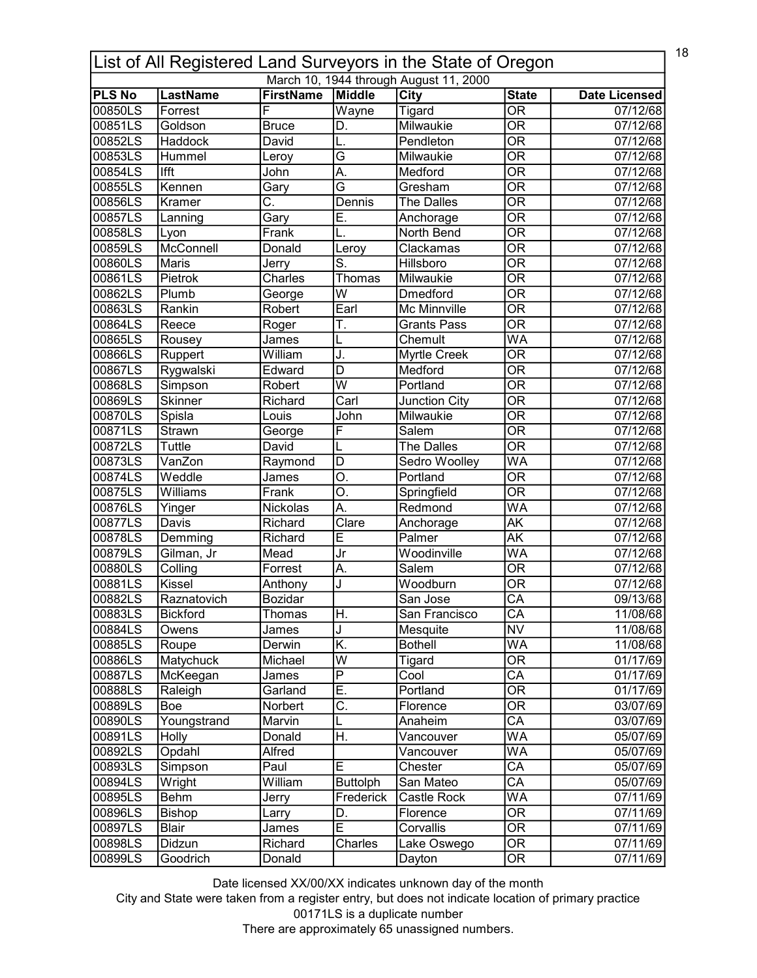| 18<br>List of All Registered Land Surveyors in the State of Oregon |                            |                         |                               |                                        |                                          |                                  |  |
|--------------------------------------------------------------------|----------------------------|-------------------------|-------------------------------|----------------------------------------|------------------------------------------|----------------------------------|--|
|                                                                    |                            |                         |                               | March 10, 1944 through August 11, 2000 |                                          |                                  |  |
| <b>PLS No</b><br>00850LS                                           | <b>LastName</b><br>Forrest | <b>FirstName</b><br>F   | Middle<br>Wayne               | <b>City</b><br>Tigard                  | <b>State</b><br>$\overline{\mathsf{OR}}$ | <b>Date Licensed</b><br>07/12/68 |  |
| 00851LS                                                            | Goldson                    | <b>Bruce</b>            | D.                            | Milwaukie                              | $\overline{\mathsf{OR}}$                 | 07/12/68                         |  |
| 00852LS                                                            | Haddock                    |                         |                               | Pendleton                              | $\overline{\mathsf{OR}}$                 | $\overline{07/12/68}$            |  |
|                                                                    |                            | David                   | L.<br>$\overline{\mathsf{G}}$ |                                        | $\overline{\mathsf{OR}}$                 |                                  |  |
| 00853LS                                                            | Hummel                     | Leroy                   |                               | Milwaukie                              |                                          | 07/12/68                         |  |
| 00854LS                                                            | <b>Ifft</b>                | John                    | A.                            | Medford                                | $\overline{\overline{\rm OR}}$           | 07/12/68                         |  |
| 00855LS                                                            | Kennen                     | Gary                    | $\overline{\mathsf{G}}$       | Gresham                                | $\overline{\mathsf{OR}}$                 | 07/12/68                         |  |
| 00856LS                                                            | Kramer                     | $\overline{\text{C}}$ . | Dennis                        | The Dalles                             | $\overline{\mathsf{OR}}$                 | 07/12/68                         |  |
| 00857LS                                                            | Lanning                    | Gary                    | Ē.                            | Anchorage                              | $\overline{\mathsf{OR}}$                 | 07/12/68                         |  |
| 00858LS                                                            | Lyon                       | $F$ rank                | L.                            | North Bend                             | $\overline{\mathsf{OR}}$                 | 07/12/68                         |  |
| 00859LS                                                            | McConnell                  | Donald                  | Leroy                         | Clackamas                              | $\overline{\mathsf{OR}}$                 | 07/12/68                         |  |
| 00860LS                                                            | Maris                      | Jerry                   | S.                            | Hillsboro                              | $\overline{\overline{\rm OR}}$           | 07/12/68                         |  |
| 00861LS                                                            | Pietrok                    | Charles                 | $\overline{\text{Thomas}}$    | Milwaukie                              | $\overline{\mathsf{OR}}$                 | 07/12/68                         |  |
| 00862LS                                                            | Plumb                      | George                  | W                             | <b>Dmedford</b>                        | $\overline{\overline{\rm OR}}$           | 07/12/68                         |  |
| 00863LS                                                            | Rankin                     | Robert                  | Earl                          | Mc Minnville                           | $\overline{\mathsf{OR}}$                 | 07/12/68                         |  |
| 00864LS                                                            | Reece                      | Roger                   | T.                            | <b>Grants Pass</b>                     | $\overline{\mathsf{OR}}$                 | 07/12/68                         |  |
| 00865LS                                                            | Rousey                     | James                   |                               | Chemult                                | $\overline{\mathsf{WA}}$                 | 07/12/68                         |  |
| 00866LS                                                            | Ruppert                    | William                 | J.                            | Myrtle Creek                           | <b>OR</b>                                | 07/12/68                         |  |
| 00867LS                                                            | Rygwalski                  | Edward                  | $\overline{\mathsf{D}}$       | Medford                                | $\overline{\mathsf{OR}}$                 | 07/12/68                         |  |
| 00868LS                                                            | Simpson                    | Robert                  | $\overline{\mathsf{w}}$       | Portland                               | <b>OR</b>                                | 07/12/68                         |  |
| 00869LS                                                            | <b>Skinner</b>             | Richard                 | Carl                          | Junction City                          | $\overline{\mathsf{OR}}$                 | 07/12/68                         |  |
| 00870LS                                                            | Spisla                     | Louis                   | John                          | Milwaukie                              | $\overline{\mathsf{OR}}$                 | 07/12/68                         |  |
| 00871LS                                                            | Strawn                     | George                  | F                             | Salem                                  | $\overline{\mathsf{OR}}$                 | 07/12/68                         |  |
| 00872LS                                                            | Tuttle                     | David                   |                               | The Dalles                             | $\overline{\mathsf{OR}}$                 | 07/12/68                         |  |
| 00873LS                                                            | VanZon                     | Raymond                 | $\overline{\mathsf{D}}$       | <b>Sedro Woolley</b>                   | $\overline{\mathsf{WA}}$                 | 07/12/68                         |  |
| 00874LS                                                            | Weddle                     | James                   | Ō.                            | Portland                               | $\overline{\mathsf{OR}}$                 | 07/12/68                         |  |
| 00875LS                                                            | Williams                   | Frank                   | Ō.                            | Springfield                            | $\overline{\mathsf{OR}}$                 | 07/12/68                         |  |
| 00876LS                                                            | Yinger                     | Nickolas                | $\overline{A}$ .              | Redmond                                | <b>WA</b>                                | 07/12/68                         |  |
| 00877LS                                                            | Davis                      | Richard                 | Clare                         | Anchorage                              | $\overline{\mathsf{AK}}$                 | 07/12/68                         |  |
| 00878LS                                                            | Demming                    | Richard                 | E                             | Palmer                                 | AΚ                                       | 07/12/68                         |  |
| 00879LS                                                            | Gilman, Jr                 | Mead                    | Jr                            | Woodinville                            | WA                                       | 07/12/68                         |  |
| 00880LS                                                            | Colling                    | Forrest                 | А.                            | Salem                                  | $\overline{\overline{\rm OR}}$           | 07/12/68                         |  |
| 00881LS                                                            | Kissel                     | Anthony                 | J                             | Woodburn                               | <b>OR</b>                                | 07/12/68                         |  |
| 00882LS                                                            | Raznatovich                | <b>Bozidar</b>          |                               | San Jose                               | $\overline{CA}$                          | 09/13/68                         |  |
| 00883LS                                                            | <b>Bickford</b>            | Thomas                  | H.                            | San Francisco                          | CA                                       | 11/08/68                         |  |
| 00884LS                                                            | Owens                      | James                   | J                             | Mesquite                               | $\overline{\text{NV}}$                   | 11/08/68                         |  |
| 00885LS                                                            | Roupe                      | Derwin                  | K.                            | <b>Bothell</b>                         | <b>WA</b>                                | 11/08/68                         |  |
| 00886LS                                                            | Matychuck                  | Michael                 | W                             | <b>Tigard</b>                          | <b>OR</b>                                | 01/17/69                         |  |
| 00887LS                                                            | McKeegan                   | James                   | $\overline{P}$                | Cool                                   | CA                                       | 01/17/69                         |  |
| 00888LS                                                            | Raleigh                    | Garland                 | Ē.                            | Portland                               | $\overline{\mathsf{OR}}$                 | $\overline{01/17/69}$            |  |
| 00889LS                                                            | Boe                        | Norbert                 | $\overline{\mathsf{C}}$ .     | Florence                               | 0R                                       | 03/07/69                         |  |
| 00890LS                                                            | Youngstrand                | Marvin                  |                               | Anaheim                                | $\overline{\mathsf{CA}}$                 | 03/07/69                         |  |
| 00891LS                                                            | Holly                      | Donald                  | H.                            | Vancouver                              | WA                                       | 05/07/69                         |  |
| 00892LS                                                            | Opdahl                     | Alfred                  |                               | Vancouver                              | WA                                       | 05/07/69                         |  |
| 00893LS                                                            | Simpson                    | Paul                    | E                             | Chester                                | СA                                       | 05/07/69                         |  |
| 00894LS                                                            | Wright                     | William                 | <b>Buttolph</b>               | San Mateo                              | СA                                       | 05/07/69                         |  |
| 00895LS                                                            | Behm                       | Jerry                   | Frederick                     | Castle Rock                            | WA                                       | 07/11/69                         |  |
| 00896LS                                                            | Bishop                     | Larry                   | D.                            | Florence                               | $\overline{\text{OR}}$                   | 07/11/69                         |  |
| 00897LS                                                            | Blair                      | James                   | Ē                             | Corvallis                              | $\overline{\mathsf{OR}}$                 | 07/11/69                         |  |
| 00898LS                                                            | Didzun                     | Richard                 | Charles                       | Lake Oswego                            | $\overline{\mathsf{OR}}$                 | 07/11/69                         |  |
| 00899LS                                                            | Goodrich                   | Donald                  |                               | Dayton                                 | $\overline{\text{OR}}$                   | 07/11/69                         |  |

City and State were taken from a register entry, but does not indicate location of primary practice 00171LS is a duplicate number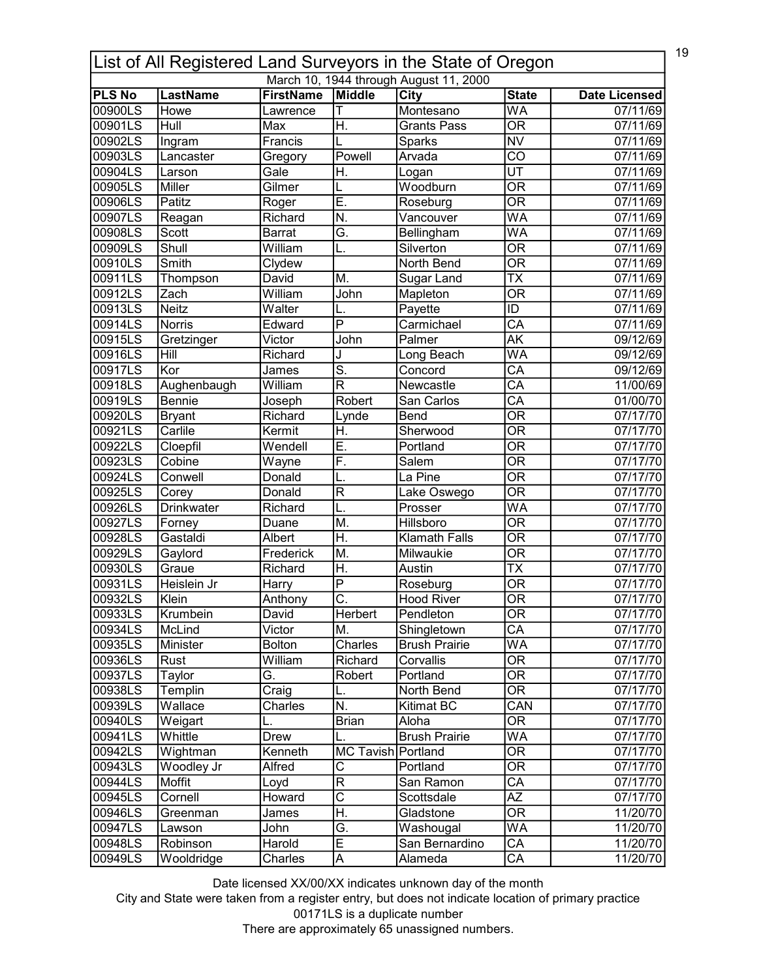| 19<br>List of All Registered Land Surveyors in the State of Oregon |                         |                              |                            |                                        |                                |                                  |  |
|--------------------------------------------------------------------|-------------------------|------------------------------|----------------------------|----------------------------------------|--------------------------------|----------------------------------|--|
|                                                                    |                         |                              |                            | March 10, 1944 through August 11, 2000 |                                |                                  |  |
| <b>PLS No</b><br>00900LS                                           | <b>LastName</b><br>Howe | <b>FirstName</b><br>Lawrence | Middle<br>т                | City<br>Montesano                      | <b>State</b><br>WA             | <b>Date Licensed</b><br>07/11/69 |  |
| 00901LS                                                            | Hull                    | Max                          | H.                         | <b>Grants Pass</b>                     | $\overline{\mathsf{OR}}$       | 07/11/69                         |  |
| 00902LS                                                            |                         |                              |                            |                                        | <b>NV</b>                      |                                  |  |
|                                                                    | Ingram                  | Francis                      |                            | Sparks                                 |                                | 07/11/69                         |  |
| 00903LS                                                            | Lancaster               | Gregory                      | Powell                     | Arvada                                 | $\overline{\text{co}}$         | 07/11/69                         |  |
| 00904LS                                                            | Larson                  | Gale                         | H.                         | Logan                                  | $\overline{\mathsf{UT}}$       | 07/11/69                         |  |
| 00905LS                                                            | Miller                  | Gilmer                       |                            | Woodburn                               | $\overline{\mathsf{OR}}$       | 07/11/69                         |  |
| 00906LS                                                            | Patitz                  | Roger                        | Ē.                         | Roseburg                               | $\overline{\mathsf{OR}}$       | 07/11/69                         |  |
| 00907LS                                                            | Reagan                  | Richard                      | N.                         | Vancouver                              | WA                             | 07/11/69                         |  |
| 00908LS                                                            | Scott                   | <b>Barrat</b>                | Ğ.                         | Bellingham                             | WA                             | 07/11/69                         |  |
| 00909LS                                                            | Shull                   | William                      | L.                         | Silverton                              | $\overline{\mathsf{OR}}$       | 07/11/69                         |  |
| 00910LS                                                            | Smith                   | Clydew                       |                            | North Bend                             | $\overline{\mathsf{OR}}$       | 07/11/69                         |  |
| 00911LS                                                            | Thompson                | David                        | M.                         | Sugar Land                             | TX                             | 07/11/69                         |  |
| 00912LS                                                            | Zach                    | William                      | $\overline{\mathsf{John}}$ | Mapleton                               | $\overline{\overline{\rm OR}}$ | 07/11/69                         |  |
| 00913LS                                                            | <b>Neitz</b>            | Walter                       |                            | Payette                                | ID                             | 07/11/69                         |  |
| 00914LS                                                            | <b>Norris</b>           | Edward                       | $\overline{P}$             | Carmichael                             | $\overline{\mathsf{CA}}$       | 07/11/69                         |  |
| 00915LS                                                            | Gretzinger              | Victor                       | John                       | Palmer                                 | $\overline{\mathsf{AK}}$       | 09/12/69                         |  |
| 00916LS                                                            | Hill                    | Richard                      | J                          | Long Beach                             | WA                             | 09/12/69                         |  |
| 00917LS                                                            | Kor                     | James                        | $\overline{\mathsf{s}}$ .  | Concord                                | $\overline{\mathsf{CA}}$       | 09/12/69                         |  |
| 00918LS                                                            | Aughenbaugh             | William                      | R                          | Newcastle                              | $\overline{CA}$                | 11/00/69                         |  |
| 00919LS                                                            | <b>Bennie</b>           | Joseph                       | Robert                     | San Carlos                             | $\overline{\mathsf{CA}}$       | 01/00/70                         |  |
| 00920LS                                                            | <b>Bryant</b>           | Richard                      | Lynde                      | <b>Bend</b>                            | $\overline{\mathsf{OR}}$       | 07/17/70                         |  |
| 00921LS                                                            | Carlile                 | Kermit                       | H.                         | Sherwood                               | $\overline{\mathsf{OR}}$       | 07/17/70                         |  |
| 00922LS                                                            | Cloepfil                | Wendell                      | Ē.                         | Portland                               | $\overline{\mathsf{OR}}$       | 07/17/70                         |  |
| 00923LS                                                            | Cobine                  | Wayne                        | F.                         | Salem                                  | $\overline{\mathsf{OR}}$       | 07/17/70                         |  |
| 00924LS                                                            | Conwell                 | Donald                       | L.                         | La Pine                                | $\overline{\mathsf{OR}}$       | 07/17/70                         |  |
| 00925LS                                                            | Corey                   | Donald                       | $\overline{\mathsf{R}}$    | Lake Oswego                            | $\overline{\mathsf{OR}}$       | 07/17/70                         |  |
| 00926LS                                                            | <b>Drinkwater</b>       | Richard                      | L.                         | Prosser                                | $\overline{\mathsf{WA}}$       | 07/17/70                         |  |
| 00927LS                                                            | Forney                  | Duane                        | M.                         | Hillsboro                              | $\overline{\mathsf{OR}}$       | 07/17/70                         |  |
| 00928LS                                                            | Gastaldi                | Albert                       | H.                         | <b>Klamath Falls</b>                   | $\overline{\mathsf{OR}}$       | 07/17/70                         |  |
| 00929LS                                                            | Gaylord                 | Frederick                    | M.                         | Milwaukie                              | <b>OR</b>                      | 07/17/70                         |  |
| 00930LS                                                            | Graue                   | Richard                      | Η.                         | Austin                                 | <b>TX</b>                      | 07/17/70                         |  |
| 00931LS                                                            | Heislein Jr             | Harry                        | $\overline{P}$             | Roseburg                               | $\overline{\mathsf{OR}}$       | 07/17/70                         |  |
| 00932LS                                                            | Klein                   | Anthony                      | $\overline{\text{c}}$      | <b>Hood River</b>                      | $\overline{OR}$                | 07/17/70                         |  |
| 00933LS                                                            | Krumbein                | David                        | Herbert                    | Pendleton                              | 0R                             | 07/17/70                         |  |
| 00934LS                                                            | McLind                  | Victor                       | M.                         | Shingletown                            | $\overline{\mathsf{CA}}$       | 07/17/70                         |  |
| 00935LS                                                            | Minister                | <b>Bolton</b>                | Charles                    | <b>Brush Prairie</b>                   | WA                             | 07/17/70                         |  |
| 00936LS                                                            | Rust                    | William                      | Richard                    | Corvallis                              | $\overline{\mathsf{OR}}$       | 07/17/70                         |  |
| 00937LS                                                            | Taylor                  | G.                           | Robert                     | Portland                               | <b>OR</b>                      | 07/17/70                         |  |
| 00938LS                                                            | Templin                 | Craig                        | L.                         | North Bend                             | $\overline{\mathsf{OR}}$       | 07/17/70                         |  |
| 00939LS                                                            | Wallace                 | Charles                      | N.                         | Kitimat BC                             | $\overline{\text{CAN}}$        | 07/17/70                         |  |
| 00940LS                                                            | Weigart                 |                              | <b>Brian</b>               | Aloha                                  | $\overline{\mathsf{OR}}$       | 07/17/70                         |  |
| 00941LS                                                            | Whittle                 | Drew                         | L.                         | <b>Brush Prairie</b>                   | WA                             | 07/17/70                         |  |
| 00942LS                                                            | Wightman                | Kenneth                      | MC Tavish Portland         |                                        | $\overline{\mathsf{OR}}$       | 07/17/70                         |  |
| 00943LS                                                            | Woodley Jr              | Alfred                       | С                          | Portland                               | OR                             | 07/17/70                         |  |
| 00944LS                                                            | Moffit                  | Loyd                         | $\overline{\mathsf{R}}$    | San Ramon                              | СA                             | 07/17/70                         |  |
| 00945LS                                                            | Cornell                 | Howard                       | $\overline{\text{c}}$      | Scottsdale                             | ΑZ                             |                                  |  |
| 00946LS                                                            |                         | James                        | H.                         | Gladstone                              | $\overline{\mathsf{OR}}$       | 07/17/70<br>11/20/70             |  |
|                                                                    | Greenman                |                              | Ğ.                         |                                        | WA                             |                                  |  |
| 00947LS                                                            | Lawson                  | John                         | Ē                          | Washougal                              |                                | 11/20/70                         |  |
| 00948LS                                                            | Robinson                | Harold                       |                            | San Bernardino                         | $\overline{\mathsf{CA}}$       | 11/20/70                         |  |
| 00949LS                                                            | Wooldridge              | Charles                      | A                          | Alameda                                | СA                             | 11/20/70                         |  |

City and State were taken from a register entry, but does not indicate location of primary practice 00171LS is a duplicate number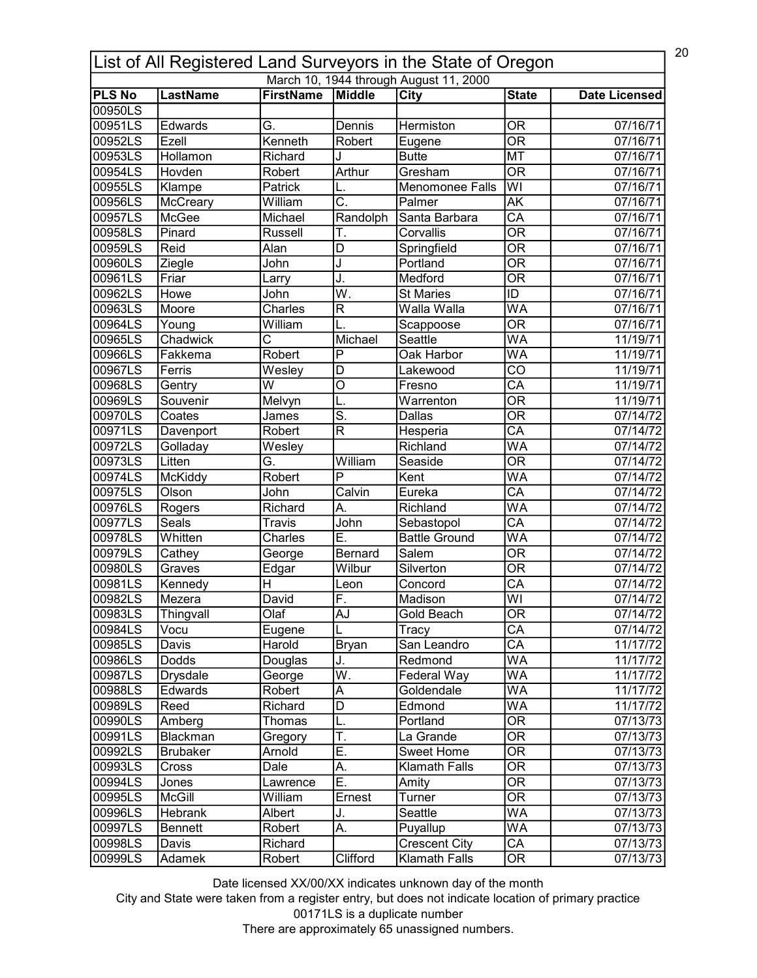| 20<br>List of All Registered Land Surveyors in the State of Oregon |                 |                  |                           |                                        |                                                      |                      |  |
|--------------------------------------------------------------------|-----------------|------------------|---------------------------|----------------------------------------|------------------------------------------------------|----------------------|--|
|                                                                    |                 |                  |                           | March 10, 1944 through August 11, 2000 |                                                      |                      |  |
| <b>PLS No</b><br>00950LS                                           | <b>LastName</b> | <b>FirstName</b> | Middle                    | <b>City</b>                            | <b>State</b>                                         | <b>Date Licensed</b> |  |
| 00951LS                                                            | Edwards         | G.               | Dennis                    | Hermiston                              | <b>OR</b>                                            | 07/16/71             |  |
| 00952LS                                                            | Ezell           | Kenneth          | Robert                    |                                        | $\overline{\mathsf{OR}}$                             | 07/16/71             |  |
| 00953LS                                                            | Hollamon        | Richard          |                           | Eugene<br><b>Butte</b>                 | <b>MT</b>                                            | 07/16/71             |  |
|                                                                    |                 |                  | Arthur                    | Gresham                                | $\overline{\overline{\rm OR}}$                       |                      |  |
| 00954LS<br>00955LS                                                 | Hovden          | Robert           |                           |                                        | $\overline{\mathsf{W}}$                              | 07/16/71             |  |
|                                                                    | Klampe          | Patrick          | $\overline{\mathsf{C}}$ . | Menomonee Falls                        |                                                      | 07/16/71             |  |
| 00956LS                                                            | McCreary        | William          |                           | Palmer                                 | $\overline{\mathsf{AK}}$                             | 07/16/71             |  |
| 00957LS                                                            | McGee           | Michael          | Randolph                  | Santa Barbara                          | $\overline{\mathsf{CA}}$<br>$\overline{\mathsf{OR}}$ | 07/16/71             |  |
| 00958LS                                                            | Pinard          | Russell          | Т.                        | Corvallis                              |                                                      | 07/16/71             |  |
| 00959LS                                                            | Reid            | Alan             | D                         | Springfield                            | $\overline{\mathsf{OR}}$                             | 07/16/71             |  |
| 00960LS                                                            | Ziegle          | John             | J                         | Portland                               | $\overline{\mathsf{OR}}$                             | 07/16/71             |  |
| 00961LS                                                            | Friar           | Larry            | J.                        | Medford                                | $\overline{\mathsf{OR}}$                             | 07/16/71             |  |
| 00962LS                                                            | Howe            | John             | $\overline{\mathsf{W}}.$  | <b>St Maries</b>                       | ID                                                   | 07/16/71             |  |
| 00963LS                                                            | Moore           | Charles          | R                         | Walla Walla                            | <b>WA</b>                                            | 07/16/71             |  |
| 00964LS                                                            | Young           | William          |                           | Scappoose                              | $\overline{\overline{\rm OR}}$                       | 07/16/71             |  |
| 00965LS                                                            | Chadwick        | Ċ                | Michael                   | Seattle                                | $\overline{\mathsf{WA}}$                             | 11/19/71             |  |
| 00966LS                                                            | Fakkema         | Robert           | P                         | Oak Harbor                             | <b>WA</b>                                            | 11/19/71             |  |
| 00967LS                                                            | Ferris          | Wesley           | $\overline{\mathsf{D}}$   | Lakewood                               | $\overline{\text{co}}$                               | 11/19/71             |  |
| 00968LS                                                            | Gentry          | W                | O                         | Fresno                                 | CA                                                   | 11/19/71             |  |
| 00969LS                                                            | Souvenir        | Melvyn           | L.                        | Warrenton                              | $\overline{\mathsf{OR}}$                             | 11/19/71             |  |
| 00970LS                                                            | Coates          | James            | $\overline{\mathsf{s}}$ . | Dallas                                 | $\overline{\mathsf{OR}}$                             | 07/14/72             |  |
| 00971LS                                                            | Davenport       | Robert           | $\overline{\mathsf{R}}$   | Hesperia                               | $\overline{\text{CA}}$                               | 07/14/72             |  |
| 00972LS                                                            | Golladay        | Wesley           |                           | Richland                               | WA                                                   | 07/14/72             |  |
| 00973LS                                                            | Litten          | Ğ.               | William                   | Seaside                                | $\overline{\mathsf{OR}}$                             | 07/14/72             |  |
| 00974LS                                                            | McKiddy         | Robert           | $\overline{\mathsf{P}}$   | Kent                                   | $\overline{\mathsf{WA}}$                             | 07/14/72             |  |
| 00975LS                                                            | Olson           | John             | Calvin                    | Eureka                                 | $\overline{\text{CA}}$                               | 07/14/72             |  |
| 00976LS                                                            | Rogers          | Richard          | A.                        | Richland                               | WA                                                   | 07/14/72             |  |
| 00977LS                                                            | Seals           | Travis           | John                      | Sebastopol                             | $\overline{\mathsf{CA}}$                             | 07/14/72             |  |
| 00978LS                                                            | Whitten         | Charles          | Ε.                        | <b>Battle Ground</b>                   | WA                                                   | 07/14/72             |  |
| 00979LS                                                            | Cathey          | George           | Bernard                   | Salem                                  | $\overline{\overline{\rm OR}}$                       | 07/14/72             |  |
| 00980LS                                                            | Graves          | Edgar            | Wilbur                    | Silverton                              | $\overline{\overline{\rm OR}}$                       | 07/14/72             |  |
| 00981LS                                                            | Kennedy         | H                | Leon                      | Concord                                | CA                                                   | 07/14/72             |  |
| 00982LS                                                            | Mezera          | David            | F                         | Madison                                | $\overline{\mathsf{W}}$                              | 07/14/72             |  |
| 00983LS                                                            | Thingvall       | Olaf             | AJ                        | Gold Beach                             | 0R                                                   | 07/14/72             |  |
| 00984LS                                                            | Vocu            | Eugene           |                           | Tracy                                  | $\overline{CA}$                                      | 07/14/72             |  |
| 00985LS                                                            | Davis           | Harold           | <b>Bryan</b>              | San Leandro                            | CA                                                   | 11/17/72             |  |
| 00986LS                                                            | Dodds           | Douglas          | J.                        | Redmond                                | WA                                                   | 11/17/72             |  |
| 00987LS                                                            | Drysdale        | George           | $\overline{\mathsf{W}}$ . | Federal Way                            | WA                                                   | 11/17/72             |  |
| 00988LS                                                            | Edwards         | Robert           | A                         | Goldendale                             | WA                                                   | 11/17/72             |  |
| 00989LS                                                            | Reed            | Richard          | D                         | Edmond                                 | WA                                                   | 11/17/72             |  |
| 00990LS                                                            | Amberg          | Thomas           |                           | Portland                               | $\overline{\mathsf{OR}}$                             | 07/13/73             |  |
| 00991LS                                                            | Blackman        | Gregory          | T.                        | La Grande                              | OR                                                   | 07/13/73             |  |
| 00992LS                                                            | <b>Brubaker</b> | Arnold           | Ē.                        | Sweet Home                             | $\overline{\mathsf{OR}}$                             | 07/13/73             |  |
| 00993LS                                                            | Cross           | Dale             | А.                        | Klamath Falls                          | OR                                                   | 07/13/73             |  |
| 00994LS                                                            | Jones           | Lawrence         | Ε.                        | Amity                                  | OR                                                   | 07/13/73             |  |
| 00995LS                                                            | <b>McGill</b>   | William          | Ernest                    | Turner                                 | 0R                                                   | 07/13/73             |  |
| 00996LS                                                            | Hebrank         | Albert           | J.                        | Seattle                                | WA                                                   | 07/13/73             |  |
| 00997LS                                                            | Bennett         | Robert           | А.                        | Puyallup                               | WA                                                   | 07/13/73             |  |
| 00998LS                                                            | Davis           | Richard          |                           | <b>Crescent City</b>                   | $\overline{\mathsf{CA}}$                             | 07/13/73             |  |
| 00999LS                                                            | Adamek          | Robert           | Clifford                  | <b>Klamath Falls</b>                   | $\overline{\text{OR}}$                               | 07/13/73             |  |
|                                                                    |                 |                  |                           |                                        |                                                      |                      |  |

City and State were taken from a register entry, but does not indicate location of primary practice 00171LS is a duplicate number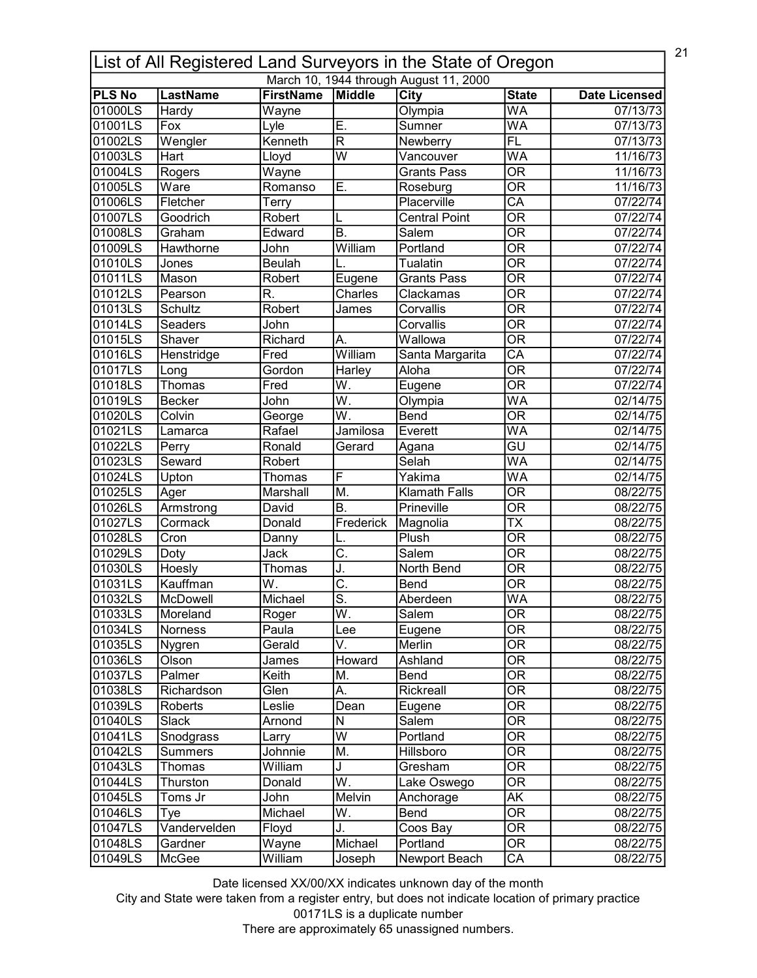| 21<br>List of All Registered Land Surveyors in the State of Oregon |                 |                  |                           |                                        |                                          |                      |  |
|--------------------------------------------------------------------|-----------------|------------------|---------------------------|----------------------------------------|------------------------------------------|----------------------|--|
|                                                                    |                 |                  |                           | March 10, 1944 through August 11, 2000 |                                          |                      |  |
| <b>PLS No</b><br>01000LS                                           | <b>LastName</b> | <b>FirstName</b> | Middle                    | City                                   | <b>State</b><br>$\overline{\mathsf{WA}}$ | <b>Date Licensed</b> |  |
|                                                                    | Hardy           | Wayne            | E.                        | Olympia                                | <b>WA</b>                                | 07/13/73             |  |
| 01001LS                                                            | Fox             | Lyle             |                           | Sumner                                 |                                          | 07/13/73             |  |
| 01002LS                                                            | Wengler         | Kenneth          | $\overline{\mathsf{R}}$   | Newberry                               | <b>FL</b>                                | 07/13/73             |  |
| 01003LS                                                            | Hart            | Lloyd            | $\overline{\mathsf{w}}$   | Vancouver                              | $\overline{\mathsf{WA}}$                 | 11/16/73             |  |
| 01004LS                                                            | Rogers          | Wayne            |                           | <b>Grants Pass</b>                     | $\overline{\overline{\rm OR}}$           | 11/16/73             |  |
| 01005LS                                                            | Ware            | Romanso          | Ē.                        | Roseburg                               | $\overline{\mathsf{OR}}$                 | 11/16/73             |  |
| 01006LS                                                            | Fletcher        | Terry            |                           | Placerville                            | $\overline{\mathsf{CA}}$                 | 07/22/74             |  |
| 01007LS                                                            | Goodrich        | Robert           | L                         | <b>Central Point</b>                   | $\overline{\mathsf{OR}}$                 | 07/22/74             |  |
| 01008LS                                                            | Graham          | Edward           | B.                        | Salem                                  | $\overline{\mathsf{OR}}$                 | 07/22/74             |  |
| 01009LS                                                            | Hawthorne       | John             | William                   | Portland                               | $\overline{\mathsf{OR}}$                 | 07/22/74             |  |
| 01010LS                                                            | Jones           | <b>Beulah</b>    |                           | Tualatin                               | $\overline{\mathsf{OR}}$                 | 07/22/74             |  |
| 01011LS                                                            | Mason           | Robert           | Eugene                    | <b>Grants Pass</b>                     | $\overline{\mathsf{OR}}$                 | 07/22/74             |  |
| 01012LS                                                            | Pearson         | R.               | Charles                   | Clackamas                              | $\overline{\overline{\rm OR}}$           | 07/22/74             |  |
| 01013LS                                                            | <b>Schultz</b>  | Robert           | James                     | Corvallis                              | $\overline{\mathsf{OR}}$                 | 07/22/74             |  |
| 01014LS                                                            | Seaders         | John             |                           | Corvallis                              | $\overline{\overline{\rm OR}}$           | 07/22/74             |  |
| 01015LS                                                            | Shaver          | Richard          | А.                        | Wallowa                                | $\overline{\mathsf{OR}}$                 | 07/22/74             |  |
| 01016LS                                                            | Henstridge      | Fred             | William                   | Santa Margarita                        | CA                                       | 07/22/74             |  |
| 01017LS                                                            | Long            | Gordon           | Harley                    | Aloha                                  | $\overline{\mathsf{OR}}$                 | 07/22/74             |  |
| 01018LS                                                            | Thomas          | Fred             | W.                        | Eugene                                 | <b>OR</b>                                | 07/22/74             |  |
| 01019LS                                                            | <b>Becker</b>   | John             | $\overline{\mathsf{W}}$ . | Olympia                                | $\overline{\mathsf{WA}}$                 | 02/14/75             |  |
| 01020LS                                                            | Colvin          | George           | $\overline{\mathsf{W}}$ . | <b>Bend</b>                            | $\overline{\mathsf{OR}}$                 | 02/14/75             |  |
| 01021LS                                                            | Lamarca         | Rafael           | Jamilosa                  | Everett                                | $\overline{\mathsf{WA}}$                 | 02/14/75             |  |
| 01022LS                                                            | Perry           | Ronald           | Gerard                    | Agana                                  | $\overline{\mathsf{GU}}$                 | 02/14/75             |  |
| 01023LS                                                            | Seward          | Robert           |                           | Selah                                  | $\overline{\mathsf{WA}}$                 | 02/14/75             |  |
| 01024LS                                                            | Upton           | Thomas           | F                         | Yakima                                 | $\overline{\mathsf{WA}}$                 | 02/14/75             |  |
| 01025LS                                                            | Ager            | Marshall         | M.                        | <b>Klamath Falls</b>                   | $\overline{\mathsf{OR}}$                 | 08/22/75             |  |
| 01026LS                                                            | Armstrong       | David            | B.                        | Prineville                             | $\overline{\mathsf{OR}}$                 | 08/22/75             |  |
| 01027LS                                                            | Cormack         | Donald           | Frederick                 | Magnolia                               | $\overline{\mathsf{TX}}$                 | 08/22/75             |  |
| 01028LS                                                            | Cron            | Danny            | L.                        | Plush                                  | $\overline{\mathsf{OR}}$                 | 08/22/75             |  |
| 01029LS                                                            | Doty            | Jack             | C.                        | Salem                                  | $\overline{\mathsf{OR}}$                 | 08/22/75             |  |
| 01030LS                                                            | Hoesly          | Thomas           | J.                        | North Bend                             | $\overline{\overline{\rm OR}}$           | 08/22/75             |  |
| 01031LS                                                            | Kauffman        | W.               | C.                        | Bend                                   | $\overline{\mathsf{OR}}$                 | 08/22/75             |  |
| 101032LS                                                           | McDowell        | Michael          | $\overline{\mathsf{s}}$   | Aberdeen                               | <b>WA</b>                                | 08/22/75             |  |
| 01033LS                                                            | Moreland        | Roger            | W.                        | Salem                                  | OR                                       | 08/22/75             |  |
| 01034LS                                                            |                 | Paula            |                           |                                        | $\overline{\overline{\rm OR}}$           |                      |  |
|                                                                    | Norness         |                  | Lee<br>V.                 | Eugene                                 |                                          | 08/22/75             |  |
| 01035LS                                                            | Nygren          | Gerald           |                           | Merlin                                 | <b>OR</b>                                | 08/22/75             |  |
| 01036LS                                                            | Olson           | James            | Howard                    | Ashland                                | $\overline{\overline{\rm OR}}$           | 08/22/75             |  |
| 01037LS                                                            | Palmer          | Keith            | M.                        | <b>Bend</b>                            | <b>OR</b>                                | 08/22/75             |  |
| 01038LS                                                            | Richardson      | Glen             | Α.                        | Rickreall                              | $\overline{\mathsf{OR}}$                 | 08/22/75             |  |
| 01039LS                                                            | Roberts         | Leslie           | Dean                      | Eugene                                 | OR                                       | 08/22/75             |  |
| 01040LS                                                            | Slack           | Arnond           | N                         | Salem                                  | $\overline{\mathsf{OR}}$                 | 08/22/75             |  |
| 01041LS                                                            | Snodgrass       | Larry            | W                         | Portland                               | OR                                       | 08/22/75             |  |
| 01042LS                                                            | <b>Summers</b>  | Johnnie          | M.                        | Hillsboro                              | $\overline{\mathsf{OR}}$                 | 08/22/75             |  |
| 01043LS                                                            | Thomas          | William          | J                         | Gresham                                | <b>OR</b>                                | 08/22/75             |  |
| 01044LS                                                            | Thurston        | Donald           | $\overline{W}$ .          | Lake Oswego                            | $\overline{\mathsf{OR}}$                 | 08/22/75             |  |
| 01045LS                                                            | Toms Jr         | John             | Melvin                    | Anchorage                              | AK                                       | 08/22/75             |  |
| 01046LS                                                            | Tye             | Michael          | W.                        | Bend                                   | $\overline{\text{OR}}$                   | 08/22/75             |  |
| 01047LS                                                            | Vandervelden    | Floyd            | J.                        | Coos Bay                               | $\overline{\mathsf{OR}}$                 | 08/22/75             |  |
| 01048LS                                                            | Gardner         | Wayne            | Michael                   | Portland                               | $\overline{\text{OR}}$                   | 08/22/75             |  |
| 01049LS                                                            | McGee           | William          | Joseph                    | Newport Beach                          | CA                                       | 08/22/75             |  |

City and State were taken from a register entry, but does not indicate location of primary practice 00171LS is a duplicate number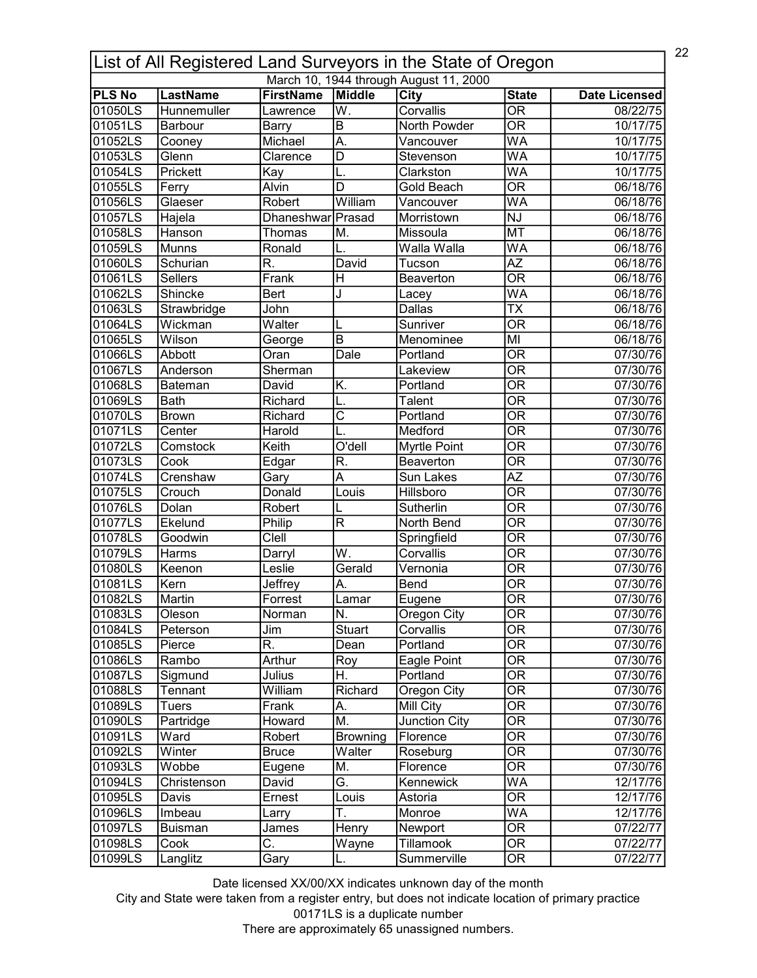|                          | 22<br>List of All Registered Land Surveyors in the State of Oregon |                         |                           |                                        |                                          |                      |  |  |
|--------------------------|--------------------------------------------------------------------|-------------------------|---------------------------|----------------------------------------|------------------------------------------|----------------------|--|--|
|                          |                                                                    |                         |                           | March 10, 1944 through August 11, 2000 |                                          |                      |  |  |
| <b>PLS No</b><br>01050LS | <b>LastName</b><br>Hunnemuller                                     | <b>FirstName</b>        | Middle<br>W.              | City<br>Corvallis                      | <b>State</b><br>$\overline{\mathsf{OR}}$ | <b>Date Licensed</b> |  |  |
| 01051LS                  |                                                                    | Lawrence                | $\overline{B}$            | <b>North Powder</b>                    | $\overline{\mathsf{OR}}$                 | 08/22/75             |  |  |
|                          | Barbour                                                            | <b>Barry</b>            |                           |                                        |                                          | 10/17/75             |  |  |
| 01052LS                  | Cooney                                                             | Michael                 | A.                        | Vancouver                              | WA                                       | 10/17/75             |  |  |
| 01053LS                  | Glenn                                                              | Clarence                | $\overline{D}$            | Stevenson                              | WA                                       | 10/17/75             |  |  |
| 01054LS                  | Prickett                                                           | Kay                     | L.                        | Clarkston                              | WA                                       | 10/17/75             |  |  |
| 01055LS                  | Ferry                                                              | Alvin                   | $\overline{\mathsf{D}}$   | Gold Beach                             | $\overline{\mathsf{OR}}$                 | 06/18/76             |  |  |
| 01056LS                  | Glaeser                                                            | Robert                  | William                   | Vancouver                              | WA                                       | 06/18/76             |  |  |
| 01057LS                  | Hajela                                                             | Dhaneshwar Prasad       |                           | Morristown                             | $\overline{N}$                           | 06/18/76             |  |  |
| 01058LS                  | Hanson                                                             | Thomas                  | M.                        | Missoula                               | <b>MT</b>                                | 06/18/76             |  |  |
| 01059LS                  | <b>Munns</b>                                                       | Ronald                  |                           | Walla Walla                            | WA                                       | 06/18/76             |  |  |
| 01060LS                  | Schurian                                                           | R.                      | David                     | Tucson                                 | $\overline{AZ}$                          | 06/18/76             |  |  |
| 01061LS                  | <b>Sellers</b>                                                     | Frank                   | Η                         | Beaverton                              | $\overline{\mathsf{OR}}$                 | 06/18/76             |  |  |
| 01062LS                  | Shincke                                                            | <b>Bert</b>             | J                         | Lacey                                  | $\overline{\mathsf{WA}}$                 | 06/18/76             |  |  |
| 01063LS                  | Strawbridge                                                        | John                    |                           | Dallas                                 | <b>TX</b>                                | 06/18/76             |  |  |
| 01064LS                  | Wickman                                                            | Walter                  | L                         | Sunriver                               | $\overline{\mathsf{OR}}$                 | 06/18/76             |  |  |
| 01065LS                  | Wilson                                                             | George                  | B                         | Menominee                              | MІ                                       | 06/18/76             |  |  |
| 01066LS                  | Abbott                                                             | Oran                    | Dale                      | Portland                               | <b>OR</b>                                | 07/30/76             |  |  |
| 01067LS                  | Anderson                                                           | Sherman                 |                           | Lakeview                               | $\overline{\mathsf{OR}}$                 | 07/30/76             |  |  |
| 01068LS                  | Bateman                                                            | David                   | K.                        | Portland                               | <b>OR</b>                                | 07/30/76             |  |  |
| 01069LS                  | <b>Bath</b>                                                        | Richard                 | L.                        | <b>Talent</b>                          | $\overline{\mathsf{OR}}$                 | 07/30/76             |  |  |
| 01070LS                  | <b>Brown</b>                                                       | Richard                 | $\overline{\text{c}}$     | Portland                               | $\overline{\mathsf{OR}}$                 | 07/30/76             |  |  |
| 01071LS                  | Center                                                             | Harold                  |                           | Medford                                | $\overline{\mathsf{OR}}$                 | 07/30/76             |  |  |
| 01072LS                  | Comstock                                                           | Keith                   | $O$ 'dell                 | <b>Myrtle Point</b>                    | $\overline{\mathsf{OR}}$                 | 07/30/76             |  |  |
| 01073LS                  | Cook                                                               | Edgar                   | $\overline{\mathsf{R}}$ . | Beaverton                              | $\overline{\mathsf{OR}}$                 | 07/30/76             |  |  |
| 01074LS                  | Crenshaw                                                           | Gary                    | А                         | Sun Lakes                              | $\overline{AZ}$                          | 07/30/76             |  |  |
| 01075LS                  | Crouch                                                             | Donald                  | Louis                     | Hillsboro                              | $\overline{\mathsf{OR}}$                 | 07/30/76             |  |  |
| 01076LS                  | Dolan                                                              | Robert                  |                           | Sutherlin                              | $\overline{\mathsf{OR}}$                 | 07/30/76             |  |  |
| 01077LS                  | Ekelund                                                            | Philip                  | $\overline{\mathsf{R}}$   | North Bend                             | $\overline{\mathsf{OR}}$                 | 07/30/76             |  |  |
| 01078LS                  | Goodwin                                                            | Clell                   |                           | Springfield                            | $\overline{\mathsf{OR}}$                 | 07/30/76             |  |  |
| 01079LS                  | <b>Harms</b>                                                       | Darryl                  | W.                        | Corvallis                              | $\overline{\mathsf{OR}}$                 | 07/30/76             |  |  |
| 01080LS                  | Keenon                                                             | Leslie                  | Gerald                    | Vernonia                               | $\overline{\overline{\rm OR}}$           | 07/30/76             |  |  |
| 01081LS                  | Kern                                                               | Jeffrey                 | А.                        | Bend                                   | <b>OR</b>                                | 07/30/76             |  |  |
| 01082LS                  | Martin                                                             | Forrest                 | Lamar                     | Eugene                                 | $\overline{OR}$                          | 07/30/76             |  |  |
| 01083LS                  | Oleson                                                             | Norman                  | N.                        | Oregon City                            | OR                                       | 07/30/76             |  |  |
| 01084LS                  | Peterson                                                           | Jim                     | <b>Stuart</b>             | Corvallis                              | $\overline{\mathsf{OR}}$                 | 07/30/76             |  |  |
| 01085LS                  | Pierce                                                             | R.                      | Dean                      | Portland                               | <b>OR</b>                                | 07/30/76             |  |  |
| 01086LS                  | Rambo                                                              | Arthur                  | Roy                       | Eagle Point                            | $\overline{\overline{\rm OR}}$           | 07/30/76             |  |  |
| 01087LS                  | Sigmund                                                            | Julius                  | Η.                        | Portland                               | $\overline{\overline{\rm OR}}$           | 07/30/76             |  |  |
| 01088LS                  | Tennant                                                            | William                 | Richard                   | Oregon City                            | $\overline{\mathsf{OR}}$                 | 07/30/76             |  |  |
| 01089LS                  | <b>Tuers</b>                                                       | Frank                   | А.                        | Mill City                              | $\overline{\mathsf{OR}}$                 | 07/30/76             |  |  |
| 01090LS                  | Partridge                                                          | Howard                  | M.                        | Junction City                          | OR                                       | 07/30/76             |  |  |
| 01091LS                  | Ward                                                               | Robert                  | <b>Browning</b>           | Florence                               | OR                                       | 07/30/76             |  |  |
| 01092LS                  | Winter                                                             | <b>Bruce</b>            | Walter                    | Roseburg                               | $\overline{\mathsf{OR}}$                 | 07/30/76             |  |  |
| 01093LS                  | Wobbe                                                              | Eugene                  | M.                        | Florence                               | 0R                                       | 07/30/76             |  |  |
| 01094LS                  | Christenson                                                        | David                   | G.                        | Kennewick                              | <b>WA</b>                                | 12/17/76             |  |  |
| 01095LS                  | Davis                                                              | Ernest                  | Louis                     | Astoria                                | 0R                                       | 12/17/76             |  |  |
| 01096LS                  | Imbeau                                                             | Larry                   | Т.                        | Monroe                                 | WA                                       | 12/17/76             |  |  |
| 01097LS                  | Buisman                                                            | James                   | <b>Henry</b>              | Newport                                | $\overline{\mathsf{OR}}$                 | 07/22/77             |  |  |
| 01098LS                  | Cook                                                               | $\overline{\text{C}}$ . | Wayne                     | <b>Tillamook</b>                       | $\overline{\text{OR}}$                   | 07/22/77             |  |  |
|                          |                                                                    |                         |                           |                                        |                                          |                      |  |  |
| 01099LS                  | Langlitz                                                           | Gary                    |                           | Summerville                            | $\overline{\text{OR}}$                   | 07/22/77             |  |  |

City and State were taken from a register entry, but does not indicate location of primary practice 00171LS is a duplicate number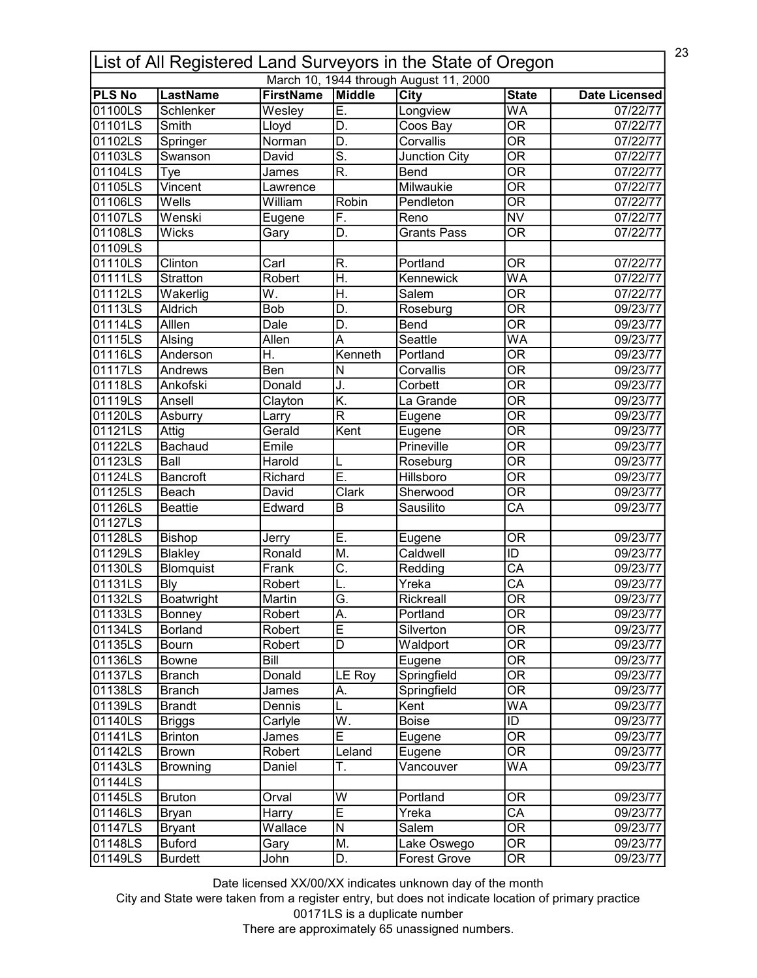| 23<br>List of All Registered Land Surveyors in the State of Oregon |                  |                            |                           |                                        |                                |                                  |  |
|--------------------------------------------------------------------|------------------|----------------------------|---------------------------|----------------------------------------|--------------------------------|----------------------------------|--|
|                                                                    | <b>LastName</b>  |                            |                           | March 10, 1944 through August 11, 2000 |                                |                                  |  |
| <b>PLS No</b><br>01100LS                                           | Schlenker        | <b>FirstName</b><br>Wesley | <b>Middle</b><br>E.       | City<br>Longview                       | <b>State</b><br>WA             | <b>Date Licensed</b><br>07/22/77 |  |
| 01101LS                                                            | Smith            |                            | D.                        | Coos Bay                               | $\overline{\mathsf{OR}}$       | 07/22/77                         |  |
|                                                                    |                  | Lloyd                      |                           |                                        |                                |                                  |  |
| 01102LS                                                            | Springer         | Norman                     | D.                        | Corvallis                              | $\overline{\overline{\rm OR}}$ | 07/22/77                         |  |
| 01103LS                                                            | Swanson          | David                      | $\overline{\mathsf{s}}$ . | <b>Junction City</b>                   | $\overline{\mathsf{OR}}$       | 07/22/77                         |  |
| 01104LS                                                            | Tye              | James                      | R.                        | <b>Bend</b>                            | $\overline{\mathsf{OR}}$       | 07/22/77                         |  |
| 01105LS                                                            | Vincent          | Lawrence                   |                           | Milwaukie                              | $\overline{\mathsf{OR}}$       | 07/22/77                         |  |
| 01106LS                                                            | Wells            | William                    | Robin                     | Pendleton                              | $\overline{\mathsf{OR}}$       | 07/22/77                         |  |
| 01107LS                                                            | Wenski           | Eugene                     | $\overline{F}$ .          | Reno                                   | <b>NV</b>                      | 07/22/77                         |  |
| 01108LS                                                            | <b>Wicks</b>     | Gary                       | D.                        | Grants Pass                            | <b>OR</b>                      | 07/22/77                         |  |
| 01109LS                                                            |                  |                            |                           |                                        |                                |                                  |  |
| 01110LS                                                            | Clinton          | Carl                       | R.                        | Portland                               | <b>OR</b>                      | 07/22/77                         |  |
| 01111LS                                                            | <b>Stratton</b>  | Robert                     | Η.                        | Kennewick                              | WA                             | 07/22/77                         |  |
| 01112LS                                                            | Wakerlig         | W.                         | H.                        | Salem                                  | $\overline{\overline{\rm OR}}$ | 07/22/77                         |  |
| 01113LS                                                            | Aldrich          | Bob                        | D.                        | Roseburg                               | $\overline{\text{OR}}$         | 09/23/77                         |  |
| 01114LS                                                            | Alllen           | Dale                       | D.                        | Bend                                   | $\overline{\overline{\rm OR}}$ | 09/23/77                         |  |
| 01115LS                                                            | Alsing           | Allen                      | А                         | Seattle                                | WA                             | 09/23/77                         |  |
| 01116LS                                                            | Anderson         | Η.                         | Kenneth                   | Portland                               | <b>OR</b>                      | 09/23/77                         |  |
| 01117LS                                                            | Andrews          | $\overline{Ben}$           | N                         | Corvallis                              | $\overline{\mathsf{OR}}$       | 09/23/77                         |  |
| 01118LS                                                            | Ankofski         | Donald                     | J.                        | Corbett                                | <b>OR</b>                      | 09/23/77                         |  |
| 01119LS                                                            | Ansell           | Clayton                    | K.                        | La Grande                              | $\overline{\mathsf{OR}}$       | 09/23/77                         |  |
| 01120LS                                                            | Asburry          | Larry                      | $\overline{\mathsf{R}}$   | Eugene                                 | $\overline{\mathsf{OR}}$       | 09/23/77                         |  |
| 01121LS                                                            | Attig            | Gerald                     | Kent                      | Eugene                                 | $\overline{\mathsf{OR}}$       | 09/23/77                         |  |
| 01122LS                                                            | Bachaud          | Emile                      |                           | Prineville                             | $\overline{\mathsf{OR}}$       | 09/23/77                         |  |
| 01123LS                                                            | Ball             | Harold                     |                           | Roseburg                               | $\overline{\mathsf{OR}}$       | 09/23/77                         |  |
|                                                                    |                  |                            | L<br>Ē.                   | <b>Hillsboro</b>                       | $\overline{\mathsf{OR}}$       |                                  |  |
| 01124LS                                                            | <b>Bancroft</b>  | Richard                    |                           |                                        | $\overline{\mathsf{OR}}$       | 09/23/77                         |  |
| 01125LS                                                            | Beach            | David                      | <b>Clark</b>              | Sherwood                               |                                | 09/23/77                         |  |
| 01126LS                                                            | <b>Beattie</b>   | Edward                     | B                         | Sausilito                              | $\overline{\text{CA}}$         | 09/23/77                         |  |
| 01127LS                                                            |                  |                            |                           |                                        |                                |                                  |  |
| 01128LS                                                            | <b>Bishop</b>    | Jerry                      | Ε.                        | Eugene                                 | OR                             | 09/23/77                         |  |
| 01129LS                                                            | Blakley          | Ronald                     | M.                        | Caldwell                               | ID                             | 09/23/77                         |  |
| 01130LS                                                            | <b>Blomquist</b> | Frank                      | $\overline{\mathsf{C}}$ . | Redding                                | $\overline{\mathsf{CA}}$       | 09/23/77                         |  |
| 01131LS                                                            | <b>Bly</b>       | Robert                     |                           | Yreka                                  | $\overline{\text{CA}}$         | 09/23/77                         |  |
| 01132LS                                                            | Boatwright       | Martin                     | G                         | Rickreall                              | $\overline{\text{OR}}$         | 09/23/77                         |  |
| 01133LS                                                            | Bonney           | Robert                     | A.                        | Portland                               | 0R                             | 09/23/77                         |  |
| 01134LS                                                            | Borland          | Robert                     | E                         | Silverton                              | $\overline{\overline{\rm OR}}$ | 09/23/77                         |  |
| 01135LS                                                            | Bourn            | Robert                     | D                         | Waldport                               | <b>OR</b>                      | 09/23/77                         |  |
| 01136LS                                                            | Bowne            | Bill                       |                           | Eugene                                 | $\overline{\mathsf{OR}}$       | 09/23/77                         |  |
| 01137LS                                                            | Branch           | Donald                     | LE Roy                    | Springfield                            | <b>OR</b>                      | 09/23/77                         |  |
| 01138LS                                                            | <b>Branch</b>    | James                      | А.                        | Springfield                            | $\overline{\mathsf{OR}}$       | 09/23/77                         |  |
| 01139LS                                                            | <b>Brandt</b>    | Dennis                     |                           | Kent                                   | WA                             | 09/23/77                         |  |
| 01140LS                                                            | <b>Briggs</b>    | Carlyle                    | W.                        | Boise                                  | ID                             | 09/23/77                         |  |
| 01141LS                                                            | <b>Brinton</b>   | James                      | Ē                         | Eugene                                 | 0R                             | 09/23/77                         |  |
| 01142LS                                                            | <b>Brown</b>     | Robert                     | Leland                    | Eugene                                 | $\overline{\mathsf{OR}}$       | 09/23/77                         |  |
| 01143LS                                                            | <b>Browning</b>  | Daniel                     | Τ.                        | Vancouver                              | WA                             | 09/23/77                         |  |
| 01144LS                                                            |                  |                            |                           |                                        |                                |                                  |  |
| 01145LS                                                            | <b>Bruton</b>    | Orval                      | W                         | Portland                               | 0R                             | 09/23/77                         |  |
| 01146LS                                                            | Bryan            | Harry                      | Ē                         | Yreka                                  | $\overline{CA}$                | 09/23/77                         |  |
|                                                                    |                  |                            | $\overline{\mathsf{N}}$   |                                        | $\overline{\mathsf{OR}}$       |                                  |  |
| 01147LS                                                            | <b>Bryant</b>    | Wallace                    |                           | Salem                                  |                                | 09/23/77                         |  |
| 01148LS                                                            | <b>Buford</b>    | Gary                       | M.                        | Lake Oswego                            | $\overline{\mathsf{OR}}$       | 09/23/77                         |  |
| 01149LS                                                            | <b>Burdett</b>   | John                       | D.                        | <b>Forest Grove</b>                    | $\overline{\text{OR}}$         | 09/23/77                         |  |

City and State were taken from a register entry, but does not indicate location of primary practice 00171LS is a duplicate number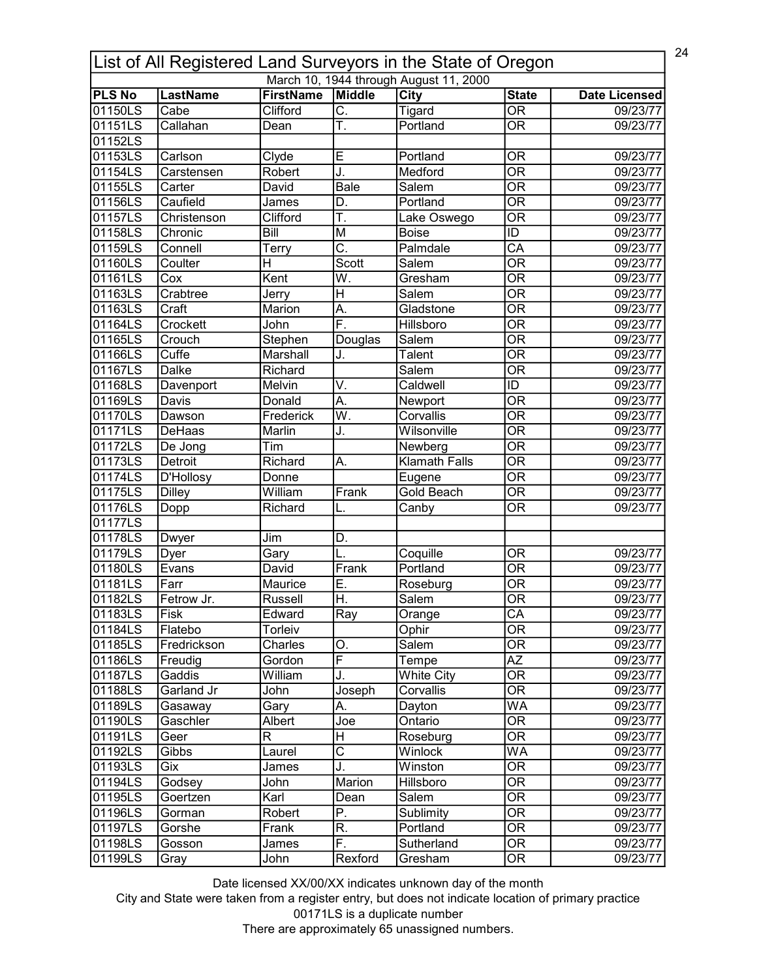|               | 24<br>List of All Registered Land Surveyors in the State of Oregon |                  |                           |                                        |                                |                      |  |  |
|---------------|--------------------------------------------------------------------|------------------|---------------------------|----------------------------------------|--------------------------------|----------------------|--|--|
|               |                                                                    |                  |                           | March 10, 1944 through August 11, 2000 |                                |                      |  |  |
| <b>PLS No</b> | <b>LastName</b>                                                    | <b>FirstName</b> | <b>Middle</b>             | City                                   | <b>State</b>                   | <b>Date Licensed</b> |  |  |
| 01150LS       | Cabe                                                               | Clifford         | $\overline{\mathsf{C}}$ . | Tigard                                 | $\overline{\mathsf{OR}}$       | 09/23/77             |  |  |
| 01151LS       | Callahan                                                           | Dean             | Ŧ.                        | Portland                               | $\overline{\mathsf{OR}}$       | 09/23/77             |  |  |
| 01152LS       |                                                                    |                  |                           |                                        |                                |                      |  |  |
| 01153LS       | Carlson                                                            | Clyde            | E                         | Portland                               | <b>OR</b>                      | 09/23/77             |  |  |
| 01154LS       | Carstensen                                                         | Robert           | J.                        | Medford                                | $\overline{\overline{\rm OR}}$ | 09/23/77             |  |  |
| 01155LS       | Carter                                                             | David            | <b>Bale</b>               | Salem                                  | $\overline{\mathsf{OR}}$       | 09/23/77             |  |  |
| 01156LS       | Caufield                                                           | James            | D.                        | Portland                               | $\overline{\mathsf{OR}}$       | 09/23/77             |  |  |
| 01157LS       | Christenson                                                        | Clifford         | Ŧ.                        | Lake Oswego                            | $\overline{\mathsf{OR}}$       | 09/23/77             |  |  |
| 01158LS       | Chronic                                                            | Bill             | M                         | <b>Boise</b>                           | $\overline{ID}$                | 09/23/77             |  |  |
| 01159LS       | Connell                                                            | Terry            | $\overline{\text{C}}$ .   | Palmdale                               | $\overline{\text{CA}}$         | 09/23/77             |  |  |
| 01160LS       | Coulter                                                            | H                | Scott                     | Salem                                  | $\overline{\mathsf{OR}}$       | 09/23/77             |  |  |
| 01161LS       | Cox                                                                | Kent             | W.                        | Gresham                                | $\overline{\mathsf{OR}}$       | 09/23/77             |  |  |
| 01163LS       | Crabtree                                                           | Jerry            | H                         | Salem                                  | $\overline{\overline{\rm OR}}$ | 09/23/77             |  |  |
| 01163LS       | Craft                                                              | Marion           | А.                        | Gladstone                              | $\overline{\mathsf{OR}}$       | 09/23/77             |  |  |
| 01164LS       | Crockett                                                           | John             | $\overline{\mathsf{F}}$ . | Hillsboro                              | $\overline{\overline{\rm OR}}$ | 09/23/77             |  |  |
| 01165LS       | Crouch                                                             | Stephen          | Douglas                   | Salem                                  | $\overline{\mathsf{OR}}$       | 09/23/77             |  |  |
| 01166LS       | Cuffe                                                              | Marshall         | J.                        | Talent                                 | <b>OR</b>                      | 09/23/77             |  |  |
| 01167LS       | <b>Dalke</b>                                                       | Richard          |                           | Salem                                  | $\overline{\mathsf{OR}}$       | 09/23/77             |  |  |
| 01168LS       | Davenport                                                          | Melvin           | V.                        | Caldwell                               | ID                             | 09/23/77             |  |  |
| 01169LS       | Davis                                                              | Donald           | $\overline{A}$ .          | Newport                                | $\overline{\mathsf{OR}}$       | 09/23/77             |  |  |
| 01170LS       | Dawson                                                             | Frederick        | $\overline{W}$ .          | Corvallis                              | $\overline{\mathsf{OR}}$       | 09/23/77             |  |  |
| 01171LS       | DeHaas                                                             | Marlin           | J.                        | Wilsonville                            | $\overline{\mathsf{OR}}$       | 09/23/77             |  |  |
| 01172LS       | De Jong                                                            | Tim              |                           | Newberg                                | $\overline{\mathsf{OR}}$       | 09/23/77             |  |  |
| 01173LS       | <b>Detroit</b>                                                     | Richard          | A.                        | <b>Klamath Falls</b>                   | $\overline{\mathsf{OR}}$       | 09/23/77             |  |  |
| 01174LS       | D'Hollosy                                                          | Donne            |                           | Eugene                                 | $\overline{\mathsf{OR}}$       | 09/23/77             |  |  |
| 01175LS       | <b>Dilley</b>                                                      | William          | Frank                     | <b>Gold Beach</b>                      | $\overline{\mathsf{OR}}$       | 09/23/77             |  |  |
| 01176LS       | Dopp                                                               | Richard          | L.                        | Canby                                  | $\overline{\mathsf{OR}}$       | 09/23/77             |  |  |
| 01177LS       |                                                                    |                  |                           |                                        |                                |                      |  |  |
| 01178LS       | Dwyer                                                              | Jim              | D.                        |                                        |                                |                      |  |  |
| 01179LS       | Dyer                                                               | Gary             | L.                        | Coquille                               | 0R                             | 09/23/77             |  |  |
| 01180LS       | Evans                                                              | David            | Frank                     | Portland                               | $\overline{\overline{\rm OR}}$ | 09/23/77             |  |  |
| 01181LS       | Farr                                                               | Maurice          | E.                        | Roseburg                               | <b>OR</b>                      | 09/23/77             |  |  |
| 101182LS      | Fetrow Jr.                                                         | Russell          | lн                        | Salem                                  | $\overline{OR}$                | 09/23/77             |  |  |
| 01183LS       | Fisk                                                               | Edward           | Ray                       | Orange                                 | CA                             | 09/23/77             |  |  |
| 01184LS       | Flatebo                                                            | Torleiv          |                           | Ophir                                  | $\overline{\overline{\rm OR}}$ | 09/23/77             |  |  |
| 01185LS       | Fredrickson                                                        | Charles          | О.                        | Salem                                  | $\overline{\overline{\rm OR}}$ | 09/23/77             |  |  |
| 01186LS       | Freudig                                                            | Gordon           | F                         | Tempe                                  | $\overline{AZ}$                | 09/23/77             |  |  |
| 01187LS       | Gaddis                                                             | William          | J.                        | <b>White City</b>                      | $\overline{\overline{\rm OR}}$ | 09/23/77             |  |  |
| 01188LS       | Garland Jr                                                         | John             | Joseph                    | Corvallis                              | $\overline{\mathsf{OR}}$       | 09/23/77             |  |  |
| 01189LS       | Gasaway                                                            | Gary             | Α.                        | Dayton                                 | WA                             | 09/23/77             |  |  |
| 01190LS       | Gaschler                                                           | Albert           | Joe                       | Ontario                                | $\overline{\mathsf{OR}}$       | 09/23/77             |  |  |
| 01191LS       | Geer                                                               | R                | н                         | Roseburg                               | OR                             | 09/23/77             |  |  |
| 01192LS       | Gibbs                                                              | Laurel           | $\overline{\text{c}}$     | Winlock                                | <b>WA</b>                      | 09/23/77             |  |  |
| 01193LS       | Gix                                                                | James            | J.                        | Winston                                | OR                             | 09/23/77             |  |  |
| 01194LS       | Godsey                                                             | John             | Marion                    | Hillsboro                              | $\overline{\mathsf{OR}}$       | 09/23/77             |  |  |
| 01195LS       | Goertzen                                                           | Karl             | Dean                      | Salem                                  | 0R                             | 09/23/77             |  |  |
| 01196LS       | Gorman                                                             | Robert           | P.                        | Sublimity                              | $\overline{\text{OR}}$         | 09/23/77             |  |  |
| 01197LS       | Gorshe                                                             | Frank            | R.                        | Portland                               | $\overline{\mathsf{OR}}$       | 09/23/77             |  |  |
| 01198LS       | Gosson                                                             | James            | F.                        | Sutherland                             | $\overline{\text{OR}}$         | 09/23/77             |  |  |
| 01199LS       | Gray                                                               | John             | Rexford                   | Gresham                                | $\overline{\mathsf{OR}}$       | 09/23/77             |  |  |
|               |                                                                    |                  |                           |                                        |                                |                      |  |  |

City and State were taken from a register entry, but does not indicate location of primary practice 00171LS is a duplicate number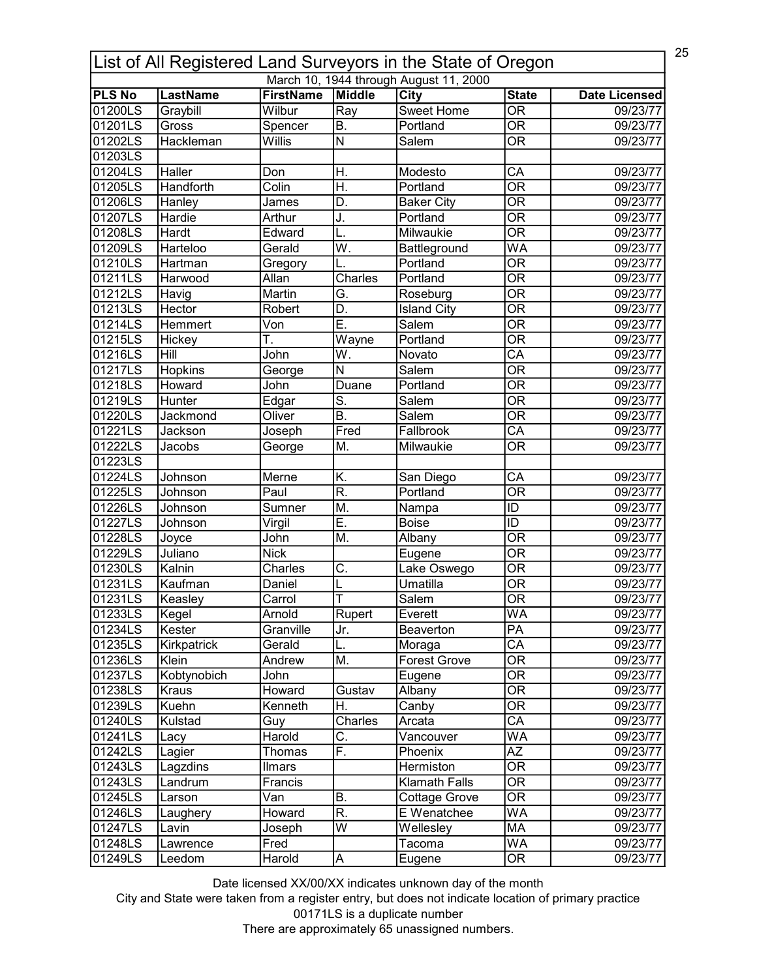| 25<br>List of All Registered Land Surveyors in the State of Oregon |                 |                            |                           |                                        |                                          |                      |  |  |
|--------------------------------------------------------------------|-----------------|----------------------------|---------------------------|----------------------------------------|------------------------------------------|----------------------|--|--|
|                                                                    |                 |                            |                           | March 10, 1944 through August 11, 2000 |                                          |                      |  |  |
| <b>PLS No</b><br>01200LS                                           | <b>LastName</b> | <b>FirstName</b><br>Wilbur | Middle<br>Ray             | City<br><b>Sweet Home</b>              | <b>State</b><br>$\overline{\mathsf{OR}}$ | <b>Date Licensed</b> |  |  |
| 01201LS                                                            | Graybill        |                            | $\overline{B}$ .          | Portland                               | $\overline{\mathsf{OR}}$                 | 09/23/77             |  |  |
|                                                                    | Gross           | Spencer                    |                           | Salem                                  |                                          | 09/23/77             |  |  |
| 01202LS                                                            | Hackleman       | Willis                     | $\overline{\mathsf{N}}$   |                                        | $\overline{\mathsf{OR}}$                 | 09/23/77             |  |  |
| 01203LS                                                            |                 |                            |                           |                                        |                                          |                      |  |  |
| 01204LS                                                            | Haller          | Don                        | Η.                        | Modesto                                | CA                                       | 09/23/77             |  |  |
| 01205LS                                                            | Handforth       | Colin                      | H.                        | Portland                               | $\overline{\mathsf{OR}}$                 | 09/23/77             |  |  |
| 01206LS                                                            | Hanley          | James                      | D.                        | <b>Baker City</b>                      | $\overline{\mathsf{OR}}$                 | 09/23/77             |  |  |
| 01207LS                                                            | Hardie          | Arthur                     | J.                        | Portland                               | $\overline{\mathsf{OR}}$                 | 09/23/77             |  |  |
| 01208LS                                                            | Hardt           | Edward                     | L.                        | Milwaukie                              | $\overline{\overline{\rm OR}}$           | 09/23/77             |  |  |
| 01209LS                                                            | Harteloo        | Gerald                     | $\overline{\mathsf{W}}$ . | Battleground                           | $\overline{\mathsf{WA}}$                 | 09/23/77             |  |  |
| 01210LS                                                            | Hartman         | Gregory                    |                           | Portland                               | $\overline{\mathsf{OR}}$                 | 09/23/77             |  |  |
| 01211LS                                                            | Harwood         | Allan                      | Charles                   | Portland                               | $\overline{\mathsf{OR}}$                 | 09/23/77             |  |  |
| 01212LS                                                            | Havig           | Martin                     | G.                        | Roseburg                               | $\overline{\overline{\rm OR}}$           | 09/23/77             |  |  |
| 01213LS                                                            | Hector          | Robert                     | D.                        | <b>Island City</b>                     | $\overline{\overline{\rm OR}}$           | 09/23/77             |  |  |
| 01214LS                                                            | Hemmert         | Von                        | Ē.                        | Salem                                  | $\overline{\overline{\rm OR}}$           | 09/23/77             |  |  |
| 01215LS                                                            | Hickey          | Ŧ.                         | Wayne                     | Portland                               | $\overline{\overline{\rm OR}}$           | 09/23/77             |  |  |
| 01216LS                                                            | Hill            | John                       | W.                        | Novato                                 | CA                                       | 09/23/77             |  |  |
| 01217LS                                                            | Hopkins         | George                     | $\overline{\mathsf{N}}$   | Salem                                  | $\overline{\mathsf{OR}}$                 | 09/23/77             |  |  |
| 01218LS                                                            | Howard          | John                       | Duane                     | Portland                               | <b>OR</b>                                | 09/23/77             |  |  |
| 01219LS                                                            | Hunter          | Edgar                      | S.                        | Salem                                  | $\overline{\mathsf{OR}}$                 | 09/23/77             |  |  |
| 01220LS                                                            | Jackmond        | Oliver                     | $\overline{B}$ .          | Salem                                  | $\overline{\mathsf{OR}}$                 | 09/23/77             |  |  |
| 01221LS                                                            | Jackson         | Joseph                     | Fred                      | Fallbrook                              | $\overline{\text{CA}}$                   | 09/23/77             |  |  |
| 01222LS                                                            | Jacobs          | George                     | M.                        | Milwaukie                              | $\overline{\mathsf{OR}}$                 | 09/23/77             |  |  |
| 01223LS                                                            |                 |                            |                           |                                        |                                          |                      |  |  |
| 01224LS                                                            | Johnson         | Merne                      | K.                        | San Diego                              | $\overline{\mathsf{CA}}$                 | 09/23/77             |  |  |
| 01225LS                                                            | Johnson         | Paul                       | R.                        | Portland                               | $\overline{\mathsf{OR}}$                 | 09/23/77             |  |  |
| 01226LS                                                            | Johnson         | Sumner                     | M.                        | Nampa                                  | $\overline{\mathsf{ID}}$                 | 09/23/77             |  |  |
| 01227LS                                                            | Johnson         | Virgil                     | Ē.                        | <b>Boise</b>                           | $\overline{1}$                           | 09/23/77             |  |  |
| 01228LS                                                            | Joyce           | John                       | M.                        | Albany                                 | $\overline{\mathsf{OR}}$                 | 09/23/77             |  |  |
| 01229LS                                                            | Juliano         | <b>Nick</b>                |                           | Eugene                                 | $\overline{\mathsf{OR}}$                 | 09/23/77             |  |  |
| 01230LS                                                            | Kalnin          | Charles                    | Ċ.                        | Lake Oswego                            | $\overline{\mathsf{OR}}$                 | 09/23/77             |  |  |
| 01231LS                                                            | Kaufman         | Daniel                     |                           | Umatilla                               | <b>OR</b>                                | 09/23/77             |  |  |
| 01231LS                                                            | Keasley         | Carrol                     | lΤ                        | Salem                                  | $\overline{OR}$                          | 09/23/77             |  |  |
| 01233LS                                                            | Kegel           | Arnold                     | Rupert                    | Everett                                | WA                                       | 09/23/77             |  |  |
| 01234LS                                                            | Kester          | Granville                  | Jr.                       | Beaverton                              | PA                                       | 09/23/77             |  |  |
| 01235LS                                                            | Kirkpatrick     | Gerald                     | L.                        | Moraga                                 | CA                                       | 09/23/77             |  |  |
| 01236LS                                                            | Klein           | Andrew                     | M.                        | <b>Forest Grove</b>                    | <b>OR</b>                                | 09/23/77             |  |  |
| 01237LS                                                            | Kobtynobich     | John                       |                           | Eugene                                 | <b>OR</b>                                | 09/23/77             |  |  |
| 01238LS                                                            | Kraus           | Howard                     | Gustav                    | Albany                                 | $\overline{\mathsf{OR}}$                 | 09/23/77             |  |  |
| 01239LS                                                            | Kuehn           | Kenneth                    | H.                        | Canby                                  | 0R                                       | 09/23/77             |  |  |
| 01240LS                                                            | Kulstad         | Guy                        | Charles                   | Arcata                                 | $\overline{\mathsf{CA}}$                 | 09/23/77             |  |  |
| 01241LS                                                            | Lacy            | Harold                     | С.                        | Vancouver                              | WA                                       | 09/23/77             |  |  |
| 01242LS                                                            | Lagier          | Thomas                     | F.                        | Phoenix                                | $A\overline{Z}$                          | 09/23/77             |  |  |
| 01243LS                                                            | Lagzdins        | Ilmars                     |                           | Hermiston                              | OR                                       | 09/23/77             |  |  |
| 01243LS                                                            | Landrum         | Francis                    |                           | <b>Klamath Falls</b>                   | OR                                       | 09/23/77             |  |  |
| 01245LS                                                            | Larson          | Van                        | Β.                        | Cottage Grove                          | OR                                       | 09/23/77             |  |  |
| 01246LS                                                            |                 | Howard                     | R.                        | E Wenatchee                            | WA                                       | 09/23/77             |  |  |
| 01247LS                                                            | Laughery        |                            | $\overline{W}$            | Wellesley                              | MA                                       | 09/23/77             |  |  |
| 01248LS                                                            | Lavin           | Joseph                     |                           | Tacoma                                 | <b>WA</b>                                |                      |  |  |
|                                                                    | Lawrence        | Fred                       |                           |                                        |                                          | 09/23/77             |  |  |
| 01249LS                                                            | Leedom          | Harold                     | A                         | Eugene                                 | $\overline{\text{OR}}$                   | 09/23/77             |  |  |

City and State were taken from a register entry, but does not indicate location of primary practice 00171LS is a duplicate number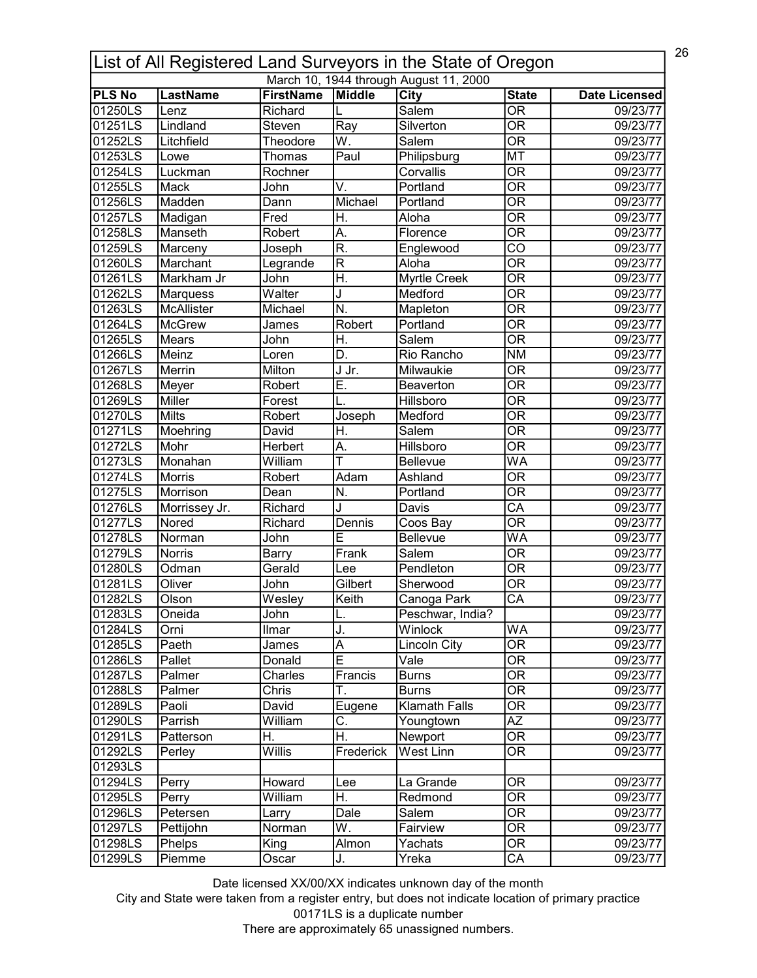| 26<br>List of All Registered Land Surveyors in the State of Oregon |                  |                             |                          |                                        |                                          |                      |  |
|--------------------------------------------------------------------|------------------|-----------------------------|--------------------------|----------------------------------------|------------------------------------------|----------------------|--|
|                                                                    |                  |                             |                          | March 10, 1944 through August 11, 2000 |                                          |                      |  |
| <b>PLS No</b><br>01250LS                                           | <b>LastName</b>  | <b>FirstName</b><br>Richard | Middle                   | <b>City</b><br>Salem                   | <b>State</b><br>$\overline{\mathsf{OR}}$ | <b>Date Licensed</b> |  |
| 01251LS                                                            | Lenz<br>Lindland |                             |                          | Silverton                              | $\overline{\mathsf{OR}}$                 | 09/23/77             |  |
|                                                                    | Litchfield       | Steven                      | Ray                      |                                        |                                          | 09/23/77             |  |
| 01252LS                                                            |                  | Theodore                    | W.                       | Salem                                  | $\overline{\overline{\rm OR}}$           | 09/23/77             |  |
| 01253LS                                                            | Lowe             | Thomas                      | Paul                     | Philipsburg                            | <b>MT</b>                                | 09/23/77             |  |
| 01254LS                                                            | Luckman          | Rochner                     |                          | Corvallis                              | $\overline{\overline{\rm OR}}$           | 09/23/77             |  |
| 01255LS                                                            | Mack             | John                        | $\overline{\mathsf{V}}.$ | Portland                               | $\overline{\mathsf{OR}}$                 | 09/23/77             |  |
| 01256LS                                                            | Madden           | Dann                        | Michael                  | Portland                               | $\overline{\mathsf{OR}}$                 | 09/23/77             |  |
| 01257LS                                                            | Madigan          | Fred                        | Η.                       | Aloha                                  | $\overline{\mathsf{OR}}$                 | 09/23/77             |  |
| 01258LS                                                            | Manseth          | Robert                      | Α.                       | Florence                               | $\overline{\mathsf{OR}}$                 | 09/23/77             |  |
| 01259LS                                                            | Marceny          | Joseph                      | $\overline{\mathsf{R}}$  | Englewood                              | $\overline{\text{co}}$                   | 09/23/77             |  |
| 01260LS                                                            | Marchant         | Legrande                    | $\overline{\mathsf{R}}$  | Aloha                                  | $\overline{\mathsf{OR}}$                 | 09/23/77             |  |
| 01261LS                                                            | Markham Jr       | John                        | H.                       | Myrtle Creek                           | $\overline{\mathsf{OR}}$                 | 09/23/77             |  |
| 01262LS                                                            | Marquess         | Walter                      | J                        | Medford                                | $\overline{\overline{\rm OR}}$           | 09/23/77             |  |
| 01263LS                                                            | McAllister       | Michael                     | N.                       | Mapleton                               | $\overline{\mathsf{OR}}$                 | 09/23/77             |  |
| 01264LS                                                            | <b>McGrew</b>    | James                       | Robert                   | Portland                               | $\overline{\overline{\rm OR}}$           | 09/23/77             |  |
| 01265LS                                                            | Mears            | John                        | Н.                       | Salem                                  | $\overline{\overline{\rm OR}}$           | 09/23/77             |  |
| 01266LS                                                            | Meinz            | Loren                       | D.                       | Rio Rancho                             | <b>NM</b>                                | 09/23/77             |  |
| 01267LS                                                            | Merrin           | Milton                      | J Jr.                    | Milwaukie                              | $\overline{\mathsf{OR}}$                 | 09/23/77             |  |
| 01268LS                                                            | Meyer            | Robert                      | Ε.                       | Beaverton                              | <b>OR</b>                                | 09/23/77             |  |
| 01269LS                                                            | Miller           | Forest                      |                          | Hillsboro                              | $\overline{\mathsf{OR}}$                 | 09/23/77             |  |
| 01270LS                                                            | <b>Milts</b>     | Robert                      | Joseph                   | Medford                                | $\overline{\mathsf{OR}}$                 | 09/23/77             |  |
| 01271LS                                                            | Moehring         | David                       | H.                       | Salem                                  | $\overline{\mathsf{OR}}$                 | 09/23/77             |  |
| 01272LS                                                            | Mohr             | Herbert                     | A.                       | <b>Hillsboro</b>                       | $\overline{\mathsf{OR}}$                 | 09/23/77             |  |
| 01273LS                                                            | Monahan          | William                     |                          | Bellevue                               | $\overline{\mathsf{WA}}$                 | 09/23/77             |  |
| 01274LS                                                            | Morris           | Robert                      | Adam                     | Ashland                                | $\overline{\mathsf{OR}}$                 | 09/23/77             |  |
| 01275LS                                                            | Morrison         | Dean                        | N.                       | Portland                               | $\overline{\mathsf{OR}}$                 | 09/23/77             |  |
| 01276LS                                                            | Morrissey Jr.    | Richard                     | J                        | Davis                                  | $\overline{\mathsf{CA}}$                 | 09/23/77             |  |
| 01277LS                                                            | Nored            | Richard                     | Dennis                   | Coos Bay                               | $\overline{\mathsf{OR}}$                 | 09/23/77             |  |
| 01278LS                                                            | Norman           | John                        | E                        | Bellevue                               | WA                                       | 09/23/77             |  |
| 01279LS                                                            | Norris           | <b>Barry</b>                | Frank                    | Salem                                  | $\overline{\mathsf{OR}}$                 | 09/23/77             |  |
| 01280LS                                                            | Odman            | Gerald                      | Lee                      | Pendleton                              | $\overline{\text{OR}}$                   | 09/23/77             |  |
| 01281LS                                                            | Oliver           | John                        | Gilbert                  | Sherwood                               | <b>OR</b>                                | 09/23/77             |  |
| 01282LS                                                            | Olson            | Wesley                      | Keith                    | Canoga Park                            | $\overline{CA}$                          | 09/23/77             |  |
| 01283LS                                                            | Oneida           | John                        | L.                       | Peschwar, India?                       |                                          | 09/23/77             |  |
| 01284LS                                                            | Orni             | Ilmar                       | J.                       | Winlock                                | <b>WA</b>                                | 09/23/77             |  |
| 01285LS                                                            | Paeth            | James                       | $\overline{\mathsf{A}}$  | Lincoln City                           | $\overline{OR}$                          | 09/23/77             |  |
| 01286LS                                                            | Pallet           | Donald                      | E                        | Vale                                   | $\overline{\overline{\rm OR}}$           | 09/23/77             |  |
| 01287LS                                                            | Palmer           | Charles                     | Francis                  | <b>Burns</b>                           | <b>OR</b>                                | 09/23/77             |  |
| 01288LS                                                            | Palmer           | Chris                       | Τ.                       | <b>Burns</b>                           | $\overline{\overline{\rm OR}}$           | 09/23/77             |  |
| 01289LS                                                            | Paoli            | David                       | Eugene                   | Klamath Falls                          | OR                                       | 09/23/77             |  |
| 01290LS                                                            | Parrish          | William                     | C.                       | Youngtown                              | $\overline{AZ}$                          | 09/23/77             |  |
| 01291LS                                                            | Patterson        | Η.                          | H.                       | Newport                                | 0R                                       | 09/23/77             |  |
| 01292LS                                                            | Perley           | Willis                      | Frederick                | <b>West Linn</b>                       | 0R                                       | 09/23/77             |  |
| 01293LS                                                            |                  |                             |                          |                                        |                                          |                      |  |
| 01294LS                                                            | Perry            | Howard                      | Lee                      | La Grande                              | <b>OR</b>                                | 09/23/77             |  |
| 01295LS                                                            | Perry            | William                     | Η.                       | Redmond                                | <b>OR</b>                                | 09/23/77             |  |
| 01296LS                                                            | Petersen         |                             | Dale                     | Salem                                  | $\overline{\mathsf{OR}}$                 | 09/23/77             |  |
| 01297LS                                                            | Pettijohn        | Larry<br>Norman             | W.                       | Fairview                               | $\overline{\mathsf{OR}}$                 | 09/23/77             |  |
| 01298LS                                                            |                  | King                        | Almon                    | Yachats                                | $\overline{\text{OR}}$                   |                      |  |
|                                                                    | Phelps           |                             |                          |                                        |                                          | 09/23/77             |  |
| 01299LS                                                            | Piemme           | Oscar                       | J.                       | Yreka                                  | $\overline{\mathsf{CA}}$                 | 09/23/77             |  |

City and State were taken from a register entry, but does not indicate location of primary practice 00171LS is a duplicate number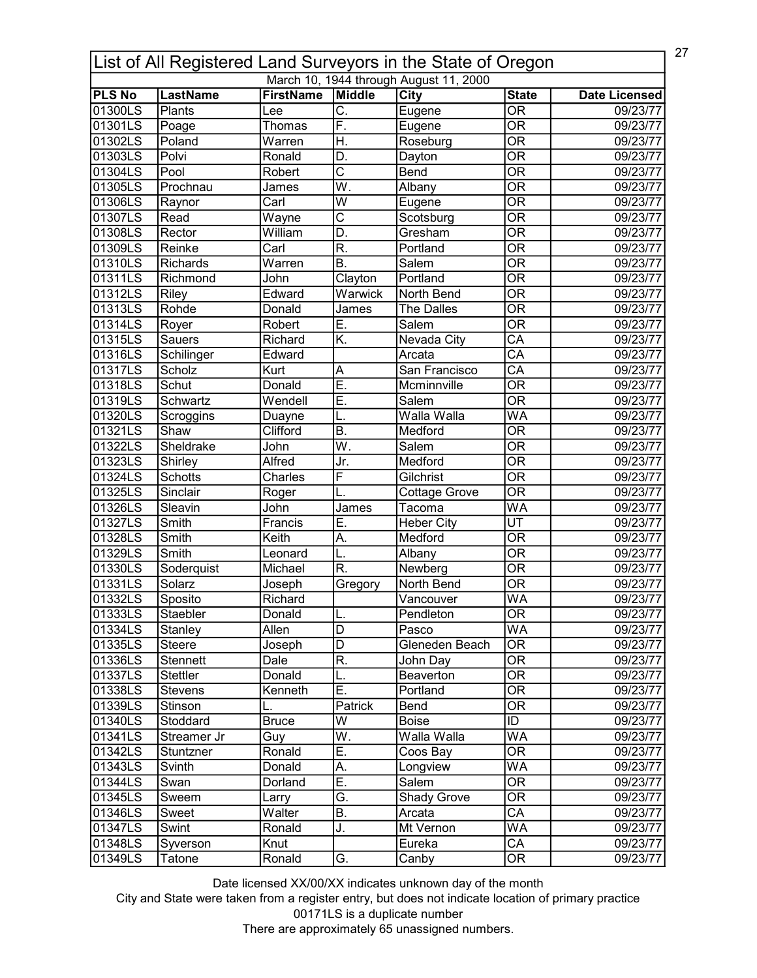| 27<br>List of All Registered Land Surveyors in the State of Oregon |                           |                               |                           |                    |                                          |                      |  |  |  |
|--------------------------------------------------------------------|---------------------------|-------------------------------|---------------------------|--------------------|------------------------------------------|----------------------|--|--|--|
| March 10, 1944 through August 11, 2000                             |                           |                               |                           |                    |                                          |                      |  |  |  |
| <b>PLS No</b><br>01300LS                                           | <b>LastName</b><br>Plants | <b>FirstName</b>              | Middle<br>C.              | <b>City</b>        | <b>State</b><br>$\overline{\mathsf{OR}}$ | <b>Date Licensed</b> |  |  |  |
| 01301LS                                                            |                           | Lee                           |                           | Eugene             | $\overline{\mathsf{OR}}$                 | 09/23/77             |  |  |  |
|                                                                    | Poage                     | Thomas                        | F.                        | Eugene             |                                          | 09/23/77             |  |  |  |
| 01302LS                                                            | Poland                    | Warren                        | H.                        | Roseburg           | $\overline{\mathsf{OR}}$                 | 09/23/77             |  |  |  |
| 01303LS                                                            | Polvi                     | Ronald                        | D.                        | Dayton             | $\overline{\mathsf{OR}}$                 | 09/23/77             |  |  |  |
| 01304LS                                                            | Pool                      | Robert                        | $\overline{\text{c}}$     | Bend               | $\overline{\overline{\rm OR}}$           | 09/23/77             |  |  |  |
| 01305LS                                                            | Prochnau                  | James                         | $\overline{\mathsf{W}}$ . | Albany             | $\overline{\mathsf{OR}}$                 | 09/23/77             |  |  |  |
| 01306LS                                                            | Raynor                    | Carl                          | $\overline{\mathsf{W}}$   | Eugene             | $\overline{\mathsf{OR}}$                 | 09/23/77             |  |  |  |
| 01307LS                                                            | Read                      | Wayne                         | $\overline{\text{c}}$     | Scotsburg          | $\overline{\mathsf{OR}}$                 | 09/23/77             |  |  |  |
| 01308LS                                                            | Rector                    | William                       | $\overline{\mathsf{D}}$ . | Gresham            | $\overline{\mathsf{OR}}$                 | 09/23/77             |  |  |  |
| 01309LS                                                            | Reinke                    | Carl                          | $\overline{\mathsf{R}}$ . | Portland           | $\overline{\mathsf{OR}}$                 | 09/23/77             |  |  |  |
| 01310LS                                                            | <b>Richards</b>           | $\overline{\mathsf{W}}$ arren | <b>B.</b>                 | Salem              | $\overline{\mathsf{OR}}$                 | 09/23/77             |  |  |  |
| 01311LS                                                            | Richmond                  | John                          | Clayton                   | Portland           | $\overline{\overline{\rm OR}}$           | 09/23/77             |  |  |  |
| 01312LS                                                            | Riley                     | Edward                        | Warwick                   | North Bend         | $\overline{\overline{\rm OR}}$           | 09/23/77             |  |  |  |
| 01313LS                                                            | Rohde                     | Donald                        | James                     | The Dalles         | $\overline{\mathsf{OR}}$                 | 09/23/77             |  |  |  |
| 01314LS                                                            | Royer                     | Robert                        | E.                        | Salem              | $\overline{\overline{\rm OR}}$           | 09/23/77             |  |  |  |
| 01315LS                                                            | Sauers                    | Richard                       | K.                        | Nevada City        | CA                                       | 09/23/77             |  |  |  |
| 01316LS                                                            | Schilinger                | Edward                        |                           | Arcata             | $\overline{CA}$                          | 09/23/77             |  |  |  |
| 01317LS                                                            | Scholz                    | Kurt                          | A                         | San Francisco      | $\overline{\mathsf{CA}}$                 | 09/23/77             |  |  |  |
| 01318LS                                                            | Schut                     | Donald                        | E.                        | Mcminnville        | <b>OR</b>                                | 09/23/77             |  |  |  |
| 01319LS                                                            | Schwartz                  | Wendell                       | E.                        | Salem              | $\overline{\mathsf{OR}}$                 | 09/23/77             |  |  |  |
| 01320LS                                                            | Scroggins                 | Duayne                        |                           | Walla Walla        | WA                                       | 09/23/77             |  |  |  |
| 01321LS                                                            | Shaw                      | Clifford                      | $\overline{\mathsf{B}}$ . | Medford            | $\overline{\mathsf{OR}}$                 | 09/23/77             |  |  |  |
| 01322LS                                                            | Sheldrake                 | John                          | W.                        | Salem              | $\overline{\mathsf{OR}}$                 | 09/23/77             |  |  |  |
| 01323LS                                                            | Shirley                   | Alfred                        | Jr.                       | Medford            | $\overline{\mathsf{OR}}$                 | 09/23/77             |  |  |  |
| 01324LS                                                            | <b>Schotts</b>            | Charles                       | $\overline{\mathsf{F}}$   | Gilchrist          | $\overline{\mathsf{OR}}$                 | 09/23/77             |  |  |  |
| 01325LS                                                            | Sinclair                  | Roger                         |                           | Cottage Grove      | $\overline{\mathsf{OR}}$                 | 09/23/77             |  |  |  |
| 01326LS                                                            | Sleavin                   | John                          | James                     | Tacoma             | $\overline{\mathsf{WA}}$                 | 09/23/77             |  |  |  |
| 01327LS                                                            | Smith                     | Francis                       | E.                        | <b>Heber City</b>  | $\overline{\mathsf{UT}}$                 | 09/23/77             |  |  |  |
| 01328LS                                                            | Smith                     | Keith                         | А.                        | Medford            | $\overline{\mathsf{OR}}$                 | 09/23/77             |  |  |  |
| 01329LS                                                            | Smith                     | Leonard                       | L.                        | Albany             | $\overline{\mathsf{OR}}$                 | 09/23/77             |  |  |  |
| 01330LS                                                            | Soderquist                | Michael                       | R.                        | Newberg            | $\overline{\text{OR}}$                   | 09/23/77             |  |  |  |
| 01331LS                                                            | Solarz                    |                               |                           | North Bend         | $\overline{\mathsf{OR}}$                 | 09/23/77             |  |  |  |
| 01332LS                                                            |                           | Joseph<br>Richard             | Gregory                   |                    | <b>WA</b>                                |                      |  |  |  |
|                                                                    | Sposito                   |                               |                           | Vancouver          |                                          | 09/23/77             |  |  |  |
| 01333LS                                                            | Staebler                  | Donald                        | IL.                       | Pendleton          | <b>OR</b>                                | 09/23/77             |  |  |  |
| 01334LS                                                            | Stanley                   | Allen                         | D                         | Pasco              | <b>WA</b>                                | 09/23/77             |  |  |  |
| 01335LS                                                            | <b>Steere</b>             | Joseph                        | D                         | Gleneden Beach     | <b>OR</b>                                | 09/23/77             |  |  |  |
| 01336LS                                                            | Stennett                  | Dale                          | R.                        | John Day           | <b>OR</b>                                | 09/23/77             |  |  |  |
| 01337LS                                                            | <b>Stettler</b>           | Donald                        | L.                        | Beaverton          | <b>OR</b>                                | 09/23/77             |  |  |  |
| 01338LS                                                            | <b>Stevens</b>            | Kenneth                       | E.                        | Portland           | $\overline{\overline{\rm OR}}$           | 09/23/77             |  |  |  |
| 01339LS                                                            | Stinson                   |                               | Patrick                   | Bend               | <b>OR</b>                                | 09/23/77             |  |  |  |
| 01340LS                                                            | Stoddard                  | <b>Bruce</b>                  | W                         | Boise              | ID                                       | 09/23/77             |  |  |  |
| 01341LS                                                            | Streamer Jr               | Guy                           | W.                        | Walla Walla        | WA                                       | 09/23/77             |  |  |  |
| 01342LS                                                            | Stuntzner                 | Ronald                        | Ē.                        | Coos Bay           | $\overline{\mathsf{OR}}$                 | 09/23/77             |  |  |  |
| 01343LS                                                            | Svinth                    | Donald                        | А.                        | Longview           | WA                                       | 09/23/77             |  |  |  |
| 01344LS                                                            | Swan                      | Dorland                       | $\overline{E}$ .          | Salem              | <b>OR</b>                                | 09/23/77             |  |  |  |
| 01345LS                                                            | Sweem                     | Larry                         | G.                        | <b>Shady Grove</b> | 0R                                       | 09/23/77             |  |  |  |
| 01346LS                                                            | Sweet                     | Walter                        | B.                        | Arcata             | $\overline{\mathsf{CA}}$                 | 09/23/77             |  |  |  |
| 01347LS                                                            | Swint                     | Ronald                        | J.                        | Mt Vernon          | WA                                       | 09/23/77             |  |  |  |
| 01348LS                                                            | Syverson                  | Knut                          |                           | Eureka             | $\overline{\mathsf{CA}}$                 | 09/23/77             |  |  |  |
| 01349LS                                                            | Tatone                    | Ronald                        | G.                        | Canby              | OR                                       | 09/23/77             |  |  |  |

City and State were taken from a register entry, but does not indicate location of primary practice 00171LS is a duplicate number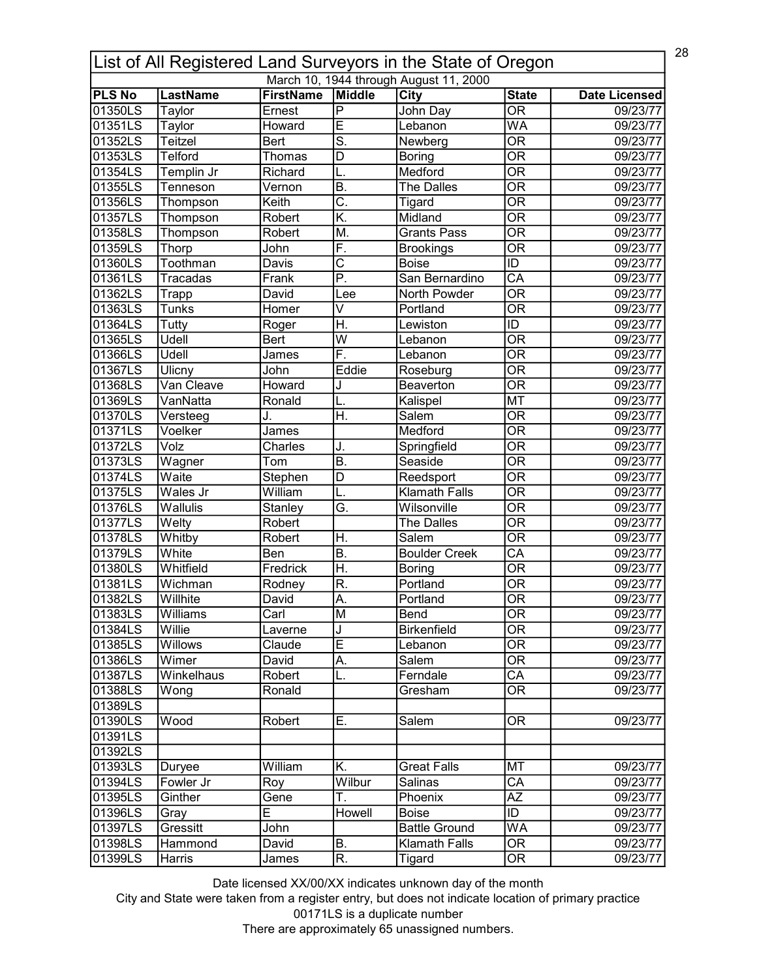| 28<br>List of All Registered Land Surveyors in the State of Oregon |                 |                  |                                   |                                        |                                          |                      |  |  |
|--------------------------------------------------------------------|-----------------|------------------|-----------------------------------|----------------------------------------|------------------------------------------|----------------------|--|--|
|                                                                    |                 |                  |                                   | March 10, 1944 through August 11, 2000 |                                          |                      |  |  |
| <b>PLS No</b><br>01350LS                                           | <b>LastName</b> | <b>FirstName</b> | Middle<br>$\overline{\mathsf{P}}$ | City                                   | <b>State</b><br>$\overline{\mathsf{OR}}$ | <b>Date Licensed</b> |  |  |
| 01351LS                                                            | Taylor          | Ernest           | Ē                                 | John Day<br>Lebanon                    | $\overline{\mathsf{WA}}$                 | 09/23/77             |  |  |
|                                                                    | Taylor          | Howard           |                                   |                                        |                                          | 09/23/77             |  |  |
| 01352LS                                                            | Teitzel         | <b>Bert</b>      | $\overline{\mathsf{S}}$ .         | Newberg                                | OR                                       | 09/23/77             |  |  |
| 01353LS                                                            | Telford         | Thomas           | D                                 | <b>Boring</b>                          | $\overline{\mathsf{OR}}$                 | 09/23/77             |  |  |
| 01354LS                                                            | Templin Jr      | Richard          | L.                                | Medford                                | $\overline{\overline{\rm OR}}$           | 09/23/77             |  |  |
| 01355LS                                                            | Tenneson        | Vernon           | $\overline{B}$ .                  | The Dalles                             | $\overline{\mathsf{OR}}$                 | 09/23/77             |  |  |
| 01356LS                                                            | Thompson        | Keith            | $\overline{\mathsf{C}}$ .         | Tigard                                 | $\overline{\mathsf{OR}}$                 | 09/23/77             |  |  |
| 01357LS                                                            | Thompson        | Robert           | K.                                | Midland                                | $\overline{\mathsf{OR}}$                 | 09/23/77             |  |  |
| 01358LS                                                            | Thompson        | Robert           | M.                                | <b>Grants Pass</b>                     | $\overline{\mathsf{OR}}$                 | 09/23/77             |  |  |
| 01359LS                                                            | Thorp           | John             | F.                                | <b>Brookings</b>                       | $\overline{\mathsf{OR}}$                 | 09/23/77             |  |  |
| 01360LS                                                            | Toothman        | Davis            | $\overline{\text{c}}$             | <b>Boise</b>                           | $\overline{ID}$                          | 09/23/77             |  |  |
| 01361LS                                                            | Tracadas        | Frank            | P.                                | San Bernardino                         | $\overline{\mathsf{CA}}$                 | 09/23/77             |  |  |
| 01362LS                                                            | Trapp           | David            | Lee                               | North Powder                           | $\overline{\mathsf{OR}}$                 | 09/23/77             |  |  |
| 01363LS                                                            | <b>Tunks</b>    | Homer            | V                                 | Portland                               | $\overline{\text{OR}}$                   | 09/23/77             |  |  |
| 01364LS                                                            | Tutty           | Roger            | H.                                | Lewiston                               | ID                                       | 09/23/77             |  |  |
| 01365LS                                                            | Udell           | Bert             | W                                 | Lebanon                                | $\overline{\mathsf{OR}}$                 | 09/23/77             |  |  |
| 01366LS                                                            | Udell           | James            | F.                                | Lebanon                                | <b>OR</b>                                | 09/23/77             |  |  |
| 01367LS                                                            | Ulicny          | John             | Eddie                             | Roseburg                               | $\overline{\mathsf{OR}}$                 | 09/23/77             |  |  |
| 01368LS                                                            | Van Cleave      | Howard           | J                                 | Beaverton                              | <b>OR</b>                                | 09/23/77             |  |  |
| 01369LS                                                            | VanNatta        | Ronald           | L.                                | Kalispel                               | <b>MT</b>                                | 09/23/77             |  |  |
| 01370LS                                                            | Versteeg        | J.               | $\overline{\mathsf{H}}$ .         | Salem                                  | $\overline{\mathsf{OR}}$                 | 09/23/77             |  |  |
| 01371LS                                                            | Voelker         | James            |                                   | Medford                                | $\overline{\mathsf{OR}}$                 | 09/23/77             |  |  |
|                                                                    | Volz            |                  |                                   |                                        | $\overline{\mathsf{OR}}$                 |                      |  |  |
| 01372LS                                                            |                 | Charles          | J.<br>B.                          | Springfield                            | $\overline{\mathsf{OR}}$                 | 09/23/77             |  |  |
| 01373LS                                                            | Wagner          | Tom              |                                   | Seaside                                |                                          | 09/23/77             |  |  |
| 01374LS                                                            | Waite           | Stephen          | $\overline{\mathsf{D}}$           | Reedsport                              | $\overline{\mathsf{OR}}$                 | 09/23/77             |  |  |
| 01375LS                                                            | Wales Jr        | William          | L.                                | <b>Klamath Falls</b>                   | $\overline{\mathsf{OR}}$                 | 09/23/77             |  |  |
| 01376LS                                                            | Wallulis        | Stanley          | Ğ.                                | Wilsonville                            | $\overline{\mathsf{OR}}$                 | 09/23/77             |  |  |
| 01377LS                                                            | Welty           | Robert           |                                   | The Dalles                             | OR                                       | 09/23/77             |  |  |
| 01378LS                                                            | Whitby          | Robert           | H.                                | Salem                                  | $\overline{\mathsf{OR}}$                 | 09/23/77             |  |  |
| 01379LS                                                            | White           | Ben              | $\overline{B}$ .                  | <b>Boulder Creek</b>                   | $\overline{\mathsf{CA}}$                 | 09/23/77             |  |  |
| 01380LS                                                            | Whitfield       | Fredrick         | $\overline{\mathsf{H}}$ .         | <b>Boring</b>                          | $\overline{\mathsf{OR}}$                 | 09/23/77             |  |  |
| 01381LS                                                            | Wichman         | Rodney           | R.                                | Portland                               | <b>OR</b>                                | 09/23/77             |  |  |
| 01382LS                                                            | Willhite        | David            | İΑ                                | Portland                               | $\overline{OR}$                          | 09/23/77             |  |  |
| 01383LS                                                            | Williams        | Carl             | lМ                                | Bend                                   | 0R                                       | 09/23/77             |  |  |
| 01384LS                                                            | Willie          | Laverne          | J                                 | <b>Birkenfield</b>                     | $\overline{\overline{\rm OR}}$           | 09/23/77             |  |  |
| 01385LS                                                            | Willows         | Claude           | E                                 | Lebanon                                | 0R                                       | 09/23/77             |  |  |
| 01386LS                                                            | Wimer           | David            | А.                                | Salem                                  | <b>OR</b>                                | 09/23/77             |  |  |
| 01387LS                                                            | Winkelhaus      | Robert           | L.                                | Ferndale                               | CA                                       | 09/23/77             |  |  |
| 01388LS                                                            | Wong            | Ronald           |                                   | Gresham                                | $\overline{\mathsf{OR}}$                 | 09/23/77             |  |  |
| 01389LS                                                            |                 |                  |                                   |                                        |                                          |                      |  |  |
| 01390LS                                                            | Wood            | Robert           | Ε.                                | Salem                                  | OR                                       | 09/23/77             |  |  |
| 01391LS                                                            |                 |                  |                                   |                                        |                                          |                      |  |  |
| 01392LS                                                            |                 |                  |                                   |                                        |                                          |                      |  |  |
| 01393LS                                                            | Duryee          | William          | Κ.                                | <b>Great Falls</b>                     | MT                                       | 09/23/77             |  |  |
| 01394LS                                                            | Fowler Jr       | Roy              | Wilbur                            | Salinas                                | CA                                       | 09/23/77             |  |  |
| 01395LS                                                            | Ginther         | Gene             | Τ.                                | Phoenix                                | <b>AZ</b>                                | 09/23/77             |  |  |
| 01396LS                                                            |                 | E                | Howell                            | Boise                                  | ID                                       | 09/23/77             |  |  |
|                                                                    | Gray            |                  |                                   |                                        |                                          |                      |  |  |
| 01397LS                                                            | Gressitt        | John             |                                   | <b>Battle Ground</b>                   | <b>WA</b>                                | 09/23/77             |  |  |
| 01398LS                                                            | Hammond         | David            | B.                                | <b>Klamath Falls</b>                   | $\overline{\text{OR}}$                   | 09/23/77             |  |  |
| 01399LS                                                            | Harris          | James            | R.                                | Tigard                                 | $\overline{\text{OR}}$                   | 09/23/77             |  |  |

City and State were taken from a register entry, but does not indicate location of primary practice 00171LS is a duplicate number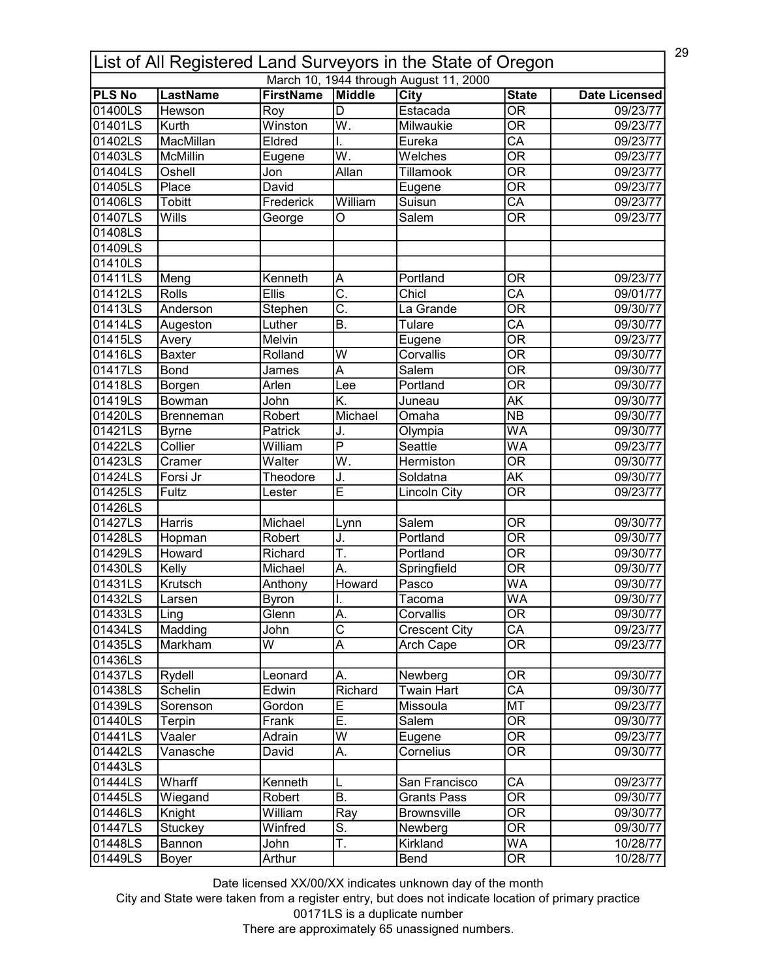| 29<br>List of All Registered Land Surveyors in the State of Oregon |                  |                  |                           |                                        |                                |                      |  |
|--------------------------------------------------------------------|------------------|------------------|---------------------------|----------------------------------------|--------------------------------|----------------------|--|
|                                                                    |                  |                  |                           | March 10, 1944 through August 11, 2000 |                                |                      |  |
| <b>PLS No</b>                                                      | <b>LastName</b>  | <b>FirstName</b> | Middle                    | City                                   | <b>State</b>                   | <b>Date Licensed</b> |  |
| 01400LS                                                            | Hewson           | Roy              | $\overline{\mathsf{D}}$   | Estacada                               | $\overline{\mathsf{OR}}$       | 09/23/77             |  |
| 01401LS                                                            | Kurth            | Winston          | $\overline{\mathsf{W}}$ . | Milwaukie                              | $\overline{\mathsf{OR}}$       | 09/23/77             |  |
| 01402LS                                                            | <b>MacMillan</b> | Eldred           | I.                        | Eureka                                 | $\overline{\mathsf{CA}}$       | 09/23/77             |  |
| 01403LS                                                            | McMillin         | Eugene           | $\overline{\mathsf{W}}$ . | Welches                                | $\overline{\mathsf{OR}}$       | 09/23/77             |  |
| 01404LS                                                            | Oshell           | Jon              | Allan                     | Tillamook                              | $\overline{\overline{\rm OR}}$ | 09/23/77             |  |
| 01405LS                                                            | Place            | David            |                           | Eugene                                 | $\overline{\mathsf{OR}}$       | 09/23/77             |  |
| 01406LS                                                            | Tobitt           | Frederick        | William                   | Suisun                                 | $\overline{\mathsf{CA}}$       | 09/23/77             |  |
| 01407LS                                                            | Wills            | George           | O                         | Salem                                  | $\overline{\mathsf{OR}}$       | 09/23/77             |  |
| 01408LS                                                            |                  |                  |                           |                                        |                                |                      |  |
| 01409LS                                                            |                  |                  |                           |                                        |                                |                      |  |
| 01410LS                                                            |                  |                  |                           |                                        |                                |                      |  |
| 01411LS                                                            | Meng             | Kenneth          | A                         | Portland                               | ΟR                             | 09/23/77             |  |
| 01412LS                                                            | Rolls            | <b>Ellis</b>     | $\overline{\mathsf{C}}$ . | Chicl                                  | $\overline{CA}$                | 09/01/77             |  |
| 01413LS                                                            | Anderson         | Stephen          | $\overline{\mathsf{C}}$ . | La Grande                              | $\overline{\mathsf{OR}}$       | 09/30/77             |  |
| 01414LS                                                            | Augeston         | Luther           | <b>B.</b>                 | Tulare                                 | $\overline{CA}$                | 09/30/77             |  |
| 01415LS                                                            | Avery            | Melvin           |                           | Eugene                                 | $\overline{\mathsf{OR}}$       | 09/23/77             |  |
| 01416LS                                                            | <b>Baxter</b>    | Rolland          | W                         | Corvallis                              | <b>OR</b>                      | 09/30/77             |  |
| 01417LS                                                            | <b>Bond</b>      | James            | A                         | Salem                                  | $\overline{\mathsf{OR}}$       | 09/30/77             |  |
| 01418LS                                                            | Borgen           | Arlen            | Lee                       | Portland                               | <b>OR</b>                      | 09/30/77             |  |
| 01419LS                                                            | Bowman           | John             | K.                        | Juneau                                 | $\overline{\mathsf{AK}}$       | 09/30/77             |  |
| 01420LS                                                            | Brenneman        | Robert           | Michael                   | Omaha                                  | N <sub>B</sub>                 | 09/30/77             |  |
| 01421LS                                                            | <b>Byrne</b>     | Patrick          | J.                        | Olympia                                | $\overline{\mathsf{WA}}$       | 09/30/77             |  |
| 01422LS                                                            | Collier          | William          | $\overline{\mathsf{P}}$   | Seattle                                | $\overline{\mathsf{WA}}$       | 09/23/77             |  |
| 01423LS                                                            | Cramer           | Walter           | $\overline{\mathsf{W}}$ . | <b>Hermiston</b>                       | $\overline{\mathsf{OR}}$       | 09/30/77             |  |
| 01424LS                                                            | Forsi Jr         | Theodore         | J.                        | Soldatna                               | $\overline{\mathsf{AK}}$       | 09/30/77             |  |
| 01425LS                                                            | Fultz            | Lester           | Ē                         | <b>Lincoln City</b>                    | $\overline{\mathsf{OR}}$       | 09/23/77             |  |
| 01426LS                                                            |                  |                  |                           |                                        |                                |                      |  |
| 01427LS                                                            | Harris           | Michael          |                           | Salem                                  | OR                             | 09/30/77             |  |
|                                                                    |                  |                  | Lynn                      | Portland                               | $\overline{\mathsf{OR}}$       |                      |  |
| 01428LS                                                            | Hopman           | Robert           | J.                        |                                        |                                | 09/30/77             |  |
| 01429LS                                                            | Howard           | Richard          | T.                        | Portland                               | <b>OR</b>                      | 09/30/77             |  |
| 01430LS                                                            | Kelly            | Michael          | A.                        | Springfield                            | $\overline{\mathsf{OR}}$       | 09/30/77             |  |
| 01431LS                                                            | Krutsch          | Anthony          | Howard                    | Pasco                                  | WA                             | 09/30/77             |  |
| 01432LS                                                            | Larsen           | <b>Byron</b>     |                           | Tacoma                                 | WA                             | 09/30/77             |  |
| 01433LS                                                            | Ling             | Glenn            | A.                        | Corvallis                              | 0R                             | 09/30/77             |  |
| 01434LS                                                            | Madding          | John             | $\overline{\text{c}}$     | <b>Crescent City</b>                   | $\overline{\mathsf{CA}}$       | 09/23/77             |  |
| 01435LS                                                            | Markham          | W                | A                         | Arch Cape                              | <b>OR</b>                      | 09/23/77             |  |
| 01436LS                                                            |                  |                  |                           |                                        |                                |                      |  |
| 01437LS                                                            | Rydell           | Leonard          | Α.                        | Newberg                                | <b>OR</b>                      | 09/30/77             |  |
| 01438LS                                                            | Schelin          | Edwin            | Richard                   | <b>Twain Hart</b>                      | $\overline{\mathsf{CA}}$       | 09/30/77             |  |
| 01439LS                                                            | Sorenson         | Gordon           | E                         | Missoula                               | <b>MT</b>                      | 09/23/77             |  |
| 01440LS                                                            | Terpin           | Frank            | Ē.                        | Salem                                  | $\overline{\mathsf{OR}}$       | 09/30/77             |  |
| 01441LS                                                            | Vaaler           | Adrain           | W                         | Eugene                                 | OR                             | 09/23/77             |  |
| 01442LS                                                            | Vanasche         | David            | A.                        | Cornelius                              | $\overline{\mathsf{OR}}$       | 09/30/77             |  |
| 01443LS                                                            |                  |                  |                           |                                        |                                |                      |  |
| 01444LS                                                            | Wharff           | Kenneth          | L                         | San Francisco                          | СA                             | 09/23/77             |  |
| 01445LS                                                            | Wiegand          | Robert           | B.                        | <b>Grants Pass</b>                     | $\overline{\text{OR}}$         | 09/30/77             |  |
| 01446LS                                                            | Knight           | William          | Ray                       | <b>Brownsville</b>                     | $\overline{\text{OR}}$         | 09/30/77             |  |
| 01447LS                                                            | Stuckey          | Winfred          | $\overline{\mathsf{S}}$ . | Newberg                                | $\overline{\mathsf{OR}}$       | 09/30/77             |  |
| 01448LS                                                            | Bannon           | John             | T.                        | Kirkland                               | <b>WA</b>                      | 10/28/77             |  |
| 01449LS                                                            | Boyer            | Arthur           |                           | Bend                                   | $\overline{\text{OR}}$         | 10/28/77             |  |

City and State were taken from a register entry, but does not indicate location of primary practice 00171LS is a duplicate number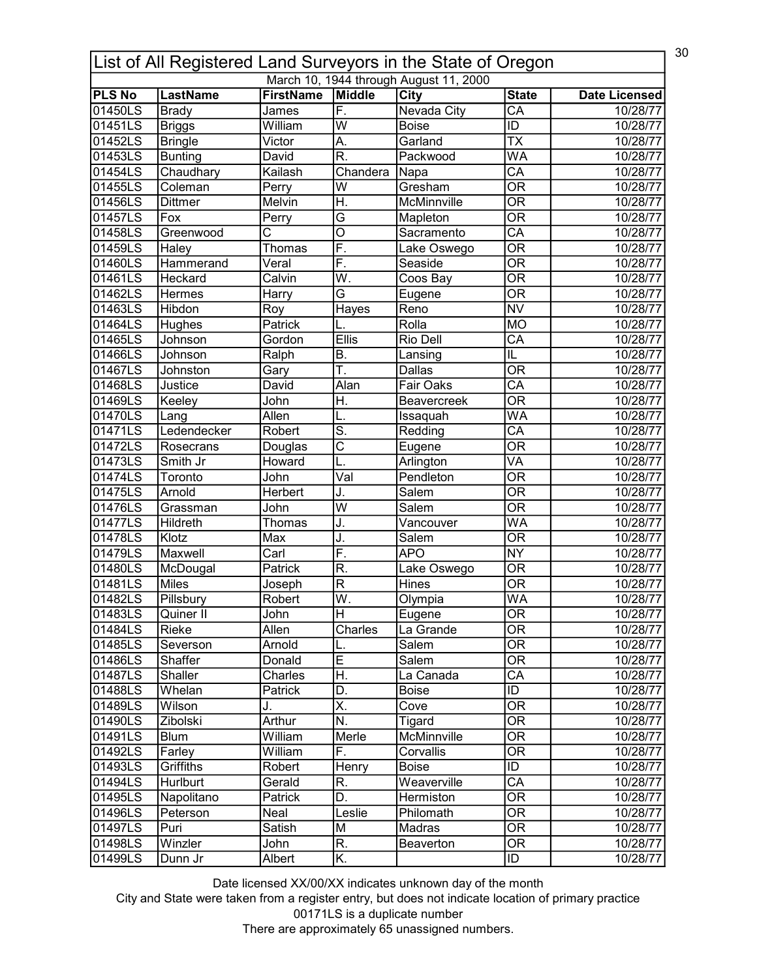| 30<br>List of All Registered Land Surveyors in the State of Oregon |                 |                       |                           |                                        |                                          |                      |  |
|--------------------------------------------------------------------|-----------------|-----------------------|---------------------------|----------------------------------------|------------------------------------------|----------------------|--|
|                                                                    |                 |                       |                           | March 10, 1944 through August 11, 2000 |                                          |                      |  |
| <b>PLS No</b><br>01450LS                                           | <b>LastName</b> | <b>FirstName</b>      | Middle<br>F.              | City<br><b>Nevada City</b>             | <b>State</b><br>$\overline{\mathsf{CA}}$ | <b>Date Licensed</b> |  |
|                                                                    | <b>Brady</b>    | James                 | $\overline{\mathsf{w}}$   | <b>Boise</b>                           | ID                                       | 10/28/77             |  |
| 01451LS                                                            | <b>Briggs</b>   | William               |                           |                                        |                                          | 10/28/77             |  |
| 01452LS                                                            | <b>Bringle</b>  | Victor                | A.                        | Garland                                | $\overline{\mathsf{TX}}$                 | 10/28/77             |  |
| 01453LS                                                            | <b>Bunting</b>  | David                 | $\overline{\mathsf{R}}$   | Packwood                               | WA                                       | 10/28/77             |  |
| 01454LS                                                            | Chaudhary       | Kailash               | Chandera                  | Napa                                   | $\overline{\mathsf{CA}}$                 | 10/28/77             |  |
| 01455LS                                                            | Coleman         | Perry                 | $\overline{\mathsf{w}}$   | Gresham                                | $\overline{\mathsf{OR}}$                 | 10/28/77             |  |
| 01456LS                                                            | <b>Dittmer</b>  | Melvin                | H.                        | McMinnville                            | $\overline{\mathsf{OR}}$                 | 10/28/77             |  |
| 01457LS                                                            | Fox             | Perry                 | $\overline{\mathsf{G}}$   | Mapleton                               | $\overline{\mathsf{OR}}$                 | 10/28/77             |  |
| 01458LS                                                            | Greenwood       | $\overline{\text{C}}$ | $\overline{\mathsf{o}}$   | Sacramento                             | $\overline{\mathsf{CA}}$                 | 10/28/77             |  |
| 01459LS                                                            | Haley           | Thomas                | F.                        | Lake Oswego                            | $\overline{\mathsf{OR}}$                 | 10/28/77             |  |
| 01460LS                                                            | Hammerand       | Veral                 | F.                        | Seaside                                | $\overline{\mathsf{OR}}$                 | 10/28/77             |  |
| 01461LS                                                            | Heckard         | Calvin                | W.                        | Coos Bay                               | $\overline{\overline{\rm OR}}$           | 10/28/77             |  |
| 01462LS                                                            | Hermes          | Harry                 | $\overline{\mathsf{G}}$   | Eugene                                 | $\overline{\overline{\rm OR}}$           | 10/28/77             |  |
| 01463LS                                                            | Hibdon          | Roy                   | Hayes                     | Reno                                   | <b>NV</b>                                | 10/28/77             |  |
| 01464LS                                                            | Hughes          | Patrick               |                           | Rolla                                  | <b>MO</b>                                | 10/28/77             |  |
| 01465LS                                                            | Johnson         | Gordon                | <b>Ellis</b>              | Rio Dell                               | CA                                       | 10/28/77             |  |
| 01466LS                                                            | Johnson         | Ralph                 | <b>B.</b>                 | Lansing                                | IL                                       | 10/28/77             |  |
| 01467LS                                                            | Johnston        | Gary                  | Ŧ.                        | <b>Dallas</b>                          | $\overline{\mathsf{OR}}$                 | 10/28/77             |  |
| 01468LS                                                            | Justice         | David                 | Alan                      | <b>Fair Oaks</b>                       | CA                                       | 10/28/77             |  |
| 01469LS                                                            | Keeley          | John                  | Η.                        | <b>Beavercreek</b>                     | $\overline{\mathsf{OR}}$                 | 10/28/77             |  |
| 01470LS                                                            | Lang            | Allen                 |                           | Issaquah                               | WA                                       | 10/28/77             |  |
| 01471LS                                                            | Ledendecker     | Robert                | $\overline{\mathsf{s}}$ . | Redding                                | $\overline{\text{CA}}$                   | 10/28/77             |  |
| 01472LS                                                            | Rosecrans       | Douglas               | $\overline{\text{c}}$     | Eugene                                 | $\overline{\mathsf{OR}}$                 | 10/28/77             |  |
| 01473LS                                                            | Smith Jr        | Howard                |                           | Arlington                              | VĀ                                       | 10/28/77             |  |
| 01474LS                                                            | Toronto         | John                  | $\overline{\mathsf{Val}}$ | Pendleton                              | $\overline{\mathsf{OR}}$                 | 10/28/77             |  |
| 01475LS                                                            | Arnold          | Herbert               | J.                        | Salem                                  | $\overline{\mathsf{OR}}$                 | 10/28/77             |  |
| 01476LS                                                            | Grassman        | John                  | $\overline{W}$            | Salem                                  | $\overline{\mathsf{OR}}$                 | 10/28/77             |  |
| 01477LS                                                            | <b>Hildreth</b> | <b>Thomas</b>         | J.                        | Vancouver                              | WA                                       | 10/28/77             |  |
| 01478LS                                                            | Klotz           | Max                   | J.                        | Salem                                  | $\overline{\mathsf{OR}}$                 | 10/28/77             |  |
|                                                                    |                 | Carl                  | F.                        | <b>APO</b>                             | <b>NY</b>                                |                      |  |
| 01479LS                                                            | Maxwell         |                       | R.                        |                                        | $\overline{\text{OR}}$                   | 10/28/77             |  |
| 01480LS                                                            | McDougal        | Patrick               |                           | Lake Oswego                            |                                          | 10/28/77             |  |
| 01481LS                                                            | Miles           | Joseph                | R                         | <b>Hines</b>                           | $\overline{\mathsf{OR}}$                 | 10/28/77             |  |
| 01482LS                                                            | Pillsburv       | Robert                | $\overline{\mathsf{W}}$   | Olympia                                | WA                                       | 10/28/77             |  |
| 01483LS                                                            | Quiner II       | John                  | H                         | Eugene                                 | 0R                                       | 10/28/77             |  |
| 01484LS                                                            | Rieke           | Allen                 | Charles                   | La Grande                              | $\overline{\mathsf{OR}}$                 | 10/28/77             |  |
| 01485LS                                                            | Severson        | Arnold                |                           | Salem                                  | <b>OR</b>                                | 10/28/77             |  |
| 01486LS                                                            | Shaffer         | Donald                | E                         | Salem                                  | $\overline{\overline{\rm OR}}$           | 10/28/77             |  |
| 01487LS                                                            | Shaller         | Charles               | Η.                        | La Canada                              | $\overline{CA}$                          | 10/28/77             |  |
| 01488LS                                                            | Whelan          | Patrick               | D.                        | <b>Boise</b>                           | $\overline{ID}$                          | 10/28/77             |  |
| 01489LS                                                            | Wilson          | J.                    | $\overline{\mathsf{X}}$ . | Cove                                   | $\overline{\mathsf{OR}}$                 | 10/28/77             |  |
| 01490LS                                                            | Zibolski        | Arthur                | N.                        | Tigard                                 | $\overline{\mathsf{OR}}$                 | 10/28/77             |  |
| 01491LS                                                            | <b>Blum</b>     | William               | Merle                     | McMinnville                            | OR                                       | 10/28/77             |  |
| 01492LS                                                            | Farley          | William               | F.                        | Corvallis                              | $\overline{\mathsf{OR}}$                 | 10/28/77             |  |
| 01493LS                                                            | Griffiths       | Robert                | Henry                     | <b>Boise</b>                           | ID                                       | 10/28/77             |  |
| 01494LS                                                            | Hurlburt        | Gerald                | R.                        | Weaverville                            | $\overline{\mathsf{CA}}$                 | 10/28/77             |  |
| 01495LS                                                            | Napolitano      | Patrick               | D.                        | Hermiston                              | $\overline{\mathsf{OR}}$                 | 10/28/77             |  |
| 01496LS                                                            | Peterson        | Neal                  | Leslie                    | Philomath                              | $\overline{\mathsf{OR}}$                 | 10/28/77             |  |
| 01497LS                                                            | Puri            | Satish                | M                         | Madras                                 | $\overline{\mathsf{OR}}$                 | 10/28/77             |  |
| 01498LS                                                            | Winzler         | John                  | R.                        | Beaverton                              | $\overline{OR}$                          | 10/28/77             |  |
| 01499LS                                                            | Dunn Jr         | Albert                | K.                        |                                        | ID                                       | 10/28/77             |  |

City and State were taken from a register entry, but does not indicate location of primary practice 00171LS is a duplicate number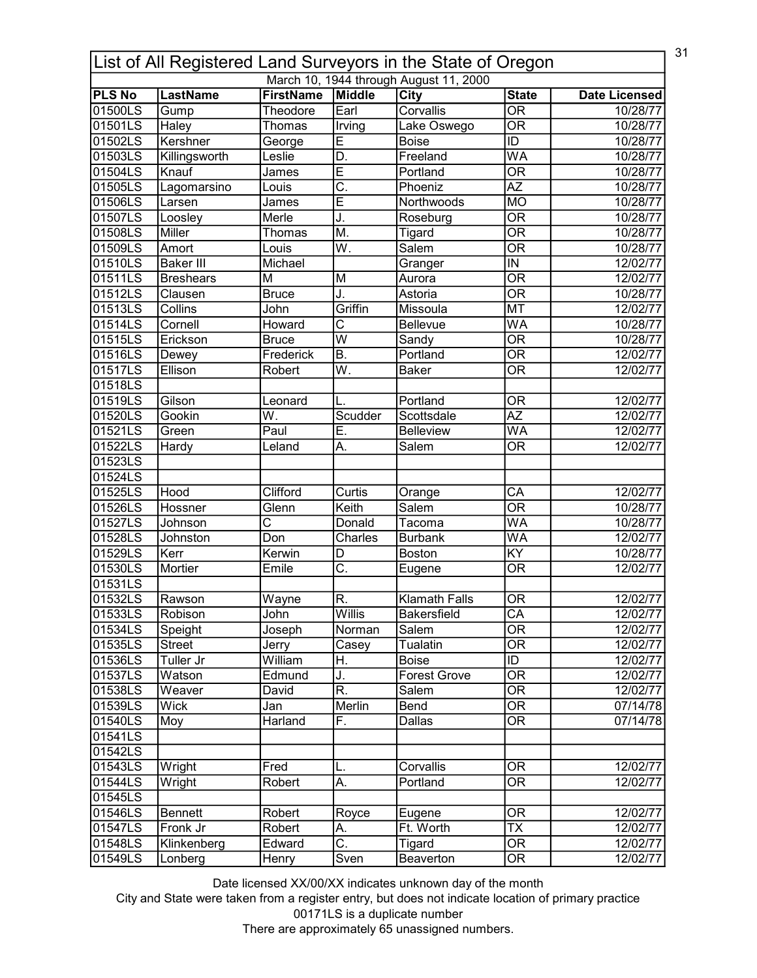| 31<br>List of All Registered Land Surveyors in the State of Oregon |                  |                              |                           |                                        |                                          |                      |  |
|--------------------------------------------------------------------|------------------|------------------------------|---------------------------|----------------------------------------|------------------------------------------|----------------------|--|
|                                                                    |                  |                              |                           | March 10, 1944 through August 11, 2000 |                                          |                      |  |
| <b>PLS No</b><br>01500LS                                           | <b>LastName</b>  | <b>FirstName</b><br>Theodore | Middle<br>Earl            | <b>City</b><br>Corvallis               | <b>State</b><br>$\overline{\mathsf{OR}}$ | <b>Date Licensed</b> |  |
| 01501LS                                                            | Gump             |                              |                           |                                        | $\overline{\mathsf{OR}}$                 | 10/28/77             |  |
|                                                                    | Haley            | Thomas                       | Irving                    | Lake Oswego                            |                                          | 10/28/77             |  |
| 01502LS                                                            | Kershner         | George                       | E                         | <b>Boise</b>                           | $\overline{\mathsf{ID}}$                 | 10/28/77             |  |
| 01503LS                                                            | Killingsworth    | Leslie                       | D.                        | Freeland                               | WA                                       | 10/28/77             |  |
| 01504LS                                                            | Knauf            | James                        | Ē                         | Portland                               | $\overline{\mathsf{OR}}$                 | 10/28/77             |  |
| 01505LS                                                            | Lagomarsino      | Louis                        | $\overline{\mathsf{C}}$ . | Phoeniz                                | $\overline{AZ}$                          | 10/28/77             |  |
| 01506LS                                                            | Larsen           | James                        | Ē                         | Northwoods                             | <b>MO</b>                                | 10/28/77             |  |
| 01507LS                                                            | Loosley          | Merle                        | J.                        | Roseburg                               | $\overline{\mathsf{OR}}$                 | 10/28/77             |  |
| 01508LS                                                            | Miller           | Thomas                       | $\overline{\mathsf{M}}$ . | Tigard                                 | $\overline{\mathsf{OR}}$                 | 10/28/77             |  |
| 01509LS                                                            | Amort            | Louis                        | $\overline{\mathsf{W}}.$  | Salem                                  | $\overline{\mathsf{OR}}$                 | 10/28/77             |  |
| 01510LS                                                            | <b>Baker III</b> | Michael                      |                           | Granger                                | $\overline{M}$                           | 12/02/77             |  |
| 01511LS                                                            | <b>Breshears</b> | М                            | M                         | Aurora                                 | $\overline{\mathsf{OR}}$                 | 12/02/77             |  |
| 01512LS                                                            | Clausen          | <b>Bruce</b>                 | J.                        | Astoria                                | $\overline{\overline{\rm OR}}$           | 10/28/77             |  |
| 01513LS                                                            | Collins          | John                         | Griffin                   | Missoula                               | <b>MT</b>                                | 12/02/77             |  |
| 01514LS                                                            | Cornell          | Howard                       | С                         | Bellevue                               | WA                                       | 10/28/77             |  |
| 01515LS                                                            | Erickson         | <b>Bruce</b>                 | $\overline{\mathsf{w}}$   | Sandy                                  | $\overline{\overline{\rm OR}}$           | 10/28/77             |  |
| 01516LS                                                            | Dewey            | Frederick                    | B.                        | Portland                               | <b>OR</b>                                | 12/02/77             |  |
| 01517LS                                                            | Ellison          | Robert                       | $\overline{\mathsf{W}}$ . | <b>Baker</b>                           | $\overline{\mathsf{OR}}$                 | 12/02/77             |  |
| 01518LS                                                            |                  |                              |                           |                                        |                                          |                      |  |
| 01519LS                                                            | Gilson           | Leonard                      |                           | Portland                               | 0R                                       | 12/02/77             |  |
| 01520LS                                                            | Gookin           | W.                           | Scudder                   | Scottsdale                             | $\overline{AZ}$                          | 12/02/77             |  |
| 01521LS                                                            | Green            | Paul                         | Ē.                        | <b>Belleview</b>                       | $\overline{\mathsf{WA}}$                 | 12/02/77             |  |
| 01522LS                                                            | Hardy            | Leland                       | Α.                        | Salem                                  | $\overline{\mathsf{OR}}$                 | 12/02/77             |  |
| 01523LS                                                            |                  |                              |                           |                                        |                                          |                      |  |
| 01524LS                                                            |                  |                              |                           |                                        |                                          |                      |  |
| 01525LS                                                            | Hood             | Clifford                     | Curtis                    | Orange                                 | $\overline{\mathsf{CA}}$                 | 12/02/77             |  |
| 01526LS                                                            | Hossner          | Glenn                        | Keith                     | Salem                                  | $\overline{\mathsf{OR}}$                 | 10/28/77             |  |
| 01527LS                                                            | Johnson          | $\overline{\text{c}}$        | Donald                    | Tacoma                                 | WA                                       | 10/28/77             |  |
| 01528LS                                                            | Johnston         | Don                          | Charles                   | <b>Burbank</b>                         | $\overline{\mathsf{WA}}$                 | 12/02/77             |  |
| 01529LS                                                            | Kerr             | Kerwin                       | D                         | <b>Boston</b>                          | KY                                       | 10/28/77             |  |
| 01530LS                                                            | Mortier          | Emile                        | $\overline{\mathsf{C}}$ . |                                        | $\overline{\mathsf{OR}}$                 | 12/02/77             |  |
| 01531LS                                                            |                  |                              |                           | Eugene                                 |                                          |                      |  |
| 01532LS                                                            |                  | Wayne                        | lR.                       | <b>Klamath Falls</b>                   | <b>OR</b>                                |                      |  |
|                                                                    | Rawson           |                              |                           |                                        |                                          | 12/02/77             |  |
| 01533LS                                                            | Robison          | John                         | Willis                    | Bakersfield                            | CA                                       | 12/02/77             |  |
| 01534LS                                                            | Speight          | Joseph                       | Norman                    | Salem                                  | $\overline{\overline{\rm OR}}$           | 12/02/77             |  |
| 01535LS                                                            | <b>Street</b>    | Jerry                        | Casey                     | <b>Tualatin</b>                        | $\overline{\overline{\rm OR}}$           | 12/02/77             |  |
| 01536LS                                                            | Tuller Jr        | William                      | Η.                        | Boise                                  | ID                                       | 12/02/77             |  |
| 01537LS                                                            | Watson           | Edmund                       | J.                        | <b>Forest Grove</b>                    | $\overline{\overline{\rm OR}}$           | 12/02/77             |  |
| 01538LS                                                            | Weaver           | David                        | $\overline{\mathsf{R}}$ . | Salem                                  | $\overline{\mathsf{OR}}$                 | 12/02/77             |  |
| 01539LS                                                            | Wick             | Jan                          | Merlin                    | Bend                                   | $\overline{\mathsf{OR}}$                 | 07/14/78             |  |
| 01540LS                                                            | Moy              | Harland                      | F.                        | Dallas                                 | 0R                                       | 07/14/78             |  |
| 01541LS                                                            |                  |                              |                           |                                        |                                          |                      |  |
| 01542LS                                                            |                  |                              |                           |                                        |                                          |                      |  |
| 01543LS                                                            | Wright           | Fred                         | L.                        | Corvallis                              | <b>OR</b>                                | 12/02/77             |  |
| 01544LS                                                            | Wright           | Robert                       | А.                        | Portland                               | 0R                                       | 12/02/77             |  |
| 01545LS                                                            |                  |                              |                           |                                        |                                          |                      |  |
| 01546LS                                                            | <b>Bennett</b>   | Robert                       | Royce                     | Eugene                                 | 0R                                       | 12/02/77             |  |
| 01547LS                                                            | Fronk Jr         | Robert                       | А.                        | Ft. Worth                              | ТX                                       | 12/02/77             |  |
| 01548LS                                                            | Klinkenberg      | Edward                       | $\overline{\mathsf{C}}$ . | Tigard                                 | $\overline{\text{OR}}$                   | 12/02/77             |  |
| 01549LS                                                            | Lonberg          | Henry                        | Sven                      | Beaverton                              | $\overline{\text{OR}}$                   | 12/02/77             |  |

City and State were taken from a register entry, but does not indicate location of primary practice 00171LS is a duplicate number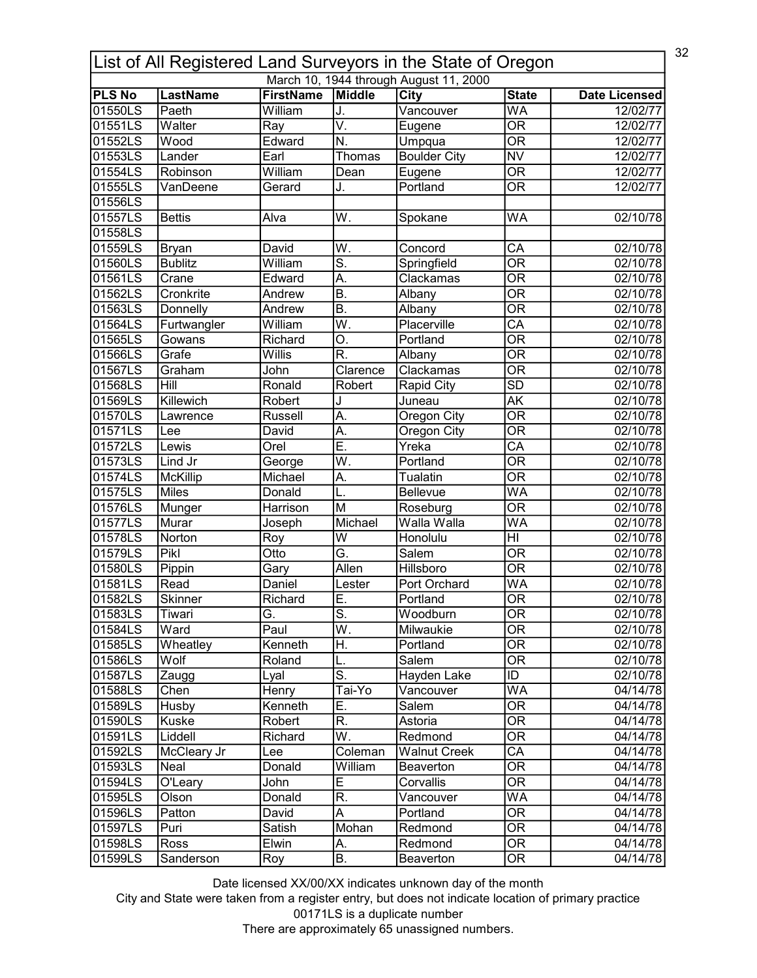| 32<br>List of All Registered Land Surveyors in the State of Oregon |                          |                             |                           |                                        |                                          |                      |  |
|--------------------------------------------------------------------|--------------------------|-----------------------------|---------------------------|----------------------------------------|------------------------------------------|----------------------|--|
|                                                                    |                          |                             |                           | March 10, 1944 through August 11, 2000 |                                          |                      |  |
| <b>PLS No</b><br>01550LS                                           | <b>LastName</b><br>Paeth | <b>FirstName</b><br>William | Middle                    | <b>City</b>                            | <b>State</b><br>$\overline{\mathsf{WA}}$ | <b>Date Licensed</b> |  |
|                                                                    |                          |                             | J.                        | Vancouver                              |                                          | 12/02/77             |  |
| 01551LS                                                            | Walter                   | Ray                         | V.                        | Eugene                                 | $\overline{\mathsf{OR}}$                 | 12/02/77             |  |
| 01552LS                                                            | Wood                     | Edward                      | N.                        | Umpqua                                 | $\overline{\overline{\rm OR}}$           | 12/02/77             |  |
| 01553LS                                                            | Lander                   | Earl                        | Thomas                    | <b>Boulder City</b>                    | $\overline{\text{NV}}$                   | 12/02/77             |  |
| 01554LS                                                            | Robinson                 | William                     | Dean                      | Eugene                                 | $\overline{\overline{\rm OR}}$           | 12/02/77             |  |
| 01555LS                                                            | VanDeene                 | Gerard                      | J.                        | Portland                               | $\overline{\mathsf{OR}}$                 | 12/02/77             |  |
| 01556LS                                                            |                          |                             |                           |                                        |                                          |                      |  |
| 01557LS                                                            | <b>Bettis</b>            | Alva                        | W.                        | Spokane                                | WA                                       | 02/10/78             |  |
| 01558LS                                                            |                          |                             |                           |                                        |                                          |                      |  |
| 01559LS                                                            | <b>Bryan</b>             | David                       | W.                        | Concord                                | CA                                       | 02/10/78             |  |
| 01560LS                                                            | <b>Bublitz</b>           | William                     | <u>ត</u>                  | Springfield                            | $\overline{\mathsf{OR}}$                 | 02/10/78             |  |
| 01561LS                                                            | Crane                    | Edward                      | A.                        | Clackamas                              | $\overline{\mathsf{OR}}$                 | 02/10/78             |  |
| 01562LS                                                            | Cronkrite                | Andrew                      | Β.                        | Albany                                 | $\overline{\overline{\rm OR}}$           | 02/10/78             |  |
| 01563LS                                                            | Donnelly                 | Andrew                      | $\overline{\mathsf{B}}$ . | Albany                                 | $\overline{\mathsf{OR}}$                 | 02/10/78             |  |
| 01564LS                                                            | Furtwangler              | William                     | $\overline{\mathsf{W}}.$  | Placerville                            | $\overline{CA}$                          | 02/10/78             |  |
| 01565LS                                                            | Gowans                   | Richard                     | O.                        | Portland                               | $\overline{\text{OR}}$                   | 02/10/78             |  |
| 01566LS                                                            | Grafe                    | Willis                      | R.                        | Albany                                 | <b>OR</b>                                | 02/10/78             |  |
| 01567LS                                                            | Graham                   | John                        | Clarence                  | Clackamas                              | $\overline{\mathsf{OR}}$                 | 02/10/78             |  |
| 01568LS                                                            | Hill                     | Ronald                      | Robert                    | <b>Rapid City</b>                      | SD                                       | 02/10/78             |  |
| 01569LS                                                            | Killewich                | Robert                      | J                         | Juneau                                 | <b>AK</b>                                | 02/10/78             |  |
| 01570LS                                                            | Lawrence                 | Russell                     | A.                        | Oregon City                            | $\overline{\mathsf{OR}}$                 | 02/10/78             |  |
| 01571LS                                                            | Lee                      | David                       | A.                        | <b>Oregon City</b>                     | $\overline{\mathsf{OR}}$                 | 02/10/78             |  |
| 01572LS                                                            | Lewis                    | Orel                        | Ē.                        | Yreka                                  | $\overline{\mathsf{CA}}$                 | 02/10/78             |  |
| 01573LS                                                            | Lind Jr                  | George                      | $\overline{\mathsf{W}}.$  | Portland                               | $\overline{\mathsf{OR}}$                 | 02/10/78             |  |
| 01574LS                                                            | <b>McKillip</b>          | Michael                     | A.                        | <b>Tualatin</b>                        | $\overline{\mathsf{OR}}$                 | 02/10/78             |  |
| 01575LS                                                            | <b>Miles</b>             | Donald                      | L.                        | <b>Bellevue</b>                        | $\overline{\mathsf{WA}}$                 | 02/10/78             |  |
| 01576LS                                                            | Munger                   | Harrison                    | M                         | Roseburg                               | $\overline{\mathsf{OR}}$                 | 02/10/78             |  |
| 01577LS                                                            | Murar                    | Joseph                      | Michael                   | Walla Walla                            | WA                                       | 02/10/78             |  |
| 01578LS                                                            | Norton                   | Roy                         | W                         | Honolulu                               | $\overline{H}$                           | 02/10/78             |  |
| 01579LS                                                            | Pikl                     | Otto                        | G.                        | <b>Salem</b>                           | $\overline{\mathsf{OR}}$                 | 02/10/78             |  |
| 01580LS                                                            |                          | Gary                        | <b>Allen</b>              | Hillsboro                              | $\overline{\mathsf{OR}}$                 | 02/10/78             |  |
| 01581LS                                                            | Pippin<br>Read           | Daniel                      | Lester                    | Port Orchard                           | WA                                       | 02/10/78             |  |
| 01582LS                                                            | <b>Skinner</b>           | Richard                     | lΕ                        | Portland                               | OR                                       |                      |  |
|                                                                    |                          |                             | S.                        | Woodburn                               |                                          | 02/10/78             |  |
| 01583LS                                                            | Tiwari                   | G.                          |                           |                                        | 0R                                       | 02/10/78             |  |
| 01584LS                                                            | Ward                     | Paul                        | $\overline{\mathsf{W}}$ . | Milwaukie                              | $\overline{\overline{\rm OR}}$           | 02/10/78             |  |
| 01585LS                                                            | Wheatley                 | Kenneth                     | Η.                        | Portland                               | <b>OR</b>                                | 02/10/78             |  |
| 01586LS                                                            | Wolf                     | Roland                      | L.                        | Salem                                  | $\overline{\overline{\rm OR}}$           | 02/10/78             |  |
| 01587LS                                                            | Zaugg                    | Lyal                        | $\overline{\mathsf{S}}$ . | Hayden Lake                            | ID                                       | 02/10/78             |  |
| 01588LS                                                            | Chen                     | Henry                       | Tai-Yo                    | Vancouver                              | <b>WA</b>                                | 04/14/78             |  |
| 01589LS                                                            | Husby                    | Kenneth                     | $\overline{E}$ .          | Salem                                  | $\overline{\mathsf{OR}}$                 | 04/14/78             |  |
| 01590LS                                                            | Kuske                    | Robert                      | R.                        | Astoria                                | $\overline{\mathsf{OR}}$                 | 04/14/78             |  |
| 01591LS                                                            | Liddell                  | Richard                     | W.                        | Redmond                                | OR                                       | 04/14/78             |  |
| 01592LS                                                            | McCleary Jr              | Lee                         | Coleman                   | <b>Walnut Creek</b>                    | $\overline{\mathsf{CA}}$                 | 04/14/78             |  |
| 01593LS                                                            | Neal                     | Donald                      | William                   | Beaverton                              | OR                                       | 04/14/78             |  |
| 01594LS                                                            | O'Leary                  | John                        | Ε                         | Corvallis                              | $\overline{\mathsf{OR}}$                 | 04/14/78             |  |
| 01595LS                                                            | Olson                    | Donald                      | R.                        | Vancouver                              | <b>WA</b>                                | 04/14/78             |  |
| 01596LS                                                            | Patton                   | David                       | A                         | Portland                               | $\overline{\text{OR}}$                   | 04/14/78             |  |
| 01597LS                                                            | Puri                     | Satish                      | Mohan                     | Redmond                                | $\overline{\text{OR}}$                   | 04/14/78             |  |
| 01598LS                                                            |                          |                             |                           | Redmond                                | $\overline{\text{OR}}$                   | 04/14/78             |  |
|                                                                    | Ross                     | Elwin                       | Α.                        |                                        |                                          |                      |  |

City and State were taken from a register entry, but does not indicate location of primary practice 00171LS is a duplicate number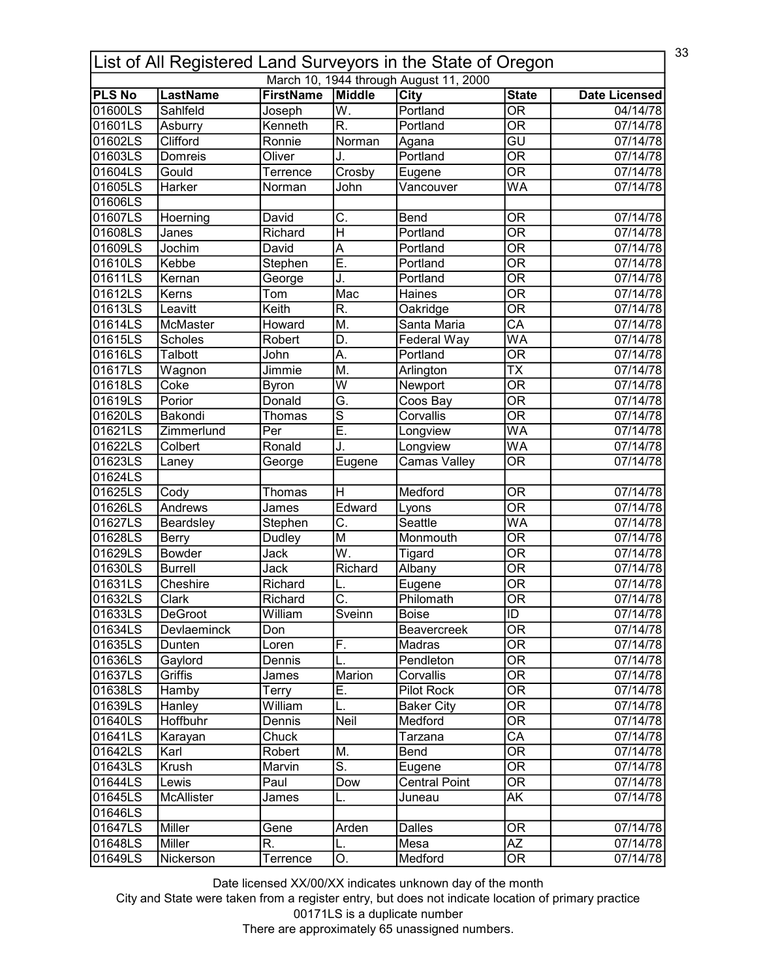|               | 33<br>List of All Registered Land Surveyors in the State of Oregon |                  |                           |                                        |                                |                      |  |  |  |
|---------------|--------------------------------------------------------------------|------------------|---------------------------|----------------------------------------|--------------------------------|----------------------|--|--|--|
|               |                                                                    |                  |                           | March 10, 1944 through August 11, 2000 |                                |                      |  |  |  |
| <b>PLS No</b> | <b>LastName</b>                                                    | <b>FirstName</b> | Middle                    | City                                   | <b>State</b>                   | <b>Date Licensed</b> |  |  |  |
| 01600LS       | Sahlfeld                                                           | Joseph           | W.                        | Portland                               | $\overline{\mathsf{OR}}$       | 04/14/78             |  |  |  |
| 01601LS       | Asburry                                                            | Kenneth          | $\overline{\mathsf{R}}$ . | Portland                               | $\overline{\mathsf{OR}}$       | 07/14/78             |  |  |  |
| 01602LS       | Clifford                                                           | Ronnie           | Norman                    | Agana                                  | $\overline{\mathsf{GU}}$       | 07/14/78             |  |  |  |
| 01603LS       | Domreis                                                            | Oliver           | J.                        | Portland                               | $\overline{\mathsf{OR}}$       | 07/14/78             |  |  |  |
| 01604LS       | Gould                                                              | Terrence         | Crosby                    | Eugene                                 | $\overline{\mathsf{OR}}$       | 07/14/78             |  |  |  |
| 01605LS       | Harker                                                             | Norman           | John                      | Vancouver                              | WA                             | 07/14/78             |  |  |  |
| 01606LS       |                                                                    |                  |                           |                                        |                                |                      |  |  |  |
| 01607LS       | Hoerning                                                           | David            | C.                        | Bend                                   | <b>OR</b>                      | 07/14/78             |  |  |  |
| 01608LS       | Janes                                                              | Richard          | $\overline{\mathsf{H}}$   | Portland                               | $\overline{\mathsf{OR}}$       | 07/14/78             |  |  |  |
| 01609LS       | Jochim                                                             | David            | A                         | Portland                               | $\overline{\mathsf{OR}}$       | 07/14/78             |  |  |  |
| 01610LS       | Kebbe                                                              | Stephen          | Ē.                        | Portland                               | $\overline{\mathsf{OR}}$       | 07/14/78             |  |  |  |
| 01611LS       | Kernan                                                             | George           | J.                        | Portland                               | $\overline{\mathsf{OR}}$       | 07/14/78             |  |  |  |
| 01612LS       | Kerns                                                              | Tom              | Mac                       | Haines                                 | $\overline{\overline{\rm OR}}$ | 07/14/78             |  |  |  |
| 01613LS       | Leavitt                                                            | Keith            | R.                        | Oakridge                               | $\overline{\overline{\rm OR}}$ | 07/14/78             |  |  |  |
| 01614LS       | McMaster                                                           | Howard           | M.                        | Santa Maria                            | $\overline{\mathsf{CA}}$       | 07/14/78             |  |  |  |
| 01615LS       | <b>Scholes</b>                                                     | Robert           | D.                        | Federal Way                            | <b>WA</b>                      | 07/14/78             |  |  |  |
| 01616LS       | Talbott                                                            | John             | А.                        | Portland                               | <b>OR</b>                      | 07/14/78             |  |  |  |
| 01617LS       | Wagnon                                                             | Jimmie           | M.                        | Arlington                              | $\overline{\mathsf{TX}}$       | 07/14/78             |  |  |  |
| 01618LS       | Coke                                                               | <b>Byron</b>     | W                         | Newport                                | <b>OR</b>                      | 07/14/78             |  |  |  |
| 01619LS       | Porior                                                             | Donald           | Ğ.                        | Coos Bay                               | $\overline{\mathsf{OR}}$       | 07/14/78             |  |  |  |
| 01620LS       | Bakondi                                                            | Thomas           | $\overline{s}$            | Corvallis                              | $\overline{\mathsf{OR}}$       | 07/14/78             |  |  |  |
| 01621LS       | Zimmerlund                                                         | Per              | Ē.                        | Longview                               | $\overline{\mathsf{WA}}$       | 07/14/78             |  |  |  |
| 01622LS       | Colbert                                                            | Ronald           | J.                        | Longview                               | $\overline{\mathsf{WA}}$       | 07/14/78             |  |  |  |
| 01623LS       | Laney                                                              | George           | Eugene                    | <b>Camas Valley</b>                    | $\overline{\mathsf{OR}}$       | 07/14/78             |  |  |  |
| 01624LS       |                                                                    |                  |                           |                                        |                                |                      |  |  |  |
| 01625LS       | Cody                                                               | Thomas           | $\overline{\mathsf{H}}$   | Medford                                | $\overline{\mathsf{OR}}$       | 07/14/78             |  |  |  |
| 01626LS       | Andrews                                                            |                  | Edward                    |                                        | $\overline{\mathsf{OR}}$       | 07/14/78             |  |  |  |
|               |                                                                    | James            |                           | Lyons<br>Seattle                       | WA                             |                      |  |  |  |
| 01627LS       | Beardsley                                                          | Stephen          | $\overline{\mathsf{C}}$ . |                                        |                                | 07/14/78             |  |  |  |
| 01628LS       | <b>Berry</b>                                                       | Dudley           | M                         | Monmouth                               | $\overline{\mathsf{OR}}$       | 07/14/78             |  |  |  |
| 01629LS       | Bowder                                                             | Jack             | W.                        | Tigard                                 | $\overline{\mathsf{OR}}$       | 07/14/78             |  |  |  |
| 01630LS       | <b>Burrell</b>                                                     | Jack             | Richard                   | Albany                                 | $\overline{\mathsf{OR}}$       | 07/14/78             |  |  |  |
| 01631LS       | Cheshire                                                           | Richard          |                           | Eugene                                 | <b>OR</b>                      | 07/14/78             |  |  |  |
| 101632LS      | <b>Clark</b>                                                       | Richard          | $\overline{C}$            | Philomath                              | $\overline{OR}$                | 07/14/78             |  |  |  |
| 01633LS       | <b>DeGroot</b>                                                     | William          | Sveinn                    | <b>Boise</b>                           | ID                             | 07/14/78             |  |  |  |
| 01634LS       | <b>Devlaeminck</b>                                                 | Don              |                           | Beavercreek                            | $\overline{OR}$                | 07/14/78             |  |  |  |
| 01635LS       | Dunten                                                             | Loren            | F.                        | Madras                                 | 0R                             | 07/14/78             |  |  |  |
| 01636LS       | Gaylord                                                            | Dennis           | L.                        | Pendleton                              | <b>OR</b>                      | 07/14/78             |  |  |  |
| 01637LS       | Griffis                                                            | James            | Marion                    | Corvallis                              | <b>OR</b>                      | 07/14/78             |  |  |  |
| 01638LS       | Hamby                                                              | Terry            | Ε.                        | Pilot Rock                             | $\overline{\mathsf{OR}}$       | 07/14/78             |  |  |  |
| 01639LS       | Hanley                                                             | William          | L.                        | <b>Baker City</b>                      | 0R                             | 07/14/78             |  |  |  |
| 01640LS       | Hoffbuhr                                                           | Dennis           | Neil                      | Medford                                | 0R                             | 07/14/78             |  |  |  |
| 01641LS       | Karayan                                                            | Chuck            |                           | Tarzana                                | CA                             | 07/14/78             |  |  |  |
| 01642LS       | Karl                                                               | Robert           | M.                        | Bend                                   | $\overline{\mathsf{OR}}$       | 07/14/78             |  |  |  |
| 01643LS       | Krush                                                              | Marvin           | $\overline{\mathsf{S}}$ . | Eugene                                 | OR                             | 07/14/78             |  |  |  |
| 01644LS       | Lewis                                                              | Paul             | Dow                       | <b>Central Point</b>                   | 0R                             | 07/14/78             |  |  |  |
| 01645LS       | McAllister                                                         | James            | L.                        | Juneau                                 | AK                             | 07/14/78             |  |  |  |
| 01646LS       |                                                                    |                  |                           |                                        |                                |                      |  |  |  |
| 01647LS       | Miller                                                             | Gene             | Arden                     | Dalles                                 | $\overline{\mathsf{OR}}$       | 07/14/78             |  |  |  |
| 01648LS       | Miller                                                             | R.               | L.                        | Mesa                                   | $\overline{AZ}$                | 07/14/78             |  |  |  |
| 01649LS       | Nickerson                                                          | Terrence         | О.                        | Medford                                | $\overline{\mathsf{OR}}$       | 07/14/78             |  |  |  |
|               |                                                                    |                  |                           |                                        |                                |                      |  |  |  |

City and State were taken from a register entry, but does not indicate location of primary practice 00171LS is a duplicate number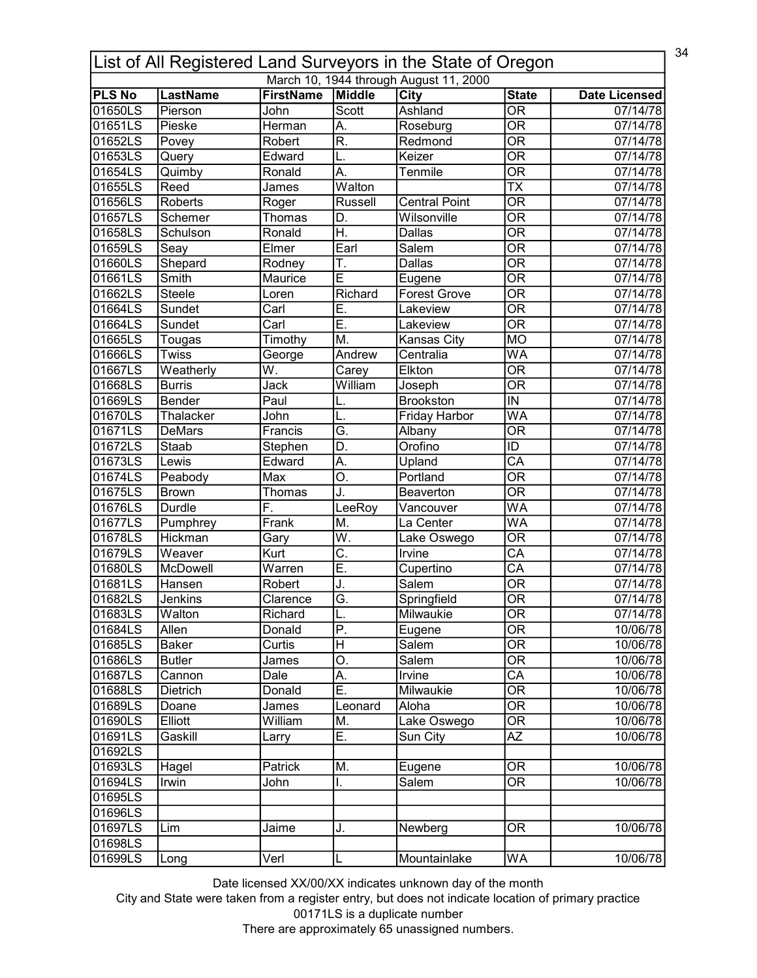|                          | 34<br>List of All Registered Land Surveyors in the State of Oregon |                          |                           |                                        |                                          |                      |  |  |
|--------------------------|--------------------------------------------------------------------|--------------------------|---------------------------|----------------------------------------|------------------------------------------|----------------------|--|--|
|                          |                                                                    |                          |                           | March 10, 1944 through August 11, 2000 |                                          |                      |  |  |
| <b>PLS No</b><br>01650LS | <b>LastName</b><br>Pierson                                         | <b>FirstName</b><br>John | Middle<br>Scott           | <b>City</b><br>Ashland                 | <b>State</b><br>$\overline{\mathsf{OR}}$ | <b>Date Licensed</b> |  |  |
| 01651LS                  |                                                                    |                          |                           |                                        | $\overline{\mathsf{OR}}$                 | 07/14/78             |  |  |
|                          | Pieske                                                             | Herman                   | A.                        | Roseburg                               |                                          | 07/14/78             |  |  |
| 01652LS                  | Povey                                                              | Robert                   | R.                        | Redmond                                | $\overline{\mathsf{OR}}$                 | 07/14/78             |  |  |
| 01653LS                  | Query                                                              | Edward                   |                           | Keizer                                 | $\overline{\mathsf{OR}}$                 | 07/14/78             |  |  |
| 01654LS                  | Quimby                                                             | Ronald                   | $\overline{A}$ .          | Tenmile                                | $\overline{\overline{\rm OR}}$           | 07/14/78             |  |  |
| 01655LS                  | Reed                                                               | James                    | Walton                    |                                        | $\overline{\mathsf{TX}}$                 | 07/14/78             |  |  |
| 01656LS                  | Roberts                                                            | Roger                    | <b>Russell</b>            | <b>Central Point</b>                   | $\overline{\mathsf{OR}}$                 | 07/14/78             |  |  |
| 01657LS                  | Schemer                                                            | Thomas                   | D.                        | Wilsonville                            | $\overline{\mathsf{OR}}$                 | 07/14/78             |  |  |
| 01658LS                  | Schulson                                                           | Ronald                   | H.                        | <b>Dallas</b>                          | $\overline{\text{OR}}$                   | 07/14/78             |  |  |
| 01659LS                  | Seay                                                               | Elmer                    | Earl                      | Salem                                  | $\overline{\mathsf{OR}}$                 | 07/14/78             |  |  |
| 01660LS                  | Shepard                                                            | Rodney                   | T.                        | Dallas                                 | $\overline{\mathsf{OR}}$                 | 07/14/78             |  |  |
| 01661LS                  | Smith                                                              | Maurice                  | Ē                         | Eugene                                 | $\overline{\overline{\rm OR}}$           | 07/14/78             |  |  |
| 01662LS                  | Steele                                                             | Loren                    | Richard                   | <b>Forest Grove</b>                    | $\overline{\overline{\rm OR}}$           | 07/14/78             |  |  |
| 01664LS                  | Sundet                                                             | Carl                     | E.                        | Lakeview                               | $\overline{\overline{\rm OR}}$           | 07/14/78             |  |  |
| 01664LS                  | Sundet                                                             | Carl                     | $\overline{\mathsf{E}}$   | Lakeview                               | $\overline{\overline{\rm OR}}$           | 07/14/78             |  |  |
| 01665LS                  | Tougas                                                             | Timothy                  | M.                        | Kansas City                            | <b>MO</b>                                | 07/14/78             |  |  |
| 01666LS                  | <b>Twiss</b>                                                       | George                   | Andrew                    | Centralia                              | <b>WA</b>                                | 07/14/78             |  |  |
| 01667LS                  | Weatherly                                                          | W.                       | Carey                     | Elkton                                 | $\overline{\mathsf{OR}}$                 | 07/14/78             |  |  |
| 01668LS                  | <b>Burris</b>                                                      | Jack                     | William                   | Joseph                                 | $\overline{\mathsf{OR}}$                 | 07/14/78             |  |  |
| 01669LS                  | Bender                                                             | Paul                     | L.                        | <b>Brookston</b>                       | $\overline{\mathsf{IN}}$                 | 07/14/78             |  |  |
| 01670LS                  | Thalacker                                                          | John                     |                           | <b>Friday Harbor</b>                   | <b>WA</b>                                | 07/14/78             |  |  |
| 01671LS                  | DeMars                                                             | Francis                  | Ğ.                        | Albany                                 | $\overline{\mathsf{OR}}$                 | 07/14/78             |  |  |
| 01672LS                  | Staab                                                              | Stephen                  | D.                        | Orofino                                | $\overline{\mathsf{ID}}$                 | 07/14/78             |  |  |
| 01673LS                  | Lewis                                                              | Edward                   | A.                        | Upland                                 | $\overline{\mathsf{CA}}$                 | 07/14/78             |  |  |
| 01674LS                  | Peabody                                                            | Max                      | Ō.                        | Portland                               | $\overline{\mathsf{OR}}$                 | 07/14/78             |  |  |
| 01675LS                  | <b>Brown</b>                                                       | Thomas                   | J.                        | Beaverton                              | $\overline{\mathsf{OR}}$                 | 07/14/78             |  |  |
| 01676LS                  | Durdle                                                             | F.                       | LeeRoy                    | Vancouver                              | WA                                       | 07/14/78             |  |  |
| 01677LS                  | Pumphrey                                                           | Frank                    | M.                        | La Center                              | WA                                       | 07/14/78             |  |  |
| 01678LS                  | Hickman                                                            | Gary                     | W.                        | Lake Oswego                            | $\overline{\mathsf{OR}}$                 | 07/14/78             |  |  |
| 01679LS                  | Weaver                                                             | Kurt                     | $\overline{\mathsf{C}}$ . | Irvine                                 | $\overline{\mathsf{CA}}$                 | 07/14/78             |  |  |
| 01680LS                  | McDowell                                                           | Warren                   | Ē.                        | Cupertino                              | $\overline{CA}$                          | 07/14/78             |  |  |
| 01681LS                  | Hansen                                                             | Robert                   | J.                        | Salem                                  | $\overline{\mathsf{OR}}$                 | 07/14/78             |  |  |
| 01682LS                  | Jenkins                                                            | Clarence                 | G                         | Springfield                            | $\overline{OR}$                          | 07/14/78             |  |  |
| 01683LS                  | Walton                                                             | Richard                  | L.                        | Milwaukie                              | OR                                       | 07/14/78             |  |  |
| 01684LS                  | Allen                                                              | Donald                   | $\overline{P}$ .          | Eugene                                 | $\overline{\overline{\rm OR}}$           | 10/06/78             |  |  |
| 01685LS                  | <b>Baker</b>                                                       | Curtis                   | H                         | Salem                                  | <b>OR</b>                                | 10/06/78             |  |  |
| 01686LS                  | <b>Butler</b>                                                      | James                    | О.                        | Salem                                  | <b>OR</b>                                | 10/06/78             |  |  |
| 01687LS                  | Cannon                                                             | Dale                     | А.                        | Irvine                                 | CA                                       | 10/06/78             |  |  |
| 01688LS                  | Dietrich                                                           | Donald                   | E.                        | Milwaukie                              | $\overline{\overline{\rm OR}}$           | 10/06/78             |  |  |
| 01689LS                  | Doane                                                              | James                    | Leonard                   | Aloha                                  | <b>OR</b>                                | 10/06/78             |  |  |
| 01690LS                  | Elliott                                                            | William                  | M.                        | Lake Oswego                            | <b>OR</b>                                | 10/06/78             |  |  |
| 01691LS                  | Gaskill                                                            | Larry                    | E.                        | Sun City                               | AZ                                       | 10/06/78             |  |  |
| 01692LS                  |                                                                    |                          |                           |                                        |                                          |                      |  |  |
| 01693LS                  | Hagel                                                              | Patrick                  | M.                        | Eugene                                 | <b>OR</b>                                | 10/06/78             |  |  |
| 01694LS                  |                                                                    |                          |                           | Salem                                  | 0R                                       | 10/06/78             |  |  |
|                          | Irwin                                                              | John                     | Ι.                        |                                        |                                          |                      |  |  |
| 01695LS<br>01696LS       |                                                                    |                          |                           |                                        |                                          |                      |  |  |
|                          |                                                                    |                          |                           |                                        |                                          |                      |  |  |
| 01697LS                  | Lim                                                                | Jaime                    | J.                        | Newberg                                | OR                                       | 10/06/78             |  |  |
| 01698LS                  |                                                                    |                          |                           |                                        |                                          |                      |  |  |
| 01699LS                  | Long                                                               | Verl                     | L                         | Mountainlake                           | <b>WA</b>                                | 10/06/78             |  |  |

City and State were taken from a register entry, but does not indicate location of primary practice 00171LS is a duplicate number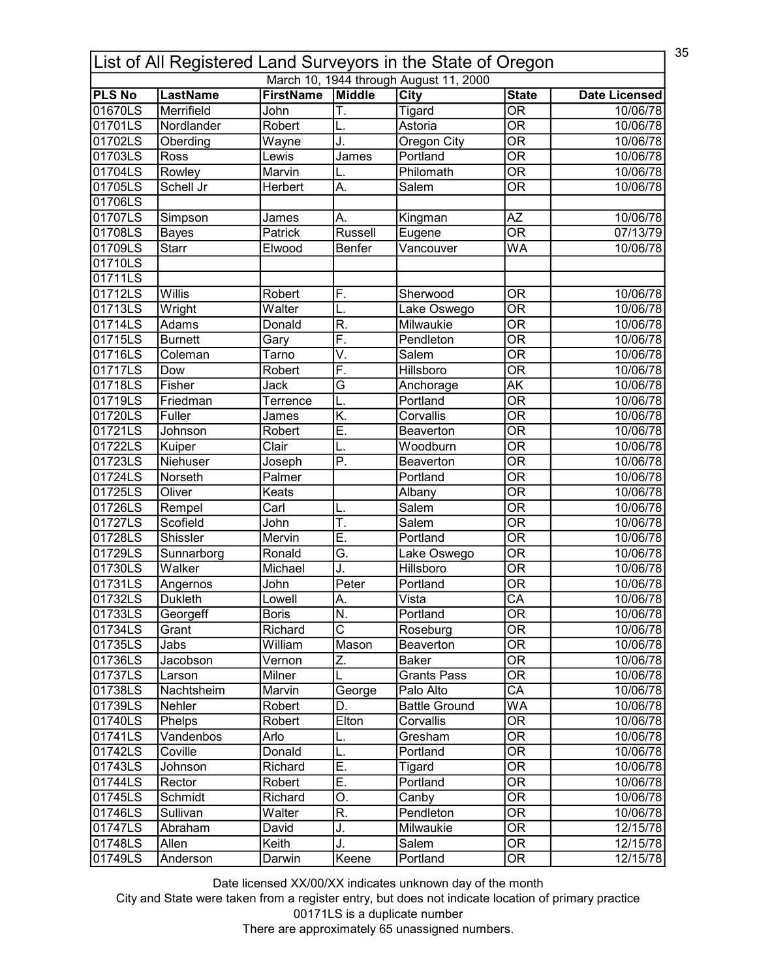|               | 35<br>List of All Registered Land Surveyors in the State of Oregon |                  |                          |                                        |                                |                      |  |  |  |
|---------------|--------------------------------------------------------------------|------------------|--------------------------|----------------------------------------|--------------------------------|----------------------|--|--|--|
|               |                                                                    |                  |                          | March 10, 1944 through August 11, 2000 |                                |                      |  |  |  |
| <b>PLS No</b> | <b>LastName</b>                                                    | <b>FirstName</b> | Middle                   | <b>City</b>                            | <b>State</b>                   | <b>Date Licensed</b> |  |  |  |
| 01670LS       | Merrifield                                                         | John             | T.                       | <b>Tigard</b>                          | $\overline{\mathsf{OR}}$       | 10/06/78             |  |  |  |
| 01701LS       | Nordlander                                                         | Robert           |                          | Astoria                                | $\overline{\mathsf{OR}}$       | 10/06/78             |  |  |  |
| 01702LS       | Oberding                                                           | Wayne            | J.                       | <b>Oregon City</b>                     | $\overline{\overline{\rm OR}}$ | 10/06/78             |  |  |  |
| 01703LS       | Ross                                                               | Lewis            | James                    | Portland                               | $\overline{\mathsf{OR}}$       | 10/06/78             |  |  |  |
| 01704LS       | Rowley                                                             | Marvin           |                          | Philomath                              | $\overline{\text{OR}}$         | 10/06/78             |  |  |  |
| 01705LS       | Schell Jr                                                          | Herbert          | A.                       | Salem                                  | $\overline{\mathsf{OR}}$       | 10/06/78             |  |  |  |
| 01706LS       |                                                                    |                  |                          |                                        |                                |                      |  |  |  |
| 01707LS       | Simpson                                                            | James            | А.                       | Kingman                                | AΖ                             | 10/06/78             |  |  |  |
| 01708LS       | <b>Bayes</b>                                                       | Patrick          | <b>Russell</b>           | Eugene                                 | $\overline{\mathsf{OR}}$       | 07/13/79             |  |  |  |
| 01709LS       | <b>Starr</b>                                                       | Elwood           | Benfer                   | Vancouver                              | WA                             | 10/06/78             |  |  |  |
| 01710LS       |                                                                    |                  |                          |                                        |                                |                      |  |  |  |
| 01711LS       |                                                                    |                  |                          |                                        |                                |                      |  |  |  |
| 01712LS       | Willis                                                             | Robert           | F.                       | Sherwood                               | <b>OR</b>                      | 10/06/78             |  |  |  |
| 01713LS       | Wright                                                             | Walter           | L.                       | Lake Oswego                            | $\overline{\mathsf{OR}}$       | 10/06/78             |  |  |  |
| 01714LS       | Adams                                                              | Donald           | R.                       | Milwaukie                              | $\overline{\mathsf{OR}}$       | 10/06/78             |  |  |  |
| 01715LS       | <b>Burnett</b>                                                     | Gary             | F.                       | Pendleton                              | $\overline{\mathsf{OR}}$       | 10/06/78             |  |  |  |
| 01716LS       | Coleman                                                            | Tarno            | V.                       | Salem                                  | <b>OR</b>                      | 10/06/78             |  |  |  |
| 01717LS       | Dow                                                                | Robert           | F.                       | Hillsboro                              | $\overline{\mathsf{OR}}$       | 10/06/78             |  |  |  |
| 01718LS       | Fisher                                                             | Jack             | G                        | Anchorage                              | <b>AK</b>                      | 10/06/78             |  |  |  |
| 01719LS       | Friedman                                                           | Terrence         | L.                       | Portland                               | $\overline{\mathsf{OR}}$       | 10/06/78             |  |  |  |
|               | Fuller                                                             |                  | K.                       | Corvallis                              | $\overline{\mathsf{OR}}$       |                      |  |  |  |
| 01720LS       |                                                                    | James            | Ē.                       |                                        | $\overline{\mathsf{OR}}$       | 10/06/78             |  |  |  |
| 01721LS       | Johnson                                                            | Robert           |                          | Beaverton                              |                                | 10/06/78             |  |  |  |
| 01722LS       | Kuiper                                                             | Clair            |                          | Woodburn                               | $\overline{\mathsf{OR}}$       | 10/06/78             |  |  |  |
| 01723LS       | Niehuser                                                           | Joseph           | $\overline{\mathsf{P}}.$ | Beaverton                              | $\overline{\mathsf{OR}}$       | 10/06/78             |  |  |  |
| 01724LS       | Norseth                                                            | Palmer           |                          | Portland                               | $\overline{\mathsf{OR}}$       | 10/06/78             |  |  |  |
| 01725LS       | Oliver                                                             | Keats            |                          | Albany                                 | $\overline{\mathsf{OR}}$       | 10/06/78             |  |  |  |
| 01726LS       | Rempel                                                             | Carl             | L.                       | Salem                                  | $\overline{\mathsf{OR}}$       | 10/06/78             |  |  |  |
| 01727LS       | Scofield                                                           | John             | T.                       | Salem                                  | $\overline{\mathsf{OR}}$       | 10/06/78             |  |  |  |
| 01728LS       | <b>Shissler</b>                                                    | Mervin           | Ē.                       | Portland                               | $\overline{\mathsf{OR}}$       | 10/06/78             |  |  |  |
| 01729LS       | Sunnarborg                                                         | Ronald           | G.                       | Lake Oswego                            | $\overline{\mathsf{OR}}$       | 10/06/78             |  |  |  |
| 01730LS       | Walker                                                             | Michael          | J.                       | Hillsboro                              | $\overline{\overline{\rm OR}}$ | 10/06/78             |  |  |  |
| 01731LS       | Angernos                                                           | John             | Peter                    | Portland                               | <b>OR</b>                      | 10/06/78             |  |  |  |
| 01732LS       | <b>Dukleth</b>                                                     | Lowell           | lА                       | Vista                                  | $\overline{CA}$                | 10/06/78             |  |  |  |
| 01733LS       | Georgeff                                                           | <b>Boris</b>     | N.                       | Portland                               | OR                             | 10/06/78             |  |  |  |
| 01734LS       | Grant                                                              | Richard          | $\overline{\text{C}}$    | Roseburg                               | $\overline{\overline{\rm OR}}$ | 10/06/78             |  |  |  |
| 01735LS       | Jabs                                                               | William          | Mason                    | Beaverton                              | <b>OR</b>                      | 10/06/78             |  |  |  |
| 01736LS       | Jacobson                                                           | Vernon           | Z.                       | <b>Baker</b>                           | $\overline{\overline{\rm OR}}$ | 10/06/78             |  |  |  |
| 01737LS       | Larson                                                             | Milner           |                          | <b>Grants Pass</b>                     | $\overline{\overline{\rm OR}}$ | 10/06/78             |  |  |  |
| 01738LS       | Nachtsheim                                                         | Marvin           | George                   | Palo Alto                              | $\overline{\mathsf{CA}}$       | 10/06/78             |  |  |  |
| 01739LS       | Nehler                                                             | Robert           | D.                       | <b>Battle Ground</b>                   | WA                             | 10/06/78             |  |  |  |
| 01740LS       | Phelps                                                             | Robert           | Elton                    | Corvallis                              | $\overline{\mathsf{OR}}$       | 10/06/78             |  |  |  |
| 01741LS       | Vandenbos                                                          | Arlo             | L.                       | Gresham                                | OR                             | 10/06/78             |  |  |  |
| 01742LS       | Coville                                                            | Donald           | L.                       | Portland                               | $\overline{\mathsf{OR}}$       | 10/06/78             |  |  |  |
| 01743LS       | Johnson                                                            | Richard          | E.                       | Tigard                                 | OR                             | 10/06/78             |  |  |  |
| 01744LS       | Rector                                                             | Robert           | Ε.                       | Portland                               | $\overline{\mathsf{OR}}$       | 10/06/78             |  |  |  |
|               |                                                                    |                  |                          |                                        | 0R                             |                      |  |  |  |
| 01745LS       | Schmidt                                                            | Richard          | О.<br>R.                 | Canby<br>Pendleton                     | $\overline{\mathsf{OR}}$       | 10/06/78             |  |  |  |
| 01746LS       | Sullivan                                                           | Walter           |                          |                                        |                                | 10/06/78             |  |  |  |
| 01747LS       | Abraham                                                            | David            | J.                       | Milwaukie                              | $\overline{\mathsf{OR}}$       | 12/15/78             |  |  |  |
| 01748LS       | Allen                                                              | Keith            | J.                       | Salem                                  | $\overline{\text{OR}}$         | 12/15/78             |  |  |  |
| 01749LS       | Anderson                                                           | Darwin           | Keene                    | Portland                               | $\overline{\text{OR}}$         | 12/15/78             |  |  |  |

City and State were taken from a register entry, but does not indicate location of primary practice 00171LS is a duplicate number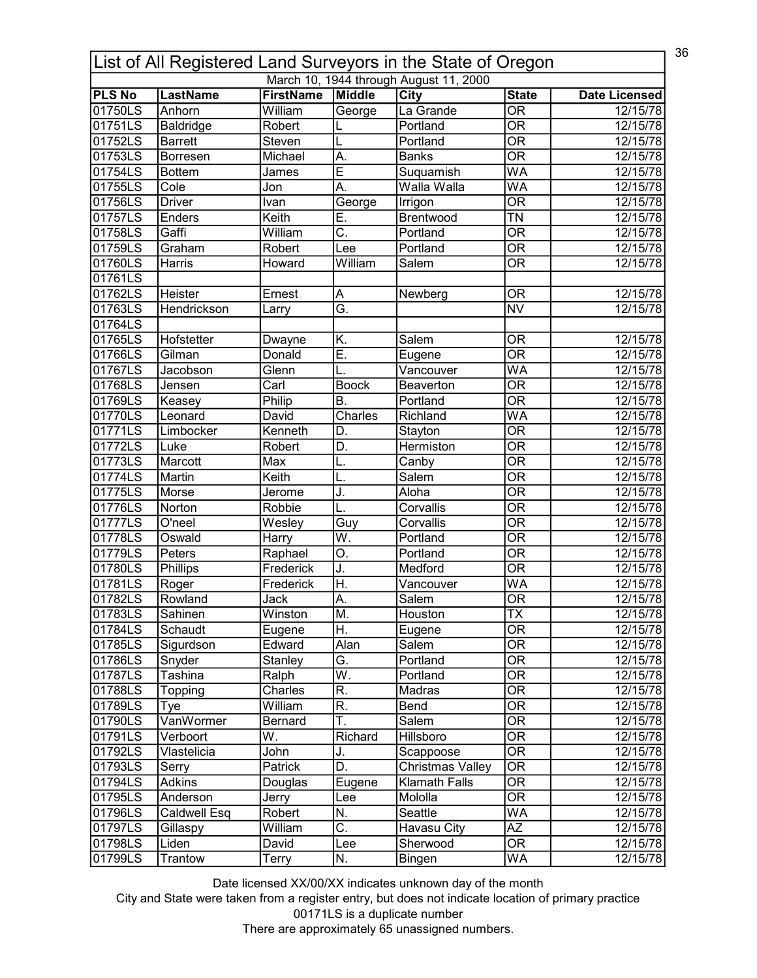| 36<br>List of All Registered Land Surveyors in the State of Oregon |                           |                             |                          |                                        |                                             |                      |  |  |
|--------------------------------------------------------------------|---------------------------|-----------------------------|--------------------------|----------------------------------------|---------------------------------------------|----------------------|--|--|
|                                                                    |                           |                             |                          | March 10, 1944 through August 11, 2000 |                                             |                      |  |  |
| <b>PLS No</b><br>01750LS                                           | <b>LastName</b><br>Anhorn | <b>FirstName</b><br>William | Middle                   | City<br>La Grande                      | <b>State</b><br>$\overline{\mathsf{OR}}$    | <b>Date Licensed</b> |  |  |
| 01751LS                                                            |                           | Robert                      | George                   | Portland                               | $\overline{\mathsf{OR}}$                    | 12/15/78             |  |  |
|                                                                    | <b>Baldridge</b>          |                             |                          |                                        |                                             | 12/15/78             |  |  |
| 01752LS                                                            | <b>Barrett</b>            | Steven                      |                          | Portland                               | $\overline{\mathsf{OR}}$                    | 12/15/78             |  |  |
| 01753LS                                                            | Borresen                  | Michael                     | A.                       | <b>Banks</b>                           | $\overline{\mathsf{OR}}$                    | 12/15/78             |  |  |
| 01754LS                                                            | <b>Bottem</b>             | James                       | Ē                        | Suquamish                              | $\overline{\mathsf{WA}}$                    | 12/15/78             |  |  |
| 01755LS                                                            | Cole                      | Jon                         | Ā.                       | Walla Walla                            | WA                                          | 12/15/78             |  |  |
| 01756LS                                                            | <b>Driver</b>             | Ivan                        | George                   | Irrigon                                | $\overline{\mathsf{OR}}$                    | 12/15/78             |  |  |
| 01757LS                                                            | Enders                    | Keith                       | Ē.                       | Brentwood                              | $\overline{\mathsf{T}}\mathsf{N}$           | 12/15/78             |  |  |
| 01758LS                                                            | Gaffi                     | William                     | C.                       | Portland                               | $\overline{\mathsf{OR}}$                    | 12/15/78             |  |  |
| 01759LS                                                            | Graham                    | Robert                      | Lee                      | Portland                               | $\overline{\mathsf{OR}}$                    | 12/15/78             |  |  |
| 01760LS                                                            | Harris                    | Howard                      | William                  | Salem                                  | $\overline{\mathsf{OR}}$                    | 12/15/78             |  |  |
| 01761LS                                                            |                           |                             |                          |                                        |                                             |                      |  |  |
| 01762LS                                                            | Heister                   | Ernest                      | Α                        | Newberg                                | <b>OR</b>                                   | 12/15/78             |  |  |
| 01763LS                                                            | Hendrickson               | Larry                       | Ğ.                       |                                        | <b>NV</b>                                   | 12/15/78             |  |  |
| 01764LS                                                            |                           |                             |                          |                                        |                                             |                      |  |  |
| 01765LS                                                            | Hofstetter                | Dwayne                      | K.                       | Salem                                  | <b>OR</b>                                   | 12/15/78             |  |  |
| 01766LS                                                            | Gilman                    | Donald                      | Ē.                       | Eugene                                 | <b>OR</b>                                   | 12/15/78             |  |  |
| 01767LS                                                            | Jacobson                  | Glenn                       |                          | Vancouver                              | <b>WA</b>                                   | 12/15/78             |  |  |
| 01768LS                                                            | Jensen                    | Carl                        | <b>Boock</b>             | Beaverton                              | <b>OR</b>                                   | 12/15/78             |  |  |
| 01769LS                                                            | Keasey                    | Philip                      | <b>B.</b>                | Portland                               | $\overline{\mathsf{OR}}$                    | 12/15/78             |  |  |
| 01770LS                                                            | Leonard                   | David                       | Charles                  | Richland                               | $\overline{\mathsf{WA}}$                    | 12/15/78             |  |  |
| 01771LS                                                            | Limbocker                 | Kenneth                     | D.                       | Stayton                                | $\overline{\mathsf{OR}}$                    | 12/15/78             |  |  |
| 01772LS                                                            | Luke                      | Robert                      | D.                       | Hermiston                              | $\overline{\mathsf{OR}}$                    | 12/15/78             |  |  |
| 01773LS                                                            | Marcott                   | Max                         | L.                       | Canby                                  | $\overline{\mathsf{OR}}$                    | 12/15/78             |  |  |
| 01774LS                                                            | Martin                    | Keith                       |                          | <b>Salem</b>                           | $\overline{\mathsf{OR}}$                    | 12/15/78             |  |  |
| 01775LS                                                            | Morse                     | Jerome                      | J.                       | Aloha                                  | $\overline{\mathsf{OR}}$                    | 12/15/78             |  |  |
| 01776LS                                                            | Norton                    | Robbie                      |                          | Corvallis                              | $\overline{\mathsf{OR}}$                    | 12/15/78             |  |  |
| 01777LS                                                            | O'neel                    | Wesley                      | Guy                      | Corvallis                              | $\overline{\mathsf{OR}}$                    | 12/15/78             |  |  |
| 01778LS                                                            | Oswald                    | Harry                       | $\overline{\mathsf{W}}.$ | Portland                               | $\overline{\mathsf{OR}}$                    | 12/15/78             |  |  |
| 01779LS                                                            | Peters                    | Raphael                     | О.                       | Portland                               | $\overline{\mathsf{OR}}$                    | 12/15/78             |  |  |
| 01780LS                                                            | Phillips                  | Frederick                   | J.                       | Medford                                | $\overline{\overline{\rm OR}}$              | 12/15/78             |  |  |
| 01781LS                                                            | Roger                     | Frederick                   | H.                       | Vancouver                              | WA                                          | 12/15/78             |  |  |
| 101782LS                                                           | Rowland                   | Jack                        | A                        | Salem                                  | $\overline{OR}$                             | 12/15/78             |  |  |
| 01783LS                                                            | Sahinen                   | Winston                     | M.                       | Houston                                | <b>TX</b>                                   | 12/15/78             |  |  |
| 01784LS                                                            | Schaudt                   |                             | Η.                       |                                        | $\overline{\overline{\rm OR}}$              | 12/15/78             |  |  |
|                                                                    |                           | Eugene<br>Edward            |                          | Eugene                                 |                                             | 12/15/78             |  |  |
| 01785LS                                                            | Sigurdson                 |                             | Alan                     | Salem                                  | <b>OR</b><br>$\overline{\overline{\rm OR}}$ |                      |  |  |
| 01786LS                                                            | Snyder                    | Stanley                     | G.                       | Portland                               |                                             | 12/15/78             |  |  |
| 01787LS                                                            | Tashina                   | Ralph                       | W.                       | Portland                               | <b>OR</b>                                   | 12/15/78             |  |  |
| 01788LS                                                            | Topping                   | Charles                     | R.                       | Madras                                 | $\overline{\mathsf{OR}}$                    | 12/15/78             |  |  |
| 01789LS                                                            | Tye                       | William                     | R.                       | Bend                                   | $\overline{\mathsf{OR}}$                    | $\sqrt{12/15/78}$    |  |  |
| 01790LS                                                            | VanWormer                 | Bernard                     | Ŧ.                       | Salem                                  | $\overline{\mathsf{OR}}$                    | 12/15/78             |  |  |
| 01791LS                                                            | Verboort                  | W.                          | Richard                  | Hillsboro                              | OR                                          | 12/15/78             |  |  |
| 01792LS                                                            | Vlastelicia               | John                        | J.                       | Scappoose                              | $\overline{\mathsf{OR}}$                    | 12/15/78             |  |  |
| 01793LS                                                            | Serry                     | Patrick                     | D.                       | Christmas Valley                       | OR                                          | 12/15/78             |  |  |
| 01794LS                                                            | <b>Adkins</b>             | Douglas                     | Eugene                   | <b>Klamath Falls</b>                   | OR                                          | 12/15/78             |  |  |
| 01795LS                                                            | Anderson                  | Jerry                       | Lee                      | Mololla                                | 0R                                          | 12/15/78             |  |  |
| 01796LS                                                            | Caldwell Esq              | Robert                      | N.                       | Seattle                                | WA                                          | 12/15/78             |  |  |
| 01797LS                                                            | Gillaspy                  | William                     | $\overline{\mathsf{C}.}$ | Havasu City                            | ΑZ                                          | 12/15/78             |  |  |
| 01798LS                                                            | Liden                     | David                       | Lee                      | Sherwood                               | $\overline{\text{OR}}$                      | 12/15/78             |  |  |
| 01799LS                                                            | Trantow                   | Terry                       | N.                       | <b>Bingen</b>                          | WA                                          | 12/15/78             |  |  |

City and State were taken from a register entry, but does not indicate location of primary practice 00171LS is a duplicate number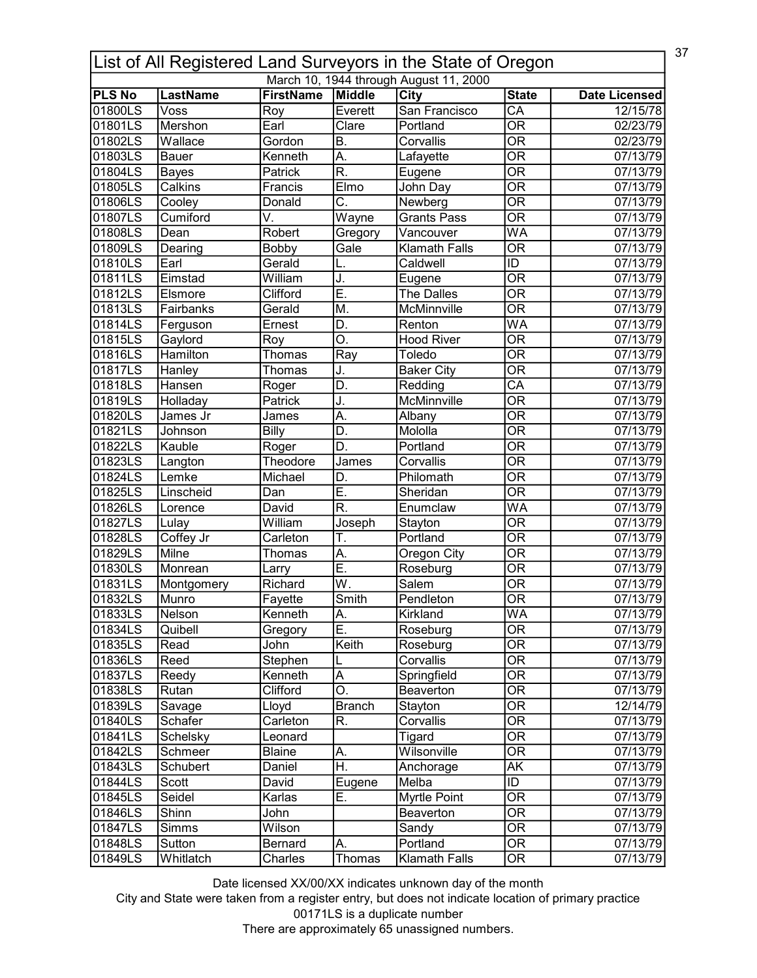|               | 37<br>List of All Registered Land Surveyors in the State of Oregon<br>March 10, 1944 through August 11, 2000 |                  |                           |                             |                                |                      |  |  |
|---------------|--------------------------------------------------------------------------------------------------------------|------------------|---------------------------|-----------------------------|--------------------------------|----------------------|--|--|
| <b>PLS No</b> | <b>LastName</b>                                                                                              | <b>FirstName</b> | Middle                    | City                        | <b>State</b>                   | <b>Date Licensed</b> |  |  |
| 01800LS       | Voss                                                                                                         | Roy              | Everett                   | San Francisco               | $\overline{\mathsf{CA}}$       | 12/15/78             |  |  |
| 01801LS       | Mershon                                                                                                      | Earl             | Clare                     | Portland                    | $\overline{\mathsf{OR}}$       | 02/23/79             |  |  |
| 01802LS       | Wallace                                                                                                      | Gordon           | B.                        | Corvallis                   | $\overline{\mathsf{OR}}$       | 02/23/79             |  |  |
| 01803LS       | <b>Bauer</b>                                                                                                 | Kenneth          | A.                        | Lafayette                   | $\overline{\overline{\rm OR}}$ | 07/13/79             |  |  |
| 01804LS       |                                                                                                              | Patrick          | $\overline{\mathsf{R}}$ . |                             | $\overline{\overline{\rm OR}}$ | 07/13/79             |  |  |
| 01805LS       | <b>Bayes</b><br>Calkins                                                                                      | Francis          | Eimo                      | Eugene<br>John Day          | $\overline{\mathsf{OR}}$       | 07/13/79             |  |  |
| 01806LS       | Cooley                                                                                                       | Donald           | C.                        | Newberg                     | $\overline{\mathsf{OR}}$       | 07/13/79             |  |  |
| 01807LS       | Cumiford                                                                                                     | V.               | Wayne                     | Grants Pass                 | $\overline{\mathsf{OR}}$       | 07/13/79             |  |  |
| 01808LS       | Dean                                                                                                         | Robert           |                           | Vancouver                   | WA                             | 07/13/79             |  |  |
| 01809LS       |                                                                                                              | Bobby            | Gregory<br>Gale           | <b>Klamath Falls</b>        | $\overline{\mathsf{OR}}$       | 07/13/79             |  |  |
|               | Dearing<br>Earl                                                                                              | Gerald           |                           | Caldwell                    | ID                             |                      |  |  |
| 01810LS       |                                                                                                              |                  | L.                        |                             | $\overline{\mathsf{OR}}$       | 07/13/79             |  |  |
| 01811LS       | Eimstad                                                                                                      | William          | J.<br>Ē.                  | Eugene<br><b>The Dalles</b> | $\overline{\overline{\rm OR}}$ | 07/13/79             |  |  |
| 01812LS       | Elsmore                                                                                                      | Clifford         |                           |                             |                                | 07/13/79             |  |  |
| 01813LS       | Fairbanks                                                                                                    | Gerald           | M.                        | McMinnville                 | $\overline{\mathsf{OR}}$       | 07/13/79             |  |  |
| 01814LS       | Ferguson                                                                                                     | Ernest           | D.                        | Renton                      | WA                             | 07/13/79             |  |  |
| 01815LS       | Gaylord                                                                                                      | Roy              | O.                        | <b>Hood River</b>           | $\overline{\text{OR}}$         | 07/13/79             |  |  |
| 01816LS       | Hamilton                                                                                                     | Thomas           | Ray                       | Toledo                      | <b>OR</b>                      | 07/13/79             |  |  |
| 01817LS       | Hanley                                                                                                       | Thomas           | J.                        | <b>Baker City</b>           | $\overline{\mathsf{OR}}$       | 07/13/79             |  |  |
| 01818LS       | Hansen                                                                                                       | Roger            | D.                        | Redding                     | CA                             | 07/13/79             |  |  |
| 01819LS       | Holladay                                                                                                     | Patrick          | J.                        | McMinnville                 | $\overline{\mathsf{OR}}$       | 07/13/79             |  |  |
| 01820LS       | James Jr                                                                                                     | James            | А.                        | Albany                      | $\overline{\mathsf{OR}}$       | 07/13/79             |  |  |
| 01821LS       | Johnson                                                                                                      | Billy            | D.                        | Mololla                     | $\overline{\mathsf{OR}}$       | 07/13/79             |  |  |
| 01822LS       | Kauble                                                                                                       | Roger            | D.                        | Portland                    | $\overline{\mathsf{OR}}$       | 07/13/79             |  |  |
| 01823LS       | Langton                                                                                                      | Theodore         | James                     | Corvallis                   | $\overline{\mathsf{OR}}$       | 07/13/79             |  |  |
| 01824LS       | Lemke                                                                                                        | Michael          | D.                        | Philomath                   | $\overline{\mathsf{OR}}$       | 07/13/79             |  |  |
| 01825LS       | Linscheid                                                                                                    | Dan              | Ē.                        | Sheridan                    | $\overline{\mathsf{OR}}$       | 07/13/79             |  |  |
| 01826LS       | Lorence                                                                                                      | David            | $\overline{\mathsf{R}}$ . | Enumclaw                    | $\overline{\mathsf{WA}}$       | 07/13/79             |  |  |
| 01827LS       | Lulay                                                                                                        | William          | Joseph                    | Stayton                     | $\overline{\mathsf{OR}}$       | 07/13/79             |  |  |
| 01828LS       | Coffey Jr                                                                                                    | Carleton         | T.                        | Portland                    | $\overline{\mathsf{OR}}$       | 07/13/79             |  |  |
| 01829LS       | Milne                                                                                                        | Thomas           | А.                        | Oregon City                 | $\overline{\mathsf{OR}}$       | 07/13/79             |  |  |
| 01830LS       | Monrean                                                                                                      | Larry            | $\overline{\sf{E}}$       | Roseburg                    | $\overline{\mathsf{OR}}$       | 07/13/79             |  |  |
| 01831LS       | Montgomery                                                                                                   | Richard          | W.                        | <b>Salem</b>                | $\overline{\mathsf{OR}}$       | 07/13/79             |  |  |
| 01832LS       | Munro                                                                                                        | Fayette          | Smith                     | Pendleton                   | $\overline{OR}$                | 07/13/79             |  |  |
| 01833LS       | Nelson                                                                                                       | Kenneth          | A.                        | Kirkland                    | WA                             | 07/13/79             |  |  |
| 01834LS       | Quibell                                                                                                      | Gregory          | E.                        | Roseburg                    | $\overline{\text{OR}}$         | 07/13/79             |  |  |
| 01835LS       | Read                                                                                                         | John             | Keith                     | Roseburg                    | 0R                             | 07/13/79             |  |  |
| 01836LS       | Reed                                                                                                         | Stephen          |                           | Corvallis                   | $\overline{\overline{\rm OR}}$ | 07/13/79             |  |  |
| 01837LS       | Reedy                                                                                                        | Kenneth          | $\overline{A}$            | Springfield                 | $\overline{\overline{\rm OR}}$ | 07/13/79             |  |  |
| 01838LS       | Rutan                                                                                                        | Clifford         | $\overline{\mathsf{O}}.$  | Beaverton                   | $\overline{\mathsf{OR}}$       | 07/13/79             |  |  |
| 01839LS       | Savage                                                                                                       | Lloyd            | <b>Branch</b>             | Stayton                     | $\overline{\mathsf{OR}}$       | 12/14/79             |  |  |
| 01840LS       | Schafer                                                                                                      | Carleton         | R.                        | Corvallis                   | $\overline{\mathsf{OR}}$       | 07/13/79             |  |  |
| 01841LS       | Schelsky                                                                                                     | Leonard          |                           | Tigard                      | OR                             | 07/13/79             |  |  |
| 01842LS       | Schmeer                                                                                                      | <b>Blaine</b>    | Α.                        | Wilsonville                 | $\overline{\mathsf{OR}}$       | 07/13/79             |  |  |
| 01843LS       | Schubert                                                                                                     | Daniel           | H.                        | Anchorage                   | AK                             | 07/13/79             |  |  |
| 01844LS       | Scott                                                                                                        | David            | Eugene                    | Melba                       | ID                             | 07/13/79             |  |  |
| 01845LS       | Seidel                                                                                                       | Karlas           | Ε.                        | Myrtle Point                | 0R                             | 07/13/79             |  |  |
| 01846LS       | Shinn                                                                                                        | John             |                           | Beaverton                   | $\overline{\text{OR}}$         | 07/13/79             |  |  |
| 01847LS       | Simms                                                                                                        | Wilson           |                           | Sandy                       | $\overline{\mathsf{OR}}$       | 07/13/79             |  |  |
| 01848LS       | Sutton                                                                                                       | Bernard          | A.                        | Portland                    | $\overline{\text{OR}}$         | 07/13/79             |  |  |
|               |                                                                                                              |                  | Thomas                    | <b>Klamath Falls</b>        |                                |                      |  |  |

City and State were taken from a register entry, but does not indicate location of primary practice 00171LS is a duplicate number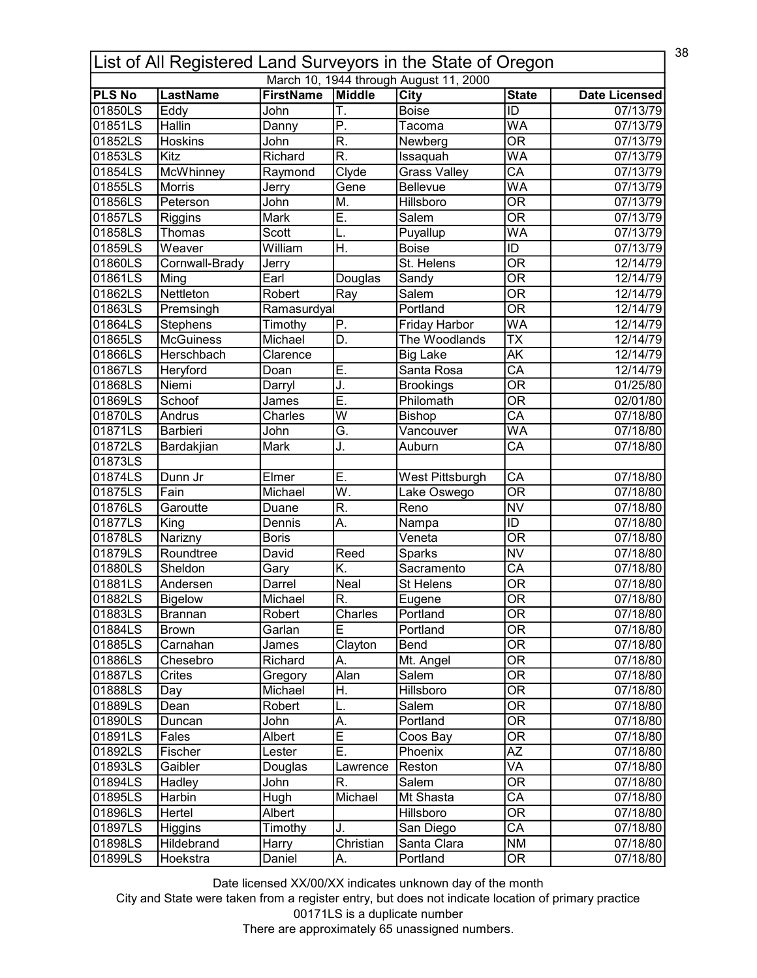| List of All Registered Land Surveyors in the State of Oregon |                       |                          |                           |                                        |                                |                      |  |
|--------------------------------------------------------------|-----------------------|--------------------------|---------------------------|----------------------------------------|--------------------------------|----------------------|--|
|                                                              |                       |                          |                           | March 10, 1944 through August 11, 2000 |                                |                      |  |
| <b>PLS No</b><br>01850LS                                     | <b>LastName</b>       | <b>FirstName</b><br>John | Middle<br>T.              | City<br><b>Boise</b>                   | <b>State</b><br>ĪD             | <b>Date Licensed</b> |  |
| 01851LS                                                      | Eddy<br><b>Hallin</b> |                          | $\overline{P}$ .          |                                        | <b>WA</b>                      | 07/13/79             |  |
|                                                              |                       | Danny                    |                           | Tacoma                                 |                                | 07/13/79             |  |
| 01852LS                                                      | <b>Hoskins</b>        | John                     | R.                        | Newberg                                | $\overline{\mathsf{OR}}$       | 07/13/79             |  |
| 01853LS                                                      | Kitz                  | Richard                  | $\overline{\mathsf{R}}$   | Issaquah                               | WA                             | 07/13/79             |  |
| 01854LS                                                      | McWhinney             | Raymond                  | Clyde                     | <b>Grass Valley</b>                    | $\overline{\mathsf{CA}}$       | 07/13/79             |  |
| 01855LS                                                      | Morris                | Jerry                    | Gene                      | Bellevue                               | WA                             | 07/13/79             |  |
| 01856LS                                                      | Peterson              | John                     | M.                        | Hillsboro                              | $\overline{\mathsf{OR}}$       | 07/13/79             |  |
| 01857LS                                                      | Riggins               | Mark                     | Ē.                        | Salem                                  | $\overline{\mathsf{OR}}$       | 07/13/79             |  |
| 01858LS                                                      | Thomas                | Scott                    | L.                        | Puyallup                               | WA                             | 07/13/79             |  |
| 01859LS                                                      | Weaver                | William                  | Η.                        | <b>Boise</b>                           | $\overline{ID}$                | 07/13/79             |  |
| 01860LS                                                      | Cornwall-Brady        | Jerry                    |                           | St. Helens                             | $\overline{\mathsf{OR}}$       | 12/14/79             |  |
| 01861LS                                                      | Ming                  | Earl                     | Douglas                   | Sandy                                  | $\overline{\mathsf{OR}}$       | 12/14/79             |  |
| 01862LS                                                      | Nettleton             | Robert                   | Ray                       | Salem                                  | $\overline{\overline{\rm OR}}$ | 12/14/79             |  |
| 01863LS                                                      | Premsingh             | Ramasurdyal              |                           | Portland                               | $\overline{\mathsf{OR}}$       | 12/14/79             |  |
| 01864LS                                                      | Stephens              | Timothy                  | P.                        | Friday Harbor                          | WA                             | 12/14/79             |  |
| 01865LS                                                      | <b>McGuiness</b>      | Michael                  | D.                        | The Woodlands                          | $\overline{\mathsf{TX}}$       | 12/14/79             |  |
| 01866LS                                                      | Herschbach            | Clarence                 |                           | <b>Big Lake</b>                        | <b>AK</b>                      | 12/14/79             |  |
| 01867LS                                                      | Heryford              | Doan                     | $\overline{E}$ .          | Santa Rosa                             | $\overline{\mathsf{CA}}$       | 12/14/79             |  |
| 01868LS                                                      | Niemi                 | Darryl                   | J.                        | <b>Brookings</b>                       | <b>OR</b>                      | 01/25/80             |  |
| 01869LS                                                      | Schoof                | James                    | Ē.                        | Philomath                              | $\overline{\mathsf{OR}}$       | 02/01/80             |  |
| 01870LS                                                      | Andrus                | Charles                  | W                         | <b>Bishop</b>                          | $\overline{\mathsf{CA}}$       | 07/18/80             |  |
| 01871LS                                                      | <b>Barbieri</b>       | John                     | Ğ.                        | Vancouver                              | $\overline{\mathsf{WA}}$       | 07/18/80             |  |
| 01872LS                                                      | Bardakjian            | Mark                     | J.                        | Auburn                                 | $\overline{\mathsf{CA}}$       | 07/18/80             |  |
| 01873LS                                                      |                       |                          |                           |                                        |                                |                      |  |
| 01874LS                                                      | Dunn Jr               | Elmer                    | E.                        | West Pittsburgh                        | $\overline{\mathsf{CA}}$       | 07/18/80             |  |
| 01875LS                                                      | Fain                  | Michael                  | $\overline{\mathsf{W}}$ . | Lake Oswego                            | $\overline{\mathsf{OR}}$       | 07/18/80             |  |
| 01876LS                                                      | Garoutte              | Duane                    | $\overline{\mathsf{R}}$ . | Reno                                   | $\overline{\text{NV}}$         | 07/18/80             |  |
| 01877LS                                                      | King                  | Dennis                   | A.                        | Nampa                                  | ID                             | 07/18/80             |  |
| 01878LS                                                      | Narizny               | <b>Boris</b>             |                           | Veneta                                 | $\overline{\mathsf{OR}}$       | 07/18/80             |  |
| 01879LS                                                      | Roundtree             | David                    | Reed                      | <b>Sparks</b>                          | <b>NV</b>                      | 07/18/80             |  |
| 01880LS                                                      | Sheldon               | Gary                     | K.                        | Sacramento                             | CA                             | 07/18/80             |  |
| 01881LS                                                      | Andersen              | Darrel                   | Neal                      | St Helens                              | <b>OR</b>                      | 07/18/80             |  |
| 01882LS                                                      |                       |                          | lR                        |                                        | $\overline{OR}$                |                      |  |
|                                                              | <b>Bigelow</b>        | Michael                  |                           | Eugene                                 |                                | 07/18/80             |  |
| 01883LS                                                      | <b>Brannan</b>        | Robert                   | Charles                   | Portland                               | OR                             | 07/18/80             |  |
| 01884LS                                                      | <b>Brown</b>          | Garlan                   | E                         | Portland                               | $\overline{\overline{\rm OR}}$ | 07/18/80             |  |
| 01885LS                                                      | Carnahan              | James                    | Clayton                   | Bend                                   | <b>OR</b>                      | 07/18/80             |  |
| 01886LS                                                      | Chesebro              | Richard                  | А.                        | Mt. Angel                              | <b>OR</b>                      | 07/18/80             |  |
| 01887LS                                                      | Crites                | Gregory                  | Alan                      | Salem                                  | <b>OR</b>                      | 07/18/80             |  |
| 01888LS                                                      | Day                   | Michael                  | Η.                        | Hillsboro                              | $\overline{\mathsf{OR}}$       | 07/18/80             |  |
| 01889LS                                                      | Dean                  | Robert                   | L.                        | Salem                                  | OR                             | 07/18/80             |  |
| 01890LS                                                      | Duncan                | John                     | А.                        | Portland                               | OR                             | 07/18/80             |  |
| 01891LS                                                      | Fales                 | Albert                   | $\overline{\mathsf{E}}$   | Coos Bay                               | OR                             | 07/18/80             |  |
| 01892LS                                                      | Fischer               | Lester                   | Ē.                        | Phoenix                                | $\overline{AZ}$                | 07/18/80             |  |
| 01893LS                                                      | Gaibler               | Douglas                  | Lawrence                  | Reston                                 | $\overline{\mathsf{VA}}$       | 07/18/80             |  |
| 01894LS                                                      | Hadley                | John                     | R.                        | Salem                                  | $\overline{\mathsf{OR}}$       | 07/18/80             |  |
| 01895LS                                                      | Harbin                | Hugh                     | Michael                   | Mt Shasta                              | СA                             | 07/18/80             |  |
| 01896LS                                                      | Hertel                | Albert                   |                           | Hillsboro                              | $\overline{\text{OR}}$         | 07/18/80             |  |
| 01897LS                                                      | Higgins               | Timothy                  | J.                        | San Diego                              | $\overline{\mathsf{CA}}$       | 07/18/80             |  |
| 01898LS                                                      | <b>Hildebrand</b>     | Harry                    | Christian                 | Santa Clara                            | NM                             | 07/18/80             |  |
|                                                              |                       |                          |                           |                                        |                                |                      |  |

City and State were taken from a register entry, but does not indicate location of primary practice 00171LS is a duplicate number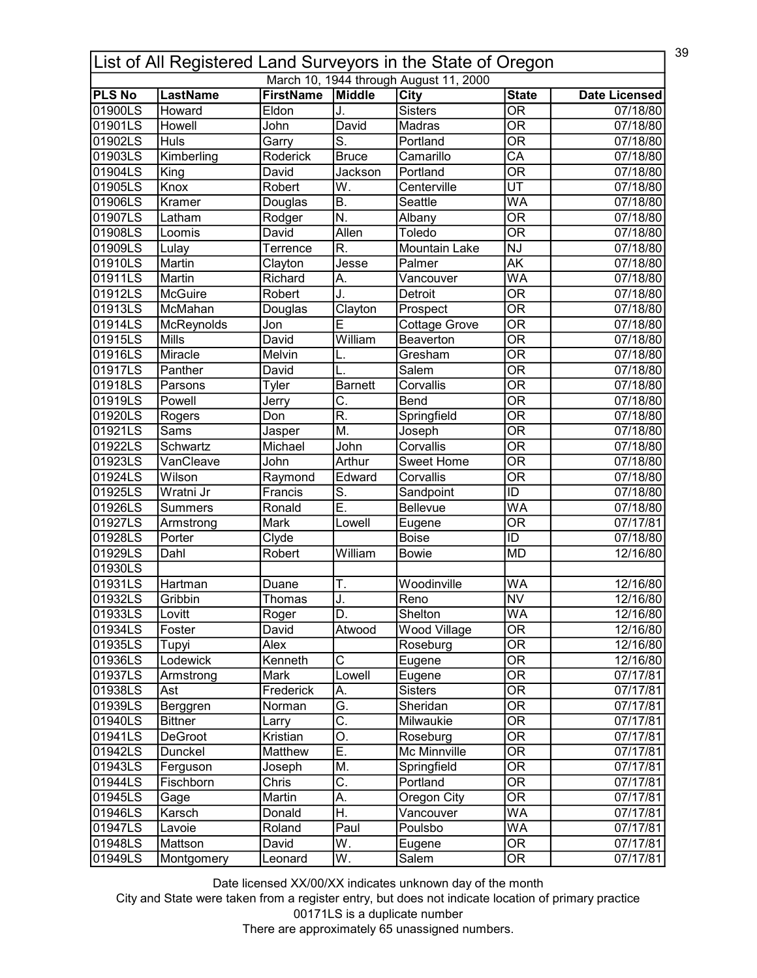|               | 39<br>List of All Registered Land Surveyors in the State of Oregon |                  |                           |                                        |                                          |                      |  |  |
|---------------|--------------------------------------------------------------------|------------------|---------------------------|----------------------------------------|------------------------------------------|----------------------|--|--|
|               |                                                                    |                  |                           | March 10, 1944 through August 11, 2000 |                                          |                      |  |  |
| <b>PLS No</b> | <b>LastName</b>                                                    | <b>FirstName</b> | Middle                    | City<br><b>Sisters</b>                 | <b>State</b><br>$\overline{\mathsf{OR}}$ | <b>Date Licensed</b> |  |  |
| 01900LS       | Howard                                                             | Eldon            | J.                        |                                        | $\overline{\mathsf{OR}}$                 | 07/18/80             |  |  |
| 01901LS       | Howell                                                             | John             | David                     | Madras                                 |                                          | 07/18/80             |  |  |
| 01902LS       | <b>Huls</b>                                                        | Garry            | $\overline{\mathsf{S}}$ . | Portland                               | $\overline{\overline{\rm OR}}$           | 07/18/80             |  |  |
| 01903LS       | Kimberling                                                         | Roderick         | <b>Bruce</b>              | Camarillo                              | $\overline{CA}$                          | 07/18/80             |  |  |
| 01904LS       | King                                                               | David            | Jackson                   | Portland                               | $\overline{\mathsf{OR}}$                 | 07/18/80             |  |  |
| 01905LS       | Knox                                                               | Robert           | $\overline{\mathsf{W}}$ . | Centerville                            | $\overline{\mathtt{UT}}$                 | 07/18/80             |  |  |
| 01906LS       | Kramer                                                             | Douglas          | $\overline{B}$ .          | Seattle                                | $\overline{\mathsf{WA}}$                 | 07/18/80             |  |  |
| 01907LS       | Latham                                                             | Rodger           | N.                        | Albany                                 | $\overline{\mathsf{OR}}$                 | 07/18/80             |  |  |
| 01908LS       | Loomis                                                             | David            | Allen                     | Toledo                                 | $\overline{\overline{\rm OR}}$           | 07/18/80             |  |  |
| 01909LS       | Lulay                                                              | Terrence         | R.                        | Mountain Lake                          | <b>NJ</b>                                | 07/18/80             |  |  |
| 01910LS       | Martin                                                             | Clayton          | Jesse                     | Palmer                                 | $\overline{\mathsf{AK}}$                 | 07/18/80             |  |  |
| 01911LS       | Martin                                                             | Richard          | А.                        | Vancouver                              | WA                                       | 07/18/80             |  |  |
| 01912LS       | <b>McGuire</b>                                                     | Robert           | J.                        | Detroit                                | $\overline{\mathsf{OR}}$                 | 07/18/80             |  |  |
| 01913LS       | McMahan                                                            | Douglas          | Clayton                   | Prospect                               | $\overline{\mathsf{OR}}$                 | 07/18/80             |  |  |
| 01914LS       | McReynolds                                                         | Jon              | E                         | Cottage Grove                          | $\overline{\mathsf{OR}}$                 | 07/18/80             |  |  |
| 01915LS       | <b>Mills</b>                                                       | David            | William                   | Beaverton                              | $\overline{\overline{\rm OR}}$           | 07/18/80             |  |  |
| 01916LS       | Miracle                                                            | Melvin           |                           | Gresham                                | <b>OR</b>                                | 07/18/80             |  |  |
| 01917LS       | Panther                                                            | David            |                           | Salem                                  | $\overline{\mathsf{OR}}$                 | 07/18/80             |  |  |
| 01918LS       | Parsons                                                            | Tyler            | Barnett                   | Corvallis                              | $\overline{\mathsf{OR}}$                 | 07/18/80             |  |  |
| 01919LS       | Powell                                                             | Jerry            | C.                        | Bend                                   | $\overline{\mathsf{OR}}$                 | 07/18/80             |  |  |
| 01920LS       | Rogers                                                             | Don              | $\overline{\mathsf{R}}$ . | Springfield                            | $\overline{\mathsf{OR}}$                 | 07/18/80             |  |  |
| 01921LS       | Sams                                                               | Jasper           | M.                        | Joseph                                 | $\overline{\mathsf{OR}}$                 | 07/18/80             |  |  |
| 01922LS       | Schwartz                                                           | Michael          | John                      | Corvallis                              | $\overline{\mathsf{OR}}$                 | 07/18/80             |  |  |
| 01923LS       | VanCleave                                                          | John             | Arthur                    | Sweet Home                             | $\overline{\mathsf{OR}}$                 | 07/18/80             |  |  |
| 01924LS       | Wilson                                                             | Raymond          | Edward                    | Corvallis                              | $\overline{\overline{\rm OR}}$           | 07/18/80             |  |  |
| 01925LS       | Wratni Jr                                                          | Francis          | $\overline{\mathsf{S}}$ . | Sandpoint                              | $\overline{\mathsf{ID}}$                 | 07/18/80             |  |  |
| 01926LS       | <b>Summers</b>                                                     | Ronald           | Ē.                        | <b>Bellevue</b>                        | $\overline{\mathsf{WA}}$                 | 07/18/80             |  |  |
| 01927LS       | Armstrong                                                          | Mark             | Lowell                    | Eugene                                 | $\overline{\overline{\rm OR}}$           | 07/17/81             |  |  |
| 01928LS       | Porter                                                             | Clyde            |                           | <b>Boise</b>                           | ID                                       | 07/18/80             |  |  |
| 01929LS       | Dahl                                                               | Robert           | William                   | <b>Bowie</b>                           | <b>MD</b>                                | 12/16/80             |  |  |
| 01930LS       |                                                                    |                  |                           |                                        |                                          |                      |  |  |
| 01931LS       | Hartman                                                            | Duane            | Т.                        | Woodinville                            | <b>WA</b>                                | 12/16/80             |  |  |
| 01932LS       | Gribbin                                                            | Thomas           | . I                       | Reno                                   | $\overline{\text{NV}}$                   | 12/16/80             |  |  |
| 01933LS       | Lovitt                                                             | Roger            | D.                        | Shelton                                | WA                                       | 12/16/80             |  |  |
| 01934LS       | Foster                                                             | David            | Atwood                    | <b>Wood Village</b>                    | $\overline{\mathsf{OR}}$                 | 12/16/80             |  |  |
| 01935LS       | Tupyi                                                              | Alex             |                           | Roseburg                               | OR                                       | 12/16/80             |  |  |
| 01936LS       | Lodewick                                                           | Kenneth          | C                         |                                        | $\overline{\overline{\rm OR}}$           | 12/16/80             |  |  |
|               |                                                                    |                  | Lowell                    | Eugene                                 | $\overline{\mathsf{OR}}$                 |                      |  |  |
| 01937LS       | Armstrong                                                          | Mark             |                           | Eugene<br><b>Sisters</b>               | $\overline{\mathsf{OR}}$                 | 07/17/81             |  |  |
| 01938LS       | Ast                                                                | Frederick        | А.<br>G.                  |                                        |                                          | 07/17/81             |  |  |
| 01939LS       | Berggren                                                           | Norman           |                           | Sheridan                               | $\overline{\mathsf{OR}}$                 | 07/17/81             |  |  |
| 01940LS       | <b>Bittner</b>                                                     | Larry            | $\overline{\mathsf{C}}$ . | Milwaukie                              | $\overline{\mathsf{OR}}$                 | 07/17/81             |  |  |
| 01941LS       | <b>DeGroot</b>                                                     | Kristian         | О.                        | Roseburg                               | OR                                       | 07/17/81             |  |  |
| 01942LS       | Dunckel                                                            | Matthew          | Ē.                        | Mc Minnville                           | $\overline{\mathsf{OR}}$                 | 07/17/81             |  |  |
| 01943LS       | Ferguson                                                           | Joseph           | M.                        | Springfield                            | OR                                       | 07/17/81             |  |  |
| 01944LS       | Fischborn                                                          | Chris            | $\overline{\mathsf{C}}$ . | Portland                               | $\overline{\mathsf{OR}}$                 | 07/17/81             |  |  |
| 01945LS       | Gage                                                               | Martin           | А.                        | Oregon City                            | OR                                       | 07/17/81             |  |  |
| 01946LS       | Karsch                                                             | Donald           | H.                        | Vancouver                              | WA                                       | 07/17/81             |  |  |
| 01947LS       | Lavoie                                                             | Roland           | Paul                      | Poulsbo                                | WA                                       | 07/17/81             |  |  |
| 01948LS       | Mattson                                                            | David            | W.                        | Eugene                                 | $\overline{\text{OR}}$                   | 07/17/81             |  |  |
| 01949LS       | Montgomery                                                         | Leonard          | W.                        | Salem                                  | $\overline{\mathsf{OR}}$                 | 07/17/81             |  |  |

City and State were taken from a register entry, but does not indicate location of primary practice 00171LS is a duplicate number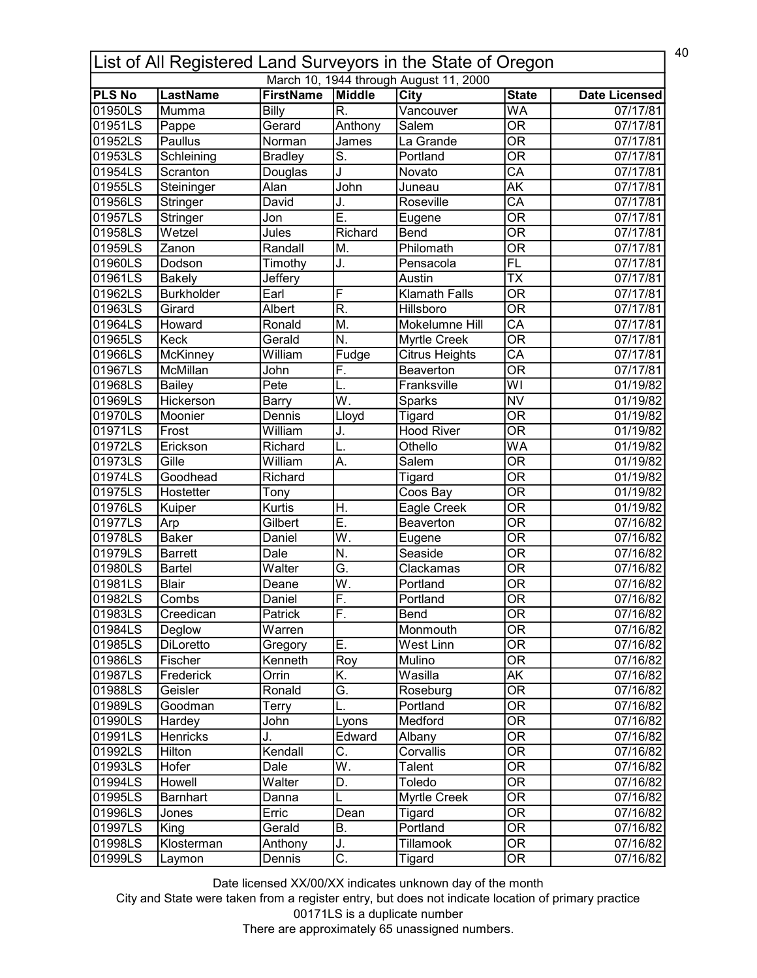| March 10, 1944 through August 11, 2000<br><b>LastName</b><br><b>FirstName</b><br><b>PLS No</b><br>Middle<br>City<br><b>State</b><br>R.<br>01950LS<br><b>Billy</b><br>$\overline{\mathsf{WA}}$<br>Mumma<br>Vancouver<br>01951LS<br>$\overline{\mathsf{OR}}$<br>Gerard<br>Anthony<br>Salem<br>Pappe<br>$\overline{\mathsf{OR}}$<br>01952LS<br>Paullus<br>Norman<br>La Grande<br>James<br>$\overline{\mathsf{OR}}$<br>01953LS<br>$\overline{\mathsf{S}}$ .<br>Portland<br>Schleining<br><b>Bradley</b><br>$\overline{CA}$<br>J<br>01954LS<br>Scranton<br>Douglas<br>Novato<br>ĀΚ<br>01955LS<br>John<br>Alan<br>Steininger<br>Juneau | <b>Date Licensed</b><br>07/17/81<br>07/17/81<br>07/17/81<br>07/17/81<br>07/17/81<br>07/17/81<br>07/17/81 |
|----------------------------------------------------------------------------------------------------------------------------------------------------------------------------------------------------------------------------------------------------------------------------------------------------------------------------------------------------------------------------------------------------------------------------------------------------------------------------------------------------------------------------------------------------------------------------------------------------------------------------------|----------------------------------------------------------------------------------------------------------|
|                                                                                                                                                                                                                                                                                                                                                                                                                                                                                                                                                                                                                                  |                                                                                                          |
|                                                                                                                                                                                                                                                                                                                                                                                                                                                                                                                                                                                                                                  |                                                                                                          |
|                                                                                                                                                                                                                                                                                                                                                                                                                                                                                                                                                                                                                                  |                                                                                                          |
|                                                                                                                                                                                                                                                                                                                                                                                                                                                                                                                                                                                                                                  |                                                                                                          |
|                                                                                                                                                                                                                                                                                                                                                                                                                                                                                                                                                                                                                                  |                                                                                                          |
|                                                                                                                                                                                                                                                                                                                                                                                                                                                                                                                                                                                                                                  |                                                                                                          |
|                                                                                                                                                                                                                                                                                                                                                                                                                                                                                                                                                                                                                                  |                                                                                                          |
|                                                                                                                                                                                                                                                                                                                                                                                                                                                                                                                                                                                                                                  |                                                                                                          |
| $\overline{\mathsf{CA}}$<br>01956LS<br>David<br>J.<br>Roseville<br>Stringer                                                                                                                                                                                                                                                                                                                                                                                                                                                                                                                                                      |                                                                                                          |
| $\overline{\sf{E}}$<br>$\overline{\mathsf{OR}}$<br>01957LS<br>Stringer<br>Jon<br>Eugene                                                                                                                                                                                                                                                                                                                                                                                                                                                                                                                                          | 07/17/81                                                                                                 |
| $\overline{\overline{\rm OR}}$<br>Wetzel<br>Richard<br>01958LS<br>Jules<br>Bend                                                                                                                                                                                                                                                                                                                                                                                                                                                                                                                                                  | 07/17/81                                                                                                 |
| $\overline{\mathsf{OR}}$<br>01959LS<br>Philomath<br>Zanon<br>Randall<br>M.                                                                                                                                                                                                                                                                                                                                                                                                                                                                                                                                                       | 07/17/81                                                                                                 |
| FL<br>01960LS<br>J.<br>Dodson<br>Timothy<br>Pensacola                                                                                                                                                                                                                                                                                                                                                                                                                                                                                                                                                                            | 07/17/81                                                                                                 |
| $\overline{\mathsf{TX}}$<br>01961LS<br><b>Bakely</b><br>Jeffery<br>Austin                                                                                                                                                                                                                                                                                                                                                                                                                                                                                                                                                        | 07/17/81                                                                                                 |
| F<br>$\overline{\mathsf{OR}}$<br><b>Burkholder</b><br>Earl<br><b>Klamath Falls</b><br>01962LS                                                                                                                                                                                                                                                                                                                                                                                                                                                                                                                                    | 07/17/81                                                                                                 |
| $\overline{\mathsf{R}}$ .<br>$\overline{\mathsf{OR}}$<br>Hillsboro<br>01963LS<br>Girard<br>Albert                                                                                                                                                                                                                                                                                                                                                                                                                                                                                                                                | 07/17/81                                                                                                 |
| $\overline{\mathsf{CA}}$<br>01964LS<br>Mokelumne Hill<br>Howard<br>Ronald<br>M.                                                                                                                                                                                                                                                                                                                                                                                                                                                                                                                                                  | 07/17/81                                                                                                 |
| $\overline{\text{OR}}$<br>01965LS<br>Keck<br>Gerald<br>N.<br>Myrtle Creek                                                                                                                                                                                                                                                                                                                                                                                                                                                                                                                                                        | 07/17/81                                                                                                 |
| $\overline{\mathsf{CA}}$<br>01966LS<br>McKinney<br><b>Citrus Heights</b><br>William<br>Fudge                                                                                                                                                                                                                                                                                                                                                                                                                                                                                                                                     | 07/17/81                                                                                                 |
| $\overline{\mathsf{OR}}$<br>01967LS<br>McMillan<br>F.<br>Beaverton<br>John                                                                                                                                                                                                                                                                                                                                                                                                                                                                                                                                                       | 07/17/81                                                                                                 |
| WI<br>01968LS<br>Franksville<br>Bailey<br>Pete<br>L.                                                                                                                                                                                                                                                                                                                                                                                                                                                                                                                                                                             | 01/19/82                                                                                                 |
| $\overline{\mathsf{W}}$ .<br><b>NV</b><br>01969LS<br>Hickerson<br><b>Barry</b><br>Sparks                                                                                                                                                                                                                                                                                                                                                                                                                                                                                                                                         | 01/19/82                                                                                                 |
| $\overline{\mathsf{OR}}$<br>01970LS<br>Moonier<br>Dennis<br>Lloyd<br>Tigard                                                                                                                                                                                                                                                                                                                                                                                                                                                                                                                                                      | 01/19/82                                                                                                 |
| $\overline{\mathsf{OR}}$<br>01971LS<br>William<br><b>Hood River</b><br>Frost<br>J.                                                                                                                                                                                                                                                                                                                                                                                                                                                                                                                                               | 01/19/82                                                                                                 |
| $\overline{\mathsf{WA}}$<br>01972LS<br>Erickson<br>Othello<br>Richard                                                                                                                                                                                                                                                                                                                                                                                                                                                                                                                                                            | 01/19/82                                                                                                 |
| $\overline{\mathsf{OR}}$<br>01973LS<br>Gille<br>Salem<br>William<br>A.                                                                                                                                                                                                                                                                                                                                                                                                                                                                                                                                                           | 01/19/82                                                                                                 |
| $\overline{\mathsf{OR}}$<br>01974LS<br>Goodhead<br>Richard<br>Tigard                                                                                                                                                                                                                                                                                                                                                                                                                                                                                                                                                             | 01/19/82                                                                                                 |
| $\overline{\mathsf{OR}}$<br>01975LS<br>Hostetter<br>Coos Bay<br>Tony                                                                                                                                                                                                                                                                                                                                                                                                                                                                                                                                                             | 01/19/82                                                                                                 |
| $\overline{\mathsf{OR}}$<br>01976LS<br><b>Kurtis</b><br>H.<br>Eagle Creek<br>Kuiper                                                                                                                                                                                                                                                                                                                                                                                                                                                                                                                                              | 01/19/82                                                                                                 |
| Ē.<br>$\overline{\mathsf{OR}}$<br>01977LS<br>Gilbert<br>Beaverton<br>Arp                                                                                                                                                                                                                                                                                                                                                                                                                                                                                                                                                         | 07/16/82                                                                                                 |
| $\overline{\mathsf{W}}.$<br>$\overline{\mathsf{OR}}$<br>01978LS<br><b>Baker</b><br>Daniel<br>Eugene                                                                                                                                                                                                                                                                                                                                                                                                                                                                                                                              | 07/16/82                                                                                                 |
| $\overline{\mathsf{OR}}$<br>N.<br>Seaside<br>01979LS<br><b>Barrett</b><br>Dale                                                                                                                                                                                                                                                                                                                                                                                                                                                                                                                                                   | 07/16/82                                                                                                 |
| Ğ.<br>$\overline{\overline{\rm OR}}$<br>01980LS<br>Walter<br>Clackamas<br>Bartel                                                                                                                                                                                                                                                                                                                                                                                                                                                                                                                                                 | 07/16/82                                                                                                 |
| $\overline{\mathsf{W}}.$<br><b>OR</b><br>01981LS<br><b>Blair</b><br>Portland<br>Deane                                                                                                                                                                                                                                                                                                                                                                                                                                                                                                                                            | 07/16/82                                                                                                 |
| F<br>$\overline{OR}$<br>101982LS<br>Combs<br>Daniel<br>Portland                                                                                                                                                                                                                                                                                                                                                                                                                                                                                                                                                                  | 07/16/82                                                                                                 |
| F.<br>01983LS<br>Bend<br>0R<br>Creedican<br>Patrick                                                                                                                                                                                                                                                                                                                                                                                                                                                                                                                                                                              |                                                                                                          |
| $\overline{\overline{\rm OR}}$<br>01984LS<br>Monmouth                                                                                                                                                                                                                                                                                                                                                                                                                                                                                                                                                                            | 07/16/82                                                                                                 |
| Deglow<br>Warren                                                                                                                                                                                                                                                                                                                                                                                                                                                                                                                                                                                                                 | 07/16/82                                                                                                 |
| 01985LS<br>Ε.<br>0R<br>DiLoretto<br>West Linn<br>Gregory                                                                                                                                                                                                                                                                                                                                                                                                                                                                                                                                                                         | 07/16/82                                                                                                 |
| $\overline{\overline{\rm OR}}$<br>01986LS<br>Kenneth<br>Mulino<br>Fischer<br>Roy                                                                                                                                                                                                                                                                                                                                                                                                                                                                                                                                                 | 07/16/82                                                                                                 |
| K.<br><b>AK</b><br>01987LS<br>Wasilla<br>Frederick<br>Orrin                                                                                                                                                                                                                                                                                                                                                                                                                                                                                                                                                                      | 07/16/82                                                                                                 |
| $\overline{\text{OR}}$<br>Ğ.<br>Ronald<br>01988LS<br>Geisler<br>Roseburg                                                                                                                                                                                                                                                                                                                                                                                                                                                                                                                                                         | 07/16/82                                                                                                 |
| $\overline{\mathsf{OR}}$<br>01989LS<br>Portland<br>Goodman<br>Terry                                                                                                                                                                                                                                                                                                                                                                                                                                                                                                                                                              | 07/16/82                                                                                                 |
| $\overline{\mathsf{OR}}$<br>01990LS<br>Lyons<br>Medford<br>John<br>Hardey                                                                                                                                                                                                                                                                                                                                                                                                                                                                                                                                                        | 07/16/82                                                                                                 |
| OR<br>01991LS<br>Henricks<br>J.<br>Edward<br>Albany                                                                                                                                                                                                                                                                                                                                                                                                                                                                                                                                                                              | 07/16/82                                                                                                 |
| $\overline{\text{c}}$ .<br>$\overline{\mathsf{OR}}$<br>01992LS<br>Kendall<br>Corvallis<br>Hilton                                                                                                                                                                                                                                                                                                                                                                                                                                                                                                                                 | 07/16/82                                                                                                 |
| $\overline{\mathsf{W}}$ .<br>OR<br>01993LS<br>Hofer<br>Dale<br>Talent                                                                                                                                                                                                                                                                                                                                                                                                                                                                                                                                                            | 07/16/82                                                                                                 |
| $\overline{\text{OR}}$<br>Toledo<br>01994LS<br>Howell<br>Walter<br>D.                                                                                                                                                                                                                                                                                                                                                                                                                                                                                                                                                            | 07/16/82                                                                                                 |
| 0R<br>01995LS<br><b>Barnhart</b><br>Myrtle Creek<br>Danna                                                                                                                                                                                                                                                                                                                                                                                                                                                                                                                                                                        | 07/16/82                                                                                                 |
| $\overline{\text{OR}}$<br>01996LS<br>Dean<br>Tigard<br>Jones<br>Erric                                                                                                                                                                                                                                                                                                                                                                                                                                                                                                                                                            | 07/16/82                                                                                                 |
| $\overline{\mathsf{OR}}$<br>01997LS<br><b>B.</b><br>Portland<br>King<br>Gerald                                                                                                                                                                                                                                                                                                                                                                                                                                                                                                                                                   | 07/16/82                                                                                                 |
| $\overline{\text{OR}}$<br>Klosterman<br><b>Tillamook</b><br>01998LS<br>Anthony<br>J.                                                                                                                                                                                                                                                                                                                                                                                                                                                                                                                                             | 07/16/82                                                                                                 |
| $\overline{\mathsf{C}.}$<br>$\overline{\mathsf{OR}}$<br>01999LS<br>Tigard<br>Dennis<br>Laymon                                                                                                                                                                                                                                                                                                                                                                                                                                                                                                                                    | 07/16/82                                                                                                 |

City and State were taken from a register entry, but does not indicate location of primary practice 00171LS is a duplicate number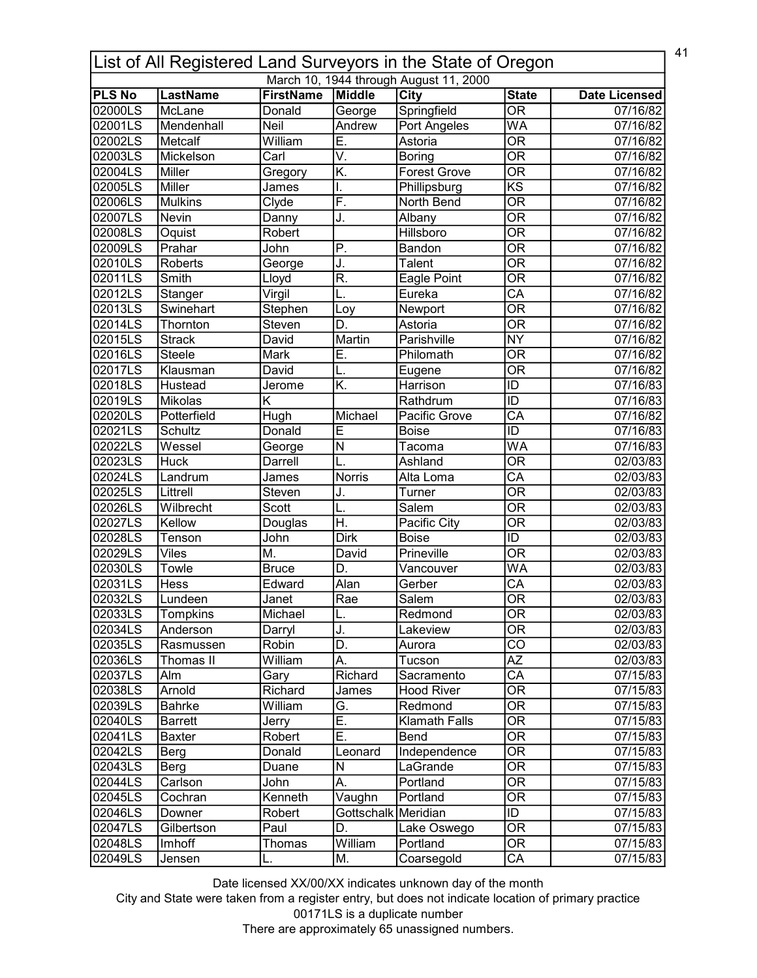| 41<br>List of All Registered Land Surveyors in the State of Oregon |                           |                            |                         |                                        |                                        |                       |  |
|--------------------------------------------------------------------|---------------------------|----------------------------|-------------------------|----------------------------------------|----------------------------------------|-----------------------|--|
|                                                                    |                           |                            |                         | March 10, 1944 through August 11, 2000 |                                        |                       |  |
| <b>PLS No</b><br>02000LS                                           | <b>LastName</b><br>McLane | <b>FirstName</b><br>Donald | Middle                  | <b>City</b>                            | <b>State</b><br>$\overline{\text{OR}}$ | <b>Date Licensed</b>  |  |
| 02001LS                                                            | Mendenhall                | <b>Neil</b>                | George<br>Andrew        | Springfield                            | WA                                     | 07/16/82              |  |
|                                                                    |                           |                            |                         | <b>Port Angeles</b>                    |                                        | 07/16/82              |  |
| 02002LS                                                            | Metcalf                   | William                    | E.                      | Astoria                                | $\overline{\overline{\rm OR}}$         | 07/16/82              |  |
| 02003LS                                                            | Mickelson                 | Carl                       | V.                      | Boring                                 | $\overline{\overline{\rm OR}}$         | 07/16/82              |  |
| 02004LS                                                            | Miller                    | Gregory                    | K.                      | <b>Forest Grove</b>                    | $\overline{\mathsf{OR}}$               | 07/16/82              |  |
| 02005LS                                                            | Miller                    | James                      | I.                      | Phillipsburg                           | $\overline{\text{KS}}$                 | 07/16/82              |  |
| 02006LS                                                            | <b>Mulkins</b>            | Clyde                      | F.                      | North Bend                             | $\overline{\text{OR}}$                 | 07/16/82              |  |
| 02007LS                                                            | Nevin                     | Danny                      | J.                      | Albany                                 | $\overline{\overline{\rm OR}}$         | 07/16/82              |  |
| 02008LS                                                            | Oquist                    | Robert                     |                         | Hillsboro                              | $\overline{\mathsf{OR}}$               | 07/16/82              |  |
| 02009LS                                                            | Prahar                    | John                       | $\overline{P}$ .        | Bandon                                 | $\overline{\mathsf{OR}}$               | 07/16/82              |  |
| 02010LS                                                            | Roberts                   | George                     | J.                      | <b>Talent</b>                          | $\overline{\overline{\rm OR}}$         | 07/16/82              |  |
| 02011LS                                                            | Smith                     | Lloyd                      | R.                      | Eagle Point                            | $\overline{\overline{\rm OR}}$         | 07/16/82              |  |
| 02012LS                                                            | Stanger                   | Virgil                     | L.                      | Eureka                                 | $\overline{\mathsf{CA}}$               | 07/16/82              |  |
| 02013LS                                                            | Swinehart                 | Stephen                    | Loy                     | Newport                                | $\overline{\mathsf{OR}}$               | 07/16/82              |  |
| 02014LS                                                            | Thornton                  | Steven                     | D.                      | Astoria                                | $\overline{OR}$                        | 07/16/82              |  |
| 02015LS                                                            | <b>Strack</b>             | David                      | Martin                  | Parishville                            | <b>NY</b>                              | 07/16/82              |  |
| 02016LS                                                            | <b>Steele</b>             | Mark                       | Ē.                      | Philomath                              | $\overline{\overline{\rm OR}}$         | 07/16/82              |  |
| 02017LS                                                            | Klausman                  | David                      | L.                      | Eugene                                 | $\overline{\text{OR}}$                 | 07/16/82              |  |
| 02018LS                                                            | Hustead                   | Jerome                     | K.                      | Harrison                               | ID                                     | $\overline{07/1}6/83$ |  |
| 02019LS                                                            | Mikolas                   | Κ                          |                         | Rathdrum                               | ID                                     | 07/16/83              |  |
| 02020LS                                                            | Potterfield               | Hugh                       | Michael                 | Pacific Grove                          | $\overline{CA}$                        | 07/16/82              |  |
| 02021LS                                                            | Schultz                   | Donald                     | Ē                       | <b>Boise</b>                           | $\overline{\mathsf{ID}}$               | 07/16/83              |  |
| 02022LS                                                            | Wessel                    | George                     | $\overline{\mathsf{N}}$ | Tacoma                                 | WA                                     | 07/16/83              |  |
| 02023LS                                                            | <b>Huck</b>               | Darrell                    | L.                      | Ashland                                | $\overline{\mathsf{OR}}$               | 02/03/83              |  |
| 02024LS                                                            | Landrum                   | James                      | <b>Norris</b>           | Alta Loma                              | $\overline{\mathsf{CA}}$               | 02/03/83              |  |
| 02025LS                                                            | Littrell                  | Steven                     |                         | Turner                                 | $\overline{\mathsf{OR}}$               | 02/03/83              |  |
|                                                                    |                           |                            | J.                      |                                        |                                        |                       |  |
| 02026LS                                                            | Wilbrecht                 | Scott                      | L.                      | Salem                                  | $\overline{\overline{\rm OR}}$         | 02/03/83              |  |
| 02027LS                                                            | Kellow                    | Douglas                    | H.                      | Pacific City                           | $\overline{\overline{\rm OR}}$         | 02/03/83              |  |
| 02028LS                                                            | Tenson                    | John                       | Dirk                    | <b>Boise</b>                           | ID                                     | 02/03/83              |  |
| 02029LS                                                            | Viles                     | М.                         | David                   | Prineville                             | $\overline{\overline{\rm OR}}$         | 02/03/83              |  |
| 02030LS                                                            | Towle                     | <b>Bruce</b>               | D.                      | Vancouver                              | <b>WA</b>                              | 02/03/83              |  |
| 02031LS                                                            | Hess                      | Edward                     | Alan                    | Gerber                                 | CA                                     | 02/03/83              |  |
| 02032LS                                                            | Lundeen                   | Janet                      | Rae                     | Salem                                  | $\overline{OR}$                        | 02/03/83              |  |
| 02033LS                                                            | Tompkins                  | Michael                    | L.                      | Redmond                                | <b>OR</b>                              | 02/03/83              |  |
| 02034LS                                                            | Anderson                  | Darryl                     | J.                      | Lakeview                               | $\overline{OR}$                        | 02/03/83              |  |
| 02035LS                                                            | Rasmussen                 | Robin                      | D.                      | Aurora                                 | CO                                     | 02/03/83              |  |
| 02036LS                                                            | Thomas II                 | William                    | А.                      | Tucson                                 | $\overline{AZ}$                        | 02/03/83              |  |
| 02037LS                                                            | Alm                       | Gary                       | Richard                 | Sacramento                             | $\overline{\mathsf{CA}}$               | 07/15/83              |  |
| 02038LS                                                            | Arnold                    | Richard                    | James                   | <b>Hood River</b>                      | $\overline{\mathsf{OR}}$               | 07/15/83              |  |
| 02039LS                                                            | Bahrke                    | William                    | G.                      | Redmond                                | $\overline{\text{OR}}$                 | 07/15/83              |  |
| 02040LS                                                            | <b>Barrett</b>            | Jerry                      | Ē.                      | Klamath Falls                          | $\overline{\text{OR}}$                 | 07/15/83              |  |
| 02041LS                                                            | <b>Baxter</b>             | Robert                     | Ε.                      | Bend                                   | 0R                                     | 07/15/83              |  |
| 02042LS                                                            | Berg                      | Donald                     | Leonard                 | Independence                           | $\overline{\text{OR}}$                 | 07/15/83              |  |
| 02043LS                                                            | Berg                      | Duane                      | N                       | LaGrande                               | <b>OR</b>                              | 07/15/83              |  |
| 02044LS                                                            | Carlson                   | John                       | А.                      | Portland                               | <b>OR</b>                              | 07/15/83              |  |
|                                                                    |                           | Kenneth                    |                         | Portland                               | 0R                                     |                       |  |
| 02045LS                                                            | Cochran                   |                            | Vaughn                  |                                        |                                        | 07/15/83              |  |
| 02046LS                                                            | Downer                    | Robert                     | Gottschalk Meridian     |                                        | ID                                     | 07/15/83              |  |
| 02047LS                                                            | Gilbertson                | Paul                       | D.                      | Lake Oswego                            | $\overline{\mathsf{OR}}$               | 07/15/83              |  |
| 02048LS                                                            | Imhoff                    | Thomas                     | William                 | Portland                               | $\overline{\overline{\rm OR}}$         | 07/15/83              |  |
| 02049LS                                                            | Jensen                    |                            | M.                      | Coarsegold                             | $\overline{\mathsf{CA}}$               | 07/15/83              |  |

City and State were taken from a register entry, but does not indicate location of primary practice 00171LS is a duplicate number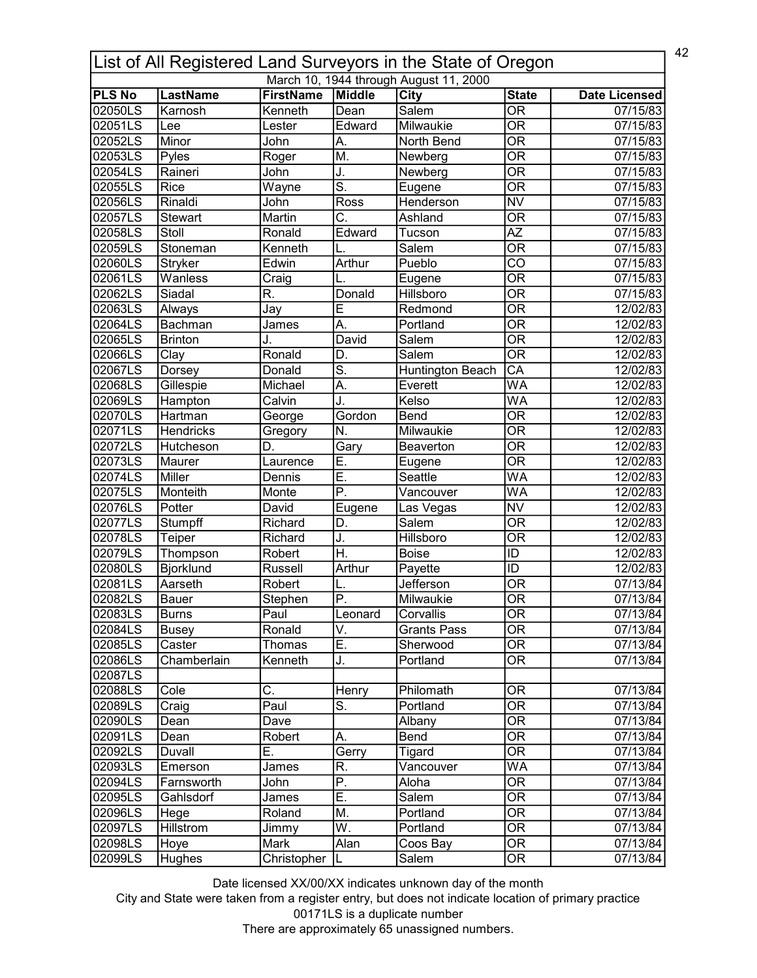| 42<br>List of All Registered Land Surveyors in the State of Oregon |                  |                  |                           |                                        |                                |                       |  |
|--------------------------------------------------------------------|------------------|------------------|---------------------------|----------------------------------------|--------------------------------|-----------------------|--|
|                                                                    |                  |                  |                           | March 10, 1944 through August 11, 2000 |                                |                       |  |
| <b>PLS No</b>                                                      | <b>LastName</b>  | <b>FirstName</b> | Middle                    | <b>City</b>                            | <b>State</b>                   | <b>Date Licensed</b>  |  |
| 02050LS                                                            | Karnosh          | Kenneth          | Dean                      | Salem                                  | $\overline{\mathsf{OR}}$       | 07/15/83              |  |
| 02051LS                                                            | Lee              | Lester           | Edward                    | Milwaukie                              | $\overline{\mathsf{OR}}$       | 07/15/83              |  |
| 02052LS                                                            | Minor            | John             | А.                        | North Bend                             | $\overline{\mathsf{OR}}$       | 07/15/83              |  |
| 02053LS                                                            | Pyles            | Roger            | M.                        | Newberg                                | $\overline{\mathsf{OR}}$       | $\overline{07/15/83}$ |  |
| 02054LS                                                            | Raineri          | John             | J.                        | Newberg                                | $\overline{\mathsf{OR}}$       | 07/15/83              |  |
| 02055LS                                                            | Rice             | Wayne            | $\overline{\mathsf{s}}$ . | Eugene                                 | $\overline{\mathsf{OR}}$       | 07/15/83              |  |
| 02056LS                                                            | Rinaldi          | John             | Ross                      | Henderson                              | $\overline{\text{NV}}$         | 07/15/83              |  |
| 02057LS                                                            | <b>Stewart</b>   | Martin           | C.                        | Ashland                                | $\overline{\mathsf{OR}}$       | 07/15/83              |  |
| 02058LS                                                            | Stoll            | Ronald           | Edward                    | Tucson                                 | $\overline{AZ}$                | 07/15/83              |  |
| 02059LS                                                            | Stoneman         | Kenneth          |                           | Salem                                  | $\overline{\mathsf{OR}}$       | 07/15/83              |  |
| 02060LS                                                            | Stryker          | Edwin            | Arthur                    | Pueblo                                 | $\overline{\text{co}}$         | 07/15/83              |  |
| 02061LS                                                            | Wanless          | Craig            |                           | Eugene                                 | $\overline{\mathsf{OR}}$       | 07/15/83              |  |
| 02062LS                                                            | Siadal           | R.               | Donald                    | Hillsboro                              | $\overline{\overline{\rm OR}}$ | 07/15/83              |  |
| 02063LS                                                            | Always           | Jay              | E                         | Redmond                                | $\overline{\mathsf{OR}}$       | 12/02/83              |  |
| 02064LS                                                            | Bachman          | James            | A.                        | Portland                               | $\overline{\overline{\rm OR}}$ | 12/02/83              |  |
| 02065LS                                                            | <b>Brinton</b>   | J.               | David                     | Salem                                  | $\overline{\overline{\rm OR}}$ | 12/02/83              |  |
| 02066LS                                                            | Clay             | Ronald           | D.                        | Salem                                  | <b>OR</b>                      | 12/02/83              |  |
| 02067LS                                                            | Dorsey           | Donald           | <u>ត</u>                  | <b>Huntington Beach</b>                | $\overline{\mathsf{CA}}$       | 12/02/83              |  |
| 02068LS                                                            | Gillespie        | Michael          | Α.                        | Everett                                | <b>WA</b>                      | 12/02/83              |  |
| 02069LS                                                            | Hampton          | Calvin           | J.                        | Kelso                                  | $\overline{\mathsf{WA}}$       | 12/02/83              |  |
| 02070LS                                                            | Hartman          | George           | Gordon                    | <b>Bend</b>                            | $\overline{\mathsf{OR}}$       | 12/02/83              |  |
| 02071LS                                                            | Hendricks        | Gregory          | N.                        | Milwaukie                              | $\overline{\mathsf{OR}}$       | 12/02/83              |  |
| 02072LS                                                            | Hutcheson        | D.               | Gary                      | <b>Beaverton</b>                       | $\overline{\mathsf{OR}}$       | 12/02/83              |  |
| 02073LS                                                            | Maurer           | Laurence         | Ē.                        | Eugene                                 | $\overline{\mathsf{OR}}$       | 12/02/83              |  |
| 02074LS                                                            | Miller           | Dennis           | Ē.                        | Seattle                                | $\overline{\mathsf{WA}}$       | 12/02/83              |  |
| 02075LS                                                            | Monteith         | Monte            | $\overline{\mathsf{P}}$ . | Vancouver                              | $\overline{\mathsf{WA}}$       | 12/02/83              |  |
| 02076LS                                                            | Potter           | David            | Eugene                    | Las Vegas                              | $\overline{\text{NV}}$         | 12/02/83              |  |
| 02077LS                                                            | Stumpff          | Richard          | D.                        | Salem                                  | OR                             | 12/02/83              |  |
| 02078LS                                                            | Teiper           | Richard          | J.                        | <b>Hillsboro</b>                       | $\overline{\overline{\rm OR}}$ | 12/02/83              |  |
| 02079LS                                                            | Thompson         | Robert           | $\overline{\mathsf{H}}$ . | <b>Boise</b>                           | ID                             | 12/02/83              |  |
| 02080LS                                                            | <b>Bjorklund</b> | Russell          | Arthur                    | Payette                                | ID                             | 12/02/83              |  |
| 02081LS                                                            | Aarseth          | Robert           |                           | Jefferson                              | <b>OR</b>                      | 07/13/84              |  |
| 02082LS                                                            | <b>Bauer</b>     | Stephen          | IP                        | Milwaukie                              | $\overline{OR}$                | 07/13/84              |  |
| 02083LS                                                            | <b>Burns</b>     | Paul             | Leonard                   | Corvallis                              | OR                             | 07/13/84              |  |
| 02084LS                                                            | <b>Busey</b>     | Ronald           | V.                        | <b>Grants Pass</b>                     | $\overline{\overline{\rm OR}}$ | 07/13/84              |  |
| 02085LS                                                            | Caster           | Thomas           | Ε.                        | Sherwood                               | <b>OR</b>                      | 07/13/84              |  |
|                                                                    |                  | Kenneth          | J.                        | Portland                               | <b>OR</b>                      |                       |  |
| 02086LS                                                            | Chamberlain      |                  |                           |                                        |                                | 07/13/84              |  |
| 02087LS                                                            |                  |                  |                           |                                        |                                |                       |  |
| 02088LS                                                            | Cole             | C.               | Henry                     | Philomath                              | 0R                             | 07/13/84              |  |
| 02089LS                                                            | Craig            | Paul             | $\overline{\mathsf{S}}$ . | Portland                               | $\overline{\mathsf{OR}}$       | 07/13/84              |  |
| 02090LS                                                            | Dean             | Dave             |                           | Albany                                 | $\overline{\mathsf{OR}}$       | 07/13/84              |  |
| 02091LS                                                            | Dean             | Robert           | А.                        | Bend                                   | OR                             | 07/13/84              |  |
| 02092LS                                                            | Duvall           | Ε.               | Gerry                     | Tigard                                 | $\overline{\mathsf{OR}}$       | 07/13/84              |  |
| 02093LS                                                            | Emerson          | James            | R.                        | Vancouver                              | WA                             | 07/13/84              |  |
| 02094LS                                                            | Farnsworth       | John             | $\overline{P}$ .          | Aloha                                  | $\overline{\mathsf{OR}}$       | 07/13/84              |  |
| 02095LS                                                            | Gahlsdorf        | James            | Ē.                        | Salem                                  | 0R                             | 07/13/84              |  |
| 02096LS                                                            | Hege             | Roland           | M.                        | Portland                               | $\overline{\text{OR}}$         | 07/13/84              |  |
| 02097LS                                                            | <b>Hillstrom</b> | Jimmy            | W.                        | Portland                               | $\overline{\mathsf{OR}}$       | 07/13/84              |  |
| 02098LS                                                            | Hoye             | Mark             | Alan                      | Coos Bay                               | $\overline{\text{OR}}$         | 07/13/84              |  |
| 02099LS                                                            | Hughes           | Christopher      |                           | Salem                                  | $\overline{\mathsf{OR}}$       | 07/13/84              |  |

City and State were taken from a register entry, but does not indicate location of primary practice 00171LS is a duplicate number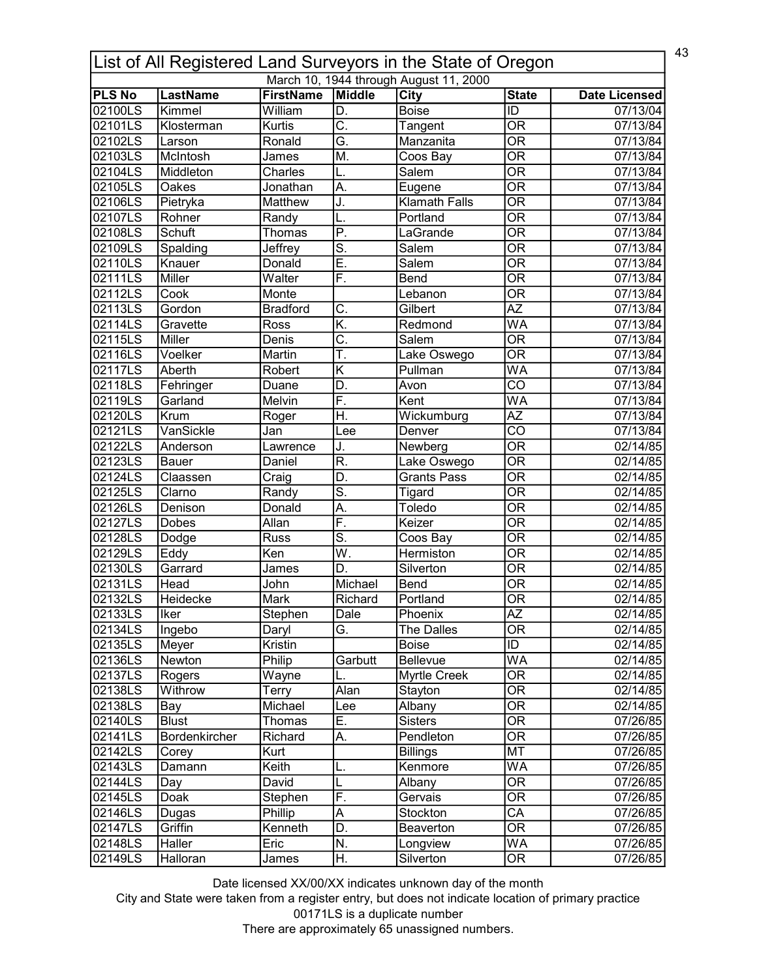|               | 43<br>List of All Registered Land Surveyors in the State of Oregon |                    |                           |                                        |                                   |                       |  |  |
|---------------|--------------------------------------------------------------------|--------------------|---------------------------|----------------------------------------|-----------------------------------|-----------------------|--|--|
|               |                                                                    |                    |                           | March 10, 1944 through August 11, 2000 |                                   |                       |  |  |
| <b>PLS No</b> | <b>LastName</b>                                                    | <b>FirstName</b>   | Middle                    | $\overline{City}$                      | <b>State</b>                      | <b>Date Licensed</b>  |  |  |
| 02100LS       | Kimmel                                                             | William            | D.                        | <b>Boise</b>                           | ID                                | 07/13/04              |  |  |
| 02101LS       | Klosterman                                                         | Kurtis             | $\overline{\mathsf{C}}$   | Tangent                                | $\overline{\text{OR}}$            | 07/13/84              |  |  |
| 02102LS       | Larson                                                             | Ronald             | G.                        | Manzanita                              | $\overline{\overline{\rm OR}}$    | 07/13/84              |  |  |
| 02103LS       | McIntosh                                                           | James              | M.                        | Coos Bay                               | $\overline{\overline{\rm OR}}$    | 07/13/84              |  |  |
| 02104LS       | Middleton                                                          | Charles            | L.                        | Salem                                  | $\overline{\text{OR}}$            | 07/13/84              |  |  |
| 02105LS       | Oakes                                                              | Jonathan           | A.                        | Eugene                                 | $\overline{\mathsf{OR}}$          | 07/13/84              |  |  |
| 02106LS       | Pietryka                                                           | Matthew            | J.                        | <b>Klamath Falls</b>                   | $\overline{\text{OR}}$            | 07/13/84              |  |  |
| 02107LS       | Rohner                                                             | Randy              | L.                        | Portland                               | $\overline{\overline{\rm OR}}$    | 07/13/84              |  |  |
| 02108LS       | Schuft                                                             | Thomas             | $\overline{\mathsf{P}}$ . | LaGrande                               | $\overline{\mathsf{OR}}$          | 07/13/84              |  |  |
| 02109LS       | Spalding                                                           | Jeffrey            | $\overline{\mathsf{S}}$ . | Salem                                  | $\overline{\mathsf{OR}}$          | 07/13/84              |  |  |
| 02110LS       | Knauer                                                             | Donald             | Ē.                        | Salem                                  | $\overline{\overline{\rm OR}}$    | 07/13/84              |  |  |
| 02111LS       | Miller                                                             | Walter             | F.                        | Bend                                   | $\overline{\overline{\rm OR}}$    | 07/13/84              |  |  |
| 02112LS       | Cook                                                               | Monte              |                           | Lebanon                                | $\overline{\overline{\rm OR}}$    | 07/13/84              |  |  |
| 02113LS       | Gordon                                                             | <b>Bradford</b>    | C.                        | Gilbert                                | $\overline{AZ}$                   | 07/13/84              |  |  |
| 02114LS       | Gravette                                                           | Ross               | K.                        | Redmond                                | <b>WA</b>                         | 07/13/84              |  |  |
| 02115LS       | Miller                                                             | Denis              | $\overline{\mathsf{C}}$ . | Salem                                  | $\overline{\mathsf{OR}}$          | 07/13/84              |  |  |
| 02116LS       | Voelker                                                            | Martin             | Ŧ.                        | Lake Oswego                            | $\overline{\overline{\rm OR}}$    | 07/13/84              |  |  |
| 02117LS       | Aberth                                                             | Robert             | Κ                         | Pullman                                | <b>WA</b>                         | 07/13/84              |  |  |
| 02118LS       | Fehringer                                                          | Duane              | D.                        | Avon                                   | $\overline{CO}$                   | 07/13/84              |  |  |
| 02119LS       | Garland                                                            | Melvin             | $\overline{F}$ .          | Kent                                   | <b>WA</b>                         | $\overline{07/1}3/84$ |  |  |
| 02120LS       | Krum                                                               | Roger              | Η.                        | Wickumburg                             | $\overline{AZ}$                   | 07/13/84              |  |  |
| 02121LS       | VanSickle                                                          | Jan                | Lee                       | Denver                                 | $\overline{\text{co}}$            | 07/13/84              |  |  |
| 02122LS       | Anderson                                                           | Lawrence           | J.                        | Newberg                                | $\overline{\text{OR}}$            | 02/14/85              |  |  |
| 02123LS       | Bauer                                                              | Daniel             | R.                        | Lake Oswego                            | $\overline{\text{OR}}$            | 02/14/85              |  |  |
| 02124LS       | Claassen                                                           | Craig              | D.                        | <b>Grants Pass</b>                     | $\overline{\text{OR}}$            | $\overline{02/14/85}$ |  |  |
| 02125LS       | Clarno                                                             | Randy              | $\overline{\mathsf{s}}$ . | <b>Tigard</b>                          | $\overline{\mathsf{OR}}$          | 02/14/85              |  |  |
| 02126LS       | Denison                                                            | Donald             | A.                        | Toledo                                 | $\overline{\overline{\rm OR}}$    | 02/14/85              |  |  |
| 02127LS       | Dobes                                                              | Allan              | F.                        | Keizer                                 | $\overline{\overline{\rm OR}}$    | 02/14/85              |  |  |
| 02128LS       | Dodge                                                              | Russ               | $\overline{\mathsf{S}}$ . | Coos Bay                               | $\overline{\overline{\rm OR}}$    | 02/14/85              |  |  |
| 02129LS       | Eddy                                                               | Ken                | $\overline{\mathsf{W}}$ . | Hermiston                              | $\overline{\overline{\rm OR}}$    | 02/14/85              |  |  |
| 02130LS       | Garrard                                                            | James              | D.                        | Silverton                              | $\overline{\overline{\rm OR}}$    | 02/14/85              |  |  |
| 02131LS       | Head                                                               | John               | Michael                   | Bend                                   | $\overline{\overline{\rm OR}}$    | 02/14/85              |  |  |
| 02132LS       | Heidecke                                                           | Mark               | Richard                   | Portland                               | $\overline{OR}$                   | 02/14/85              |  |  |
| 02133LS       | Iker                                                               | Stephen            | Dale                      | Phoenix                                | <b>AZ</b>                         | 02/14/85              |  |  |
| 02134LS       | Ingebo                                                             | Daryl              | G.                        | The Dalles                             | $\overline{OR}$                   | 02/14/85              |  |  |
| 02135LS       | Meyer                                                              | Kristin            |                           | <b>Boise</b>                           | ID                                | 02/14/85              |  |  |
| 02136LS       | Newton                                                             | Philip             | Garbutt                   | Bellevue                               | <b>WA</b>                         | 02/14/85              |  |  |
| 02137LS       | Rogers                                                             | Wayne              | L.                        | Myrtle Creek                           | $\overline{\overline{\rm OR}}$    | 02/14/85              |  |  |
| 02138LS       | Withrow                                                            | Terry              | Alan                      | Stayton                                | $\overline{\overline{\text{OR}}}$ | 02/14/85              |  |  |
| 02138LS       | Bay                                                                | Michael            | Lee                       | Albany                                 | $\overline{\overline{\text{OR}}}$ | 02/14/85              |  |  |
| 02140LS       | <b>Blust</b>                                                       | Thomas             | Ε.                        | Sisters                                | $\overline{\text{OR}}$            | 07/26/85              |  |  |
| 02141LS       | Bordenkircher                                                      | Richard            | А.                        | Pendleton                              | 0R                                | 07/26/85              |  |  |
| 02142LS       | Corey                                                              | Kurt               |                           | <b>Billings</b>                        | <b>MT</b>                         | 07/26/85              |  |  |
| 02143LS       | Damann                                                             | Keith              | L.                        | Kenmore                                | WA                                | 07/26/85              |  |  |
| 02144LS       |                                                                    | David              |                           | Albany                                 | $\overline{\text{OR}}$            | 07/26/85              |  |  |
| 02145LS       | Day                                                                |                    | L<br>F.                   | Gervais                                | <b>OR</b>                         |                       |  |  |
|               | Doak                                                               | Stephen<br>Phillip |                           |                                        | $\overline{\mathsf{CA}}$          | 07/26/85              |  |  |
| 02146LS       | Dugas                                                              |                    | A                         | Stockton                               |                                   | 07/26/85              |  |  |
| 02147LS       | Griffin                                                            | Kenneth            | D.                        | Beaverton                              | $\overline{\mathsf{OR}}$          | 07/26/85              |  |  |
| 02148LS       | Haller                                                             | Eric               | N.                        | Longview                               | <b>WA</b>                         | 07/26/85              |  |  |
| 02149LS       | Halloran                                                           | James              | Η.                        | Silverton                              | OR                                | 07/26/85              |  |  |

City and State were taken from a register entry, but does not indicate location of primary practice 00171LS is a duplicate number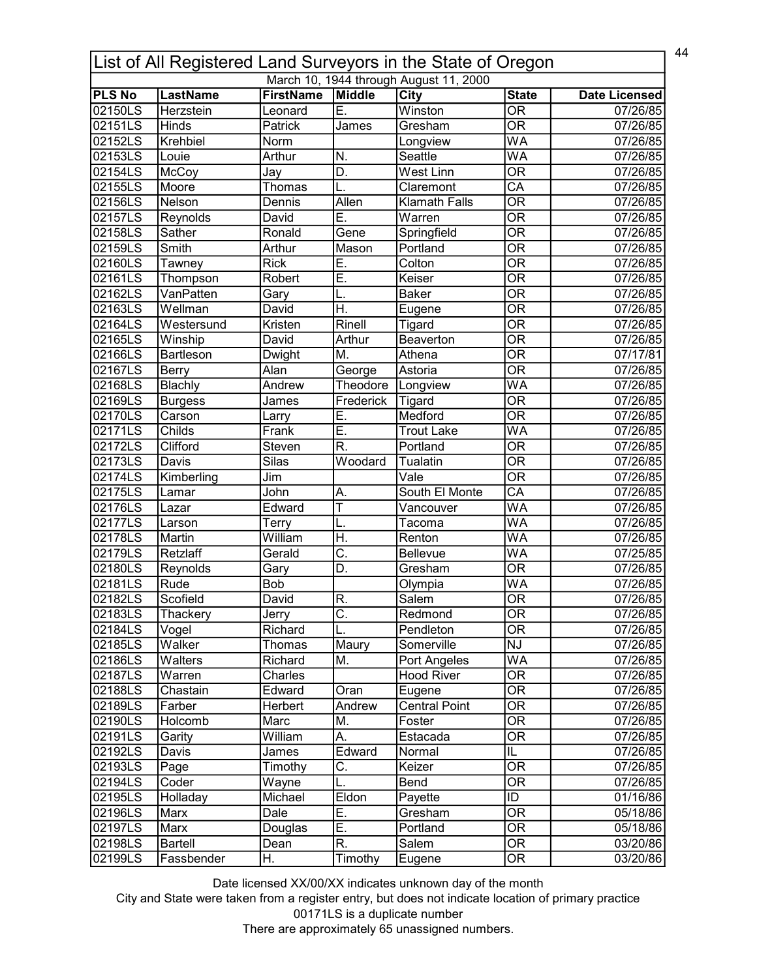|               | 44<br>List of All Registered Land Surveyors in the State of Oregon |                                      |                           |                                        |                                |                       |  |  |
|---------------|--------------------------------------------------------------------|--------------------------------------|---------------------------|----------------------------------------|--------------------------------|-----------------------|--|--|
|               |                                                                    |                                      |                           | March 10, 1944 through August 11, 2000 |                                |                       |  |  |
| <b>PLS No</b> | <b>LastName</b>                                                    | <b>FirstName</b>                     | Middle                    | City                                   | <b>State</b>                   | <b>Date Licensed</b>  |  |  |
| 02150LS       | Herzstein                                                          | Leonard                              | E.                        | Winston                                | $\overline{\mathsf{OR}}$       | 07/26/85              |  |  |
| 02151LS       | Hinds                                                              | Patrick                              | James                     | Gresham                                | $\overline{\mathsf{OR}}$       | 07/26/85              |  |  |
| 02152LS       | Krehbiel                                                           | Norm                                 |                           | Longview                               | WA                             | 07/26/85              |  |  |
| 02153LS       | Louie                                                              | Arthur                               | N.                        | Seattle                                | WA                             | 07/26/85              |  |  |
| 02154LS       | McCoy                                                              | Jay                                  | D.                        | West Linn                              | $\overline{\mathsf{OR}}$       | 07/26/85              |  |  |
| 02155LS       | Moore                                                              | Thomas                               |                           | Claremont                              | $\overline{\mathsf{CA}}$       | 07/26/85              |  |  |
| 02156LS       | Nelson                                                             | Dennis                               | Allen                     | <b>Klamath Falls</b>                   | $\overline{\mathsf{OR}}$       | 07/26/85              |  |  |
| 02157LS       | Reynolds                                                           | David                                | Ē.                        | Warren                                 | $\overline{\mathsf{OR}}$       | 07/26/85              |  |  |
| 02158LS       | Sather                                                             | Ronald                               | Gene                      | Springfield                            | $\overline{\mathsf{OR}}$       | 07/26/85              |  |  |
| 02159LS       | Smith                                                              | Arthur                               | Mason                     | Portland                               | $\overline{\mathsf{OR}}$       | 07/26/85              |  |  |
| 02160LS       | Tawney                                                             | <b>Rick</b>                          | E.                        | Colton                                 | $\overline{\mathsf{OR}}$       | 07/26/85              |  |  |
| 02161LS       | Thompson                                                           | Robert                               | Ē.                        | Keiser                                 | $\overline{\mathsf{OR}}$       | 07/26/85              |  |  |
| 02162LS       | VanPatten                                                          | Gary                                 | L.                        | <b>Baker</b>                           | $\overline{\overline{\rm OR}}$ | 07/26/85              |  |  |
| 02163LS       | Wellman                                                            | David                                | Η.                        | Eugene                                 | $\overline{\mathsf{OR}}$       | 07/26/85              |  |  |
| 02164LS       | Westersund                                                         | Kristen                              | Rinell                    | Tigard                                 | $\overline{\overline{\rm OR}}$ | 07/26/85              |  |  |
| 02165LS       | Winship                                                            | David                                | Arthur                    | Beaverton                              | $\overline{\mathsf{OR}}$       | 07/26/85              |  |  |
| 02166LS       | <b>Bartleson</b>                                                   | Dwight                               | М.                        | Athena                                 | <b>OR</b>                      | 07/17/81              |  |  |
| 02167LS       | <b>Berry</b>                                                       | Alan                                 | George                    | Astoria                                | $\overline{\mathsf{OR}}$       | 07/26/85              |  |  |
| 02168LS       | Blachly                                                            | Andrew                               | Theodore                  | Longview                               | WA                             | 07/26/85              |  |  |
| 02169LS       | <b>Burgess</b>                                                     | James                                | Frederick                 | Tigard                                 | $\overline{\mathsf{OR}}$       | 07/26/85              |  |  |
| 02170LS       | Carson                                                             | Larry                                | E.                        | Medford                                | $\overline{\mathsf{OR}}$       | 07/26/85              |  |  |
| 02171LS       | <b>Childs</b>                                                      | Frank                                | Ē.                        | <b>Trout Lake</b>                      | $\overline{\mathsf{WA}}$       | 07/26/85              |  |  |
| 02172LS       | Clifford                                                           | Steven                               | R.                        | Portland                               | $\overline{\mathsf{OR}}$       | 07/26/85              |  |  |
| 02173LS       | Davis                                                              | $\overline{\overline{\text{Silas}}}$ | Woodard                   | <b>Tualatin</b>                        | $\overline{\mathsf{OR}}$       | 07/26/85              |  |  |
| 02174LS       | Kimberling                                                         | Jim                                  |                           | Vale                                   | $\overline{\mathsf{OR}}$       | 07/26/85              |  |  |
| 02175LS       | Lamar                                                              | John                                 | Α.                        | South El Monte                         | $\overline{\mathsf{CA}}$       | 07/26/85              |  |  |
| 02176LS       | Lazar                                                              | Edward                               | Ŧ                         | Vancouver                              | $\overline{\mathsf{WA}}$       | 07/26/85              |  |  |
| 02177LS       | Larson                                                             | Terry                                | L.                        | Tacoma                                 | WA                             | 07/26/85              |  |  |
| 02178LS       | Martin                                                             | William                              | H.                        | Renton                                 | WA                             | $\overline{07/2}6/85$ |  |  |
| 02179LS       | Retzlaff                                                           | Gerald                               | $\overline{\mathsf{C}}$ . | Bellevue                               | WA                             | 07/25/85              |  |  |
| 02180LS       | Reynolds                                                           | Gary                                 | D.                        | Gresham                                | $\overline{\overline{\rm OR}}$ | 07/26/85              |  |  |
| 02181LS       | Rude                                                               | Bob                                  |                           | Olympia                                | WA                             | 07/26/85              |  |  |
| 02182LS       | Scofield                                                           | David                                | IR.                       | Salem                                  | $\overline{\text{OR}}$         | 07/26/85              |  |  |
| 02183LS       | Thackery                                                           | Jerry                                | C.                        | Redmond                                | OR                             | 07/26/85              |  |  |
| 02184LS       | Vogel                                                              | Richard                              |                           | Pendleton                              | $\overline{\text{OR}}$         | 07/26/85              |  |  |
| 02185LS       | Walker                                                             | Thomas                               | Maury                     | Somerville                             | NJ                             | 07/26/85              |  |  |
| 02186LS       | Walters                                                            | Richard                              | M.                        | Port Angeles                           | WA                             | 07/26/85              |  |  |
| 02187LS       | Warren                                                             |                                      |                           | <b>Hood River</b>                      | $\overline{\overline{\rm OR}}$ |                       |  |  |
|               |                                                                    | Charles                              |                           |                                        | $\overline{\mathsf{OR}}$       | 07/26/85              |  |  |
| 02188LS       | Chastain                                                           | Edward                               | Oran                      | Eugene                                 |                                | 07/26/85              |  |  |
| 02189LS       | Farber                                                             | Herbert                              | Andrew                    | <b>Central Point</b>                   | $\overline{\mathsf{OR}}$       | 07/26/85              |  |  |
| 02190LS       | Holcomb                                                            | Marc                                 | M.                        | Foster                                 | $\overline{\mathsf{OR}}$       | 07/26/85              |  |  |
| 02191LS       | Garity                                                             | William                              | А.                        | Estacada                               | OR                             | 07/26/85              |  |  |
| 02192LS       | Davis                                                              | James                                | Edward                    | Normal                                 | $\overline{\mathsf{IL}}$       | 07/26/85              |  |  |
| 02193LS       | Page                                                               | Timothy                              | C.                        | Keizer                                 | <b>OR</b>                      | 07/26/85              |  |  |
| 02194LS       | Coder                                                              | Wayne                                | L.                        | Bend                                   | $\overline{\mathsf{OR}}$       | 07/26/85              |  |  |
| 02195LS       | Holladay                                                           | Michael                              | Eldon                     | Payette                                | ID                             | 01/16/86              |  |  |
| 02196LS       | Marx                                                               | Dale                                 | E.                        | Gresham                                | $\overline{\mathsf{OR}}$       | 05/18/86              |  |  |
| 02197LS       | Marx                                                               | Douglas                              | Ē.                        | Portland                               | $\overline{\mathsf{OR}}$       | 05/18/86              |  |  |
| 02198LS       | <b>Bartell</b>                                                     | Dean                                 | $\overline{\mathsf{R}}$ . | <b>Salem</b>                           | $\overline{\text{OR}}$         | 03/20/86              |  |  |
| 02199LS       | Fassbender                                                         | Н.                                   | Timothy                   | Eugene                                 | $\overline{\mathsf{OR}}$       | 03/20/86              |  |  |

City and State were taken from a register entry, but does not indicate location of primary practice 00171LS is a duplicate number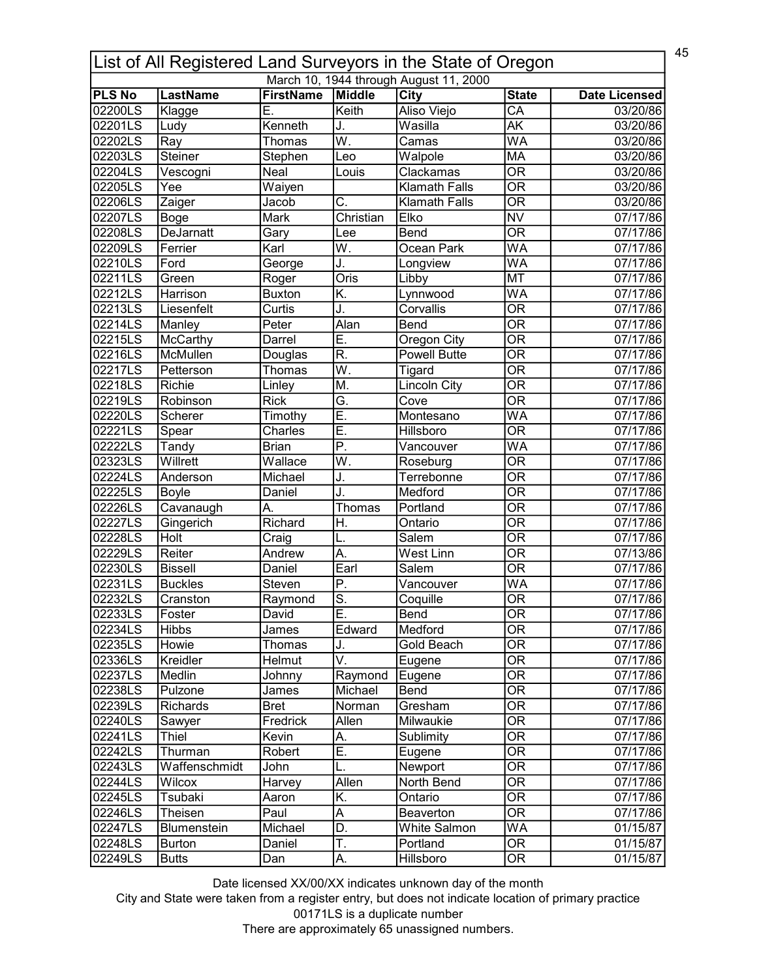| 45<br>List of All Registered Land Surveyors in the State of Oregon |                    |                  |                           |                                        |                                |                       |  |
|--------------------------------------------------------------------|--------------------|------------------|---------------------------|----------------------------------------|--------------------------------|-----------------------|--|
|                                                                    |                    |                  |                           | March 10, 1944 through August 11, 2000 |                                |                       |  |
| <b>PLS No</b>                                                      | <b>LastName</b>    | <b>FirstName</b> | Middle                    | <b>City</b>                            | <b>State</b>                   | <b>Date Licensed</b>  |  |
| 02200LS                                                            | Klagge             | Е.               | Keith                     | Aliso Viejo                            | $\overline{CA}$                | 03/20/86              |  |
| 02201LS                                                            | Ludy               | Kenneth          | J.                        | Wasilla                                | $\overline{\mathsf{AK}}$       | 03/20/86              |  |
| 02202LS                                                            | Ray                | Thomas           | $\overline{\mathsf{W}}$ . | Camas                                  | <b>WA</b>                      | 03/20/86              |  |
| 02203LS                                                            | Steiner            | Stephen          | Leo                       | Walpole                                | <b>MA</b>                      | 03/20/86              |  |
| 02204LS                                                            | Vescogni           | Neal             | Louis                     | Clackamas                              | $\overline{\overline{\rm OR}}$ | 03/20/86              |  |
| 02205LS                                                            | Yee                | Waiyen           |                           | <b>Klamath Falls</b>                   | $\overline{\text{OR}}$         | 03/20/86              |  |
| 02206LS                                                            | Zaiger             | Jacob            | $\overline{\mathrm{C}}$ . | <b>Klamath Falls</b>                   | $\overline{\overline{\rm OR}}$ | 03/20/86              |  |
| 02207LS                                                            | Boge               | Mark             | Christian                 | Elko                                   | <b>NV</b>                      | 07/17/86              |  |
| 02208LS                                                            | DeJarnatt          | Gary             | Lee                       | Bend                                   | $\overline{\overline{\rm OR}}$ | 07/17/86              |  |
| 02209LS                                                            | Ferrier            | Karl             | W.                        | Ocean Park                             | <b>WA</b>                      | 07/17/86              |  |
| 02210LS                                                            | Ford               | George           | J.                        | Longview                               | <b>WA</b>                      | 07/17/86              |  |
| 02211LS                                                            | Green              | Roger            | Oris                      | Libby                                  | <b>MT</b>                      | 07/17/86              |  |
| 02212LS                                                            | Harrison           | <b>Buxton</b>    | K.                        | Lynnwood                               | <b>WA</b>                      | 07/17/86              |  |
| 02213LS                                                            | Liesenfelt         | Curtis           | J.                        | Corvallis                              | $\overline{\mathsf{OR}}$       | 07/17/86              |  |
| 02214LS                                                            | Manley             | Peter            | Alan                      | Bend                                   | <b>OR</b>                      | 07/17/86              |  |
| 02215LS                                                            | McCarthy           | Darrel           | Ε.                        | <b>Oregon City</b>                     | $\overline{\mathsf{OR}}$       | 07/17/86              |  |
| 02216LS                                                            | McMullen           | Douglas          | R.                        | <b>Powell Butte</b>                    | $\overline{\text{OR}}$         | 07/17/86              |  |
| 02217LS                                                            | Petterson          | Thomas           | W.                        | <b>Tigard</b>                          | $\overline{\mathsf{OR}}$       | 07/17/86              |  |
| 02218LS                                                            | Richie             | Linley           | M.                        | <b>Lincoln City</b>                    | $\overline{\overline{\rm OR}}$ | $\overline{07/17/86}$ |  |
| 02219LS                                                            | Robinson           | <b>Rick</b>      | G.                        | Cove                                   | $\overline{\mathsf{OR}}$       | 07/17/86              |  |
|                                                                    |                    |                  | Ē.                        |                                        | <b>WA</b>                      | 07/17/86              |  |
| 02220LS                                                            | Scherer            | Timothy          | Ē.                        | Montesano                              | $\overline{\mathsf{OR}}$       |                       |  |
| 02221LS                                                            | Spear              | Charles          |                           | Hillsboro                              |                                | 07/17/86              |  |
| 02222LS                                                            | Tandy              | <b>Brian</b>     | $\overline{\mathsf{P}}$ . | $\overline{\mathsf{V}}$ ancouver       | WA                             | 07/17/86              |  |
| 02323LS                                                            | Willrett           | Wallace          | $\overline{\mathsf{W}}$ . | Roseburg                               | $\overline{\text{OR}}$         | 07/17/86              |  |
| 02224LS                                                            | Anderson           | Michael          | J.                        | Terrebonne                             | $\overline{\text{OR}}$         | 07/17/86              |  |
| 02225LS                                                            | Boyle              | Daniel           | J.                        | Medford                                | $\overline{\mathsf{OR}}$       | 07/17/86              |  |
| 02226LS                                                            | Cavanaugh          | А.               | Thomas                    | Portland                               | $\overline{\text{OR}}$         | 07/17/86              |  |
| 02227LS                                                            | Gingerich          | Richard          | H.                        | Ontario                                | $\overline{\text{OR}}$         | 07/17/86              |  |
| 02228LS                                                            | Holt               | Craig            | L.                        | Salem                                  | $\overline{\overline{\rm OR}}$ | 07/17/86              |  |
| 02229LS                                                            | Reiter             | Andrew           | Α.                        | <b>West Linn</b>                       | $\overline{\overline{\rm OR}}$ | 07/13/86              |  |
| 02230LS                                                            | <b>Bissell</b>     | Daniel           | Earl                      | Salem                                  | $\overline{\overline{\rm OR}}$ | 07/17/86              |  |
| 02231LS                                                            | <b>Buckles</b>     | Steven           | P.                        | Vancouver                              | <b>WA</b>                      | 07/17/86              |  |
| 02232LS                                                            | Cranston           | Raymond          | $\overline{s}$            | Coquille                               | $\overline{OR}$                | 07/17/86              |  |
| 02233LS                                                            | Foster             | David            | Ε.                        | Bend                                   | <b>OR</b>                      | 07/17/86              |  |
| 02234LS                                                            | <b>Hibbs</b>       | James            | Edward                    | Medford                                | $\overline{OR}$                | 07/17/86              |  |
| 02235LS                                                            | Howie              | Thomas           | J.                        | Gold Beach                             | <b>OR</b>                      | 07/17/86              |  |
| 02336LS                                                            | Kreidler           | Helmut           | V.                        | Eugene                                 | <b>OR</b>                      | 07/17/86              |  |
| 02237LS                                                            | Medlin             | Johnny           | Raymond                   | Eugene                                 | $\overline{\text{OR}}$         | 07/17/86              |  |
| 02238LS                                                            | Pulzone            | James            | Michael                   | Bend                                   | $\overline{\overline{\rm OR}}$ | 07/17/86              |  |
| 02239LS                                                            | Richards           | Bret             | Norman                    | Gresham                                | $\overline{\mathsf{OR}}$       | 07/17/86              |  |
| 02240LS                                                            |                    |                  |                           | Milwaukie                              | $\overline{\text{OR}}$         |                       |  |
|                                                                    | Sawyer             | Fredrick         | Allen                     |                                        |                                | 07/17/86              |  |
| 02241LS                                                            | Thiel              | Kevin            | А.                        | Sublimity                              | 0R                             | 07/17/86              |  |
| 02242LS                                                            | Thurman            | Robert           | E.                        | Eugene                                 | $\overline{\text{OR}}$         | 07/17/86              |  |
| $02243L\overline{S}$                                               | Waffenschmidt      | John             | L.                        | Newport                                | 0R                             | 07/17/86              |  |
| 02244LS                                                            | Wilcox             | Harvey           | Allen                     | North Bend                             | <b>OR</b>                      | 07/17/86              |  |
| 02245LS                                                            | Tsubaki            | Aaron            | Κ.                        | Ontario                                | 0R                             | 07/17/86              |  |
| 02246LS                                                            | Theisen            | Paul             | A                         | Beaverton                              | $\overline{\text{OR}}$         | 07/17/86              |  |
| 02247LS                                                            | <b>Blumenstein</b> | Michael          | D.                        | <b>White Salmon</b>                    | WA                             | 01/15/87              |  |
| 02248LS                                                            | <b>Burton</b>      | Daniel           | Т.                        | Portland                               | $\overline{\text{OR}}$         | 01/15/87              |  |
| 02249LS                                                            | <b>Butts</b>       | Dan              | А.                        | Hillsboro                              | OR                             | 01/15/87              |  |

City and State were taken from a register entry, but does not indicate location of primary practice 00171LS is a duplicate number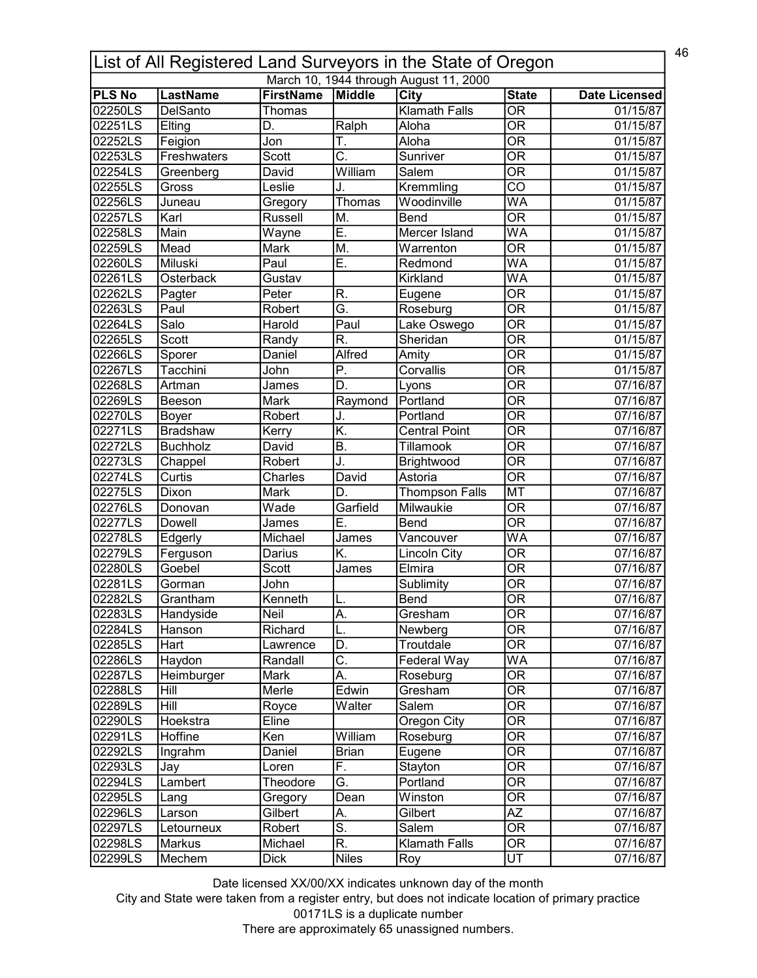| 46<br>List of All Registered Land Surveyors in the State of Oregon |                 |                  |                           |                                        |                                |                       |  |
|--------------------------------------------------------------------|-----------------|------------------|---------------------------|----------------------------------------|--------------------------------|-----------------------|--|
|                                                                    |                 |                  |                           | March 10, 1944 through August 11, 2000 |                                |                       |  |
| <b>PLS No</b>                                                      | <b>LastName</b> | <b>FirstName</b> | Middle                    | City                                   | <b>State</b>                   | <b>Date Licensed</b>  |  |
| 02250LS                                                            | <b>DelSanto</b> | Thomas           |                           | <b>Klamath Falls</b>                   | $\overline{\mathsf{OR}}$       | 01/15/87              |  |
| 02251LS                                                            | Elting          | D.               | Ralph                     | Aloha                                  | $\overline{\mathsf{OR}}$       | 01/15/87              |  |
| 02252LS                                                            | Feigion         | Jon              | Т.                        | Aloha                                  | $\overline{\mathsf{OR}}$       | 01/15/87              |  |
| 02253LS                                                            | Freshwaters     | <b>Scott</b>     | $\overline{\mathsf{C}}$ . | Sunriver                               | $\overline{\overline{\rm OR}}$ | 01/15/87              |  |
| 02254LS                                                            | Greenberg       | David            | William                   | Salem                                  | $\overline{\text{OR}}$         | 01/15/87              |  |
| 02255LS                                                            | Gross           | Leslie           | J.                        | Kremmling                              | $\overline{\text{co}}$         | $\overline{01/1}5/87$ |  |
| 02256LS                                                            | Juneau          | Gregory          | Thomas                    | Woodinville                            | WA                             | 01/15/87              |  |
| 02257LS                                                            | Karl            | Russell          | M.                        | <b>Bend</b>                            | $\overline{\mathsf{OR}}$       | 01/15/87              |  |
| 02258LS                                                            | Main            | Wayne            | Ē.                        | Mercer Island                          | WA                             | 01/15/87              |  |
| 02259LS                                                            | Mead            | Mark             | M.                        | Warrenton                              | $\overline{\mathsf{OR}}$       | 01/15/87              |  |
| 02260LS                                                            | Miluski         | Paul             | Ē.                        | Redmond                                | WA                             | 01/15/87              |  |
| 02261LS                                                            | Osterback       | Gustav           |                           | Kirkland                               | WA                             | 01/15/87              |  |
| 02262LS                                                            | Pagter          | Peter            | R.                        | Eugene                                 | $\overline{\overline{\rm OR}}$ | 01/15/87              |  |
| 02263LS                                                            | Paul            | Robert           | Ğ.                        | Roseburg                               | $\overline{\mathsf{OR}}$       | 01/15/87              |  |
| 02264LS                                                            | Salo            | Harold           | Paul                      | Lake Oswego                            | $\overline{\overline{\rm OR}}$ | 01/15/87              |  |
| 02265LS                                                            | Scott           | Randy            | R.                        | Sheridan                               | $\overline{\mathsf{OR}}$       | 01/15/87              |  |
| 02266LS                                                            | Sporer          | Daniel           | Alfred                    | Amity                                  | <b>OR</b>                      | 01/15/87              |  |
| 02267LS                                                            | Tacchini        | John             | Ρ.                        | Corvallis                              | $\overline{\mathsf{OR}}$       | 01/15/87              |  |
|                                                                    |                 |                  | D.                        |                                        | <b>OR</b>                      |                       |  |
| 02268LS                                                            | Artman          | James            |                           | Lyons                                  |                                | 07/16/87              |  |
| 02269LS                                                            | Beeson          | <b>Mark</b>      | Raymond                   | Portland                               | $\overline{\mathsf{OR}}$       | 07/16/87              |  |
| 02270LS                                                            | Boyer           | Robert           | J.                        | Portland                               | $\overline{\mathsf{OR}}$       | 07/16/87              |  |
| 02271LS                                                            | <b>Bradshaw</b> | Kerry            | K.                        | <b>Central Point</b>                   | $\overline{\mathsf{OR}}$       | 07/16/87              |  |
| 02272LS                                                            | <b>Buchholz</b> | David            | $\overline{B}$ .          | Tillamook                              | $\overline{\mathsf{OR}}$       | 07/16/87              |  |
| 02273LS                                                            | Chappel         | Robert           | J.                        | Brightwood                             | $\overline{\mathsf{OR}}$       | 07/16/87              |  |
| 02274LS                                                            | Curtis          | Charles          | David                     | Astoria                                | $\overline{\mathsf{OR}}$       | 07/16/87              |  |
| 02275LS                                                            | Dixon           | Mark             | D.                        | <b>Thompson Falls</b>                  | <b>MT</b>                      | 07/16/87              |  |
| 02276LS                                                            | Donovan         | Wade             | Garfield                  | Milwaukie                              | OR                             | 07/16/87              |  |
| 02277LS                                                            | Dowell          | James            | Ε.                        | Bend                                   | $\overline{\mathsf{OR}}$       | 07/16/87              |  |
| 02278LS                                                            | Edgerly         | Michael          | James                     | Vancouver                              | WA                             | 07/16/87              |  |
| 02279LS                                                            | Ferguson        | Darius           | K.                        | Lincoln City                           | $\overline{\mathsf{OR}}$       | 07/16/87              |  |
| 02280LS                                                            | Goebel          | Scott            | James                     | Elmira                                 | $\overline{\mathsf{OR}}$       | 07/16/87              |  |
| 02281LS                                                            | Gorman          | John             |                           | Sublimity                              | <b>OR</b>                      | 07/16/87              |  |
| 02282LS                                                            | Grantham        | Kenneth          |                           | Bend                                   | $\overline{OR}$                | 07/16/87              |  |
| 02283LS                                                            | Handyside       | Neil             | A.                        | Gresham                                | 0R                             | 07/16/87              |  |
| 02284LS                                                            | Hanson          | Richard          | L.                        | Newberg                                | $\overline{\overline{\rm OR}}$ | 07/16/87              |  |
| 02285LS                                                            | Hart            | Lawrence         | D.                        | Troutdale                              | 0R                             | 07/16/87              |  |
| 02286LS                                                            | Haydon          | Randall          | C.                        | Federal Way                            | <b>WA</b>                      | 07/16/87              |  |
| 02287LS                                                            | Heimburger      | Mark             | Α.                        | Roseburg                               | $\overline{\overline{\rm OR}}$ | 07/16/87              |  |
| 02288LS                                                            | Hill            | Merle            | Edwin                     | Gresham                                | $\overline{\mathsf{OR}}$       | 07/16/87              |  |
| 02289LS                                                            | Hill            | Royce            | Walter                    | Salem                                  | $\overline{\mathsf{OR}}$       | 07/16/87              |  |
| 02290LS                                                            | Hoekstra        | Eline            |                           | Oregon City                            | OR                             | 07/16/87              |  |
| 02291LS                                                            | Hoffine         | Ken              | William                   | Roseburg                               | OR                             | 07/16/87              |  |
| 02292LS                                                            | Ingrahm         | Daniel           | <b>Brian</b>              | Eugene                                 | $\overline{\mathsf{OR}}$       | 07/16/87              |  |
| 02293LS                                                            |                 |                  | F.                        |                                        | OR                             |                       |  |
|                                                                    | Jay             | Loren            |                           | Stayton                                | 0R                             | 07/16/87              |  |
| 02294LS                                                            | Lambert         | Theodore         | G.                        | Portland                               |                                | 07/16/87              |  |
| 02295LS                                                            | Lang            | Gregory          | Dean                      | Winston                                | <b>OR</b>                      | 07/16/87              |  |
| 02296LS                                                            | Larson          | Gilbert          | A.                        | Gilbert                                | $\overline{AZ}$                | 07/16/87              |  |
| 02297LS                                                            | Letourneux      | Robert           | $\overline{\mathsf{s}}$ . | Salem                                  | $\overline{\mathsf{OR}}$       | 07/16/87              |  |
| 02298LS                                                            | Markus          | Michael          | $\overline{\mathsf{R}}$ . | <b>Klamath Falls</b>                   | $\overline{\mathsf{OR}}$       | 07/16/87              |  |
| 02299LS                                                            | Mechem          | <b>Dick</b>      | <b>Niles</b>              | Roy                                    | $\overline{\mathsf{UT}}$       | 07/16/87              |  |

City and State were taken from a register entry, but does not indicate location of primary practice 00171LS is a duplicate number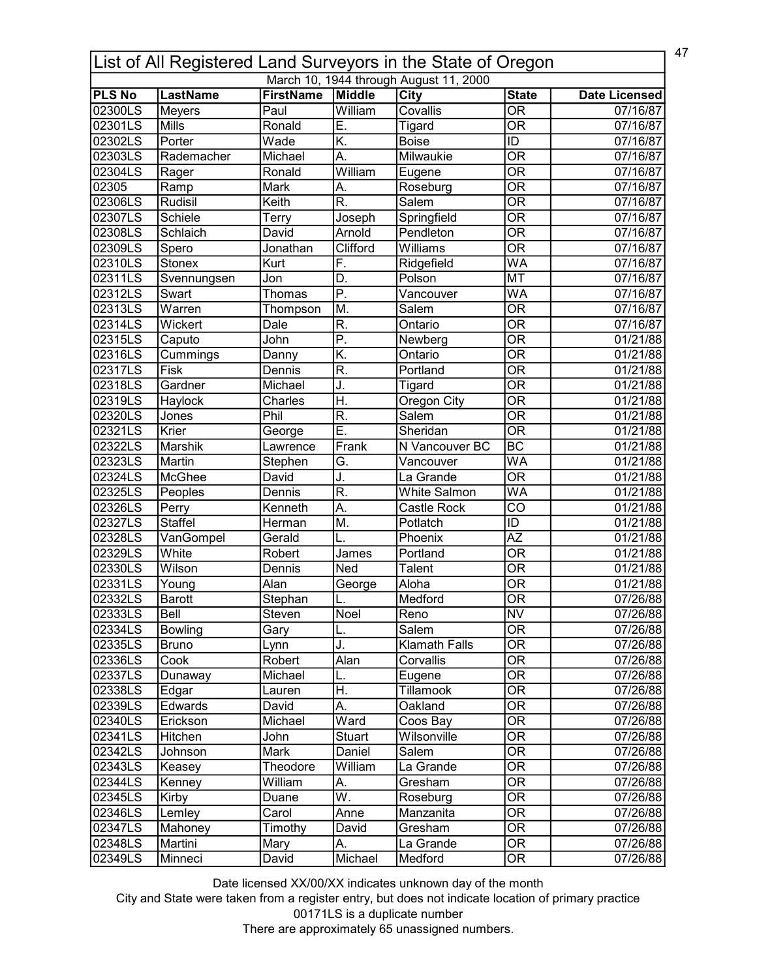| 47<br>List of All Registered Land Surveyors in the State of Oregon |                      |                                                |                           |                                        |                                        |                      |  |
|--------------------------------------------------------------------|----------------------|------------------------------------------------|---------------------------|----------------------------------------|----------------------------------------|----------------------|--|
|                                                                    |                      |                                                |                           | March 10, 1944 through August 11, 2000 |                                        |                      |  |
| <b>PLS No</b><br>02300LS                                           | <b>LastName</b>      | <b>FirstName</b><br>$\overline{\mathsf{Paul}}$ | Middle<br>William         | <b>City</b><br>Covallis                | <b>State</b><br>$\overline{\text{OR}}$ | <b>Date Licensed</b> |  |
|                                                                    | <b>Meyers</b>        |                                                |                           |                                        | $\overline{\mathsf{OR}}$               | 07/16/87             |  |
| 02301LS                                                            | <b>Mills</b>         | Ronald                                         | Ē.                        | <b>Tigard</b>                          |                                        | 07/16/87             |  |
| 02302LS                                                            | Porter               | Wade                                           | K.                        | <b>Boise</b>                           | ID                                     | 07/16/87             |  |
| 02303LS                                                            | Rademacher           | Michael                                        | A.                        | Milwaukie                              | $\overline{\overline{\rm OR}}$         | 07/16/87             |  |
| 02304LS                                                            | Rager                | Ronald                                         | William                   | Eugene                                 | $\overline{\mathsf{OR}}$               | 07/16/87             |  |
| 02305                                                              | Ramp                 | <b>Mark</b>                                    | А.                        | Roseburg                               | $\overline{\text{OR}}$                 | 07/16/87             |  |
| 02306LS                                                            | <b>Rudisil</b>       | Keith                                          | $\overline{\mathsf{R}}$ . | Salem                                  | $\overline{\text{OR}}$                 | 07/16/87             |  |
| 02307LS                                                            | Schiele              | Terry                                          | Joseph                    | Springfield                            | $\overline{\overline{\rm OR}}$         | 07/16/87             |  |
| 02308LS                                                            | Schlaich             | David                                          | Arnold                    | Pendleton                              | $\overline{\overline{\rm OR}}$         | 07/16/87             |  |
| 02309LS                                                            | Spero                | Jonathan                                       | Clifford                  | Williams                               | $\overline{\mathsf{OR}}$               | 07/16/87             |  |
| 02310LS                                                            | <b>Stonex</b>        | Kurt                                           | F.                        | Ridgefield                             | <b>WA</b>                              | 07/16/87             |  |
| 02311LS                                                            | Svennungsen          | Jon                                            | D.                        | Polson                                 | <b>MT</b>                              | 07/16/87             |  |
| 02312LS                                                            | Swart                | Thomas                                         | $\overline{P}$ .          | Vancouver                              | <b>WA</b>                              | 07/16/87             |  |
| 02313LS                                                            | $\overline{W}$ arren | Thompson                                       | M.                        | Salem                                  | $\overline{\mathsf{OR}}$               | 07/16/87             |  |
| 02314LS                                                            | Wickert              | Dale                                           | R.                        | Ontario                                | <b>OR</b>                              | 07/16/87             |  |
| 02315LS                                                            | Caputo               | John                                           | $\overline{P}$ .          | Newberg                                | $\overline{\overline{\rm OR}}$         | 01/21/88             |  |
| 02316LS                                                            | Cummings             | Danny                                          | K.                        | Ontario                                | $\overline{\mathsf{OR}}$               | 01/21/88             |  |
| 02317LS                                                            | Fisk                 | Dennis                                         | $\overline{\mathsf{R}}$ . | Portland                               | $\overline{\mathsf{OR}}$               | 01/21/88             |  |
| 02318LS                                                            | Gardner              | Michael                                        | J.                        | Tigard                                 | $\overline{\overline{\text{OR}}}$      | 01/21/88             |  |
| 02319LS                                                            | Haylock              | Charles                                        | Η.                        | <b>Oregon City</b>                     | $\overline{\mathsf{OR}}$               | 01/21/88             |  |
| 02320LS                                                            | Jones                | Phil                                           | $\overline{\mathsf{R}}$ . | Salem                                  | $\overline{\mathsf{OR}}$               | 01/21/88             |  |
| 02321LS                                                            | Krier                | George                                         | Ē.                        | Sheridan                               | $\overline{\mathsf{OR}}$               | 01/21/88             |  |
| 02322LS                                                            | Marshik              | Lawrence                                       | Frank                     | N Vancouver BC                         | $\overline{BC}$                        | 01/21/88             |  |
| 02323LS                                                            | Martin               |                                                | G.                        | Vancouver                              | WA                                     | 01/21/88             |  |
|                                                                    |                      | Stephen                                        |                           |                                        | $\overline{\text{OR}}$                 |                      |  |
| 02324LS                                                            | McGhee               | David                                          | J.<br>R.                  | La Grande                              |                                        | 01/21/88             |  |
| 02325LS                                                            | Peoples              | Dennis                                         |                           | <b>White Salmon</b>                    | $\overline{\mathsf{WA}}$               | 01/21/88             |  |
| 02326LS                                                            | Perry                | Kenneth                                        | A.                        | Castle Rock                            | $\overline{\text{co}}$                 | 01/21/88             |  |
| 02327LS                                                            | <b>Staffel</b>       | Herman                                         | M.                        | Potlatch                               | ID                                     | 01/21/88             |  |
| 02328LS                                                            | VanGompel            | Gerald                                         |                           | Phoenix                                | $\overline{AZ}$                        | 01/21/88             |  |
| 02329LS                                                            | White                | Robert                                         | James                     | Portland                               | $\overline{\overline{\rm OR}}$         | 01/21/88             |  |
| 02330LS                                                            | Wilson               | Dennis                                         | Ned                       | Talent                                 | $\overline{\text{OR}}$                 | 01/21/88             |  |
| 02331LS                                                            | Young                | Alan                                           | George                    | Aloha                                  | <b>OR</b>                              | 01/21/88             |  |
| l02332LS                                                           | <b>Barott</b>        | Stephan                                        |                           | Medford                                | $\overline{OR}$                        | 07/26/88             |  |
| 02333LS                                                            | Bell                 | Steven                                         | Noel                      | Reno                                   | <b>NV</b>                              | 07/26/88             |  |
| 02334LS                                                            | <b>Bowling</b>       | Gary                                           | L.                        | Salem                                  | $\overline{OR}$                        | 07/26/88             |  |
| 02335LS                                                            | <b>Bruno</b>         | Lynn                                           | J.                        | Klamath Falls                          | <b>OR</b>                              | 07/26/88             |  |
| 02336LS                                                            | Cook                 | Robert                                         | Alan                      | Corvallis                              | <b>OR</b>                              | 07/26/88             |  |
| 02337LS                                                            | Dunaway              | Michael                                        | L.                        | Eugene                                 | $\overline{\overline{\rm OR}}$         | 07/26/88             |  |
| 02338LS                                                            | Edgar                | Lauren                                         | Η.                        | Tillamook                              | $\overline{\overline{\rm OR}}$         | 07/26/88             |  |
| 02339LS                                                            | Edwards              | David                                          | А.                        | Oakland                                | $\overline{\mathsf{OR}}$               | 07/26/88             |  |
| 02340LS                                                            | Erickson             | Michael                                        | Ward                      | Coos Bay                               | $\overline{\text{OR}}$                 | 07/26/88             |  |
| 02341LS                                                            | Hitchen              | John                                           | <b>Stuart</b>             | Wilsonville                            | 0R                                     | 07/26/88             |  |
| 02342LS                                                            | Johnson              | Mark                                           | Daniel                    | Salem                                  | $\overline{\text{OR}}$                 | 07/26/88             |  |
| 02343LS                                                            | Keasey               | Theodore                                       | William                   | La Grande                              | 0R                                     | 07/26/88             |  |
| 02344LS                                                            |                      | William                                        |                           | Gresham                                | <b>OR</b>                              | 07/26/88             |  |
|                                                                    | Kenney               |                                                | А.                        |                                        |                                        |                      |  |
| 02345LS                                                            | Kirby                | Duane                                          | W.                        | Roseburg                               | <b>OR</b>                              | 07/26/88             |  |
| 02346LS                                                            | Lemley               | Carol                                          | Anne                      | Manzanita                              | $\overline{\text{OR}}$                 | 07/26/88             |  |
| 02347LS                                                            | Mahoney              | Timothy                                        | David                     | Gresham                                | $\overline{\overline{\text{OR}}}$      | 07/26/88             |  |
| 02348LS                                                            | Martini              | Mary                                           | А.                        | La Grande                              | OR                                     | 07/26/88             |  |
| 02349LS                                                            | Minneci              | David                                          | Michael                   | Medford                                | OR                                     | 07/26/88             |  |

City and State were taken from a register entry, but does not indicate location of primary practice 00171LS is a duplicate number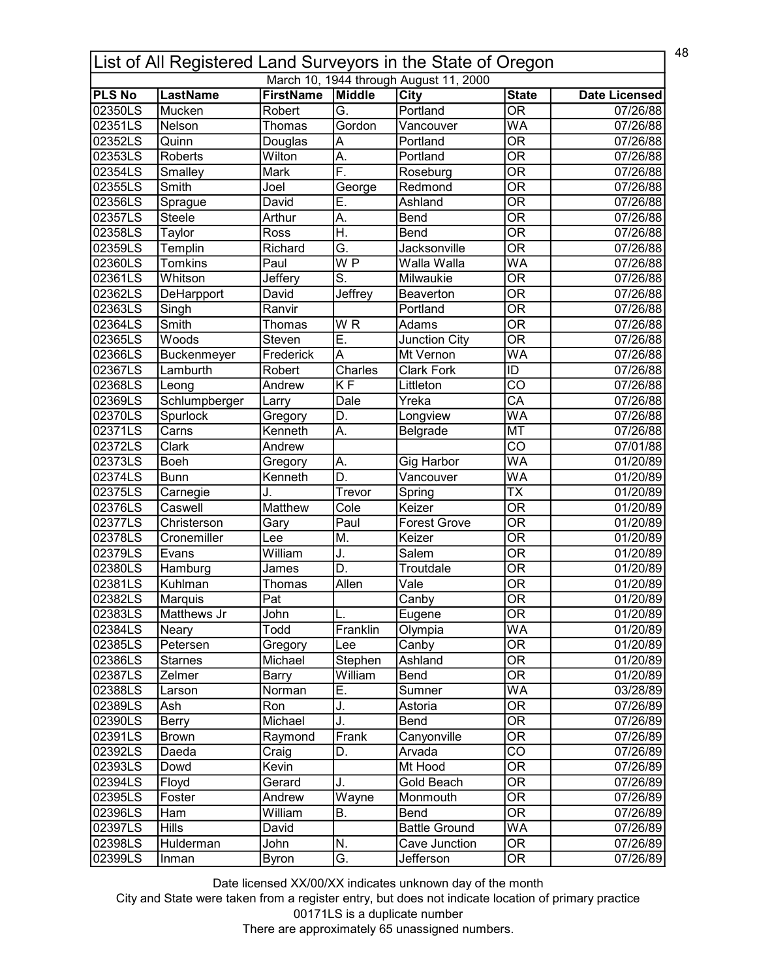| 48<br>List of All Registered Land Surveyors in the State of Oregon |                 |                  |                           |                                        |                                   |                      |  |
|--------------------------------------------------------------------|-----------------|------------------|---------------------------|----------------------------------------|-----------------------------------|----------------------|--|
|                                                                    |                 |                  |                           | March 10, 1944 through August 11, 2000 |                                   |                      |  |
| <b>PLS No</b>                                                      | <b>LastName</b> | <b>FirstName</b> | Middle                    | <b>City</b>                            | <b>State</b>                      | <b>Date Licensed</b> |  |
| 02350LS                                                            | Mucken          | Robert           | $\overline{G}$            | Portland                               | $\overline{\mathsf{OR}}$          | 07/26/88             |  |
| 02351LS                                                            | Nelson          | Thomas           | Gordon                    | Vancouver                              | <b>WA</b>                         | 07/26/88             |  |
| 02352LS                                                            | Quinn           | Douglas          | A                         | Portland                               | $\overline{\overline{\rm OR}}$    | 07/26/88             |  |
| 02353LS                                                            | Roberts         | Wilton           | A.                        | Portland                               | $\overline{\overline{\rm OR}}$    | 07/26/88             |  |
| 02354LS                                                            | Smalley         | Mark             | F.                        | Roseburg                               | $\overline{\mathsf{OR}}$          | 07/26/88             |  |
| 02355LS                                                            | Smith           | Joel             | George                    | Redmond                                | $\overline{\mathsf{OR}}$          | 07/26/88             |  |
| 02356LS                                                            | Sprague         | David            | Ē.                        | Ashland                                | $\overline{\text{OR}}$            | 07/26/88             |  |
| 02357LS                                                            | <b>Steele</b>   | Arthur           | А.                        | Bend                                   | $\overline{\overline{\rm OR}}$    | 07/26/88             |  |
| 02358LS                                                            | Taylor          | Ross             | H.                        | Bend                                   | $\overline{\mathsf{OR}}$          | 07/26/88             |  |
| 02359LS                                                            | Templin         | Richard          | $\overline{G}$            | Jacksonville                           | $\overline{\mathsf{OR}}$          | 07/26/88             |  |
| 02360LS                                                            | <b>Tomkins</b>  | Paul             | $\overline{W}$ P          | Walla Walla                            | WA                                | 07/26/88             |  |
| 02361LS                                                            | Whitson         | Jeffery          | $\overline{\mathsf{S}}$ . | Milwaukie                              | $\overline{\overline{\rm OR}}$    | 07/26/88             |  |
| 02362LS                                                            | DeHarpport      | David            | Jeffrey                   | Beaverton                              | $\overline{\mathsf{OR}}$          | 07/26/88             |  |
| 02363LS                                                            | Singh           | Ranvir           |                           | Portland                               | $\overline{\text{OR}}$            | 07/26/88             |  |
| 02364LS                                                            | Smith           | Thomas           | WR                        | Adams                                  | <b>OR</b>                         | 07/26/88             |  |
| 02365LS                                                            | Woods           | Steven           | Ē.                        | Junction City                          | $\overline{\overline{\rm OR}}$    | 07/26/88             |  |
| 02366LS                                                            | Buckenmeyer     | Frederick        | A                         | Mt Vernon                              | <b>WA</b>                         | 07/26/88             |  |
| 02367LS                                                            | Lamburth        | Robert           | Charles                   | <b>Clark Fork</b>                      | ID                                | 07/26/88             |  |
| 02368LS                                                            | Leong           | Andrew           | <b>KF</b>                 | Littleton                              | $\overline{CO}$                   | 07/26/88             |  |
| 02369LS                                                            | Schlumpberger   | Larry            | Dale                      | Yreka                                  | $\overline{CA}$                   | 07/26/88             |  |
| 02370LS                                                            | Spurlock        | Gregory          | D.                        | Longview                               | $\overline{\mathsf{WA}}$          | 07/26/88             |  |
| 02371LS                                                            | Carns           | Kenneth          | A.                        | Belgrade                               | <b>MT</b>                         | 07/26/88             |  |
| 02372LS                                                            | Clark           | Andrew           |                           |                                        | $\overline{\text{co}}$            | 07/01/88             |  |
| 02373LS                                                            | Boeh            | Gregory          | A.                        | <b>Gig Harbor</b>                      | WA                                | 01/20/89             |  |
| 02374LS                                                            | <b>Bunn</b>     | Kenneth          | $\overline{D}$ .          | Vancouver                              | WA                                | 01/20/89             |  |
| 02375LS                                                            | Carnegie        | J.               | Trevor                    | Spring                                 | $\overline{\text{TX}}$            | 01/20/89             |  |
| 02376LS                                                            | Caswell         | Matthew          | Cole                      | Keizer                                 | $\overline{\overline{\rm OR}}$    | 01/20/89             |  |
| 02377LS                                                            | Christerson     |                  | Paul                      | <b>Forest Grove</b>                    | $\overline{\overline{\rm OR}}$    | 01/20/89             |  |
| 02378LS                                                            |                 | Gary             |                           | Keizer                                 | $\overline{\overline{\rm OR}}$    |                      |  |
| 02379LS                                                            | Cronemiller     | Lee              | M.                        |                                        |                                   | 01/20/89             |  |
|                                                                    | Evans           | William          | J.                        | Salem                                  | $\overline{\overline{\rm OR}}$    | 01/20/89             |  |
| 02380LS                                                            | Hamburg         | James            | D.                        | Troutdale                              | $\overline{\overline{\text{OR}}}$ | 01/20/89             |  |
| 02381LS                                                            | Kuhlman         | Thomas           | Allen                     | $\overline{\mathsf{Value}}$            | $\overline{\overline{\rm OR}}$    | 01/20/89             |  |
| 02382LS                                                            | Marquis         | Pat              |                           | Canby                                  | $\overline{OR}$                   | 01/20/89             |  |
| 02383LS                                                            | Matthews Jr     | John             | L.                        | Eugene                                 | <b>OR</b>                         | 01/20/89             |  |
| 02384LS                                                            | Neary           | Todd             | Franklin                  | Olympia                                | <b>WA</b>                         | 01/20/89             |  |
| 02385LS                                                            | Petersen        | Gregory          | Lee                       | Canby                                  | <b>OR</b>                         | 01/20/89             |  |
| 02386LS                                                            | <b>Starnes</b>  | Michael          | Stephen                   | Ashland                                | <b>OR</b>                         | 01/20/89             |  |
| 02387LS                                                            | Zelmer          | Barry            | William                   | Bend                                   | $\overline{\overline{\rm OR}}$    | 01/20/89             |  |
| 02388LS                                                            | Larson          | Norman           | Ε.                        | Sumner                                 | <b>WA</b>                         | 03/28/89             |  |
| 02389LS                                                            | Ash             | Ron              | J.                        | Astoria                                | $\overline{\text{OR}}$            | 07/26/89             |  |
| 02390LS                                                            | Berry           | Michael          | J.                        | Bend                                   | $\overline{\text{OR}}$            | 07/26/89             |  |
| 02391LS                                                            | <b>Brown</b>    | Raymond          | Frank                     | Canyonville                            | 0R                                | 07/26/89             |  |
| 02392LS                                                            | Daeda           | Craig            | D.                        | Arvada                                 | $\overline{\text{co}}$            | 07/26/89             |  |
| 02393LS                                                            | Dowd            | Kevin            |                           | Mt Hood                                | <b>OR</b>                         | 07/26/89             |  |
| 02394LS                                                            | Floyd           | Gerard           | J.                        | Gold Beach                             | <b>OR</b>                         | 07/26/89             |  |
| 02395LS                                                            | Foster          | Andrew           | Wayne                     | Monmouth                               | 0R                                | 07/26/89             |  |
| 02396LS                                                            | Ham             | William          | В.                        | <b>Bend</b>                            | $\overline{OR}$                   | 07/26/89             |  |
| 02397LS                                                            | <b>Hills</b>    | David            |                           | <b>Battle Ground</b>                   | WA                                | 07/26/89             |  |
| 02398LS                                                            | Hulderman       | John             | N.                        | Cave Junction                          | $\overline{\text{OR}}$            | 07/26/89             |  |
| 02399LS                                                            | Inman           | <b>Byron</b>     | G.                        | Jefferson                              | OR                                | 07/26/89             |  |

City and State were taken from a register entry, but does not indicate location of primary practice 00171LS is a duplicate number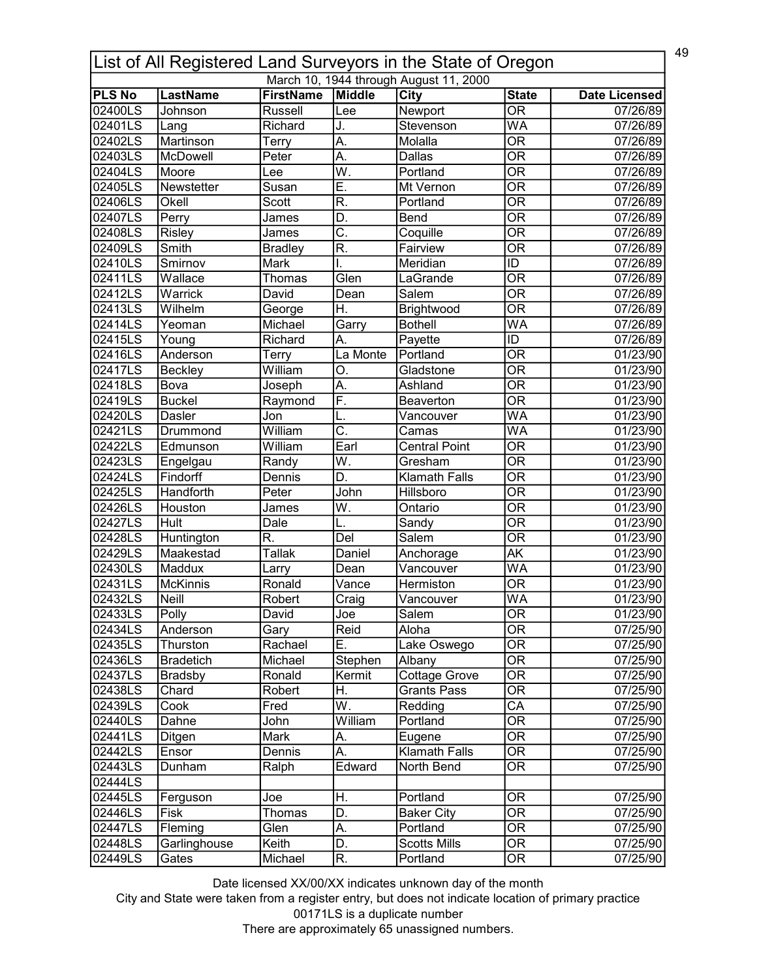|                      | 49<br>List of All Registered Land Surveyors in the State of Oregon |                  |                           |                                        |                                |                      |  |  |
|----------------------|--------------------------------------------------------------------|------------------|---------------------------|----------------------------------------|--------------------------------|----------------------|--|--|
|                      |                                                                    |                  |                           | March 10, 1944 through August 11, 2000 |                                |                      |  |  |
| <b>PLS No</b>        | <b>LastName</b>                                                    | <b>FirstName</b> | Middle                    | City                                   | <b>State</b>                   | <b>Date Licensed</b> |  |  |
| 02400LS              | Johnson                                                            | Russell          | Lee                       | Newport                                | $\overline{\mathsf{OR}}$       | 07/26/89             |  |  |
| 02401LS              | Lang                                                               | Richard          | J.                        | Stevenson                              | <b>WA</b>                      | 07/26/89             |  |  |
| 02402LS              | Martinson                                                          | Terry            | A.                        | Molalla                                | $\overline{\overline{\rm OR}}$ | 07/26/89             |  |  |
| 02403LS              | McDowell                                                           | Peter            | A.                        | Dallas                                 | $\overline{\overline{\rm OR}}$ | 07/26/89             |  |  |
| 02404LS              | Moore                                                              | Lee              | $\overline{\mathsf{W}}$ . | Portland                               | $\overline{\text{OR}}$         | 07/26/89             |  |  |
| 02405LS              | Newstetter                                                         | Susan            | Ē.                        | Mt Vernon                              | $\overline{\mathsf{OR}}$       | 07/26/89             |  |  |
| 02406LS              | Okell                                                              | Scott            | $\overline{\mathsf{R}}$   | Portland                               | $\overline{\mathsf{OR}}$       | 07/26/89             |  |  |
| 02407LS              | Perry                                                              | James            | D.                        | Bend                                   | $\overline{\overline{\rm OR}}$ | 07/26/89             |  |  |
| 02408LS              | Risley                                                             | James            | $\overline{\mathsf{C}}$ . | Coquille                               | $\overline{\overline{\rm OR}}$ | 07/26/89             |  |  |
| 02409LS              | Smith                                                              | <b>Bradley</b>   | $\overline{\mathsf{R}}$   | Fairview                               | $\overline{\mathsf{OR}}$       | 07/26/89             |  |  |
| 02410LS              | Smirnov                                                            | Mark             | I.                        | Meridian                               | $\overline{ID}$                | 07/26/89             |  |  |
| 02411LS              | $\overline{\mathsf{W}}$ allace                                     | Thomas           | Glen                      | LaGrande                               | $\overline{\overline{\rm OR}}$ | 07/26/89             |  |  |
| 02412LS              | Warrick                                                            | David            | Dean                      | Salem                                  | $\overline{\overline{\rm OR}}$ | 07/26/89             |  |  |
| 02413LS              | Wilhelm                                                            | George           | Η.                        | Brightwood                             | $\overline{\mathsf{OR}}$       | 07/26/89             |  |  |
| 02414LS              | Yeoman                                                             | Michael          | Garry                     | <b>Bothell</b>                         | <b>WA</b>                      | 07/26/89             |  |  |
| 02415LS              | Young                                                              | Richard          | А.                        | Payette                                | ID                             | 07/26/89             |  |  |
| 02416LS              | Anderson                                                           | Terry            | La Monte                  | Portland                               | <b>OR</b>                      | 01/23/90             |  |  |
| 02417LS              | Beckley                                                            | William          | O.                        | Gladstone                              | $\overline{\mathsf{OR}}$       | 01/23/90             |  |  |
| 02418LS              |                                                                    | Joseph           | Α.                        | Ashland                                | $\overline{\overline{\rm OR}}$ | 01/23/90             |  |  |
|                      | Bova                                                               |                  |                           |                                        |                                |                      |  |  |
| 02419LS              | <b>Buckel</b>                                                      | Raymond          | F.                        | Beaverton                              | $\overline{\mathsf{OR}}$       | 01/23/90             |  |  |
| 02420LS              | Dasler                                                             | Jon              | L.                        | Vancouver                              | <b>WA</b>                      | 01/23/90             |  |  |
| 02421LS              | Drummond                                                           | William          | <u>ਟ.</u>                 | Camas                                  | $\overline{\mathsf{WA}}$       | 01/23/90             |  |  |
| 02422LS              | Edmunson                                                           | William          | Eari                      | <b>Central Point</b>                   | $\overline{\mathsf{OR}}$       | 01/23/90             |  |  |
| 02423LS              | Engelgau                                                           | Randy            | W.                        | Gresham                                | $\overline{\mathsf{OR}}$       | 01/23/90             |  |  |
| 02424LS              | Findorff                                                           | Dennis           | D.                        | <b>Klamath Falls</b>                   | $\overline{\mathsf{OR}}$       | 01/23/90             |  |  |
| 02425LS              | Handforth                                                          | Peter            | John                      | Hillsboro                              | $\overline{\mathsf{OR}}$       | 01/23/90             |  |  |
| 02426LS              | Houston                                                            | James            | W.                        | Ontario                                | $\overline{\overline{\rm OR}}$ | 01/23/90             |  |  |
| 02427LS              | Hult                                                               | Dale             | L.                        | Sandy                                  | $\overline{\overline{\rm OR}}$ | 01/23/90             |  |  |
| 02428LS              | Huntington                                                         | R.               | Del                       | Salem                                  | $\overline{\overline{\rm OR}}$ | 01/23/90             |  |  |
| 02429LS              | Maakestad                                                          | Tallak           | Daniel                    | Anchorage                              | AK                             | 01/23/90             |  |  |
| 02430LS              | Maddux                                                             | Larry            | Dean                      | Vancouver                              | <b>WA</b>                      | 01/23/90             |  |  |
| 02431LS              | <b>McKinnis</b>                                                    | Ronald           | Vance                     | Hermiston                              | $\overline{\overline{\rm OR}}$ | 01/23/90             |  |  |
| 02432LS              | Neill                                                              | Robert           | Craig                     | lVancouver                             | <b>WA</b>                      | 01/23/90             |  |  |
| 02433LS              | Polly                                                              | David            | Joe                       | Salem                                  | <b>OR</b>                      | 01/23/90             |  |  |
| 02434LS              | Anderson                                                           | Gary             | Reid                      | Aloha                                  | $\overline{OR}$                | 07/25/90             |  |  |
| 02435LS              | Thurston                                                           | Rachael          | Е.                        | Lake Oswego                            | <b>OR</b>                      | 07/25/90             |  |  |
| 02436LS              | <b>Bradetich</b>                                                   | Michael          | <b>Stephen</b>            | Albany                                 | $\overline{\overline{\rm OR}}$ | 07/25/90             |  |  |
|                      |                                                                    |                  |                           |                                        | $\overline{\overline{\rm OR}}$ |                      |  |  |
| 02437LS              | <b>Bradsby</b>                                                     | Ronald           | Kermit                    | <b>Cottage Grove</b>                   |                                | 07/25/90             |  |  |
| 02438LS              | Chard                                                              | Robert           | Η.                        | <b>Grants Pass</b>                     | $\overline{\overline{\rm OR}}$ | 07/25/90             |  |  |
| 02439LS              | Cook                                                               | Fred             | W.                        | Redding                                | CA                             | 07/25/90             |  |  |
| 02440LS              | Dahne                                                              | John             | William                   | Portland                               | $\overline{\overline{\rm OR}}$ | 07/25/90             |  |  |
| 02441LS              | Ditgen                                                             | Mark             | А.                        | Eugene                                 | 0R                             | 07/25/90             |  |  |
| 02442LS              | Ensor                                                              | Dennis           | А.                        | Klamath Falls                          | $\overline{\text{OR}}$         | 07/25/90             |  |  |
| $02443L\overline{S}$ | Dunham                                                             | Ralph            | Edward                    | North Bend                             | OR                             | 07/25/90             |  |  |
| 02444LS              |                                                                    |                  |                           |                                        |                                |                      |  |  |
| 02445LS              | Ferguson                                                           | Joe              | Η.                        | Portland                               | 0R                             | 07/25/90             |  |  |
| 02446LS              | Fisk                                                               | Thomas           | D.                        | <b>Baker City</b>                      | $\overline{\mathsf{OR}}$       | 07/25/90             |  |  |
| 02447LS              | Fleming                                                            | Glen             | Α.                        | Portland                               | $\overline{\mathsf{OR}}$       | 07/25/90             |  |  |
| 02448LS              | Garlinghouse                                                       | Keith            | D.                        | <b>Scotts Mills</b>                    | $\overline{\mathsf{OR}}$       | 07/25/90             |  |  |
| 02449LS              | Gates                                                              | Michael          | R.                        | Portland                               | OR                             | 07/25/90             |  |  |

City and State were taken from a register entry, but does not indicate location of primary practice 00171LS is a duplicate number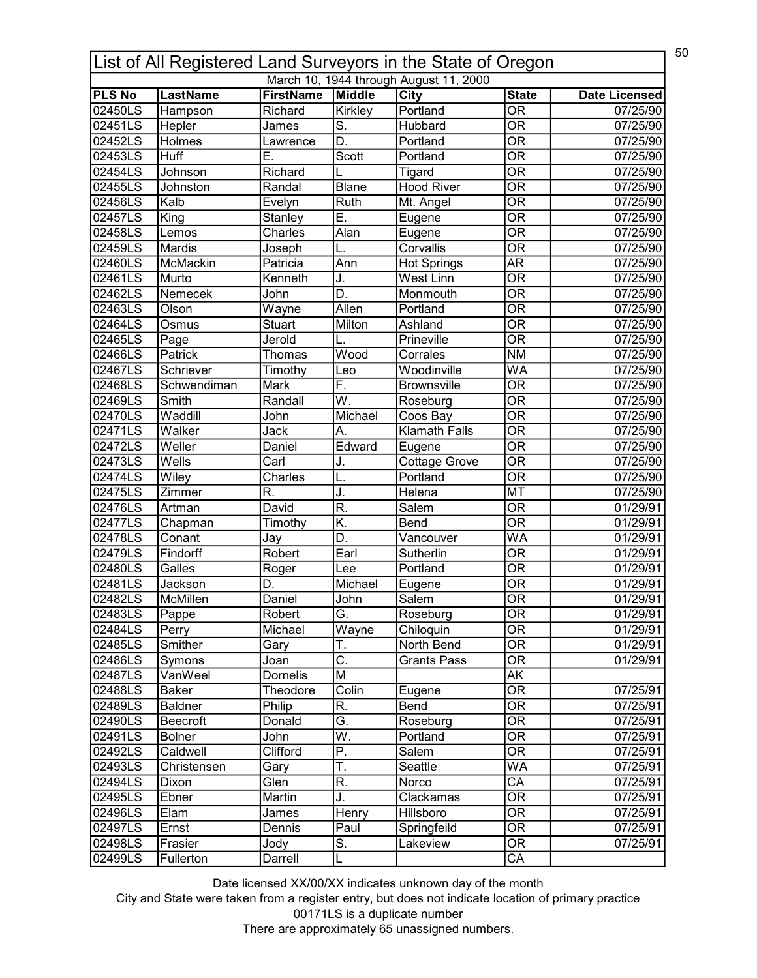| 50<br>List of All Registered Land Surveyors in the State of Oregon |                 |                  |                           |                                        |                                |                      |  |
|--------------------------------------------------------------------|-----------------|------------------|---------------------------|----------------------------------------|--------------------------------|----------------------|--|
|                                                                    |                 |                  |                           | March 10, 1944 through August 11, 2000 |                                |                      |  |
| <b>PLS No</b>                                                      | <b>LastName</b> | <b>FirstName</b> | Middle                    | <b>City</b>                            | <b>State</b>                   | <b>Date Licensed</b> |  |
| 02450LS                                                            | Hampson         | Richard          | Kirkley                   | Portland                               | $\overline{\mathsf{OR}}$       | 07/25/90             |  |
| 02451LS                                                            | Hepler          | James            | $\overline{\mathsf{S}}$ . | Hubbard                                | $\overline{\mathsf{OR}}$       | 07/25/90             |  |
| 02452LS                                                            | Holmes          | Lawrence         | D.                        | Portland                               | $\overline{\mathsf{OR}}$       | 07/25/90             |  |
| 02453LS                                                            | <b>Huff</b>     | Е.               | Scott                     | Portland                               | $\overline{\mathsf{OR}}$       | 07/25/90             |  |
| 02454LS                                                            | Johnson         | Richard          |                           | Tigard                                 | $\overline{\overline{\rm OR}}$ | 07/25/90             |  |
| 02455LS                                                            | Johnston        | Randal           | Blane                     | <b>Hood River</b>                      | $\overline{\mathsf{OR}}$       | 07/25/90             |  |
| 02456LS                                                            | Kalb            | Evelyn           | <b>Ruth</b>               | Mt. Angel                              | $\overline{\mathsf{OR}}$       | 07/25/90             |  |
| 02457LS                                                            | King            | Stanley          | Ē.                        | Eugene                                 | $\overline{\mathsf{OR}}$       | 07/25/90             |  |
| 02458LS                                                            | Lemos           | Charles          | Alan                      | Eugene                                 | $\overline{\mathsf{OR}}$       | 07/25/90             |  |
| 02459LS                                                            | Mardis          | Joseph           |                           | Corvallis                              | $\overline{\mathsf{OR}}$       | 07/25/90             |  |
| 02460LS                                                            | McMackin        | Patricia         | Ann                       | <b>Hot Springs</b>                     | $\overline{\mathsf{AR}}$       | 07/25/90             |  |
| 02461LS                                                            | Murto           | Kenneth          | J.                        | West Linn                              | $\overline{\overline{\rm OR}}$ | 07/25/90             |  |
| 02462LS                                                            | Nemecek         | John             | D.                        | Monmouth                               | $\overline{\overline{\rm OR}}$ | 07/25/90             |  |
| 02463LS                                                            | Olson           | Wayne            | Allen                     | Portland                               | $\overline{\mathsf{OR}}$       | 07/25/90             |  |
| 02464LS                                                            | Osmus           | <b>Stuart</b>    | Milton                    | Ashland                                | $\overline{\overline{\rm OR}}$ | 07/25/90             |  |
| 02465LS                                                            | Page            | Jerold           |                           | Prineville                             | $\overline{\text{OR}}$         | 07/25/90             |  |
| 02466LS                                                            | Patrick         | Thomas           | Wood                      | Corrales                               | <b>NM</b>                      | 07/25/90             |  |
| 02467LS                                                            | Schriever       | Timothy          | Leo                       | Woodinville                            | <b>WA</b>                      | 07/25/90             |  |
| 02468LS                                                            | Schwendiman     | Mark             | F.                        | <b>Brownsville</b>                     | <b>OR</b>                      | 07/25/90             |  |
| 02469LS                                                            | Smith           | Randall          | $\overline{\mathsf{W}}$ . | Roseburg                               | $\overline{\mathsf{OR}}$       | 07/25/90             |  |
| 02470LS                                                            | Waddill         | John             | Michael                   | Coos Bay                               | $\overline{\mathsf{OR}}$       | 07/25/90             |  |
| 02471LS                                                            | Walker          | Jack             | А.                        | <b>Klamath Falls</b>                   | $\overline{\mathsf{OR}}$       | 07/25/90             |  |
| 02472LS                                                            | Weller          | Daniel           | Edward                    | Eugene                                 | $\overline{\mathsf{OR}}$       | 07/25/90             |  |
| 02473LS                                                            | Wells           | Carl             | J.                        | <b>Cottage Grove</b>                   | $\overline{\mathsf{OR}}$       | 07/25/90             |  |
| 02474LS                                                            | Wiley           | Charles          | L.                        | Portland                               | $\overline{\mathsf{OR}}$       | 07/25/90             |  |
| 02475LS                                                            | Zimmer          | R.               | J.                        | <b>Helena</b>                          | <b>MT</b>                      | 07/25/90             |  |
| 02476LS                                                            | Artman          | David            | $\overline{\mathsf{R}}$ . | Salem                                  | OR                             | 01/29/91             |  |
| 02477LS                                                            | Chapman         | Timothy          | K.                        | Bend                                   | $\overline{\mathsf{OR}}$       | 01/29/91             |  |
| 02478LS                                                            | Conant          | Jay              | D.                        | Vancouver                              | WA                             | 01/29/91             |  |
| 02479LS                                                            | Findorff        | Robert           | Earl                      | Sutherlin                              | $\overline{\mathsf{OR}}$       | 01/29/91             |  |
| 02480LS                                                            | Galles          |                  | Lee                       | Portland                               | $\overline{\overline{\rm OR}}$ | 01/29/91             |  |
|                                                                    | Jackson         | Roger            |                           |                                        | <b>OR</b>                      |                      |  |
| 02481LS<br>02482LS                                                 |                 | D.<br>Daniel     | Michael                   | Eugene<br>Salem                        | $\overline{OR}$                | 01/29/91<br>01/29/91 |  |
|                                                                    | McMillen        |                  | John                      |                                        |                                |                      |  |
| 02483LS                                                            | Pappe           | Robert           | G.                        | Roseburg                               | OR                             | 01/29/91             |  |
| 02484LS                                                            | Perry           | Michael          | Wayne                     | Chiloquin                              | $\overline{\mathsf{OR}}$       | 01/29/91             |  |
| 02485LS                                                            | Smither         | Gary             | Τ.                        | North Bend                             | <b>OR</b>                      | 01/29/91             |  |
| 02486LS                                                            | Symons          | Joan             | $\overline{\mathsf{C}}$ . | <b>Grants Pass</b>                     | $\overline{\overline{\rm OR}}$ | 01/29/91             |  |
| 02487LS                                                            | VanWeel         | Dornelis         | M                         |                                        | <b>AK</b>                      |                      |  |
| 02488LS                                                            | Baker           | Theodore         | Colin                     | Eugene                                 | $\overline{\mathsf{OR}}$       | 07/25/91             |  |
| 02489LS                                                            | <b>Baldner</b>  | Philip           | R.                        | Bend                                   | $\overline{\mathsf{OR}}$       | 07/25/91             |  |
| 02490LS                                                            | <b>Beecroft</b> | Donald           | Ğ.                        | Roseburg                               | $\overline{\mathsf{OR}}$       | 07/25/91             |  |
| 02491LS                                                            | <b>Bolner</b>   | John             | W.                        | Portland                               | OR                             | 07/25/91             |  |
| 02492LS                                                            | Caldwell        | Clifford         | $\overline{\mathsf{P}}.$  | Salem                                  | $\overline{\mathsf{OR}}$       | 07/25/91             |  |
| 02493LS                                                            | Christensen     | Gary             | T.                        | Seattle                                | WA                             | 07/25/91             |  |
| 02494LS                                                            | Dixon           | Glen             | R.                        | Norco                                  | $\overline{\mathsf{CA}}$       | 07/25/91             |  |
| 02495LS                                                            | Ebner           | Martin           | J.                        | Clackamas                              | $\overline{\mathsf{OR}}$       | 07/25/91             |  |
| 02496LS                                                            | Elam            | James            | Henry                     | Hillsboro                              | $\overline{\text{OR}}$         | 07/25/91             |  |
| 02497LS                                                            | Ernst           | Dennis           | Paul                      | Springfeild                            | $\overline{\mathsf{OR}}$       | 07/25/91             |  |
| 02498LS                                                            | Frasier         | Jody             | $\overline{\mathsf{S}}$ . | Lakeview                               | $\overline{\text{OR}}$         | 07/25/91             |  |
| 02499LS                                                            | Fullerton       | Darrell          | L                         |                                        | CA                             |                      |  |
|                                                                    |                 |                  |                           |                                        |                                |                      |  |

City and State were taken from a register entry, but does not indicate location of primary practice 00171LS is a duplicate number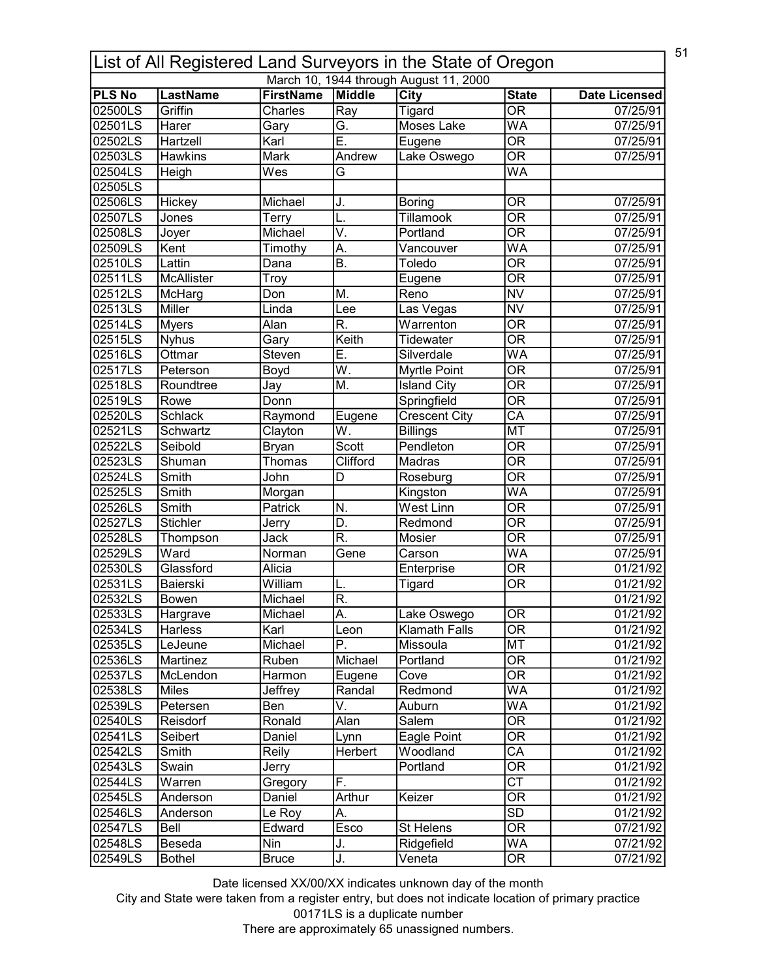|               | 51<br>List of All Registered Land Surveyors in the State of Oregon<br>March 10, 1944 through August 11, 2000 |                  |                           |                             |                                |                                  |  |  |
|---------------|--------------------------------------------------------------------------------------------------------------|------------------|---------------------------|-----------------------------|--------------------------------|----------------------------------|--|--|
| <b>PLS No</b> | <b>LastName</b>                                                                                              | <b>FirstName</b> | <b>Middle</b>             |                             | <b>State</b>                   |                                  |  |  |
| 02500LS       | Griffin                                                                                                      | Charles          | Ray                       | City                        | $\overline{\mathsf{OR}}$       | <b>Date Licensed</b><br>07/25/91 |  |  |
| 02501LS       | Harer                                                                                                        |                  | G.                        | Tigard<br><b>Moses Lake</b> | <b>WA</b>                      | 07/25/91                         |  |  |
|               |                                                                                                              | Gary             | Ē.                        |                             | $\overline{\mathsf{OR}}$       |                                  |  |  |
| 02502LS       | Hartzell                                                                                                     | Karl             |                           | Eugene                      |                                | 07/25/91                         |  |  |
| 02503LS       | Hawkins                                                                                                      | Mark             | Andrew                    | Lake Oswego                 | $\overline{\mathsf{OR}}$       | 07/25/91                         |  |  |
| 02504LS       | Heigh                                                                                                        | Wes              | Ġ                         |                             | WA                             |                                  |  |  |
| 02505LS       |                                                                                                              |                  |                           |                             |                                |                                  |  |  |
| 02506LS       | Hickey                                                                                                       | Michael          | J.                        | <b>Boring</b>               | <b>OR</b>                      | 07/25/91                         |  |  |
| 02507LS       | Jones                                                                                                        | Terry            | L.                        | Tillamook                   | $\overline{\mathsf{OR}}$       | 07/25/91                         |  |  |
| 02508LS       | Joyer                                                                                                        | Michael          | V.                        | Portland                    | $\overline{\mathsf{OR}}$       | 07/25/91                         |  |  |
| 02509LS       | Kent                                                                                                         | Timothy          | А.                        | Vancouver                   | WA                             | 07/25/91                         |  |  |
| 02510LS       | Lattin                                                                                                       | Dana             | <b>B.</b>                 | Toledo                      | $\overline{\mathsf{OR}}$       | 07/25/91                         |  |  |
| 02511LS       | McAllister                                                                                                   | Troy             |                           | Eugene                      | $\overline{\overline{\rm OR}}$ | 07/25/91                         |  |  |
| 02512LS       | McHarg                                                                                                       | Don              | M.                        | Reno                        | $\overline{\text{NV}}$         | 07/25/91                         |  |  |
| 02513LS       | Miller                                                                                                       | Linda            | Lee                       | Las Vegas                   | <b>NV</b>                      | 07/25/91                         |  |  |
| 02514LS       | <b>Myers</b>                                                                                                 | Alan             | R.                        | Warrenton                   | $\overline{\mathsf{OR}}$       | 07/25/91                         |  |  |
| 02515LS       | <b>Nyhus</b>                                                                                                 | Gary             | Keith                     | <b>Tidewater</b>            | $\overline{\overline{\rm OR}}$ | 07/25/91                         |  |  |
| 02516LS       | Ottmar                                                                                                       | Steven           | Е.                        | Silverdale                  | <b>WA</b>                      | 07/25/91                         |  |  |
| 02517LS       | Peterson                                                                                                     | Boyd             | $\overline{W}$ .          | Myrtle Point                | $\overline{\mathsf{OR}}$       | 07/25/91                         |  |  |
| 02518LS       | Roundtree                                                                                                    | Jay              | M.                        | <b>Island City</b>          | <b>OR</b>                      | 07/25/91                         |  |  |
| 02519LS       | Rowe                                                                                                         | Donn             |                           | Springfield                 | $\overline{\mathsf{OR}}$       | 07/25/91                         |  |  |
| 02520LS       | Schlack                                                                                                      | Raymond          | Eugene                    | Crescent City               | $\overline{\mathsf{CA}}$       | 07/25/91                         |  |  |
| 02521LS       | Schwartz                                                                                                     | Clayton          | $\overline{\mathsf{W}}.$  | <b>Billings</b>             | <b>MT</b>                      | 07/25/91                         |  |  |
| 02522LS       | Seibold                                                                                                      | <b>Bryan</b>     | Scott                     | Pendleton                   | $\overline{\mathsf{OR}}$       | 07/25/91                         |  |  |
| 02523LS       | Shuman                                                                                                       | Thomas           | Clifford                  | Madras                      | $\overline{\mathsf{OR}}$       | 07/25/91                         |  |  |
| 02524LS       | Smith                                                                                                        | John             | D                         | Roseburg                    | $\overline{\mathsf{OR}}$       | 07/25/91                         |  |  |
| 02525LS       | Smith                                                                                                        | Morgan           |                           | Kingston                    | $\overline{\mathsf{WA}}$       | 07/25/91                         |  |  |
| 02526LS       | Smith                                                                                                        | Patrick          | N.                        | <b>West Linn</b>            | $\overline{\mathsf{OR}}$       | 07/25/91                         |  |  |
| 02527LS       | <b>Stichler</b>                                                                                              | Jerry            | D.                        | Redmond                     | $\overline{\mathsf{OR}}$       | 07/25/91                         |  |  |
| 02528LS       | Thompson                                                                                                     | Jack             | $\overline{\mathsf{R}}$ . | Mosier                      | $\overline{\mathsf{OR}}$       | 07/25/91                         |  |  |
| 02529LS       | Ward                                                                                                         | Norman           | Gene                      | Carson                      | WA                             | 07/25/91                         |  |  |
| 02530LS       | Glassford                                                                                                    | Alicia           |                           | Enterprise                  | $\overline{\mathsf{OR}}$       | 01/21/92                         |  |  |
| 02531LS       | Baierski                                                                                                     | William          | L.                        | Tigard                      | <b>OR</b>                      | 01/21/92                         |  |  |
| 02532LS       | Bowen                                                                                                        | Michael          | $\overline{\mathsf{R}}$   |                             |                                | 01/21/92                         |  |  |
| 02533LS       | Hargrave                                                                                                     | Michael          | A.                        | Lake Oswego                 | OR                             | 01/21/92                         |  |  |
| 02534LS       | Harless                                                                                                      | Karl             | Leon                      | <b>Klamath Falls</b>        | $\overline{\overline{\rm OR}}$ | 01/21/92                         |  |  |
| 02535LS       | LeJeune                                                                                                      | Michael          | Ρ.                        | Missoula                    | MT                             | 01/21/92                         |  |  |
| 02536LS       | Martinez                                                                                                     | Ruben            | Michael                   | Portland                    | $\overline{\overline{\rm OR}}$ | 01/21/92                         |  |  |
| 02537LS       | McLendon                                                                                                     | Harmon           | Eugene                    | Cove                        | $\overline{\overline{\rm OR}}$ | 01/21/92                         |  |  |
| 02538LS       | Miles                                                                                                        | Jeffrey          | Randal                    | Redmond                     | WA                             | 01/21/92                         |  |  |
| 02539LS       |                                                                                                              |                  | V.                        | Auburn                      | WA                             |                                  |  |  |
|               | Petersen                                                                                                     | Ben              |                           | Salem                       | $\overline{\mathsf{OR}}$       | 01/21/92                         |  |  |
| 02540LS       | Reisdorf                                                                                                     | Ronald           | Alan                      |                             |                                | 01/21/92                         |  |  |
| 02541LS       | Seibert                                                                                                      | Daniel           | Lynn                      | Eagle Point                 | OR                             | 01/21/92                         |  |  |
| 02542LS       | Smith                                                                                                        | Reily            | Herbert                   | Woodland                    | $\overline{\mathsf{CA}}$       | 01/21/92                         |  |  |
| 02543LS       | Swain                                                                                                        | Jerry            |                           | Portland                    | OR                             | 01/21/92                         |  |  |
| 02544LS       | Warren                                                                                                       | Gregory          | F.                        |                             | $\overline{\text{CT}}$         | 01/21/92                         |  |  |
| 02545LS       | Anderson                                                                                                     | Daniel           | Arthur                    | Keizer                      | $\overline{\mathsf{OR}}$       | 01/21/92                         |  |  |
| 02546LS       | Anderson                                                                                                     | Le Roy           | A.                        |                             | $\overline{SD}$                | 01/21/92                         |  |  |
| 02547LS       | Bell                                                                                                         | Edward           | Esco                      | St Helens                   | $\overline{\text{OR}}$         | 07/21/92                         |  |  |
| 02548LS       | Beseda                                                                                                       | Nin              | J.                        | Ridgefield                  | WA                             | 07/21/92                         |  |  |
| 02549LS       | <b>Bothel</b>                                                                                                | <b>Bruce</b>     | J.                        | Veneta                      | $\overline{\text{OR}}$         | 07/21/92                         |  |  |

City and State were taken from a register entry, but does not indicate location of primary practice 00171LS is a duplicate number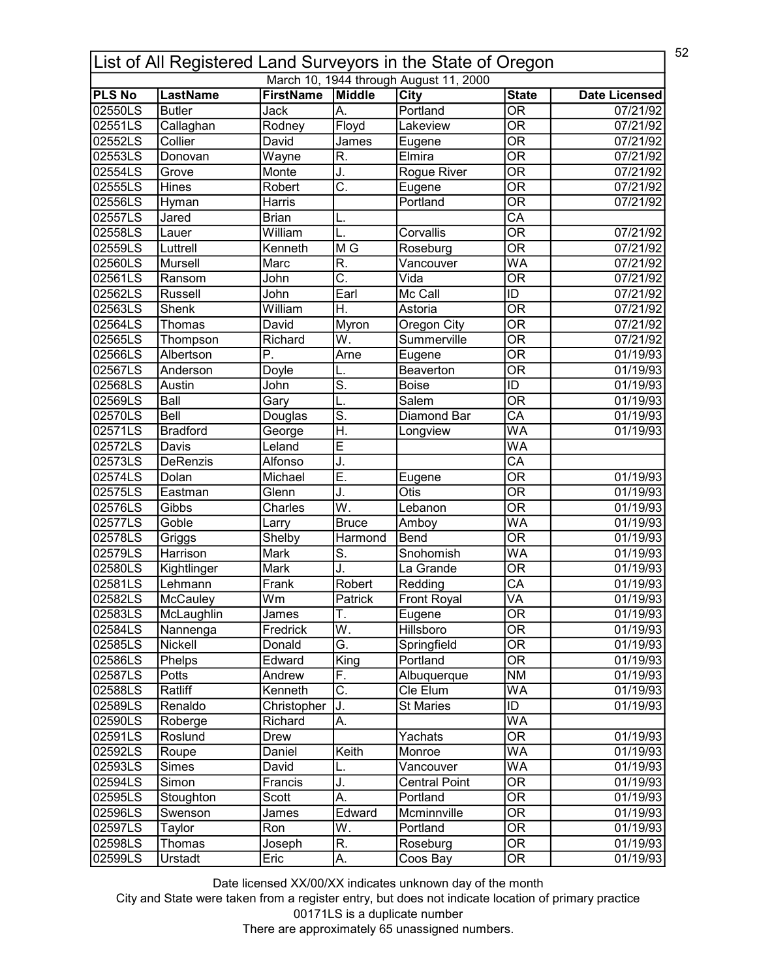|               | 52<br>List of All Registered Land Surveyors in the State of Oregon |                  |                                   |                                        |                                |                      |  |  |
|---------------|--------------------------------------------------------------------|------------------|-----------------------------------|----------------------------------------|--------------------------------|----------------------|--|--|
|               |                                                                    |                  |                                   | March 10, 1944 through August 11, 2000 |                                |                      |  |  |
| <b>PLS No</b> | <b>LastName</b>                                                    | <b>FirstName</b> | Middle                            | <b>City</b>                            | <b>State</b>                   | <b>Date Licensed</b> |  |  |
| 02550LS       | <b>Butler</b>                                                      | Jack             | IA.                               | Portland                               | $\overline{\mathsf{OR}}$       | 07/21/92             |  |  |
| 02551LS       | Callaghan                                                          | Rodney           | Floyd                             | Lakeview                               | $\overline{\mathsf{OR}}$       | 07/21/92             |  |  |
| 02552LS       | Collier                                                            | David            | James                             | Eugene                                 | $\overline{\mathsf{OR}}$       | 07/21/92             |  |  |
| 02553LS       | Donovan                                                            | Wayne            | R.                                | Elmira                                 | $\overline{\mathsf{OR}}$       | 07/21/92             |  |  |
| 02554LS       | Grove                                                              | Monte            | J.                                | Rogue River                            | $\overline{\mathsf{OR}}$       | 07/21/92             |  |  |
| 02555LS       | Hines                                                              | Robert           | C.                                | Eugene                                 | $\overline{\mathsf{OR}}$       | 07/21/92             |  |  |
| 02556LS       | Hyman                                                              | Harris           |                                   | Portland                               | $\overline{\mathsf{OR}}$       | 07/21/92             |  |  |
| 02557LS       | Jared                                                              | <b>Brian</b>     | L.                                |                                        | $\overline{\mathsf{CA}}$       |                      |  |  |
| 02558LS       | Lauer                                                              | William          | L.                                | Corvallis                              | $\overline{\mathsf{OR}}$       | 07/21/92             |  |  |
| 02559LS       | Luttrell                                                           | Kenneth          | $\overline{\mathsf{M}\mathsf{G}}$ | Roseburg                               | $\overline{\mathsf{OR}}$       | 07/21/92             |  |  |
| 02560LS       | Mursell                                                            | Marc             | R.                                | Vancouver                              | WA                             | 07/21/92             |  |  |
| 02561LS       | Ransom                                                             | John             | $\overline{\mathsf{C}}$ .         | Vida                                   | $\overline{\mathsf{OR}}$       | 07/21/92             |  |  |
| 02562LS       | Russell                                                            | John             | Earl                              | Mc Call                                | ID                             | 07/21/92             |  |  |
| 02563LS       | <b>Shenk</b>                                                       | William          | Η.                                | Astoria                                | $\overline{\text{OR}}$         | 07/21/92             |  |  |
| 02564LS       | Thomas                                                             | David            | Myron                             | Oregon City                            | $\overline{\mathsf{OR}}$       | 07/21/92             |  |  |
| 02565LS       | Thompson                                                           | Richard          | W.                                | Summerville                            | $\overline{\overline{\rm OR}}$ | 07/21/92             |  |  |
| 02566LS       | Albertson                                                          | Ρ.               | Arne                              | Eugene                                 | <b>OR</b>                      | 01/19/93             |  |  |
| 02567LS       | Anderson                                                           | Doyle            |                                   | Beaverton                              | $\overline{\mathsf{OR}}$       | 01/19/93             |  |  |
| 02568LS       | Austin                                                             | John             | S.                                | <b>Boise</b>                           | ID                             | 01/19/93             |  |  |
| 02569LS       | Ball                                                               | Gary             |                                   | Salem                                  | $\overline{\mathsf{OR}}$       | 01/19/93             |  |  |
| 02570LS       | Bell                                                               | Douglas          | $\overline{\mathsf{s}}$ .         | Diamond Bar                            | $\overline{\mathsf{CA}}$       | 01/19/93             |  |  |
| 02571LS       | <b>Bradford</b>                                                    | George           | H.                                | Longview                               | $\overline{\mathsf{WA}}$       | 01/19/93             |  |  |
| 02572LS       | Davis                                                              | Leland           | Ē                                 |                                        | $\overline{\mathsf{WA}}$       |                      |  |  |
| 02573LS       | DeRenzis                                                           | Alfonso          | J.                                |                                        | $\overline{\text{CA}}$         |                      |  |  |
| 02574LS       | Dolan                                                              | Michael          | Ē.                                | Eugene                                 | $\overline{\mathsf{OR}}$       | 01/19/93             |  |  |
| 02575LS       | Eastman                                                            | Glenn            | J.                                | $\overline{O}$ tis                     | $\overline{\mathsf{OR}}$       | 01/19/93             |  |  |
| 02576LS       | Gibbs                                                              | Charles          | W.                                | Lebanon                                | $\overline{\mathsf{OR}}$       | 01/19/93             |  |  |
| 02577LS       | Goble                                                              | Larry            | <b>Bruce</b>                      | Amboy                                  | WA                             | 01/19/93             |  |  |
| 02578LS       | Griggs                                                             | Shelby           | Harmond                           | Bend                                   | $\overline{\mathsf{OR}}$       | 01/19/93             |  |  |
| 02579LS       | Harrison                                                           | Mark             | $\overline{\mathsf{S}}$ .         | Snohomish                              | WA                             | 01/19/93             |  |  |
| 02580LS       | Kightlinger                                                        | <b>Mark</b>      | J.                                | La Grande                              | $\overline{\text{OR}}$         | 01/19/93             |  |  |
| 02581LS       | Lehmann                                                            | Frank            | Robert                            | Redding                                | CA                             | 01/19/93             |  |  |
| 02582LS       | <b>McCaulev</b>                                                    | Wm               | Patrick                           | <b>Front Royal</b>                     | VA                             | 01/19/93             |  |  |
| 02583LS       | McLaughlin                                                         | James            | Τ.                                | Eugene                                 | <b>OR</b>                      | 01/19/93             |  |  |
| 02584LS       |                                                                    | Fredrick         | W.                                | <b>Hillsboro</b>                       | $\overline{\mathsf{OR}}$       | 01/19/93             |  |  |
|               | Nannenga                                                           | Donald           | G.                                |                                        | <b>OR</b>                      |                      |  |  |
| 02585LS       | Nickell                                                            |                  |                                   | Springfield                            | $\overline{\overline{\rm OR}}$ | 01/19/93             |  |  |
| 02586LS       | Phelps                                                             | Edward           | King                              | Portland                               |                                | 01/19/93             |  |  |
| 02587LS       | Potts                                                              | Andrew           | F.                                | Albuquerque                            | <b>NM</b>                      | 01/19/93             |  |  |
| 02588LS       | Ratliff                                                            | Kenneth          | $\overline{\mathsf{C}}$ .         | Cle Elum                               | <b>WA</b>                      | 01/19/93             |  |  |
| 02589LS       | Renaldo                                                            | Christopher      | J.                                | <b>St Maries</b>                       | ID                             | 01/19/93             |  |  |
| 02590LS       | Roberge                                                            | Richard          | А.                                |                                        | WA                             |                      |  |  |
| 02591LS       | Roslund                                                            | Drew             |                                   | Yachats                                | $\overline{\mathsf{OR}}$       | 01/19/93             |  |  |
| 02592LS       | Roupe                                                              | Daniel           | Keith                             | Monroe                                 | WA                             | 01/19/93             |  |  |
| 02593LS       | Simes                                                              | David            | L.                                | Vancouver                              | WA                             | 01/19/93             |  |  |
| 02594LS       | Simon                                                              | Francis          | J.                                | <b>Central Point</b>                   | $\overline{\mathsf{OR}}$       | 01/19/93             |  |  |
| 02595LS       | Stoughton                                                          | Scott            | A.                                | Portland                               | 0R                             | 01/19/93             |  |  |
| 02596LS       | Swenson                                                            | James            | Edward                            | Mcminnville                            | $\overline{\mathsf{OR}}$       | 01/19/93             |  |  |
| 02597LS       | Taylor                                                             | Ron              | W.                                | Portland                               | $\overline{\mathsf{OR}}$       | 01/19/93             |  |  |
| 02598LS       | Thomas                                                             | Joseph           | R.                                | Roseburg                               | $\overline{\text{OR}}$         | 01/19/93             |  |  |
| 02599LS       | Urstadt                                                            | Eric             | А.                                | Coos Bay                               | $\overline{\text{OR}}$         | 01/19/93             |  |  |

City and State were taken from a register entry, but does not indicate location of primary practice 00171LS is a duplicate number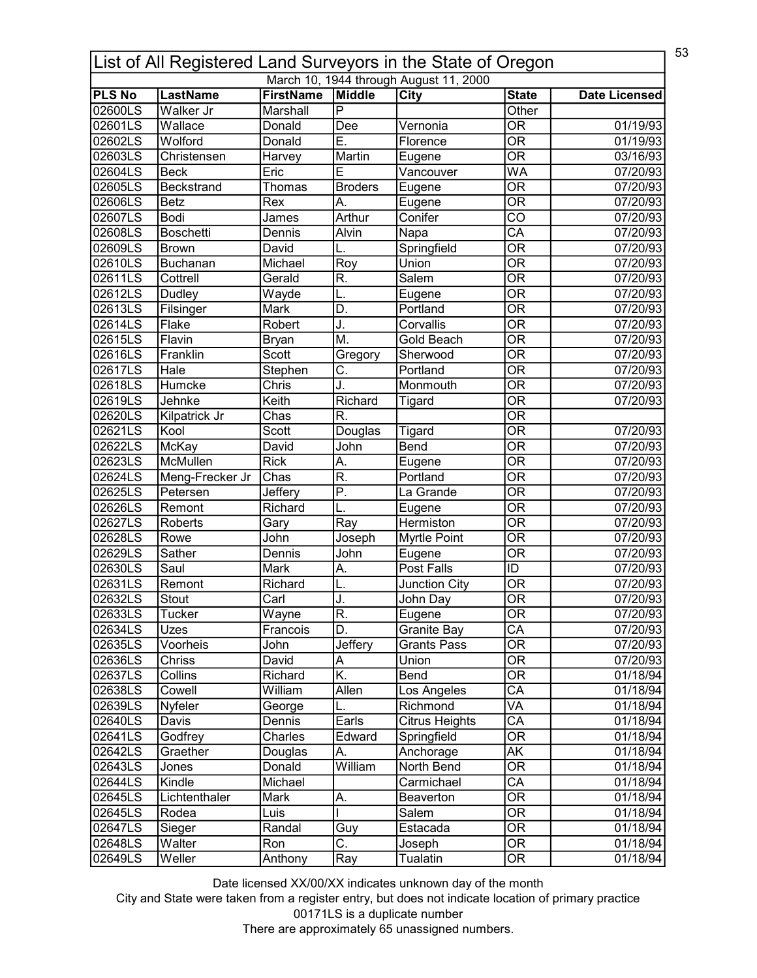|               | 53<br>List of All Registered Land Surveyors in the State of Oregon |                  |                                  |                                        |                                |                       |  |  |
|---------------|--------------------------------------------------------------------|------------------|----------------------------------|----------------------------------------|--------------------------------|-----------------------|--|--|
|               |                                                                    |                  |                                  | March 10, 1944 through August 11, 2000 |                                |                       |  |  |
| <b>PLS No</b> | <b>LastName</b>                                                    | <b>FirstName</b> | Middle                           | <b>City</b>                            | <b>State</b>                   | <b>Date Licensed</b>  |  |  |
| 02600LS       | Walker Jr                                                          | Marshall         | $\overline{\mathsf{P}}$          |                                        | Other                          |                       |  |  |
| 02601LS       | Wallace                                                            | Donald           | Dee                              | Vernonia                               | $\overline{\mathsf{OR}}$       | $\overline{01/19/93}$ |  |  |
| 02602LS       | Wolford                                                            | Donald           | Ε.                               | Florence                               | $\overline{\mathsf{OR}}$       | $\overline{01/19/93}$ |  |  |
| 02603LS       | Christensen                                                        | Harvey           | Martin                           | Eugene                                 | $\overline{\mathsf{OR}}$       | 03/16/93              |  |  |
| 02604LS       | <b>Beck</b>                                                        | Eric             | E                                | Vancouver                              | WA                             | 07/20/93              |  |  |
| 02605LS       | Beckstrand                                                         | Thomas           | <b>Broders</b>                   | Eugene                                 | $\overline{\mathsf{OR}}$       | 07/20/93              |  |  |
| 02606LS       | <b>Betz</b>                                                        | Rex              | А.                               | Eugene                                 | $\overline{\mathsf{OR}}$       | 07/20/93              |  |  |
| 02607LS       | Bodi                                                               | James            | Arthur                           | Conifer                                | $\overline{\text{co}}$         | 07/20/93              |  |  |
| 02608LS       | <b>Boschetti</b>                                                   | Dennis           | <b>Alvin</b>                     | Napa                                   | $\overline{\mathsf{CA}}$       | 07/20/93              |  |  |
| 02609LS       | <b>Brown</b>                                                       | David            |                                  | Springfield                            | $\overline{\mathsf{OR}}$       | 07/20/93              |  |  |
| 02610LS       | Buchanan                                                           | Michael          | Roy                              | Union                                  | $\overline{\mathsf{OR}}$       | 07/20/93              |  |  |
| 02611LS       | Cottrell                                                           | Gerald           | R.                               | Salem                                  | $\overline{\mathsf{OR}}$       | 07/20/93              |  |  |
| 02612LS       | Dudley                                                             | Wayde            | L.                               | Eugene                                 | $\overline{\overline{\rm OR}}$ | 07/20/93              |  |  |
| 02613LS       | Filsinger                                                          | Mark             | D.                               | Portland                               | $\overline{\mathsf{OR}}$       | 07/20/93              |  |  |
| 02614LS       | Flake                                                              | Robert           | J.                               | Corvallis                              | $\overline{\overline{\rm OR}}$ | 07/20/93              |  |  |
| 02615LS       | Flavin                                                             | Bryan            | M.                               | Gold Beach                             | $\overline{\mathsf{OR}}$       | 07/20/93              |  |  |
| 02616LS       | Franklin                                                           | Scott            | Gregory                          | Sherwood                               | <b>OR</b>                      | 07/20/93              |  |  |
| 02617LS       | Hale                                                               | Stephen          | Ċ.                               | Portland                               | $\overline{\mathsf{OR}}$       | 07/20/93              |  |  |
| 02618LS       | Humcke                                                             | Chris            | J.                               | Monmouth                               | <b>OR</b>                      | 07/20/93              |  |  |
| 02619LS       | Jehnke                                                             | Keith            | Richard                          | <b>Tigard</b>                          | $\overline{\mathsf{OR}}$       | 07/20/93              |  |  |
| 02620LS       | Kilpatrick Jr                                                      | Chas             | R.                               |                                        | $\overline{\mathsf{OR}}$       |                       |  |  |
| 02621LS       | Kool                                                               | Scott            | Douglas                          | <b>Tigard</b>                          | $\overline{\mathsf{OR}}$       | 07/20/93              |  |  |
| 02622LS       | <b>McKay</b>                                                       | David            | John                             | <b>Bend</b>                            | $\overline{\mathsf{OR}}$       | 07/20/93              |  |  |
| 02623LS       | <b>McMullen</b>                                                    | <b>Rick</b>      | A.                               | Eugene                                 | $\overline{\mathsf{OR}}$       | 07/20/93              |  |  |
| 02624LS       | Meng-Frecker Jr                                                    | Chas             | R.                               | Portland                               | $\overline{\mathsf{OR}}$       | 07/20/93              |  |  |
| 02625LS       | Petersen                                                           | Jeffery          | $\overline{P}$ .                 | La Grande                              | $\overline{\mathsf{OR}}$       | 07/20/93              |  |  |
| 02626LS       | Remont                                                             | Richard          |                                  | Eugene                                 | $\overline{\mathsf{OR}}$       | 07/20/93              |  |  |
| 02627LS       | Roberts                                                            | Gary             | Ray                              | Hermiston                              | $\overline{\mathsf{OR}}$       | 07/20/93              |  |  |
| 02628LS       | Rowe                                                               | John             | Joseph                           | Myrtle Point                           | $\overline{\mathsf{OR}}$       | 07/20/93              |  |  |
| 02629LS       | Sather                                                             | Dennis           | John                             | Eugene                                 | $\overline{\overline{\rm OR}}$ | 07/20/93              |  |  |
| 02630LS       | Saul                                                               | Mark             | А.                               | <b>Post Falls</b>                      | ID                             | 07/20/93              |  |  |
| 02631LS       | Remont                                                             | Richard          |                                  | Junction City                          | <b>OR</b>                      | 07/20/93              |  |  |
| 02632LS       | <b>Stout</b>                                                       | Carl             | . I                              | John Day                               | $\overline{OR}$                | 07/20/93              |  |  |
| 02633LS       | Tucker                                                             | Wayne            | R.                               | Eugene                                 | 0R                             | 07/20/93              |  |  |
| 02634LS       | Uzes                                                               | Francois         | D.                               | <b>Granite Bay</b>                     | $\overline{\mathsf{CA}}$       | 07/20/93              |  |  |
| 02635LS       | Voorheis                                                           | John             | Jeffery                          | <b>Grants Pass</b>                     | <b>OR</b>                      | 07/20/93              |  |  |
| 02636LS       | Chriss                                                             | David            | A                                | Union                                  | $\overline{\mathsf{OR}}$       | 07/20/93              |  |  |
| 02637LS       | Collins                                                            | Richard          | K.                               | Bend                                   | $\overline{\overline{\rm OR}}$ | 01/18/94              |  |  |
| 02638LS       | Cowell                                                             | William          | Allen                            | Los Angeles                            | $\overline{\mathsf{CA}}$       | 01/18/94              |  |  |
| 02639LS       | Nyfeler                                                            | George           |                                  | Richmond                               | VĀ                             | 01/18/94              |  |  |
| 02640LS       | Davis                                                              | Dennis           | Earls                            | <b>Citrus Heights</b>                  | $\overline{\mathsf{CA}}$       | 01/18/94              |  |  |
| 02641LS       | Godfrey                                                            | Charles          | Edward                           | Springfield                            | $\overline{\mathsf{OR}}$       | 01/18/94              |  |  |
| 02642LS       | Graether                                                           | Douglas          | A.                               | Anchorage                              | $\overline{\mathsf{AK}}$       | 01/18/94              |  |  |
| 02643LS       | Jones                                                              | Donald           | William                          | North Bend                             | OR                             | 01/18/94              |  |  |
| 02644LS       | Kindle                                                             | Michael          |                                  | Carmichael                             | СA                             | 01/18/94              |  |  |
| 02645LS       | Lichtenthaler                                                      | Mark             | А.                               | Beaverton                              | $\overline{\mathsf{OR}}$       | 01/18/94              |  |  |
| 02645LS       | Rodea                                                              |                  |                                  | Salem                                  | $\overline{\text{OR}}$         | 01/18/94              |  |  |
|               |                                                                    | Luis             |                                  |                                        | $\overline{\text{OR}}$         |                       |  |  |
| 02647LS       | Sieger                                                             | Randal           | Guy<br>$\overline{\mathsf{C}}$ . | Estacada                               | $\overline{\text{OR}}$         | $\overline{01/18/94}$ |  |  |
| 02648LS       | Walter                                                             | Ron              |                                  | Joseph                                 |                                | 01/18/94              |  |  |
| 02649LS       | Weller                                                             | Anthony          | Ray                              | Tualatin                               | $\overline{\text{OR}}$         | 01/18/94              |  |  |

City and State were taken from a register entry, but does not indicate location of primary practice 00171LS is a duplicate number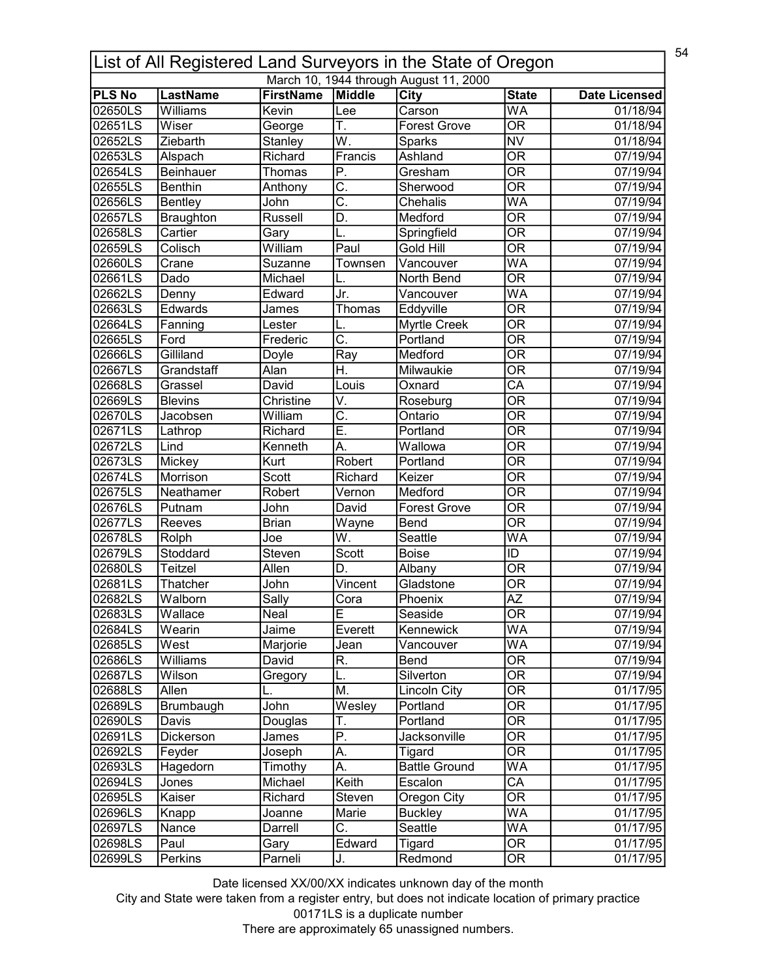|               | 54<br>List of All Registered Land Surveyors in the State of Oregon |                  |                           |                                        |                                |                      |  |  |
|---------------|--------------------------------------------------------------------|------------------|---------------------------|----------------------------------------|--------------------------------|----------------------|--|--|
|               |                                                                    |                  |                           | March 10, 1944 through August 11, 2000 |                                |                      |  |  |
| <b>PLS No</b> | <b>LastName</b>                                                    | <b>FirstName</b> | Middle                    | <b>City</b>                            | <b>State</b>                   | <b>Date Licensed</b> |  |  |
| 02650LS       | <b>Williams</b>                                                    | Kevin            | Lee                       | Carson                                 | <b>WA</b>                      | 01/18/94             |  |  |
| 02651LS       | Wiser                                                              | George           | Τ.                        | <b>Forest Grove</b>                    | $\overline{\mathsf{OR}}$       | 01/18/94             |  |  |
| 02652LS       | Ziebarth                                                           | Stanley          | W.                        | <b>Sparks</b>                          | <b>NV</b>                      | 01/18/94             |  |  |
| 02653LS       | Alspach                                                            | Richard          | Francis                   | Ashland                                | $\overline{\overline{\rm OR}}$ | 07/19/94             |  |  |
| 02654LS       | <b>Beinhauer</b>                                                   | Thomas           | P.                        | Gresham                                | $\overline{\overline{\rm OR}}$ | 07/19/94             |  |  |
| 02655LS       | <b>Benthin</b>                                                     | Anthony          | $\overline{\mathsf{C}}$ . | Sherwood                               | $\overline{\mathsf{OR}}$       | 07/19/94             |  |  |
| 02656LS       | <b>Bentley</b>                                                     | John             | C.                        | Chehalis                               | WA                             | 07/19/94             |  |  |
| 02657LS       | Braughton                                                          | Russell          | D.                        | Medford                                | $\overline{\mathsf{OR}}$       | 07/19/94             |  |  |
| 02658LS       | Cartier                                                            | Gary             | L.                        | Springfield                            | $\overline{\mathsf{OR}}$       | 07/19/94             |  |  |
| 02659LS       | Colisch                                                            | William          | Paul                      | Gold Hill                              | $\overline{\mathsf{OR}}$       | 07/19/94             |  |  |
| 02660LS       | Crane                                                              | Suzanne          | Townsen                   | Vancouver                              | WA                             | 07/19/94             |  |  |
| 02661LS       | Dado                                                               | Michael          | L.                        | North Bend                             | $\overline{\mathsf{OR}}$       | 07/19/94             |  |  |
| 02662LS       | Denny                                                              | Edward           | Jr.                       | $\overline{\mathsf{V}}$ ancouver       | $\overline{\mathsf{WA}}$       | 07/19/94             |  |  |
| 02663LS       | Edwards                                                            | James            | Thomas                    | Eddyville                              | $\overline{\mathsf{OR}}$       | 07/19/94             |  |  |
| 02664LS       | Fanning                                                            | Lester           |                           | <b>Myrtle Creek</b>                    | $\overline{\overline{\rm OR}}$ | 07/19/94             |  |  |
| 02665LS       | Ford                                                               | Frederic         | $\overline{\mathsf{C}}$ . | Portland                               | $\overline{\overline{\rm OR}}$ | 07/19/94             |  |  |
| 02666LS       | Gilliland                                                          | Doyle            | Ray                       | Medford                                | <b>OR</b>                      | 07/19/94             |  |  |
| 02667LS       | Grandstaff                                                         | Alan             | $\overline{\mathsf{H}}.$  | Milwaukie                              | $\overline{\mathsf{OR}}$       | 07/19/94             |  |  |
| 02668LS       | Grassel                                                            | David            | Louis                     | Oxnard                                 | CA                             | 07/19/94             |  |  |
| 02669LS       | <b>Blevins</b>                                                     | Christine        | V.                        | Roseburg                               | $\overline{\mathsf{OR}}$       | 07/19/94             |  |  |
| 02670LS       | Jacobsen                                                           | William          | $\overline{\mathsf{C}}$ . | Ontario                                | $\overline{\mathsf{OR}}$       | 07/19/94             |  |  |
| 02671LS       | Lathrop                                                            | Richard          | Ē.                        | Portland                               | $\overline{\mathsf{OR}}$       | 07/19/94             |  |  |
| 02672LS       | Lind                                                               | Kenneth          | A.                        | Wallowa                                | $\overline{\mathsf{OR}}$       | 07/19/94             |  |  |
| 02673LS       | Mickey                                                             | Kurt             | Robert                    | Portland                               | $\overline{\mathsf{OR}}$       | 07/19/94             |  |  |
| 02674LS       |                                                                    | Scott            |                           | Keizer                                 | $\overline{\mathsf{OR}}$       |                      |  |  |
| 02675LS       | Morrison                                                           | Robert           | Richard                   |                                        | $\overline{\mathsf{OR}}$       | 07/19/94             |  |  |
|               | Neathamer                                                          |                  | Vernon                    | Medford                                |                                | 07/19/94             |  |  |
| 02676LS       | Putnam                                                             | John             | David                     | <b>Forest Grove</b>                    | $\overline{\mathsf{OR}}$       | 07/19/94             |  |  |
| 02677LS       | Reeves                                                             | <b>Brian</b>     | Wayne                     | Bend                                   | $\overline{\mathsf{OR}}$       | 07/19/94             |  |  |
| 02678LS       | Rolph                                                              | Joe              | W.                        | Seattle                                | WA                             | 07/19/94             |  |  |
| 02679LS       | Stoddard                                                           | Steven           | Scott                     | <b>Boise</b>                           | ID                             | 07/19/94             |  |  |
| 02680LS       | <b>Teitzel</b>                                                     | Allen            | D.                        | Albany                                 | $\overline{\overline{\rm OR}}$ | 07/19/94             |  |  |
| 02681LS       | Thatcher                                                           | John             | Vincent                   | Gladstone                              | <b>OR</b>                      | 07/19/94             |  |  |
| 02682LS       | Walborn                                                            | Sallv            | Cora                      | Phoenix                                | $\overline{AZ}$                | 07/19/94             |  |  |
| 02683LS       | Wallace                                                            | Neal             | Е                         | Seaside                                | 0R                             | 07/19/94             |  |  |
| 02684LS       | Wearin                                                             | Jaime            | Everett                   | Kennewick                              | WA                             | 07/19/94             |  |  |
| 02685LS       | West                                                               | Marjorie         | Jean                      | Vancouver                              | WA                             | 07/19/94             |  |  |
| 02686LS       | Williams                                                           | David            | R.                        | Bend                                   | $\overline{\overline{\rm OR}}$ | 07/19/94             |  |  |
| 02687LS       | Wilson                                                             | Gregory          | L.                        | Silverton                              | <b>OR</b>                      | 07/19/94             |  |  |
| 02688LS       | Allen                                                              |                  | M.                        | <b>Lincoln City</b>                    | $\overline{\mathsf{OR}}$       | 01/17/95             |  |  |
| 02689LS       | Brumbaugh                                                          | John             | Wesley                    | Portland                               | $\overline{\mathsf{OR}}$       | 01/17/95             |  |  |
| 02690LS       | Davis                                                              | Douglas          | Т.                        | Portland                               | $\overline{\mathsf{OR}}$       | 01/17/95             |  |  |
| 02691LS       | Dickerson                                                          | James            | $\overline{P}$ .          | Jacksonville                           | OR                             | 01/17/95             |  |  |
| 02692LS       | Feyder                                                             | Joseph           | $\overline{A}$ .          | Tigard                                 | $\overline{\mathsf{OR}}$       | 01/17/95             |  |  |
| 02693LS       | Hagedorn                                                           | Timothy          | А.                        | <b>Battle Ground</b>                   | WA                             | 01/17/95             |  |  |
| 02694LS       | Jones                                                              | Michael          | Keith                     | Escalon                                | CA                             | 01/17/95             |  |  |
| 02695LS       | Kaiser                                                             | Richard          | Steven                    | Oregon City                            | 0R                             | 01/17/95             |  |  |
| 02696LS       | Knapp                                                              | Joanne           | Marie                     | <b>Buckley</b>                         | WA                             | 01/17/95             |  |  |
| 02697LS       | Nance                                                              | Darrell          | $\overline{\mathsf{C}}$ . | Seattle                                | WA                             | 01/17/95             |  |  |
| 02698LS       | Paul                                                               | Gary             | Edward                    | Tigard                                 | $\overline{\text{OR}}$         | 01/17/95             |  |  |
| 02699LS       | Perkins                                                            | Parneli          | J.                        | Redmond                                | $\overline{\text{OR}}$         | 01/17/95             |  |  |
|               |                                                                    |                  |                           |                                        |                                |                      |  |  |

City and State were taken from a register entry, but does not indicate location of primary practice 00171LS is a duplicate number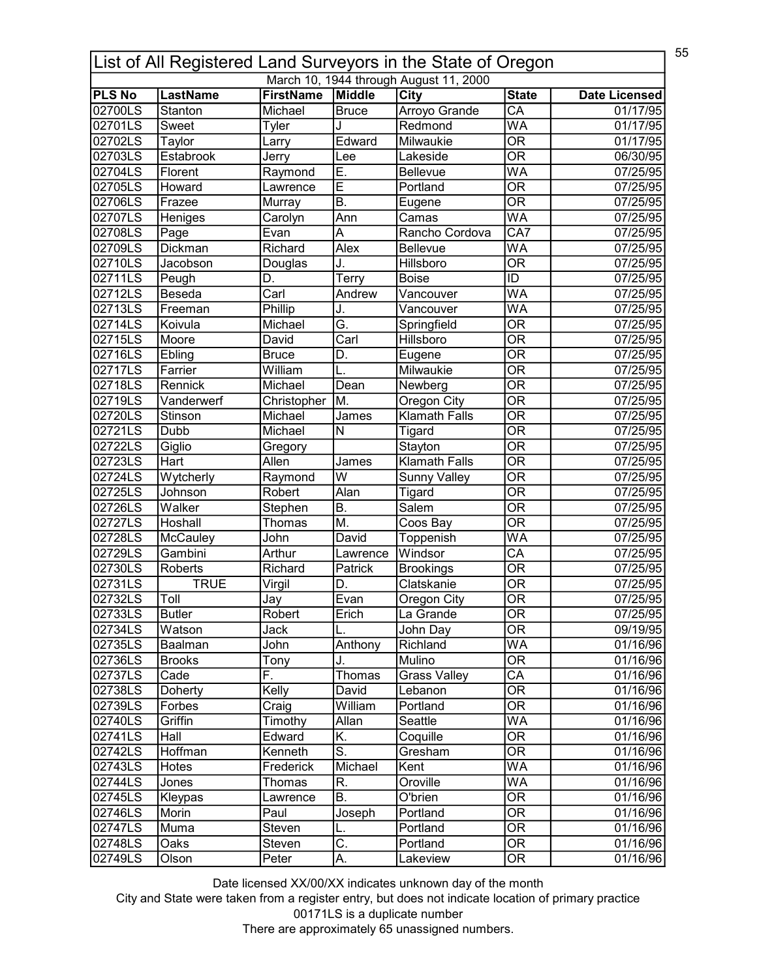|                          | 55<br>List of All Registered Land Surveyors in the State of Oregon |                             |                           |                                        |                                          |                       |  |  |
|--------------------------|--------------------------------------------------------------------|-----------------------------|---------------------------|----------------------------------------|------------------------------------------|-----------------------|--|--|
|                          |                                                                    |                             |                           | March 10, 1944 through August 11, 2000 |                                          |                       |  |  |
| <b>PLS No</b><br>02700LS | <b>LastName</b><br>Stanton                                         | <b>FirstName</b><br>Michael | Middle                    | City                                   | <b>State</b><br>$\overline{\mathsf{CA}}$ | <b>Date Licensed</b>  |  |  |
| 02701LS                  |                                                                    |                             | Bruce                     | Arroyo Grande<br>Redmond               | $\overline{\mathsf{WA}}$                 | 01/17/95              |  |  |
|                          | Sweet                                                              | Tyler                       | J                         |                                        |                                          | 01/17/95              |  |  |
| 02702LS                  | Taylor                                                             | Larry                       | Edward                    | Milwaukie                              | $\overline{\mathsf{OR}}$                 | 01/17/95              |  |  |
| 02703LS                  | Estabrook                                                          | Jerry                       | Lee                       | Lakeside                               | $\overline{\mathsf{OR}}$                 | 06/30/95              |  |  |
| 02704LS                  | Florent                                                            | Raymond                     | Ē.                        | Bellevue                               | WA                                       | 07/25/95              |  |  |
| 02705LS                  | Howard                                                             | Lawrence                    | Ē                         | Portland                               | $\overline{\mathsf{OR}}$                 | 07/25/95              |  |  |
| 02706LS                  | Frazee                                                             | Murray                      | B.                        | Eugene                                 | $\overline{\mathsf{OR}}$                 | 07/25/95              |  |  |
| 02707LS                  | Heniges                                                            | Carolyn                     | Ann                       | Camas                                  | WA                                       | 07/25/95              |  |  |
| 02708LS                  | Page                                                               | Evan                        | Α                         | Rancho Cordova                         | $\overline{CA7}$                         | 07/25/95              |  |  |
| 02709LS                  | Dickman                                                            | Richard                     | Alex                      | Bellevue                               | WA                                       | 07/25/95              |  |  |
| 02710LS                  | Jacobson                                                           | Douglas                     | J.                        | Hillsboro                              | $\overline{\overline{\rm OR}}$           | 07/25/95              |  |  |
| 02711LS                  | Peugh                                                              | D.                          | $\overline{T}$ erry       | <b>Boise</b>                           | ID                                       | 07/25/95              |  |  |
| 02712LS                  | Beseda                                                             | Carl                        | Andrew                    | Vancouver                              | $\overline{\mathsf{WA}}$                 | 07/25/95              |  |  |
| 02713LS                  | Freeman                                                            | Phillip                     | J.                        | Vancouver                              | $\overline{\mathsf{WA}}$                 | 07/25/95              |  |  |
| 02714LS                  | Koivula                                                            | Michael                     | Ğ.                        | Springfield                            | $\overline{\overline{\rm OR}}$           | 07/25/95              |  |  |
| 02715LS                  | Moore                                                              | David                       | $\overline{\text{Carl}}$  | Hillsboro                              | $\overline{\overline{\rm OR}}$           | 07/25/95              |  |  |
| 02716LS                  | Ebling                                                             | <b>Bruce</b>                | D.                        | Eugene                                 | <b>OR</b>                                | 07/25/95              |  |  |
| 02717LS                  | Farrier                                                            | William                     |                           | Milwaukie                              | $\overline{\mathsf{OR}}$                 | 07/25/95              |  |  |
| 02718LS                  | Rennick                                                            | Michael                     | Dean                      | Newberg                                | <b>OR</b>                                | 07/25/95              |  |  |
| 02719LS                  | Vanderwerf                                                         | Christopher                 | M.                        | Oregon City                            | $\overline{\mathsf{OR}}$                 | 07/25/95              |  |  |
| 02720LS                  | Stinson                                                            | Michael                     | James                     | <b>Klamath Falls</b>                   | $\overline{\mathsf{OR}}$                 | 07/25/95              |  |  |
| 02721LS                  | Dubb                                                               | Michael                     | $\overline{\mathsf{N}}$   | Tigard                                 | $\overline{\mathsf{OR}}$                 | 07/25/95              |  |  |
| 02722LS                  | Giglio                                                             | Gregory                     |                           | Stayton                                | $\overline{\mathsf{OR}}$                 | 07/25/95              |  |  |
| 02723LS                  | Hart                                                               | Allen                       | James                     | <b>Klamath Falls</b>                   | $\overline{\mathsf{OR}}$                 | 07/25/95              |  |  |
| 02724LS                  | Wytcherly                                                          | Raymond                     | $\overline{\mathsf{w}}$   | Sunny Valley                           | $\overline{\mathsf{OR}}$                 | 07/25/95              |  |  |
| 02725LS                  | Johnson                                                            | Robert                      | Alan                      | Tigard                                 | $\overline{\mathsf{OR}}$                 | 07/25/95              |  |  |
| 02726LS                  | Walker                                                             | Stephen                     | B.                        | Salem                                  | $\overline{\mathsf{OR}}$                 | 07/25/95              |  |  |
| 02727LS                  | Hoshall                                                            | Thomas                      | M.                        | Coos Bay                               | $\overline{\mathsf{OR}}$                 | 07/25/95              |  |  |
| 02728LS                  | McCauley                                                           | John                        | David                     | <b>Toppenish</b>                       | WA                                       | $\overline{07/25/95}$ |  |  |
| 02729LS                  | Gambini                                                            | Arthur                      | Lawrence                  | Windsor                                | $\overline{\mathsf{CA}}$                 | 07/25/95              |  |  |
| 02730LS                  | Roberts                                                            | Richard                     | Patrick                   | <b>Brookings</b>                       | $\overline{\mathsf{OR}}$                 | 07/25/95              |  |  |
| 02731LS                  | <b>TRUE</b>                                                        | Virgil                      | D.                        | Clatskanie                             | $\overline{\mathsf{OR}}$                 | 07/25/95              |  |  |
| 02732LS                  | Toll                                                               | Jav                         | Evan                      | Oregon City                            | $\overline{OR}$                          | 07/25/95              |  |  |
| 02733LS                  | <b>Butler</b>                                                      | Robert                      | Erich                     | La Grande                              | OR                                       | 07/25/95              |  |  |
| 02734LS                  | Watson                                                             | Jack                        |                           | John Day                               | $\overline{\overline{\rm OR}}$           | 09/19/95              |  |  |
| 02735LS                  | <b>Baalman</b>                                                     | John                        | Anthony                   | Richland                               | <b>WA</b>                                | 01/16/96              |  |  |
| 02736LS                  | <b>Brooks</b>                                                      | Tony                        | J.                        | Mulino                                 | $\overline{\overline{\rm OR}}$           | 01/16/96              |  |  |
| 02737LS                  | Cade                                                               | F.                          | Thomas                    | <b>Grass Valley</b>                    | CA                                       | 01/16/96              |  |  |
| 02738LS                  | Doherty                                                            | Kelly                       | David                     | Lebanon                                | $\overline{\mathsf{OR}}$                 | 01/16/96              |  |  |
| 02739LS                  | Forbes                                                             | Craig                       | William                   | Portland                               | $\overline{\mathsf{OR}}$                 | 01/16/96              |  |  |
| 02740LS                  | Griffin                                                            | Timothy                     | Allan                     | Seattle                                | WA                                       | 01/16/96              |  |  |
| 02741LS                  | Hall                                                               | Edward                      | K.                        | Coquille                               | OR                                       | 01/16/96              |  |  |
| 02742LS                  | Hoffman                                                            | Kenneth                     | $\overline{\mathsf{s}}$ . | Gresham                                | $\overline{\mathsf{OR}}$                 | 01/16/96              |  |  |
| 02743LS                  | Hotes                                                              | Frederick                   | Michael                   | Kent                                   | WA                                       | 01/16/96              |  |  |
| 02744LS                  | Jones                                                              | Thomas                      | R.                        | Oroville                               | WA                                       | 01/16/96              |  |  |
| 02745LS                  |                                                                    |                             | B.                        | O'brien                                | 0R                                       | 01/16/96              |  |  |
| 02746LS                  | Kleypas<br>Morin                                                   | Lawrence<br>Paul            | Joseph                    | Portland                               | $\overline{\text{OR}}$                   | 01/16/96              |  |  |
| 02747LS                  |                                                                    | Steven                      |                           |                                        | $\overline{\mathsf{OR}}$                 |                       |  |  |
|                          | Muma                                                               |                             |                           | Portland                               | $\overline{\text{OR}}$                   | 01/16/96              |  |  |
| 02748LS                  | Oaks                                                               | Steven                      | $\overline{\mathrm{C}}$ . | Portland                               |                                          | 01/16/96              |  |  |
| 02749LS                  | Olson                                                              | Peter                       | A.                        | Lakeview                               | OR                                       | 01/16/96              |  |  |

City and State were taken from a register entry, but does not indicate location of primary practice 00171LS is a duplicate number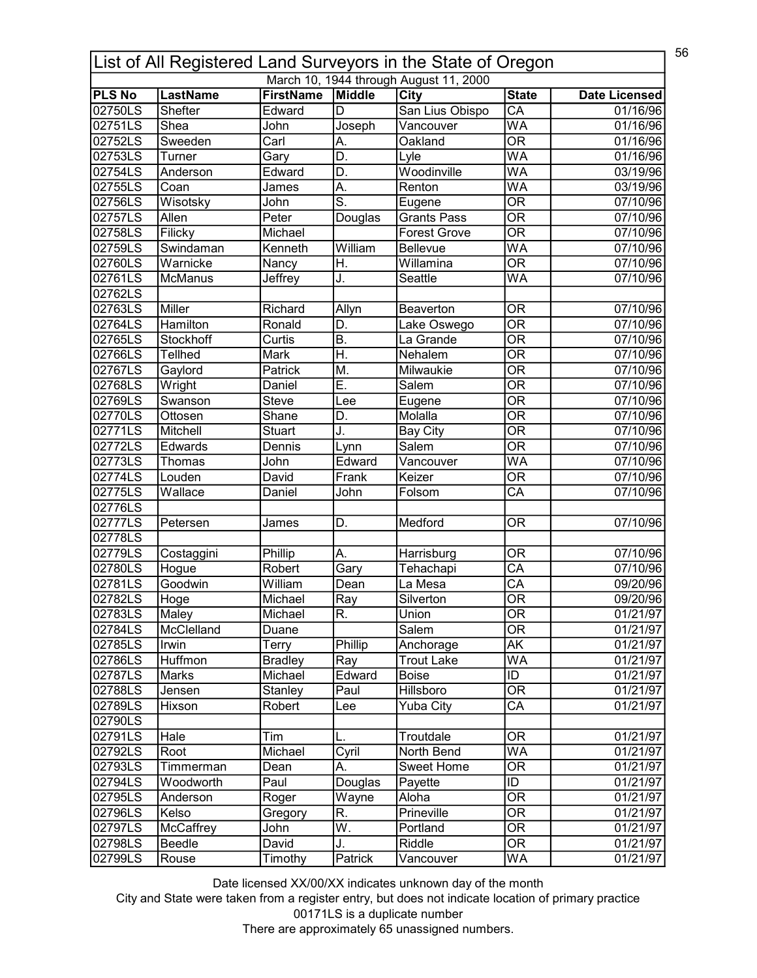|               | 56<br>List of All Registered Land Surveyors in the State of Oregon |                  |                           |                                        |                                |                      |  |  |
|---------------|--------------------------------------------------------------------|------------------|---------------------------|----------------------------------------|--------------------------------|----------------------|--|--|
|               |                                                                    |                  |                           | March 10, 1944 through August 11, 2000 |                                |                      |  |  |
| <b>PLS No</b> | <b>LastName</b>                                                    | <b>FirstName</b> | Middle                    | City                                   | <b>State</b>                   | <b>Date Licensed</b> |  |  |
| 02750LS       | Shefter                                                            | Edward           | D                         | San Lius Obispo                        | $\overline{\mathsf{CA}}$       | 01/16/96             |  |  |
| 02751LS       | Shea                                                               | John             | Joseph                    | Vancouver                              | $\overline{\mathsf{WA}}$       | 01/16/96             |  |  |
| 02752LS       | Sweeden                                                            | Carl             | А.                        | Oakland                                | $\overline{\mathsf{OR}}$       | 01/16/96             |  |  |
| 02753LS       | Turner                                                             | Gary             | D.                        | Lyle                                   | $\overline{\mathsf{WA}}$       | 01/16/96             |  |  |
| 02754LS       | Anderson                                                           | Edward           | D.                        | Woodinville                            | WA                             | 03/19/96             |  |  |
| 02755LS       | Coan                                                               | James            | A.                        | Renton                                 | WA                             | 03/19/96             |  |  |
| 02756LS       | Wisotsky                                                           | John             | $\overline{\mathsf{s}}$ . | Eugene                                 | $\overline{\mathsf{OR}}$       | 07/10/96             |  |  |
| 02757LS       | Allen                                                              | Peter            | Douglas                   | <b>Grants Pass</b>                     | $\overline{\mathsf{OR}}$       | 07/10/96             |  |  |
| 02758LS       | Filicky                                                            | Michael          |                           | Forest Grove                           | $\overline{\mathsf{OR}}$       | 07/10/96             |  |  |
| 02759LS       | Swindaman                                                          | Kenneth          | William                   | Bellevue                               | WA                             | 07/10/96             |  |  |
| 02760LS       | Warnicke                                                           | Nancy            | Η.                        | Willamina                              | $\overline{\mathsf{OR}}$       | 07/10/96             |  |  |
| 02761LS       | <b>McManus</b>                                                     | Jeffrey          | J.                        | Seattle                                | WA                             | 07/10/96             |  |  |
| 02762LS       |                                                                    |                  |                           |                                        |                                |                      |  |  |
| 02763LS       | Miller                                                             | Richard          | Allyn                     | <b>Beaverton</b>                       | <b>OR</b>                      | 07/10/96             |  |  |
| 02764LS       | Hamilton                                                           | Ronald           | D.                        | Lake Oswego                            | $\overline{\mathsf{OR}}$       | 07/10/96             |  |  |
| 02765LS       | <b>Stockhoff</b>                                                   | Curtis           | <b>B.</b>                 | La Grande                              | $\overline{\mathsf{OR}}$       | 07/10/96             |  |  |
| 02766LS       | <b>Tellhed</b>                                                     | Mark             | Η.                        | Nehalem                                | <b>OR</b>                      | 07/10/96             |  |  |
| 02767LS       | Gaylord                                                            | Patrick          | Μ.                        | Milwaukie                              | $\overline{\mathsf{OR}}$       | 07/10/96             |  |  |
| 02768LS       | Wright                                                             | Daniel           | Ε.                        | Salem                                  | <b>OR</b>                      | 07/10/96             |  |  |
| 02769LS       | Swanson                                                            | <b>Steve</b>     | Lee                       | Eugene                                 | $\overline{\mathsf{OR}}$       | 07/10/96             |  |  |
| 02770LS       | Ottosen                                                            | Shane            | D.                        | Molalla                                | $\overline{\mathsf{OR}}$       | 07/10/96             |  |  |
| 02771LS       | Mitchell                                                           | <b>Stuart</b>    | J.                        | <b>Bay City</b>                        | $\overline{\mathsf{OR}}$       | 07/10/96             |  |  |
| 02772LS       | Edwards                                                            | Dennis           |                           | <b>Salem</b>                           | $\overline{\mathsf{OR}}$       | 07/10/96             |  |  |
| 02773LS       | Thomas                                                             | John             | Lynn<br>Edward            | Vancouver                              | $\overline{\mathsf{WA}}$       | 07/10/96             |  |  |
| 02774LS       |                                                                    |                  |                           | Keizer                                 | $\overline{\mathsf{OR}}$       |                      |  |  |
| 02775LS       | Louden                                                             | David            | Frank                     |                                        | $\overline{\text{CA}}$         | 07/10/96<br>07/10/96 |  |  |
|               | Wallace                                                            | Daniel           | John                      | Folsom                                 |                                |                      |  |  |
| 02776LS       |                                                                    |                  |                           |                                        |                                |                      |  |  |
| 02777LS       | Petersen                                                           | James            | D.                        | Medford                                | <b>OR</b>                      | 07/10/96             |  |  |
| 02778LS       |                                                                    |                  |                           |                                        |                                |                      |  |  |
| 02779LS       | Costaggini                                                         | Phillip          | Α.                        | Harrisburg                             | OR                             | 07/10/96             |  |  |
| 02780LS       | Hogue                                                              | Robert           | Gary                      | Tehachapi                              | $\overline{CA}$                | 07/10/96             |  |  |
| 02781LS       | Goodwin                                                            | William          | Dean                      | La Mesa                                | $\overline{\mathsf{CA}}$       | 09/20/96             |  |  |
| 02782LS       | Hoge                                                               | Michael          | Ray                       | Silverton                              | $\overline{OR}$                | 09/20/96             |  |  |
| 02783LS       | Maley                                                              | Michael          | R.                        | Union                                  | OR                             | 01/21/97             |  |  |
| 02784LS       | McClelland                                                         | Duane            |                           | Salem                                  | $\overline{\overline{\rm OR}}$ | 01/21/97             |  |  |
| 02785LS       | Irwin                                                              | Terry            | Phillip                   | Anchorage                              | <b>AK</b>                      | 01/21/97             |  |  |
| 02786LS       | Huffmon                                                            | <b>Bradley</b>   | Ray                       | <b>Trout Lake</b>                      | WA                             | 01/21/97             |  |  |
| 02787LS       | Marks                                                              | Michael          | Edward                    | <b>Boise</b>                           | ID                             | 01/21/97             |  |  |
| 02788LS       | Jensen                                                             | Stanley          | Paul                      | Hillsboro                              | $\overline{\text{OR}}$         | 01/21/97             |  |  |
| 02789LS       | Hixson                                                             | Robert           | Lee                       | <b>Yuba City</b>                       | $\overline{\mathsf{CA}}$       | 01/21/97             |  |  |
| 02790LS       |                                                                    |                  |                           |                                        |                                |                      |  |  |
| 02791LS       | Hale                                                               | Tim              | L.                        | Troutdale                              | OR                             | 01/21/97             |  |  |
| 02792LS       | Root                                                               | Michael          | Cyril                     | North Bend                             | <b>WA</b>                      | 01/21/97             |  |  |
| 02793LS       | Timmerman                                                          | Dean             | А.                        | Sweet Home                             | OR                             | 01/21/97             |  |  |
| 02794LS       | Woodworth                                                          | Paul             | Douglas                   | Payette                                | ID                             | 01/21/97             |  |  |
| 02795LS       | Anderson                                                           | Roger            | Wayne                     | Aloha                                  | <b>OR</b>                      | 01/21/97             |  |  |
| 02796LS       | Kelso                                                              | Gregory          | R.                        | Prineville                             | $\overline{\mathsf{OR}}$       | 01/21/97             |  |  |
| 02797LS       | McCaffrey                                                          | John             | W.                        | Portland                               | $\overline{\mathsf{OR}}$       | 01/21/97             |  |  |
| 02798LS       | Beedle                                                             | David            | J.                        | Riddle                                 | $\overline{\text{OR}}$         | 01/21/97             |  |  |
| 02799LS       | Rouse                                                              | Timothy          | Patrick                   | Vancouver                              | <b>WA</b>                      | 01/21/97             |  |  |
|               |                                                                    |                  |                           |                                        |                                |                      |  |  |

City and State were taken from a register entry, but does not indicate location of primary practice 00171LS is a duplicate number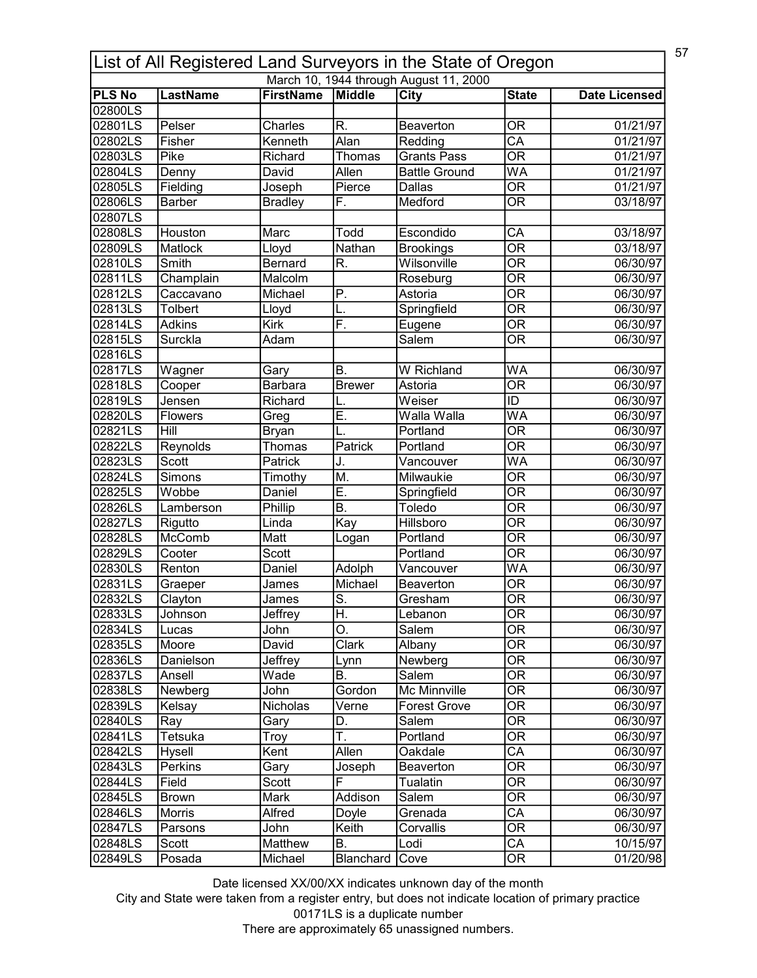| 57<br>List of All Registered Land Surveyors in the State of Oregon |                 |                  |                  |                                        |                                |                      |  |
|--------------------------------------------------------------------|-----------------|------------------|------------------|----------------------------------------|--------------------------------|----------------------|--|
|                                                                    |                 |                  |                  | March 10, 1944 through August 11, 2000 |                                |                      |  |
| <b>PLS No</b><br>02800LS                                           | <b>LastName</b> | <b>FirstName</b> | <b>Middle</b>    | <b>City</b>                            | <b>State</b>                   | <b>Date Licensed</b> |  |
| 02801LS                                                            | Pelser          | Charles          | R.               | Beaverton                              | <b>OR</b>                      | 01/21/97             |  |
| 02802LS                                                            | Fisher          | Kenneth          | Alan             | Redding                                | $\overline{CA}$                | 01/21/97             |  |
| 02803LS                                                            | Pike            | Richard          |                  |                                        | $\overline{\mathsf{OR}}$       |                      |  |
|                                                                    |                 |                  | Thomas           | <b>Grants Pass</b>                     |                                | 01/21/97             |  |
| 02804LS                                                            | Denny           | David            | Allen            | <b>Battle Ground</b>                   | WA                             | 01/21/97             |  |
| 02805LS                                                            | Fielding        | Joseph           | Pierce           | <b>Dallas</b>                          | $\overline{\mathsf{OR}}$       | 01/21/97             |  |
| 02806LS                                                            | Barber          | <b>Bradley</b>   | F.               | Medford                                | $\overline{\mathsf{OR}}$       | 03/18/97             |  |
| 02807LS<br>02808LS                                                 | Houston         | Marc             | Todd             | Escondido                              | $\overline{\mathsf{CA}}$       | 03/18/97             |  |
| 02809LS                                                            | Matlock         |                  | Nathan           | <b>Brookings</b>                       | $\overline{\mathsf{OR}}$       | 03/18/97             |  |
|                                                                    | Smith           | Lloyd            |                  | Wilsonville                            | $\overline{\mathsf{OR}}$       |                      |  |
| 02810LS                                                            |                 | Bernard          | R.               |                                        |                                | 06/30/97             |  |
| 02811LS                                                            | Champlain       | Malcolm          |                  | Roseburg                               | $\overline{\mathsf{OR}}$       | 06/30/97             |  |
| 02812LS                                                            | Caccavano       | Michael          | $\overline{P}$ . | Astoria                                | $\overline{\overline{\rm OR}}$ | 06/30/97             |  |
| 02813LS                                                            | Tolbert         | Lloyd            | L.               | Springfield                            | $\overline{\mathsf{OR}}$       | 06/30/97             |  |
| 02814LS                                                            | <b>Adkins</b>   | <b>Kirk</b>      | F.               | Eugene                                 | $\overline{\overline{\rm OR}}$ | 06/30/97             |  |
| 02815LS                                                            | Surckla         | Adam             |                  | Salem                                  | $\overline{\mathsf{OR}}$       | 06/30/97             |  |
| 02816LS                                                            |                 |                  |                  |                                        |                                |                      |  |
| 02817LS                                                            | Wagner          | Gary             | B.               | <b>W</b> Richland                      | <b>WA</b>                      | 06/30/97             |  |
| 02818LS                                                            | Cooper          | <b>Barbara</b>   | <b>Brewer</b>    | Astoria                                | $\overline{\overline{\rm OR}}$ | 06/30/97             |  |
| 02819LS                                                            | Jensen          | Richard          | L.               | Weiser                                 | ID                             | 06/30/97             |  |
| 02820LS                                                            | <b>Flowers</b>  | Greg             | Ē.               | Walla Walla                            | $\overline{\mathsf{WA}}$       | 06/30/97             |  |
| 02821LS                                                            | Hill            | <b>Bryan</b>     | L.               | Portland                               | $\overline{\mathsf{OR}}$       | 06/30/97             |  |
| 02822LS                                                            | Reynolds        | Thomas           | Patrick          | Portland                               | $\overline{\mathsf{OR}}$       | 06/30/97             |  |
| 02823LS                                                            | <b>Scott</b>    | Patrick          | J.               | Vancouver                              | $\overline{\mathsf{WA}}$       | 06/30/97             |  |
| 02824LS                                                            | Simons          | Timothy          | M.               | Milwaukie                              | $\overline{\mathsf{OR}}$       | 06/30/97             |  |
| 02825LS                                                            | Wobbe           | Daniel           | Ē.               | Springfield                            | $\overline{\mathsf{OR}}$       | 06/30/97             |  |
| 02826LS                                                            | Lamberson       | Phillip          | $\overline{B}$ . | Toledo                                 | $\overline{\mathsf{OR}}$       | 06/30/97             |  |
| 02827LS                                                            | Rigutto         | Linda            | Kay              | Hillsboro                              | $\overline{\mathsf{OR}}$       | 06/30/97             |  |
| 02828LS                                                            | <b>McComb</b>   | Matt             | Logan            | Portland                               | $\overline{\mathsf{OR}}$       | 06/30/97             |  |
| 02829LS                                                            | Cooter          | Scott            |                  | Portland                               | $\overline{\overline{\rm OR}}$ | 06/30/97             |  |
| 02830LS                                                            | Renton          | Daniel           | Adolph           | Vancouver                              | <b>WA</b>                      | 06/30/97             |  |
| 02831LS                                                            | Graeper         | James            | Michael          | Beaverton                              | $\overline{\overline{\rm OR}}$ | 06/30/97             |  |
| 02832LS                                                            | Clayton         | James            | $\overline{S}$   | Gresham                                | $\overline{OR}$                | 06/30/97             |  |
| 02833LS                                                            | Johnson         | Jeffrey          | H.               | Lebanon                                | OR                             | 06/30/97             |  |
| 02834LS                                                            | Lucas           | John             | О.               | Salem                                  | $\overline{\overline{\rm OR}}$ | 06/30/97             |  |
| 02835LS                                                            | Moore           | David            | <b>Clark</b>     | Albany                                 | <b>OR</b>                      | 06/30/97             |  |
| 02836LS                                                            | Danielson       | Jeffrey          | Lynn             | Newberg                                | <b>OR</b>                      | 06/30/97             |  |
| 02837LS                                                            | Ansell          | Wade             | <b>B.</b>        | Salem                                  | <b>OR</b>                      | 06/30/97             |  |
| 02838LS                                                            | Newberg         | John             | Gordon           | Mc Minnville                           | $\overline{\overline{\rm OR}}$ | 06/30/97             |  |
| 02839LS                                                            | Kelsay          | Nicholas         | Verne            | <b>Forest Grove</b>                    | OR                             | 06/30/97             |  |
| 02840LS                                                            | Ray             | Gary             | D.               | Salem                                  | OR                             | 06/30/97             |  |
| 02841LS                                                            | Tetsuka         | Troy             | T.               | Portland                               | OR                             | 06/30/97             |  |
| 02842LS                                                            | Hysell          | Kent             | Allen            | Oakdale                                | $\overline{\mathsf{CA}}$       | 06/30/97             |  |
| 02843LS                                                            | Perkins         |                  |                  | Beaverton                              | OR                             | 06/30/97             |  |
| 02844LS                                                            | Field           | Gary<br>Scott    | Joseph<br>F      | <b>Tualatin</b>                        | $\overline{\mathsf{OR}}$       |                      |  |
|                                                                    |                 |                  | Addison          | Salem                                  | <b>OR</b>                      | 06/30/97             |  |
| 02845LS<br>02846LS                                                 | <b>Brown</b>    | Mark             |                  |                                        | $\overline{\mathsf{CA}}$       | 06/30/97             |  |
|                                                                    | Morris          | Alfred           | Doyle            | Grenada                                |                                | 06/30/97             |  |
| 02847LS                                                            | Parsons         | John             | Keith            | Corvallis                              | $\overline{\mathsf{OR}}$       | 06/30/97             |  |
| 02848LS                                                            | Scott           | Matthew          | B.               | Lodi                                   | $\overline{CA}$                | 10/15/97             |  |
| 02849LS                                                            | Posada          | Michael          | Blanchard        | Cove                                   | $\overline{\mathsf{OR}}$       | 01/20/98             |  |

City and State were taken from a register entry, but does not indicate location of primary practice 00171LS is a duplicate number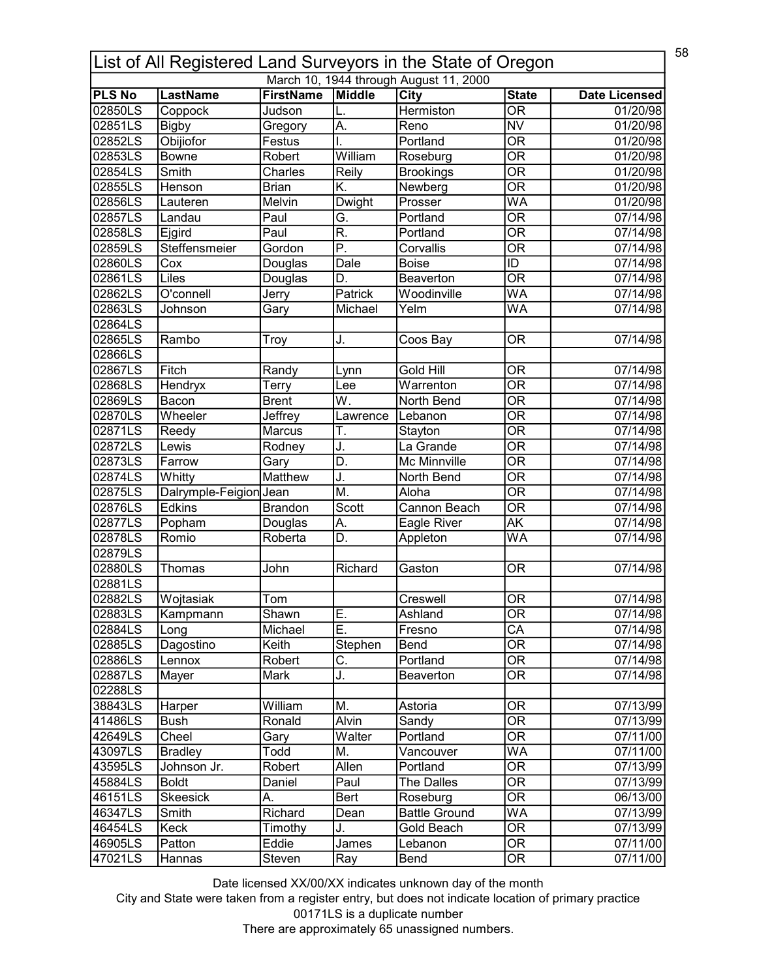|               | 58<br>List of All Registered Land Surveyors in the State of Oregon |                        |                           |                                        |                                |                      |  |  |
|---------------|--------------------------------------------------------------------|------------------------|---------------------------|----------------------------------------|--------------------------------|----------------------|--|--|
|               |                                                                    |                        |                           | March 10, 1944 through August 11, 2000 |                                |                      |  |  |
| <b>PLS No</b> | <b>LastName</b>                                                    | <b>FirstName</b>       | Middle                    | City                                   | <b>State</b>                   | <b>Date Licensed</b> |  |  |
| 02850LS       | Coppock                                                            | Judson                 | L.                        | Hermiston                              | $\overline{\mathsf{OR}}$       | 01/20/98             |  |  |
| 02851LS       | <b>Bigby</b>                                                       | Gregory                | A.                        | Reno                                   | $\overline{\text{NV}}$         | 01/20/98             |  |  |
| 02852LS       | Obijiofor                                                          | Festus                 | I.                        | Portland                               | $\overline{\overline{\rm OR}}$ | 01/20/98             |  |  |
| 02853LS       | <b>Bowne</b>                                                       | Robert                 | William                   | Roseburg                               | $\overline{\overline{\rm OR}}$ | 01/20/98             |  |  |
| 02854LS       | Smith                                                              | Charles                | Reily                     | <b>Brookings</b>                       | $\overline{\text{OR}}$         | 01/20/98             |  |  |
| 02855LS       | Henson                                                             | <b>Brian</b>           | K.                        | Newberg                                | $\overline{\mathsf{OR}}$       | 01/20/98             |  |  |
| 02856LS       | Lauteren                                                           | Melvin                 | <b>Dwight</b>             | Prosser                                | WA                             | 01/20/98             |  |  |
| 02857LS       | Landau                                                             | Paul                   | G.                        | Portland                               | $\overline{\mathsf{OR}}$       | 07/14/98             |  |  |
| 02858LS       | Ejgird                                                             | Paul                   | R.                        | Portland                               | $\overline{\mathsf{OR}}$       | 07/14/98             |  |  |
| 02859LS       | Steffensmeier                                                      | Gordon                 | $\overline{\mathsf{P}}$ . | Corvallis                              | $\overline{\mathsf{OR}}$       | 07/14/98             |  |  |
| 02860LS       | Cox                                                                | Douglas                | Dale                      | <b>Boise</b>                           | $\overline{ID}$                | 07/14/98             |  |  |
| 02861LS       | Liles                                                              | Douglas                | D.                        | Beaverton                              | $\overline{\mathsf{OR}}$       | 07/14/98             |  |  |
| 02862LS       | O'connell                                                          | Jerry                  | Patrick                   | Woodinville                            | <b>WA</b>                      | 07/14/98             |  |  |
| 02863LS       | Johnson                                                            | Gary                   | Michael                   | Yelm                                   | WA                             | 07/14/98             |  |  |
| 02864LS       |                                                                    |                        |                           |                                        |                                |                      |  |  |
| 02865LS       | Rambo                                                              | Troy                   | J.                        | Coos Bay                               | <b>OR</b>                      | 07/14/98             |  |  |
| 02866LS       |                                                                    |                        |                           |                                        |                                |                      |  |  |
| 02867LS       | Fitch                                                              | Randy                  | Lynn                      | Gold Hill                              | $\overline{\mathsf{OR}}$       | 07/14/98             |  |  |
| 02868LS       | Hendryx                                                            | Terry                  | Lee                       | Warrenton                              | $\overline{\overline{\rm OR}}$ | 07/14/98             |  |  |
| 02869LS       | Bacon                                                              | <b>Brent</b>           | W.                        | North Bend                             | $\overline{\mathsf{OR}}$       | 07/14/98             |  |  |
| 02870LS       | Wheeler                                                            | Jeffrey                | Lawrence                  | Lebanon                                | $\overline{\mathsf{OR}}$       | 07/14/98             |  |  |
| 02871LS       | Reedy                                                              | Marcus                 | T.                        | Stayton                                | $\overline{\mathsf{OR}}$       | 07/14/98             |  |  |
| 02872LS       | Lewis                                                              | Rodney                 | J.                        | La Grande                              | $\overline{\mathsf{OR}}$       | 07/14/98             |  |  |
| 02873LS       | Farrow                                                             |                        | D.                        | <b>Mc Minnville</b>                    | $\overline{\mathsf{OR}}$       | 07/14/98             |  |  |
|               |                                                                    | Gary<br><b>Matthew</b> |                           |                                        | $\overline{\mathsf{OR}}$       |                      |  |  |
| 02874LS       | Whitty<br>Dalrymple-Feigion Jean                                   |                        | J.<br>M.                  | North Bend<br>Aloha                    | $\overline{\mathsf{OR}}$       | 07/14/98             |  |  |
| 02875LS       |                                                                    |                        |                           |                                        |                                | 07/14/98             |  |  |
| 02876LS       | <b>Edkins</b>                                                      | <b>Brandon</b>         | Scott                     | Cannon Beach                           | $\overline{\mathsf{OR}}$       | 07/14/98             |  |  |
| 02877LS       | Popham                                                             | Douglas                | А.                        | Eagle River                            | $\overline{\mathsf{AK}}$       | 07/14/98             |  |  |
| 02878LS       | Romio                                                              | Roberta                | D.                        | Appleton                               | WA                             | 07/14/98             |  |  |
| 02879LS       |                                                                    |                        |                           |                                        |                                |                      |  |  |
| 02880LS       | Thomas                                                             | John                   | Richard                   | Gaston                                 | <b>OR</b>                      | 07/14/98             |  |  |
| 02881LS       |                                                                    |                        |                           |                                        |                                |                      |  |  |
| 02882LS       | Wojtasiak                                                          | Tom                    |                           | Creswell                               | <b>OR</b>                      | 07/14/98             |  |  |
| 02883LS       | Kampmann                                                           | Shawn                  | E.                        | Ashland                                | OR                             | 07/14/98             |  |  |
| 02884LS       | Long                                                               | Michael                | Ε.                        | Fresno                                 | $\overline{CA}$                | 07/14/98             |  |  |
| 02885LS       | Dagostino                                                          | Keith                  | Stephen                   | Bend                                   | <b>OR</b>                      | 07/14/98             |  |  |
| 02886LS       | Lennox                                                             | Robert                 | С.                        | Portland                               | <b>OR</b>                      | 07/14/98             |  |  |
| 02887LS       | Mayer                                                              | Mark                   | J.                        | <b>Beaverton</b>                       | <b>OR</b>                      | 07/14/98             |  |  |
| 02288LS       |                                                                    |                        |                           |                                        |                                |                      |  |  |
| 38843LS       | Harper                                                             | William                | M.                        | Astoria                                | 0R                             | 07/13/99             |  |  |
| 41486LS       | <b>Bush</b>                                                        | Ronald                 | Alvin                     | Sandy                                  | $\overline{\mathsf{OR}}$       | 07/13/99             |  |  |
| 42649LS       | Cheel                                                              | Gary                   | Walter                    | Portland                               | OR                             | 07/11/00             |  |  |
| 43097LS       | <b>Bradley</b>                                                     | Todd                   | M.                        | Vancouver                              | WA                             | 07/11/00             |  |  |
| 43595LS       | Johnson Jr.                                                        | Robert                 | Allen                     | Portland                               | 0R                             | 07/13/99             |  |  |
| 45884LS       | <b>Boldt</b>                                                       | Daniel                 | Paul                      | The Dalles                             | <b>OR</b>                      | 07/13/99             |  |  |
| 46151LS       | <b>Skeesick</b>                                                    | А.                     | Bert                      | Roseburg                               | 0R                             | 06/13/00             |  |  |
| 46347LS       | Smith                                                              | Richard                | Dean                      | <b>Battle Ground</b>                   | $\overline{\mathsf{WA}}$       | 07/13/99             |  |  |
| 46454LS       | Keck                                                               | Timothy                | J.                        | Gold Beach                             | $\overline{\mathsf{OR}}$       | 07/13/99             |  |  |
| 46905LS       | Patton                                                             | Eddie                  | James                     | Lebanon                                | $\overline{\text{OR}}$         | 07/11/00             |  |  |
| 47021LS       | Hannas                                                             | Steven                 | Ray                       | Bend                                   | $\overline{\text{OR}}$         | 07/11/00             |  |  |
|               |                                                                    |                        |                           |                                        |                                |                      |  |  |

City and State were taken from a register entry, but does not indicate location of primary practice 00171LS is a duplicate number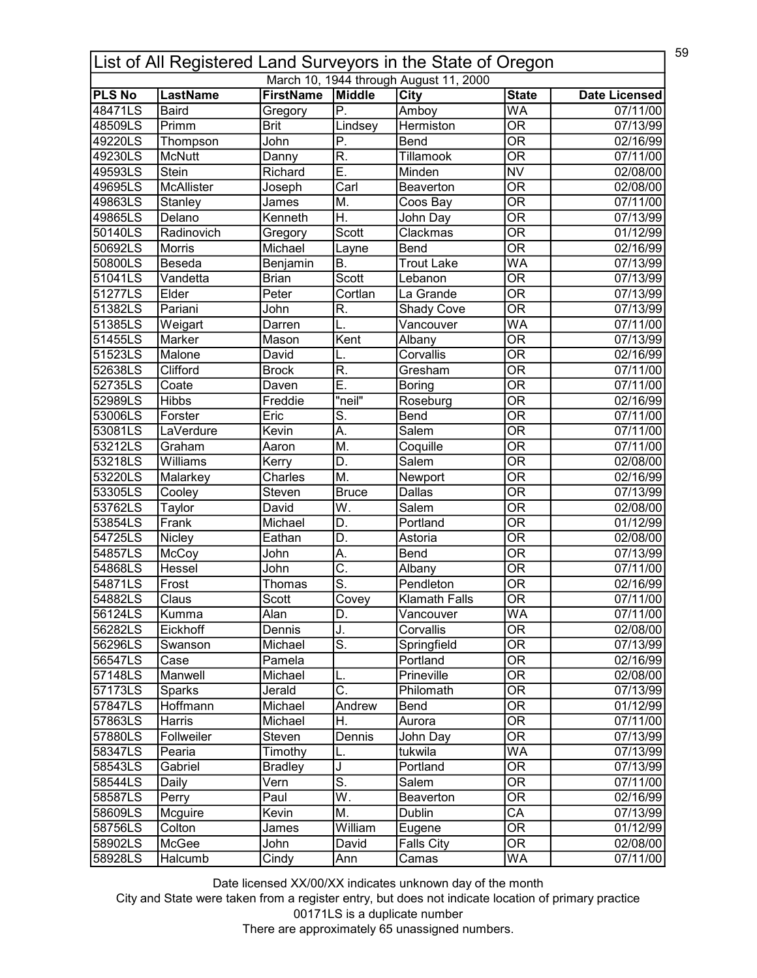|               | 59<br>List of All Registered Land Surveyors in the State of Oregon |                  |                           |                                        |                                |                      |  |  |
|---------------|--------------------------------------------------------------------|------------------|---------------------------|----------------------------------------|--------------------------------|----------------------|--|--|
|               |                                                                    |                  |                           | March 10, 1944 through August 11, 2000 |                                |                      |  |  |
| <b>PLS No</b> | <b>LastName</b>                                                    | <b>FirstName</b> | Middle                    | <b>City</b>                            | <b>State</b>                   | <b>Date Licensed</b> |  |  |
| 48471LS       | <b>Baird</b>                                                       | Gregory          | P.                        | Amboy                                  | $\overline{\mathsf{WA}}$       | 07/11/00             |  |  |
| 48509LS       | Primm                                                              | <b>Brit</b>      | Lindsey                   | <b>Hermiston</b>                       | $\overline{\mathsf{OR}}$       | 07/13/99             |  |  |
| 49220LS       | Thompson                                                           | John             | P.                        | Bend                                   | $\overline{\overline{\rm OR}}$ | 02/16/99             |  |  |
| 49230LS       | <b>McNutt</b>                                                      | Danny            | R.                        | Tillamook                              | $\overline{\overline{\rm OR}}$ | 07/11/00             |  |  |
| 49593LS       | <b>Stein</b>                                                       | Richard          | Ē.                        | Minden                                 | $\overline{\text{NV}}$         | 02/08/00             |  |  |
| 49695LS       | <b>McAllister</b>                                                  | Joseph           | $\overline{\text{Carl}}$  | Beaverton                              | $\overline{\mathsf{OR}}$       | 02/08/00             |  |  |
| 49863LS       | Stanley                                                            | James            | M.                        | Coos Bay                               | $\overline{\mathsf{OR}}$       | 07/11/00             |  |  |
| 49865LS       | Delano                                                             | Kenneth          | $\overline{\mathsf{H}}.$  | John Day                               | $\overline{\mathsf{OR}}$       | 07/13/99             |  |  |
| 50140LS       | Radinovich                                                         | Gregory          | Scott                     | Clackmas                               | $\overline{\text{OR}}$         | 01/12/99             |  |  |
| 50692LS       | Morris                                                             | Michael          | Layne                     | Bend                                   | $\overline{\mathsf{OR}}$       | 02/16/99             |  |  |
| 50800LS       | Beseda                                                             | Benjamin         | B.                        | <b>Trout Lake</b>                      | WA                             | 07/13/99             |  |  |
| 51041LS       | Vandetta                                                           | <b>Brian</b>     | Scott                     | Lebanon                                | $\overline{\mathsf{OR}}$       | 07/13/99             |  |  |
| 51277LS       | Elder                                                              | Peter            | Cortlan                   | La Grande                              | $\overline{\overline{\rm OR}}$ | 07/13/99             |  |  |
| 51382LS       | Pariani                                                            | John             | R.                        | <b>Shady Cove</b>                      | $\overline{\mathsf{OR}}$       | 07/13/99             |  |  |
| 51385LS       | Weigart                                                            | Darren           |                           | Vancouver                              | <b>WA</b>                      | 07/11/00             |  |  |
| 51455LS       | Marker                                                             | Mason            | Kent                      | Albany                                 | $\overline{\mathsf{OR}}$       | 07/13/99             |  |  |
| 51523LS       | Malone                                                             | David            |                           | Corvallis                              | <b>OR</b>                      | 02/16/99             |  |  |
| 52638LS       | Clifford                                                           | <b>Brock</b>     | $\overline{\mathsf{R}}$ . | Gresham                                | $\overline{\mathsf{OR}}$       | 07/11/00             |  |  |
| 52735LS       | Coate                                                              | Daven            | Ε.                        | <b>Boring</b>                          | <b>OR</b>                      | 07/11/00             |  |  |
| 52989LS       | <b>Hibbs</b>                                                       | Freddie          | "neil"                    | Roseburg                               | $\overline{\mathsf{OR}}$       | 02/16/99             |  |  |
| 53006LS       | Forster                                                            | Eric             | S.                        | Bend                                   | $\overline{\mathsf{OR}}$       | 07/11/00             |  |  |
| 53081LS       | LaVerdure                                                          | Kevin            | $\overline{A}$ .          | Salem                                  | $\overline{\mathsf{OR}}$       | 07/11/00             |  |  |
| 53212LS       | Graham                                                             | Aaron            | M.                        | Coquille                               | $\overline{\mathsf{OR}}$       | 07/11/00             |  |  |
| 53218LS       | Williams                                                           | Kerry            | D.                        | Salem                                  | $\overline{\mathsf{OR}}$       | 02/08/00             |  |  |
| 53220LS       | Malarkey                                                           | Charles          | M.                        | Newport                                | $\overline{\mathsf{OR}}$       | 02/16/99             |  |  |
| 53305LS       | Cooley                                                             | Steven           | <b>Bruce</b>              | <b>Dallas</b>                          | $\overline{\mathsf{OR}}$       | 07/13/99             |  |  |
|               |                                                                    |                  | W.                        | Salem                                  | $\overline{\mathsf{OR}}$       |                      |  |  |
| 53762LS       | Taylor                                                             | David            |                           |                                        | $\overline{\mathsf{OR}}$       | 02/08/00             |  |  |
| 53854LS       | Frank                                                              | Michael          | D.                        | Portland                               |                                | 01/12/99             |  |  |
| 54725LS       | Nicley                                                             | Eathan           | D.                        | Astoria                                | $\overline{\mathsf{OR}}$       | 02/08/00             |  |  |
| 54857LS       | McCoy                                                              | John             | Α.                        | Bend                                   | $\overline{\mathsf{OR}}$       | 07/13/99             |  |  |
| 54868LS       | Hessel                                                             | John             | $\overline{\mathsf{C}}$ . | Albany                                 | $\overline{\mathsf{OR}}$       | 07/11/00             |  |  |
| 54871LS       | Frost                                                              | Thomas           | $\overline{\mathsf{s}}$ . | Pendleton                              | $\overline{\mathsf{OR}}$       | 02/16/99             |  |  |
| 54882LS       | Claus                                                              | Scott            | Covey                     | <b>Klamath Falls</b>                   | $\overline{OR}$                | 07/11/00             |  |  |
| 56124LS       | Kumma                                                              | Alan             | D.                        | Vancouver                              | WA                             | 07/11/00             |  |  |
| 56282LS       | Eickhoff                                                           | Dennis           | J.                        | Corvallis                              | $\overline{\text{OR}}$         | 02/08/00             |  |  |
| 56296LS       | Swanson                                                            | Michael          | S.                        | Springfield                            | <b>OR</b>                      | 07/13/99             |  |  |
| 56547LS       | Case                                                               | Pamela           |                           | Portland                               | $\overline{\overline{\rm OR}}$ | 02/16/99             |  |  |
| 57148LS       | Manwell                                                            | Michael          | L.                        | Prineville                             | $\overline{\overline{\rm OR}}$ | 02/08/00             |  |  |
| 57173LS       | Sparks                                                             | Jerald           | $\overline{\mathsf{C}}$ . | Philomath                              | $\overline{\mathsf{OR}}$       | 07/13/99             |  |  |
| 57847LS       | Hoffmann                                                           | Michael          | Andrew                    | Bend                                   | $\overline{\mathsf{OR}}$       | 01/12/99             |  |  |
| 57863LS       | Harris                                                             | Michael          | Н.                        | Aurora                                 | $\overline{\mathsf{OR}}$       | 07/11/00             |  |  |
| 57880LS       | Follweiler                                                         | Steven           | Dennis                    | John Day                               | OR                             | 07/13/99             |  |  |
| 58347LS       | Pearia                                                             | Timothy          | L.                        | tukwila                                | WA                             | 07/13/99             |  |  |
| 58543LS       | Gabriel                                                            | <b>Bradley</b>   | J                         | Portland                               | OR                             | 07/13/99             |  |  |
| 58544LS       | Daily                                                              | Vern             | $\overline{\mathsf{s}}$ . | Salem                                  | $\overline{\mathsf{OR}}$       | 07/11/00             |  |  |
| 58587LS       | Perry                                                              | Paul             | W.                        | Beaverton                              | 0R                             | 02/16/99             |  |  |
| 58609LS       | Mcguire                                                            | Kevin            | М.                        | <b>Dublin</b>                          | $\overline{\mathsf{CA}}$       | 07/13/99             |  |  |
| 58756LS       | Colton                                                             | James            | William                   | Eugene                                 | $\overline{\mathsf{OR}}$       | 01/12/99             |  |  |
| 58902LS       | McGee                                                              | John             | David                     | <b>Falls City</b>                      | $\overline{\text{OR}}$         | 02/08/00             |  |  |
| 58928LS       | Halcumb                                                            | Cindy            | Ann                       | Camas                                  | WA                             | 07/11/00             |  |  |
|               |                                                                    |                  |                           |                                        |                                |                      |  |  |

City and State were taken from a register entry, but does not indicate location of primary practice 00171LS is a duplicate number